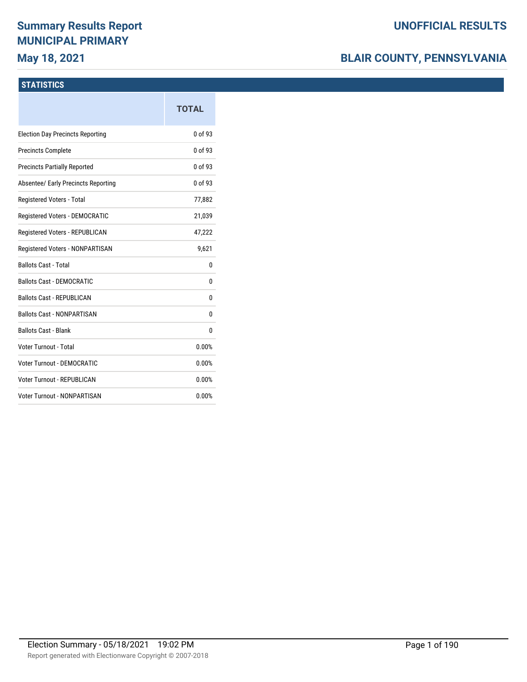# **Summary Results Report MUNICIPAL PRIMARY**

# **May 18, 2021**

# **BLAIR COUNTY, PENNSYLVANIA**

## **STATISTICS**

|                                         | <b>TOTAL</b> |
|-----------------------------------------|--------------|
| <b>Election Day Precincts Reporting</b> | 0 of 93      |
| <b>Precincts Complete</b>               | 0 of 93      |
| <b>Precincts Partially Reported</b>     | 0 of 93      |
| Absentee/ Early Precincts Reporting     | 0 of 93      |
| Registered Voters - Total               | 77,882       |
| Registered Voters - DEMOCRATIC          | 21,039       |
| Registered Voters - REPUBLICAN          | 47,222       |
| Registered Voters - NONPARTISAN         | 9,621        |
| <b>Ballots Cast - Total</b>             | 0            |
| <b>Ballots Cast - DEMOCRATIC</b>        | 0            |
| <b>Ballots Cast - REPUBLICAN</b>        | 0            |
| <b>Ballots Cast - NONPARTISAN</b>       | 0            |
| <b>Ballots Cast - Blank</b>             | 0            |
| Voter Turnout - Total                   | 0.00%        |
| Voter Turnout - DEMOCRATIC              | 0.00%        |
| Voter Turnout - REPUBLICAN              | 0.00%        |
| <b>Voter Turnout - NONPARTISAN</b>      | 0.00%        |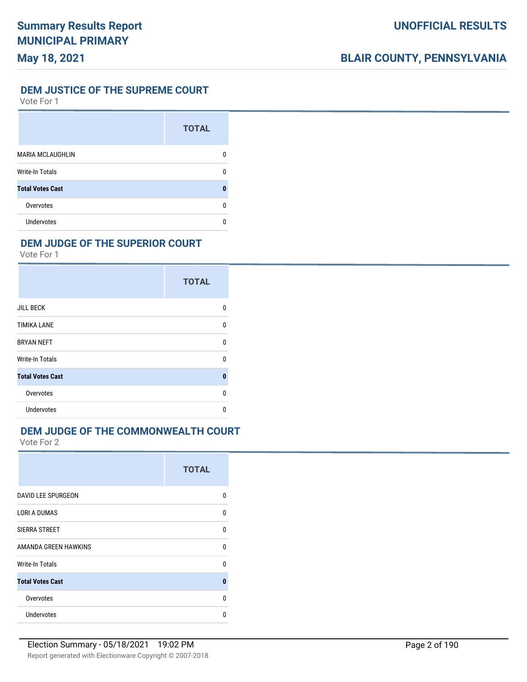## **DEM JUSTICE OF THE SUPREME COURT**

Vote For 1

|                         | <b>TOTAL</b> |
|-------------------------|--------------|
| <b>MARIA MCLAUGHLIN</b> | n            |
| <b>Write-In Totals</b>  | n            |
| <b>Total Votes Cast</b> | O            |
| Overvotes               | n            |
| Undervotes              | n            |

## **DEM JUDGE OF THE SUPERIOR COURT**

Vote For 1

|                         | <b>TOTAL</b> |
|-------------------------|--------------|
| <b>JILL BECK</b>        | 0            |
| <b>TIMIKA LANE</b>      | $\Omega$     |
| <b>BRYAN NEFT</b>       | 0            |
| <b>Write-In Totals</b>  | 0            |
| <b>Total Votes Cast</b> | 0            |
| Overvotes               | U            |
| <b>Undervotes</b>       | n            |

#### **DEM JUDGE OF THE COMMONWEALTH COURT**

|                           | <b>TOTAL</b> |
|---------------------------|--------------|
| <b>DAVID LEE SPURGEON</b> | n            |
| <b>LORI A DUMAS</b>       | $\Omega$     |
| SIERRA STREET             | $\Omega$     |
| AMANDA GREEN HAWKINS      | U            |
| Write-In Totals           | n            |
| <b>Total Votes Cast</b>   | $\bf{0}$     |
| Overvotes                 | U            |
| <b>Undervotes</b>         | n            |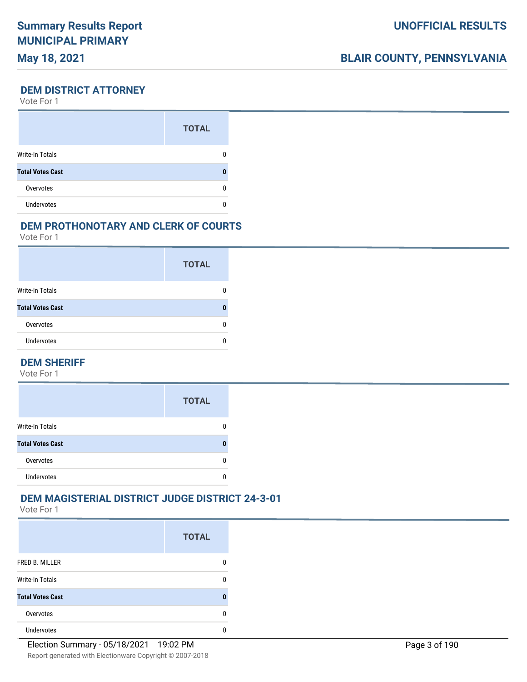# **BLAIR COUNTY, PENNSYLVANIA**

#### **DEM DISTRICT ATTORNEY**

Vote For 1

|                         | <b>TOTAL</b> |
|-------------------------|--------------|
| Write-In Totals         |              |
| <b>Total Votes Cast</b> |              |
| Overvotes               |              |
| <b>Undervotes</b>       |              |

### **DEM PROTHONOTARY AND CLERK OF COURTS**

Vote For 1

|                         | <b>TOTAL</b> |
|-------------------------|--------------|
| <b>Write-In Totals</b>  |              |
| <b>Total Votes Cast</b> |              |
| Overvotes               |              |
| <b>Undervotes</b>       |              |

#### **DEM SHERIFF**

Vote For 1

|                         | <b>TOTAL</b> |
|-------------------------|--------------|
| <b>Write-In Totals</b>  |              |
| <b>Total Votes Cast</b> |              |
| Overvotes               |              |
| <b>Undervotes</b>       |              |

## **DEM MAGISTERIAL DISTRICT JUDGE DISTRICT 24-3-01**

|                         | <b>TOTAL</b> |
|-------------------------|--------------|
| FRED B. MILLER          | 0            |
| <b>Write-In Totals</b>  | n            |
| <b>Total Votes Cast</b> |              |
| Overvotes               | O            |
| <b>Undervotes</b>       |              |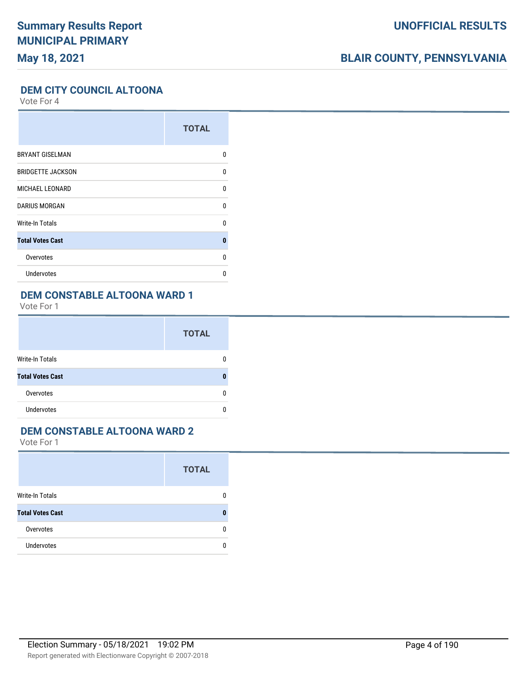# **BLAIR COUNTY, PENNSYLVANIA**

### **DEM CITY COUNCIL ALTOONA**

Vote For 4

|                          | <b>TOTAL</b> |
|--------------------------|--------------|
| <b>BRYANT GISELMAN</b>   | 0            |
| <b>BRIDGETTE JACKSON</b> | 0            |
| <b>MICHAEL LEONARD</b>   | U            |
| <b>DARIUS MORGAN</b>     | U            |
| Write-In Totals          | U            |
| <b>Total Votes Cast</b>  | $\bf{0}$     |
| Overvotes                | 0            |
| <b>Undervotes</b>        | U            |

# **DEM CONSTABLE ALTOONA WARD 1**

Vote For 1

|                         | <b>TOTAL</b> |
|-------------------------|--------------|
| <b>Write-In Totals</b>  |              |
| <b>Total Votes Cast</b> |              |
| Overvotes               |              |
| <b>Undervotes</b>       |              |

#### **DEM CONSTABLE ALTOONA WARD 2**

|                         | <b>TOTAL</b> |
|-------------------------|--------------|
| Write-In Totals         |              |
| <b>Total Votes Cast</b> |              |
| Overvotes               |              |
| <b>Undervotes</b>       |              |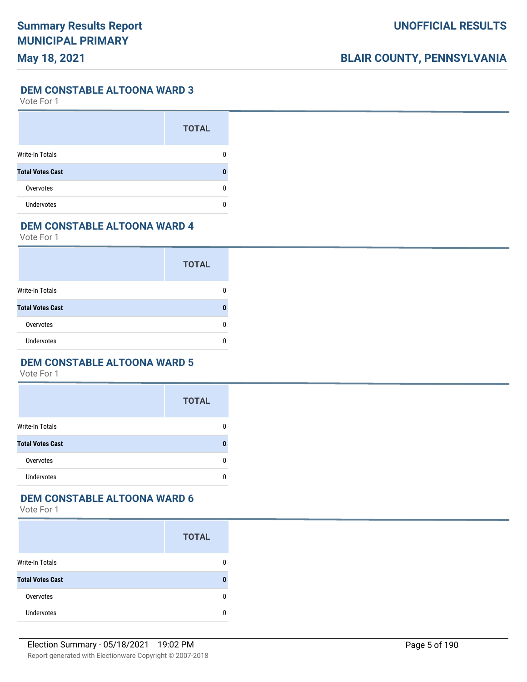**DEM CONSTABLE ALTOONA WARD 3**

Vote For 1

|                         | <b>TOTAL</b> |
|-------------------------|--------------|
| Write-In Totals         |              |
| <b>Total Votes Cast</b> |              |
| Overvotes               |              |
| <b>Undervotes</b>       |              |

## **DEM CONSTABLE ALTOONA WARD 4**

Vote For 1

|                         | <b>TOTAL</b> |
|-------------------------|--------------|
| <b>Write-In Totals</b>  |              |
| <b>Total Votes Cast</b> |              |
| Overvotes               |              |
| <b>Undervotes</b>       |              |

#### **DEM CONSTABLE ALTOONA WARD 5**

Vote For 1

|                         | <b>TOTAL</b> |
|-------------------------|--------------|
| <b>Write-In Totals</b>  | 0            |
| <b>Total Votes Cast</b> | n            |
| Overvotes               | 0            |
| <b>Undervotes</b>       | 0            |

# **DEM CONSTABLE ALTOONA WARD 6**

|                         | <b>TOTAL</b> |
|-------------------------|--------------|
| <b>Write-In Totals</b>  | n            |
| <b>Total Votes Cast</b> |              |
| Overvotes               |              |
| <b>Undervotes</b>       |              |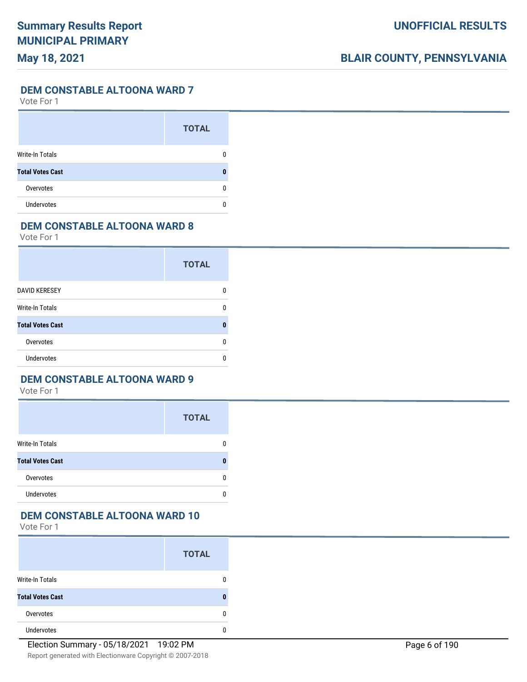**DEM CONSTABLE ALTOONA WARD 7**

Vote For 1

|                         | <b>TOTAL</b> |
|-------------------------|--------------|
| Write-In Totals         |              |
| <b>Total Votes Cast</b> |              |
| Overvotes               |              |
| <b>Undervotes</b>       |              |

### **DEM CONSTABLE ALTOONA WARD 8**

Vote For 1

|                         | <b>TOTAL</b> |
|-------------------------|--------------|
| <b>DAVID KERESEY</b>    | n            |
| Write-In Totals         | n            |
| <b>Total Votes Cast</b> |              |
| Overvotes               | n            |
| Undervotes              | O            |

## **DEM CONSTABLE ALTOONA WARD 9**

Vote For 1

|                         | <b>TOTAL</b> |
|-------------------------|--------------|
| <b>Write-In Totals</b>  | n            |
| <b>Total Votes Cast</b> |              |
| Overvotes               | n            |
| <b>Undervotes</b>       |              |

### **DEM CONSTABLE ALTOONA WARD 10**

|                         | <b>TOTAL</b> |
|-------------------------|--------------|
| <b>Write-In Totals</b>  |              |
| <b>Total Votes Cast</b> |              |
| Overvotes               |              |
| <b>Undervotes</b>       |              |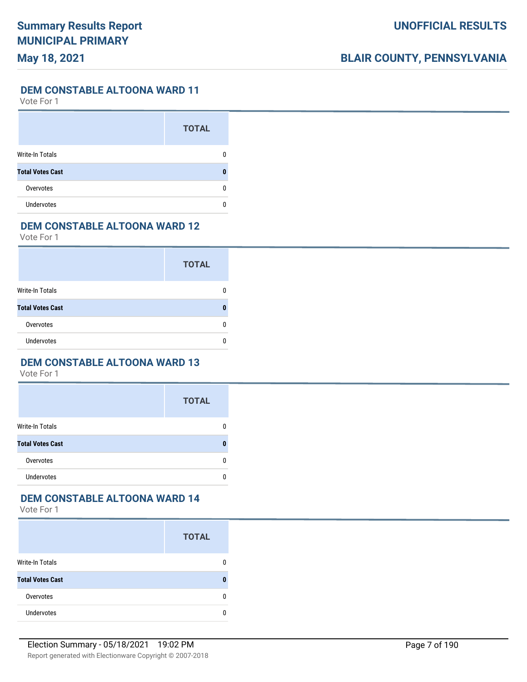**DEM CONSTABLE ALTOONA WARD 11**

Vote For 1

|                         | <b>TOTAL</b> |
|-------------------------|--------------|
| <b>Write-In Totals</b>  |              |
| <b>Total Votes Cast</b> |              |
| Overvotes               |              |
| <b>Undervotes</b>       |              |

### **DEM CONSTABLE ALTOONA WARD 12**

Vote For 1

|                         | <b>TOTAL</b> |
|-------------------------|--------------|
| <b>Write-In Totals</b>  |              |
| <b>Total Votes Cast</b> |              |
| Overvotes               |              |
| <b>Undervotes</b>       |              |

#### **DEM CONSTABLE ALTOONA WARD 13**

Vote For 1

|                         | <b>TOTAL</b> |
|-------------------------|--------------|
| <b>Write-In Totals</b>  | 0            |
| <b>Total Votes Cast</b> | n            |
| Overvotes               | 0            |
| <b>Undervotes</b>       | 0            |

# **DEM CONSTABLE ALTOONA WARD 14**

|                         | <b>TOTAL</b> |
|-------------------------|--------------|
| <b>Write-In Totals</b>  |              |
| <b>Total Votes Cast</b> |              |
| Overvotes               |              |
| <b>Undervotes</b>       |              |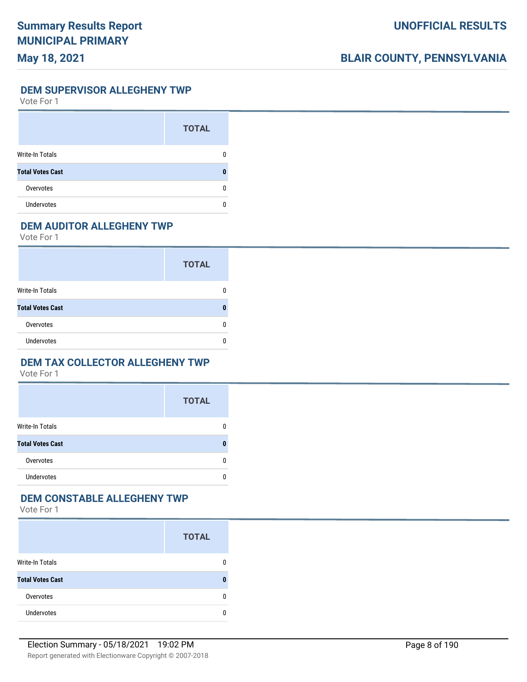**DEM SUPERVISOR ALLEGHENY TWP**

Vote For 1

|                         | <b>TOTAL</b> |
|-------------------------|--------------|
| Write-In Totals         |              |
| <b>Total Votes Cast</b> |              |
| Overvotes               |              |
| <b>Undervotes</b>       |              |

## **DEM AUDITOR ALLEGHENY TWP**

Vote For 1

|                         | <b>TOTAL</b> |
|-------------------------|--------------|
| Write-In Totals         |              |
| <b>Total Votes Cast</b> |              |
| Overvotes               |              |
| <b>Undervotes</b>       |              |

#### **DEM TAX COLLECTOR ALLEGHENY TWP**

Vote For 1

|                         | <b>TOTAL</b> |
|-------------------------|--------------|
| <b>Write-In Totals</b>  | 0            |
| <b>Total Votes Cast</b> | n            |
| Overvotes               | 0            |
| <b>Undervotes</b>       | n            |

## **DEM CONSTABLE ALLEGHENY TWP**

|                         | <b>TOTAL</b> |
|-------------------------|--------------|
| <b>Write-In Totals</b>  | 0            |
| <b>Total Votes Cast</b> | 0            |
| Overvotes               | 0            |
| <b>Undervotes</b>       | n            |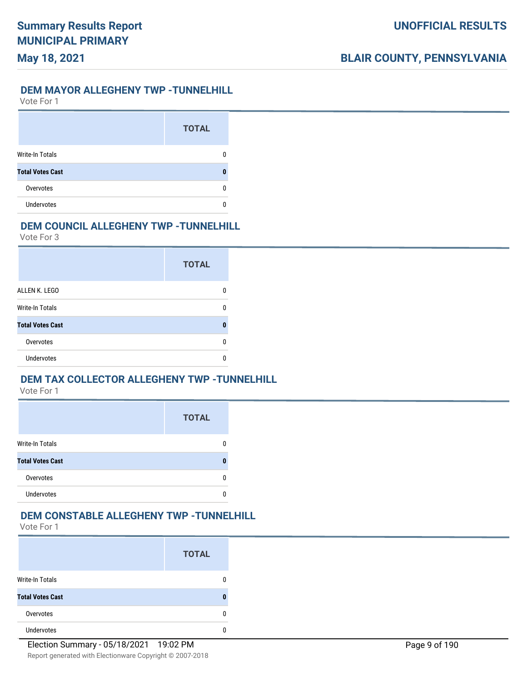#### **DEM MAYOR ALLEGHENY TWP -TUNNELHILL**

Vote For 1

**May 18, 2021**

|                         | <b>TOTAL</b> |
|-------------------------|--------------|
| <b>Write-In Totals</b>  |              |
| <b>Total Votes Cast</b> |              |
| Overvotes               |              |
| <b>Undervotes</b>       |              |

### **DEM COUNCIL ALLEGHENY TWP -TUNNELHILL**

Vote For 3

|                         | <b>TOTAL</b> |
|-------------------------|--------------|
| ALLEN K. LEGO           |              |
| <b>Write-In Totals</b>  | ŋ            |
| <b>Total Votes Cast</b> | O            |
| Overvotes               | n            |
| Undervotes              |              |

## **DEM TAX COLLECTOR ALLEGHENY TWP -TUNNELHILL**

Vote For 1

|                         | <b>TOTAL</b> |
|-------------------------|--------------|
| <b>Write-In Totals</b>  |              |
| <b>Total Votes Cast</b> |              |
| Overvotes               |              |
| Undervotes              |              |

### **DEM CONSTABLE ALLEGHENY TWP -TUNNELHILL**

|                         | <b>TOTAL</b> |
|-------------------------|--------------|
| <b>Write-In Totals</b>  |              |
| <b>Total Votes Cast</b> |              |
| Overvotes               | O            |
| <b>Undervotes</b>       |              |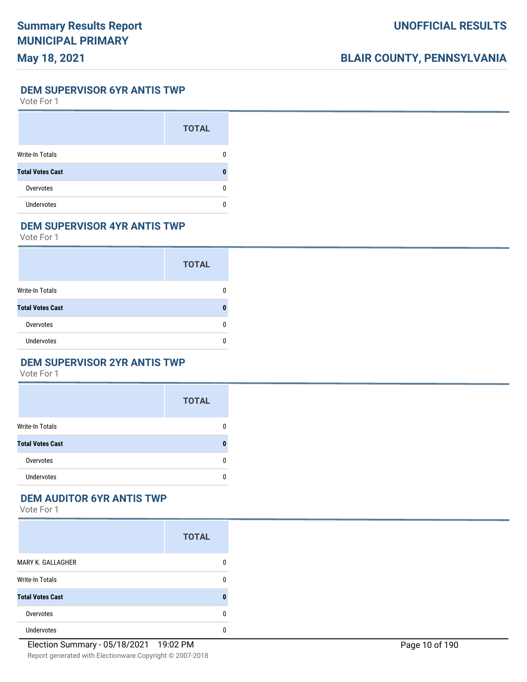# **BLAIR COUNTY, PENNSYLVANIA**

**DEM SUPERVISOR 6YR ANTIS TWP**

Vote For 1

|                         | <b>TOTAL</b> |
|-------------------------|--------------|
| Write-In Totals         |              |
| <b>Total Votes Cast</b> |              |
| Overvotes               |              |
| <b>Undervotes</b>       |              |

### **DEM SUPERVISOR 4YR ANTIS TWP**

Vote For 1

|                         | <b>TOTAL</b> |
|-------------------------|--------------|
| Write-In Totals         |              |
| <b>Total Votes Cast</b> |              |
| Overvotes               |              |
| <b>Undervotes</b>       |              |

#### **DEM SUPERVISOR 2YR ANTIS TWP**

Vote For 1

|                         | <b>TOTAL</b> |
|-------------------------|--------------|
| <b>Write-In Totals</b>  | 0            |
| <b>Total Votes Cast</b> | 0            |
| Overvotes               | 0            |
| Undervotes              | n            |

## **DEM AUDITOR 6YR ANTIS TWP**

|                         | <b>TOTAL</b> |
|-------------------------|--------------|
| MARY K. GALLAGHER       | 0            |
| <b>Write-In Totals</b>  | 0            |
| <b>Total Votes Cast</b> | ŋ            |
| Overvotes               | 0            |
| <b>Undervotes</b>       | 0            |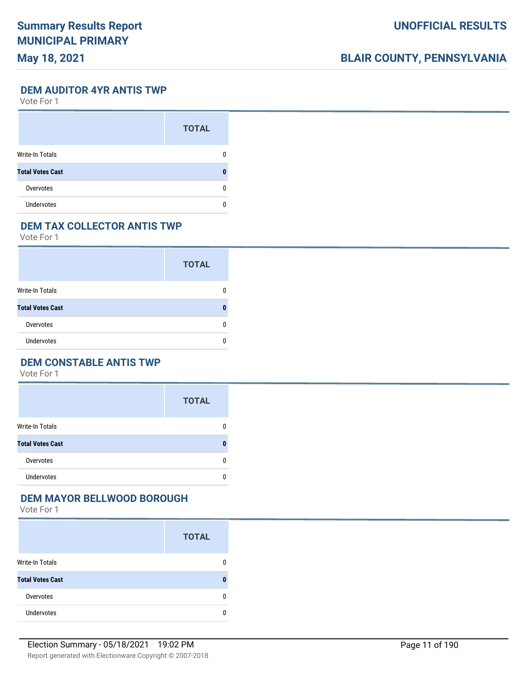# **BLAIR COUNTY, PENNSYLVANIA**

**DEM AUDITOR 4YR ANTIS TWP**

Vote For 1

|                         | <b>TOTAL</b> |
|-------------------------|--------------|
| Write-In Totals         |              |
| <b>Total Votes Cast</b> |              |
| Overvotes               |              |
| <b>Undervotes</b>       |              |

## **DEM TAX COLLECTOR ANTIS TWP**

Vote For 1

|                         | <b>TOTAL</b> |
|-------------------------|--------------|
| <b>Write-In Totals</b>  |              |
| <b>Total Votes Cast</b> |              |
| Overvotes               |              |
| <b>Undervotes</b>       |              |

## **DEM CONSTABLE ANTIS TWP**

Vote For 1

|                         | <b>TOTAL</b> |
|-------------------------|--------------|
| <b>Write-In Totals</b>  | 0            |
| <b>Total Votes Cast</b> | n            |
| Overvotes               | 0            |
| <b>Undervotes</b>       | U            |

#### **DEM MAYOR BELLWOOD BOROUGH**

|                         | <b>TOTAL</b> |
|-------------------------|--------------|
| <b>Write-In Totals</b>  | 0            |
| <b>Total Votes Cast</b> | ŋ            |
| Overvotes               | 0            |
| <b>Undervotes</b>       | n            |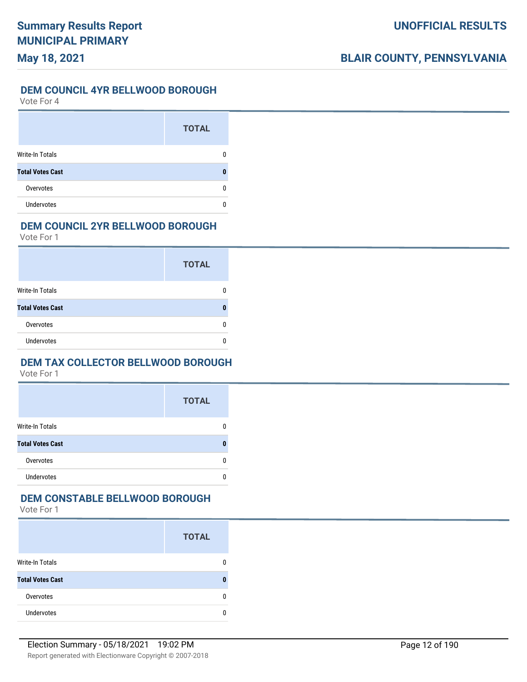#### **DEM COUNCIL 4YR BELLWOOD BOROUGH**

Vote For 4

|                         | <b>TOTAL</b> |
|-------------------------|--------------|
| <b>Write-In Totals</b>  |              |
| <b>Total Votes Cast</b> |              |
| Overvotes               |              |
| Undervotes              |              |

#### **DEM COUNCIL 2YR BELLWOOD BOROUGH**

Vote For 1

|                         | <b>TOTAL</b> |
|-------------------------|--------------|
| Write-In Totals         |              |
| <b>Total Votes Cast</b> |              |
| Overvotes               |              |
| <b>Undervotes</b>       |              |

### **DEM TAX COLLECTOR BELLWOOD BOROUGH**

Vote For 1

|                         | <b>TOTAL</b> |
|-------------------------|--------------|
| <b>Write-In Totals</b>  | 0            |
| <b>Total Votes Cast</b> | n            |
| Overvotes               | n            |
| <b>Undervotes</b>       | n            |

## **DEM CONSTABLE BELLWOOD BOROUGH**

|                         | <b>TOTAL</b> |
|-------------------------|--------------|
| <b>Write-In Totals</b>  | 0            |
| <b>Total Votes Cast</b> | 0            |
| Overvotes               | 0            |
| <b>Undervotes</b>       | 0            |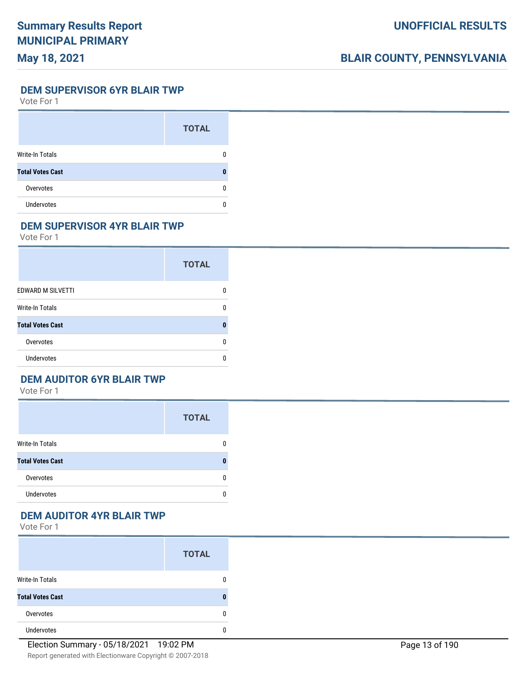# **BLAIR COUNTY, PENNSYLVANIA**

**DEM SUPERVISOR 6YR BLAIR TWP**

Vote For 1

|                         | <b>TOTAL</b> |
|-------------------------|--------------|
| <b>Write-In Totals</b>  |              |
| <b>Total Votes Cast</b> |              |
| Overvotes               | O            |
| <b>Undervotes</b>       |              |

### **DEM SUPERVISOR 4YR BLAIR TWP**

Vote For 1

|                          | <b>TOTAL</b> |  |
|--------------------------|--------------|--|
| <b>EDWARD M SILVETTI</b> | n            |  |
| <b>Write-In Totals</b>   | n            |  |
| <b>Total Votes Cast</b>  |              |  |
| Overvotes                | 0            |  |
| Undervotes               | n            |  |

## **DEM AUDITOR 6YR BLAIR TWP**

Vote For 1

|                         | <b>TOTAL</b> |
|-------------------------|--------------|
| <b>Write-In Totals</b>  | n            |
| <b>Total Votes Cast</b> |              |
| Overvotes               |              |
| <b>Undervotes</b>       |              |

### **DEM AUDITOR 4YR BLAIR TWP**

|                         | <b>TOTAL</b> |
|-------------------------|--------------|
| Write-In Totals         | 0            |
| <b>Total Votes Cast</b> |              |
| Overvotes               | ŋ            |
| <b>Undervotes</b>       |              |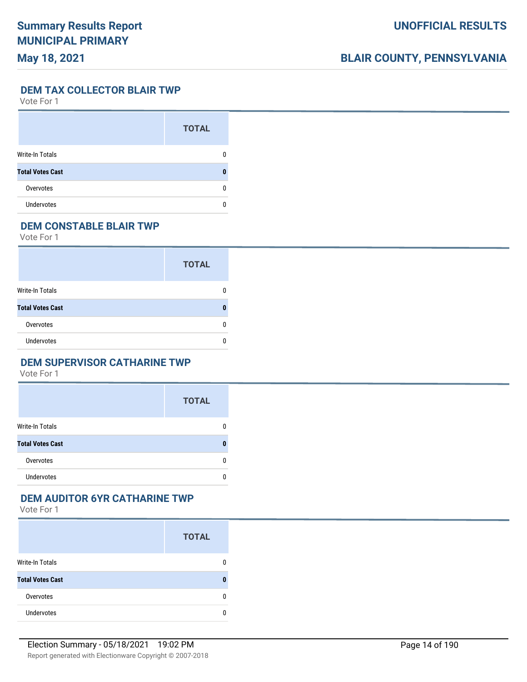# **BLAIR COUNTY, PENNSYLVANIA**

**DEM TAX COLLECTOR BLAIR TWP**

Vote For 1

|                         | <b>TOTAL</b> |
|-------------------------|--------------|
| Write-In Totals         |              |
| <b>Total Votes Cast</b> |              |
| Overvotes               |              |
| <b>Undervotes</b>       |              |

## **DEM CONSTABLE BLAIR TWP**

Vote For 1

|                         | <b>TOTAL</b> |
|-------------------------|--------------|
| Write-In Totals         |              |
| <b>Total Votes Cast</b> |              |
| Overvotes               |              |
| <b>Undervotes</b>       |              |

#### **DEM SUPERVISOR CATHARINE TWP**

Vote For 1

|                         | <b>TOTAL</b> |
|-------------------------|--------------|
| <b>Write-In Totals</b>  | 0            |
| <b>Total Votes Cast</b> | n            |
| Overvotes               | 0            |
| <b>Undervotes</b>       | U            |

## **DEM AUDITOR 6YR CATHARINE TWP**

|                         | <b>TOTAL</b> |
|-------------------------|--------------|
| <b>Write-In Totals</b>  | 0            |
| <b>Total Votes Cast</b> | 0            |
| Overvotes               | 0            |
| <b>Undervotes</b>       | n            |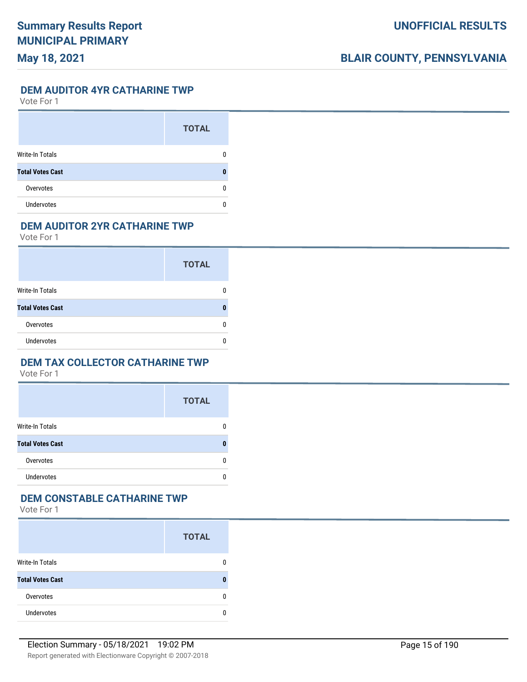#### **DEM AUDITOR 4YR CATHARINE TWP**

Vote For 1

|                         | <b>TOTAL</b> |
|-------------------------|--------------|
| Write-In Totals         |              |
| <b>Total Votes Cast</b> |              |
| Overvotes               | O            |
| <b>Undervotes</b>       |              |

### **DEM AUDITOR 2YR CATHARINE TWP**

Vote For 1

|                         | <b>TOTAL</b> |
|-------------------------|--------------|
| <b>Write-In Totals</b>  |              |
| <b>Total Votes Cast</b> |              |
| Overvotes               |              |
| <b>Undervotes</b>       |              |

#### **DEM TAX COLLECTOR CATHARINE TWP**

Vote For 1

|                         | <b>TOTAL</b> |
|-------------------------|--------------|
| <b>Write-In Totals</b>  | 0            |
| <b>Total Votes Cast</b> | n            |
| Overvotes               | 0            |
| <b>Undervotes</b>       | n            |

# **DEM CONSTABLE CATHARINE TWP**

|                         | <b>TOTAL</b> |
|-------------------------|--------------|
| <b>Write-In Totals</b>  | n            |
| <b>Total Votes Cast</b> |              |
| Overvotes               |              |
| <b>Undervotes</b>       |              |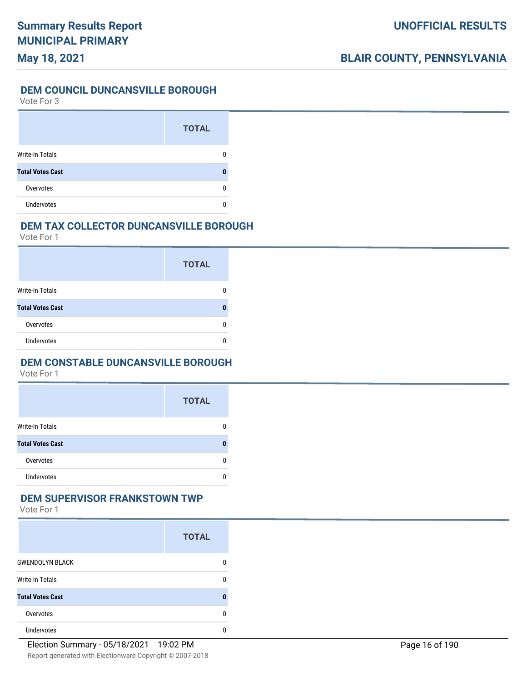#### **DEM COUNCIL DUNCANSVILLE BOROUGH**

Vote For 3

|                         | <b>TOTAL</b> |
|-------------------------|--------------|
| Write-In Totals         |              |
| <b>Total Votes Cast</b> |              |
| Overvotes               |              |
| <b>Undervotes</b>       |              |

#### **DEM TAX COLLECTOR DUNCANSVILLE BOROUGH**

Vote For 1

|                         | <b>TOTAL</b> |
|-------------------------|--------------|
| Write-In Totals         |              |
| <b>Total Votes Cast</b> | Л            |
| Overvotes               | O            |
| Undervotes              |              |

### **DEM CONSTABLE DUNCANSVILLE BOROUGH**

Vote For 1

|                         | <b>TOTAL</b> |
|-------------------------|--------------|
| <b>Write-In Totals</b>  | 0            |
| <b>Total Votes Cast</b> | 0            |
| Overvotes               | 0            |
| <b>Undervotes</b>       | 0            |

#### **DEM SUPERVISOR FRANKSTOWN TWP**

|                         | <b>TOTAL</b> |
|-------------------------|--------------|
| <b>GWENDOLYN BLACK</b>  | 0            |
| <b>Write-In Totals</b>  | 0            |
| <b>Total Votes Cast</b> | ŋ            |
| Overvotes               | 0            |
| <b>Undervotes</b>       | n            |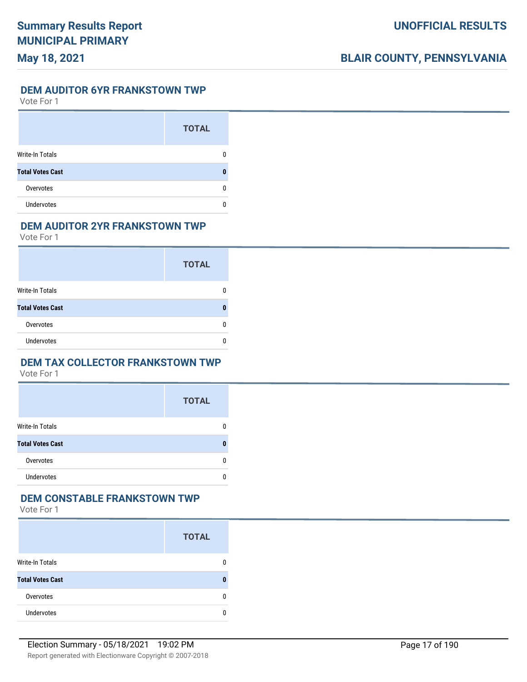#### **DEM AUDITOR 6YR FRANKSTOWN TWP**

Vote For 1

|                         | <b>TOTAL</b> |
|-------------------------|--------------|
| <b>Write-In Totals</b>  |              |
| <b>Total Votes Cast</b> |              |
| Overvotes               |              |
| <b>Undervotes</b>       |              |

#### **DEM AUDITOR 2YR FRANKSTOWN TWP**

Vote For 1

|                         | <b>TOTAL</b> |
|-------------------------|--------------|
| <b>Write-In Totals</b>  |              |
| <b>Total Votes Cast</b> |              |
| Overvotes               |              |
| <b>Undervotes</b>       |              |

#### **DEM TAX COLLECTOR FRANKSTOWN TWP**

Vote For 1

|                         | <b>TOTAL</b> |
|-------------------------|--------------|
| <b>Write-In Totals</b>  | n            |
| <b>Total Votes Cast</b> | ŋ            |
| Overvotes               | n            |
| <b>Undervotes</b>       | n            |

#### **DEM CONSTABLE FRANKSTOWN TWP**

|                         | <b>TOTAL</b> |
|-------------------------|--------------|
| <b>Write-In Totals</b>  | 0            |
| <b>Total Votes Cast</b> | 0            |
| Overvotes               | 0            |
| <b>Undervotes</b>       | 0            |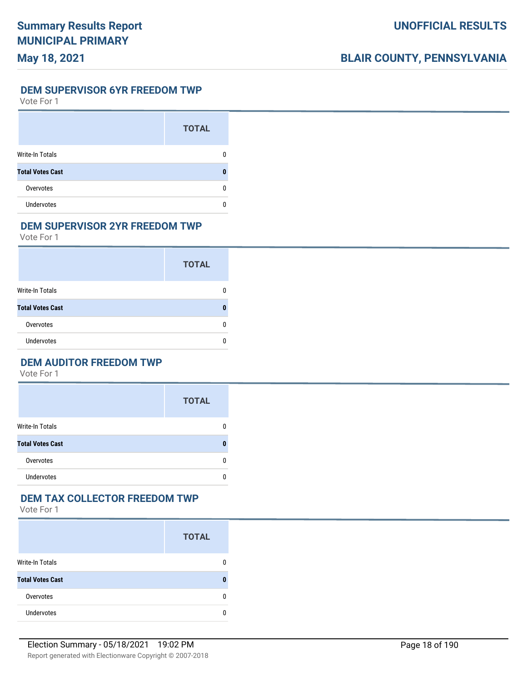**DEM SUPERVISOR 6YR FREEDOM TWP**

Vote For 1

|                         | <b>TOTAL</b> |
|-------------------------|--------------|
| Write-In Totals         |              |
| <b>Total Votes Cast</b> |              |
| Overvotes               |              |
| <b>Undervotes</b>       |              |

#### **DEM SUPERVISOR 2YR FREEDOM TWP**

Vote For 1

|                         | <b>TOTAL</b> |
|-------------------------|--------------|
| <b>Write-In Totals</b>  |              |
| <b>Total Votes Cast</b> |              |
| Overvotes               |              |
| <b>Undervotes</b>       |              |

## **DEM AUDITOR FREEDOM TWP**

Vote For 1

|                         | <b>TOTAL</b> |
|-------------------------|--------------|
| <b>Write-In Totals</b>  | 0            |
| <b>Total Votes Cast</b> | n            |
| Overvotes               | 0            |
| <b>Undervotes</b>       | 0            |

### **DEM TAX COLLECTOR FREEDOM TWP**

|                         | <b>TOTAL</b> |
|-------------------------|--------------|
| <b>Write-In Totals</b>  | 0            |
| <b>Total Votes Cast</b> | 0            |
| Overvotes               | 0            |
| <b>Undervotes</b>       | n            |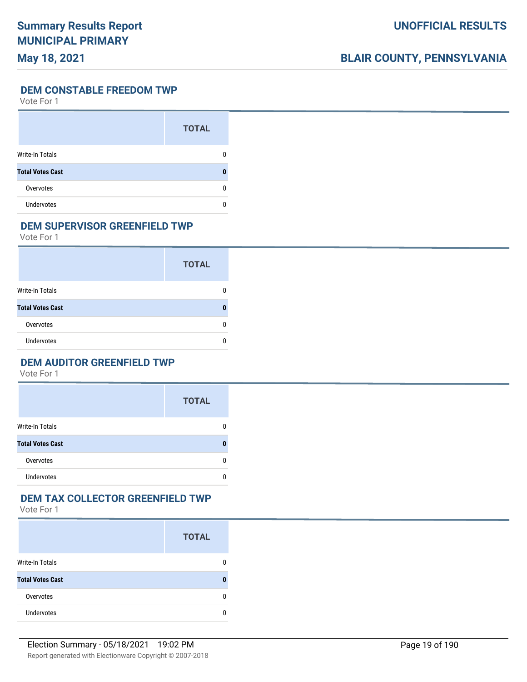# **BLAIR COUNTY, PENNSYLVANIA**

**DEM CONSTABLE FREEDOM TWP**

Vote For 1

|                         | <b>TOTAL</b> |
|-------------------------|--------------|
| <b>Write-In Totals</b>  |              |
| <b>Total Votes Cast</b> |              |
| Overvotes               |              |
| <b>Undervotes</b>       |              |

#### **DEM SUPERVISOR GREENFIELD TWP**

Vote For 1

|                         | <b>TOTAL</b> |
|-------------------------|--------------|
| <b>Write-In Totals</b>  |              |
| <b>Total Votes Cast</b> |              |
| Overvotes               |              |
| <b>Undervotes</b>       |              |

## **DEM AUDITOR GREENFIELD TWP**

Vote For 1

|                         | <b>TOTAL</b> |
|-------------------------|--------------|
| Write-In Totals         | 0            |
| <b>Total Votes Cast</b> | n            |
| Overvotes               | 0            |
| <b>Undervotes</b>       | 0            |

# **DEM TAX COLLECTOR GREENFIELD TWP**

|                         | <b>TOTAL</b> |
|-------------------------|--------------|
| <b>Write-In Totals</b>  |              |
| <b>Total Votes Cast</b> |              |
| Overvotes               | n            |
| <b>Undervotes</b>       |              |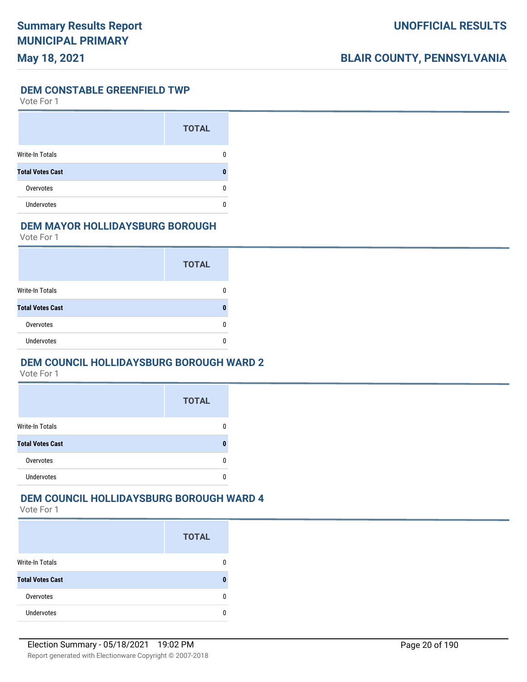#### **DEM CONSTABLE GREENFIELD TWP**

Vote For 1

|                         | <b>TOTAL</b> |
|-------------------------|--------------|
| <b>Write-In Totals</b>  |              |
| <b>Total Votes Cast</b> |              |
| Overvotes               | n            |
| Undervotes              |              |

### **DEM MAYOR HOLLIDAYSBURG BOROUGH**

Vote For 1

|                         | <b>TOTAL</b> |
|-------------------------|--------------|
| Write-In Totals         |              |
| <b>Total Votes Cast</b> |              |
| Overvotes               |              |
| <b>Undervotes</b>       |              |

### **DEM COUNCIL HOLLIDAYSBURG BOROUGH WARD 2**

Vote For 1

|                         | <b>TOTAL</b> |
|-------------------------|--------------|
| <b>Write-In Totals</b>  |              |
| <b>Total Votes Cast</b> |              |
| Overvotes               |              |
| <b>Undervotes</b>       |              |

# **DEM COUNCIL HOLLIDAYSBURG BOROUGH WARD 4**

|                         | <b>TOTAL</b> |
|-------------------------|--------------|
| <b>Write-In Totals</b>  |              |
| <b>Total Votes Cast</b> |              |
| Overvotes               | n            |
| <b>Undervotes</b>       |              |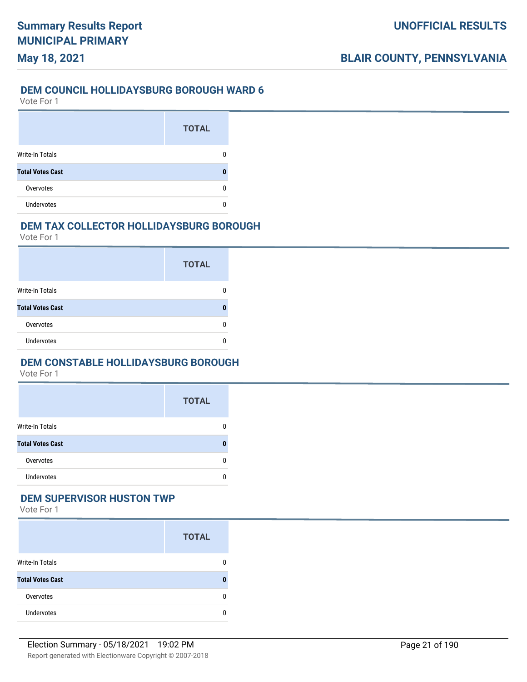# **May 18, 2021**

#### **DEM COUNCIL HOLLIDAYSBURG BOROUGH WARD 6**

Vote For 1

|                         | <b>TOTAL</b> |
|-------------------------|--------------|
| <b>Write-In Totals</b>  |              |
| <b>Total Votes Cast</b> |              |
| Overvotes               |              |
| <b>Undervotes</b>       |              |

#### **DEM TAX COLLECTOR HOLLIDAYSBURG BOROUGH**

Vote For 1

|                         | <b>TOTAL</b> |
|-------------------------|--------------|
| Write-In Totals         |              |
| <b>Total Votes Cast</b> |              |
| Overvotes               |              |
| Undervotes              |              |

### **DEM CONSTABLE HOLLIDAYSBURG BOROUGH**

Vote For 1

|                         | <b>TOTAL</b> |
|-------------------------|--------------|
| <b>Write-In Totals</b>  | 0            |
| <b>Total Votes Cast</b> | n            |
| Overvotes               | 0            |
| <b>Undervotes</b>       | n            |

#### **DEM SUPERVISOR HUSTON TWP**

|                         | <b>TOTAL</b> |
|-------------------------|--------------|
| <b>Write-In Totals</b>  | 0            |
| <b>Total Votes Cast</b> | ŋ            |
| Overvotes               | 0            |
| <b>Undervotes</b>       | n            |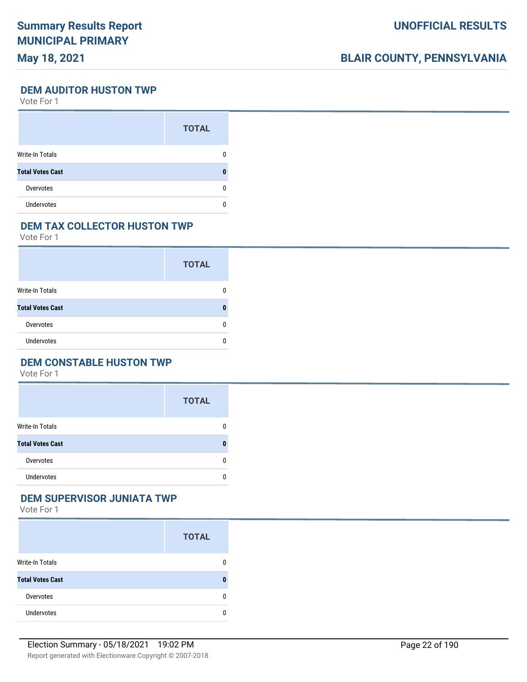# **BLAIR COUNTY, PENNSYLVANIA**

**DEM AUDITOR HUSTON TWP**

Vote For 1

|                         | <b>TOTAL</b> |
|-------------------------|--------------|
| Write-In Totals         |              |
| <b>Total Votes Cast</b> |              |
| Overvotes               | n            |
| <b>Undervotes</b>       |              |

### **DEM TAX COLLECTOR HUSTON TWP**

Vote For 1

|                         | <b>TOTAL</b> |
|-------------------------|--------------|
| Write-In Totals         |              |
| <b>Total Votes Cast</b> |              |
| Overvotes               |              |
| <b>Undervotes</b>       |              |

### **DEM CONSTABLE HUSTON TWP**

Vote For 1

|                         | <b>TOTAL</b> |
|-------------------------|--------------|
| <b>Write-In Totals</b>  | 0            |
| <b>Total Votes Cast</b> | 0            |
| Overvotes               | 0            |
| <b>Undervotes</b>       | 0            |

## **DEM SUPERVISOR JUNIATA TWP**

|                         | <b>TOTAL</b> |
|-------------------------|--------------|
| <b>Write-In Totals</b>  | 0            |
| <b>Total Votes Cast</b> | 0            |
| Overvotes               | 0            |
| <b>Undervotes</b>       | 0            |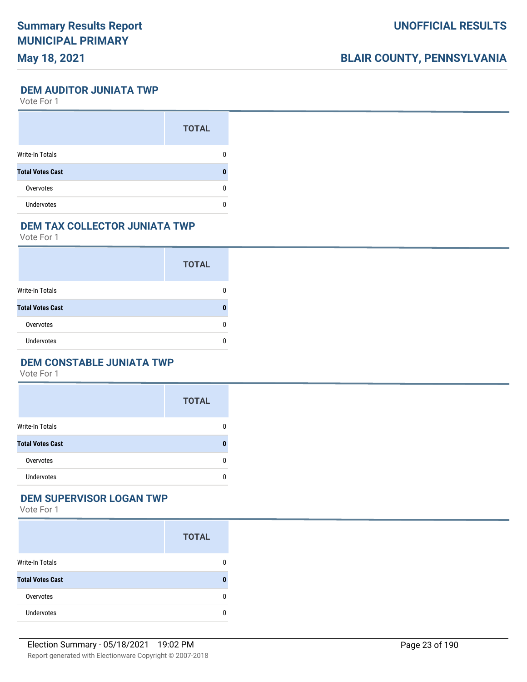# **BLAIR COUNTY, PENNSYLVANIA**

**DEM AUDITOR JUNIATA TWP**

Vote For 1

|                         | <b>TOTAL</b> |
|-------------------------|--------------|
| Write-In Totals         |              |
| <b>Total Votes Cast</b> |              |
| Overvotes               | O            |
| <b>Undervotes</b>       |              |

#### **DEM TAX COLLECTOR JUNIATA TWP**

Vote For 1

|                         | <b>TOTAL</b> |
|-------------------------|--------------|
| <b>Write-In Totals</b>  |              |
| <b>Total Votes Cast</b> |              |
| Overvotes               |              |
| <b>Undervotes</b>       |              |

### **DEM CONSTABLE JUNIATA TWP**

Vote For 1

|                         | <b>TOTAL</b> |
|-------------------------|--------------|
| <b>Write-In Totals</b>  | 0            |
| <b>Total Votes Cast</b> | n            |
| Overvotes               | n            |
| Undervotes              | n            |

#### **DEM SUPERVISOR LOGAN TWP**

|                         | <b>TOTAL</b> |
|-------------------------|--------------|
| <b>Write-In Totals</b>  | 0            |
| <b>Total Votes Cast</b> | 0            |
| Overvotes               | 0            |
| <b>Undervotes</b>       | 0            |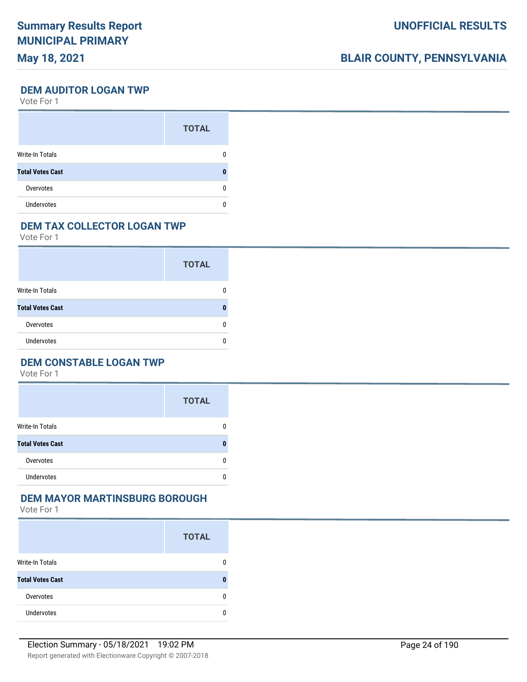# **BLAIR COUNTY, PENNSYLVANIA**

**DEM AUDITOR LOGAN TWP**

Vote For 1

|                         | <b>TOTAL</b> |
|-------------------------|--------------|
| Write-In Totals         |              |
| <b>Total Votes Cast</b> |              |
| Overvotes               | O            |
| <b>Undervotes</b>       |              |

## **DEM TAX COLLECTOR LOGAN TWP**

Vote For 1

|                         | <b>TOTAL</b> |
|-------------------------|--------------|
| <b>Write-In Totals</b>  |              |
| <b>Total Votes Cast</b> |              |
| Overvotes               |              |
| <b>Undervotes</b>       |              |

## **DEM CONSTABLE LOGAN TWP**

Vote For 1

|                         | <b>TOTAL</b> |
|-------------------------|--------------|
| <b>Write-In Totals</b>  | 0            |
| <b>Total Votes Cast</b> | n            |
| Overvotes               | 0            |
| <b>Undervotes</b>       | n            |

### **DEM MAYOR MARTINSBURG BOROUGH**

|                         | <b>TOTAL</b> |
|-------------------------|--------------|
| <b>Write-In Totals</b>  | 0            |
| <b>Total Votes Cast</b> | 0            |
| Overvotes               | 0            |
| <b>Undervotes</b>       | 0            |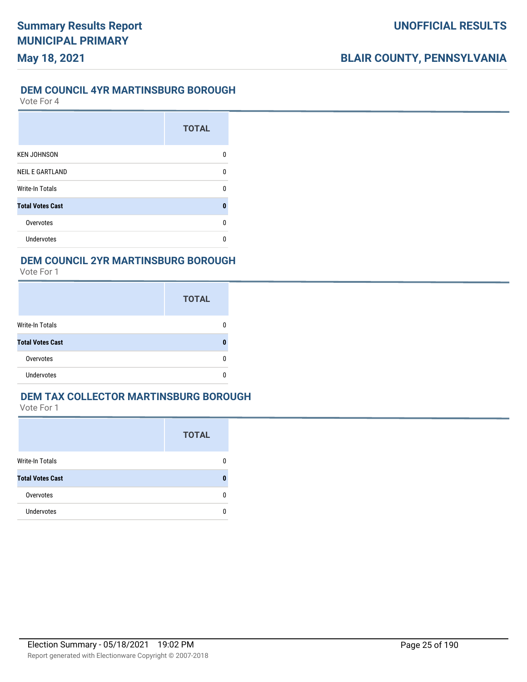# **UNOFFICIAL RESULTS**

# **BLAIR COUNTY, PENNSYLVANIA**

#### **DEM COUNCIL 4YR MARTINSBURG BOROUGH**

Vote For 4

|                         | <b>TOTAL</b> |
|-------------------------|--------------|
| <b>KEN JOHNSON</b>      | n            |
| <b>NEIL E GARTLAND</b>  | n            |
| <b>Write-In Totals</b>  | n            |
| <b>Total Votes Cast</b> | Ω            |
| Overvotes               | n            |
| <b>Undervotes</b>       |              |

#### **DEM COUNCIL 2YR MARTINSBURG BOROUGH**

Vote For 1

|                         | <b>TOTAL</b> |
|-------------------------|--------------|
| <b>Write-In Totals</b>  |              |
| <b>Total Votes Cast</b> |              |
| Overvotes               |              |
| <b>Undervotes</b>       |              |

#### **DEM TAX COLLECTOR MARTINSBURG BOROUGH**

|                         | <b>TOTAL</b> |
|-------------------------|--------------|
| Write-In Totals         |              |
| <b>Total Votes Cast</b> |              |
| Overvotes               | O            |
| <b>Undervotes</b>       |              |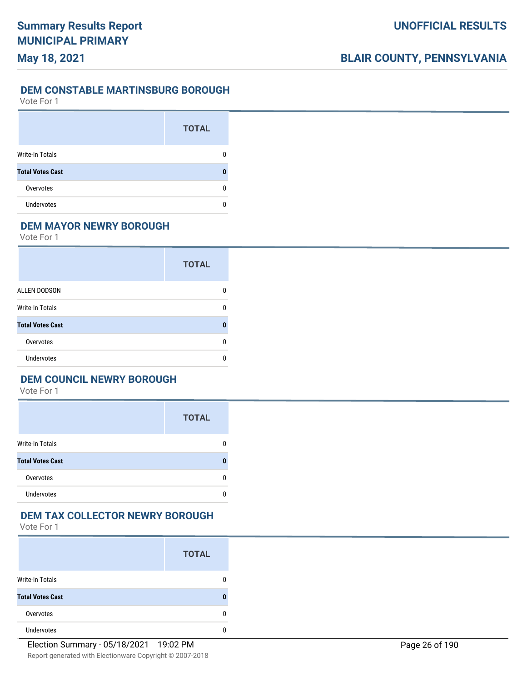## **UNOFFICIAL RESULTS**

# **BLAIR COUNTY, PENNSYLVANIA**

#### **DEM CONSTABLE MARTINSBURG BOROUGH**

Vote For 1

|                         | <b>TOTAL</b> |
|-------------------------|--------------|
| <b>Write-In Totals</b>  |              |
| <b>Total Votes Cast</b> |              |
| Overvotes               | O            |
| <b>Undervotes</b>       |              |

## **DEM MAYOR NEWRY BOROUGH**

Vote For 1

|                         | <b>TOTAL</b> |
|-------------------------|--------------|
| <b>ALLEN DODSON</b>     | n            |
| <b>Write-In Totals</b>  | n            |
| <b>Total Votes Cast</b> | Λ            |
| Overvotes               | U            |
| Undervotes              | n            |

## **DEM COUNCIL NEWRY BOROUGH**

Vote For 1

|                         | <b>TOTAL</b> |
|-------------------------|--------------|
| <b>Write-In Totals</b>  |              |
| <b>Total Votes Cast</b> |              |
| Overvotes               |              |
| <b>Undervotes</b>       |              |

#### **DEM TAX COLLECTOR NEWRY BOROUGH**

|                         | <b>TOTAL</b> |
|-------------------------|--------------|
| <b>Write-In Totals</b>  | 0            |
| <b>Total Votes Cast</b> | n            |
| Overvotes               | 0            |
| <b>Undervotes</b>       | 0            |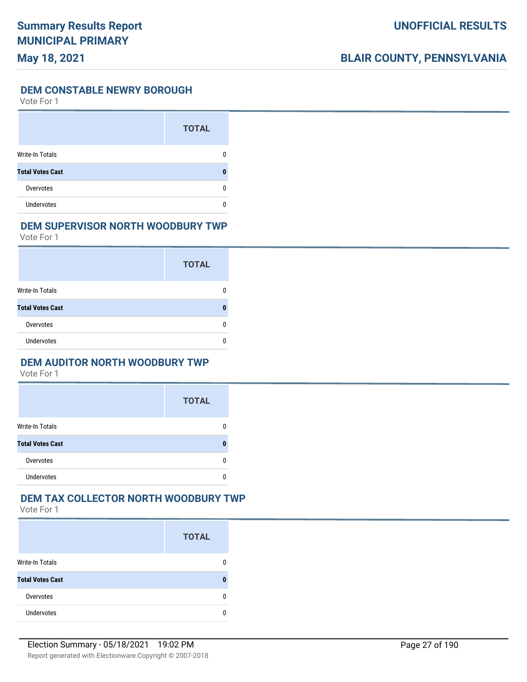#### **DEM CONSTABLE NEWRY BOROUGH**

Vote For 1

|                         | <b>TOTAL</b> |
|-------------------------|--------------|
| <b>Write-In Totals</b>  | O            |
| <b>Total Votes Cast</b> |              |
| Overvotes               | n            |
| <b>Undervotes</b>       |              |

#### **DEM SUPERVISOR NORTH WOODBURY TWP**

Vote For 1

|                         | <b>TOTAL</b> |
|-------------------------|--------------|
| Write-In Totals         |              |
| <b>Total Votes Cast</b> |              |
| Overvotes               |              |
| <b>Undervotes</b>       |              |

#### **DEM AUDITOR NORTH WOODBURY TWP**

Vote For 1

|                         | <b>TOTAL</b> |
|-------------------------|--------------|
| <b>Write-In Totals</b>  |              |
| <b>Total Votes Cast</b> |              |
| Overvotes               | n            |
| <b>Undervotes</b>       |              |

# **DEM TAX COLLECTOR NORTH WOODBURY TWP**

|                         | <b>TOTAL</b> |
|-------------------------|--------------|
| <b>Write-In Totals</b>  |              |
| <b>Total Votes Cast</b> |              |
| Overvotes               |              |
| <b>Undervotes</b>       |              |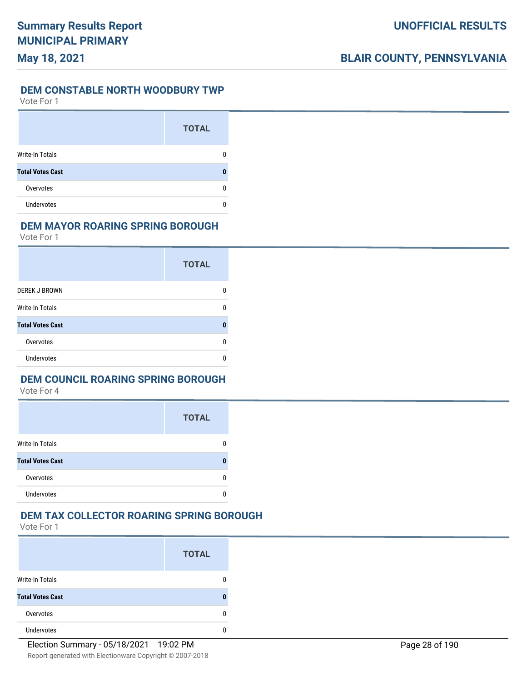#### **DEM CONSTABLE NORTH WOODBURY TWP**

Vote For 1

|                         | <b>TOTAL</b> |
|-------------------------|--------------|
| <b>Write-In Totals</b>  |              |
| <b>Total Votes Cast</b> | 0            |
| Overvotes               | n            |
| <b>Undervotes</b>       |              |

#### **DEM MAYOR ROARING SPRING BOROUGH**

Vote For 1

|                         | <b>TOTAL</b> |
|-------------------------|--------------|
| <b>DEREK J BROWN</b>    | n            |
| Write-In Totals         | n            |
| <b>Total Votes Cast</b> |              |
| Overvotes               | n            |
| Undervotes              | n            |

## **DEM COUNCIL ROARING SPRING BOROUGH**

Vote For 4

|                         | <b>TOTAL</b> |
|-------------------------|--------------|
| <b>Write-In Totals</b>  |              |
| <b>Total Votes Cast</b> | П            |
| Overvotes               |              |
| Undervotes              |              |

#### **DEM TAX COLLECTOR ROARING SPRING BOROUGH**

|                         | <b>TOTAL</b> |
|-------------------------|--------------|
| <b>Write-In Totals</b>  | n            |
| <b>Total Votes Cast</b> | 0            |
| Overvotes               | n            |
| <b>Undervotes</b>       |              |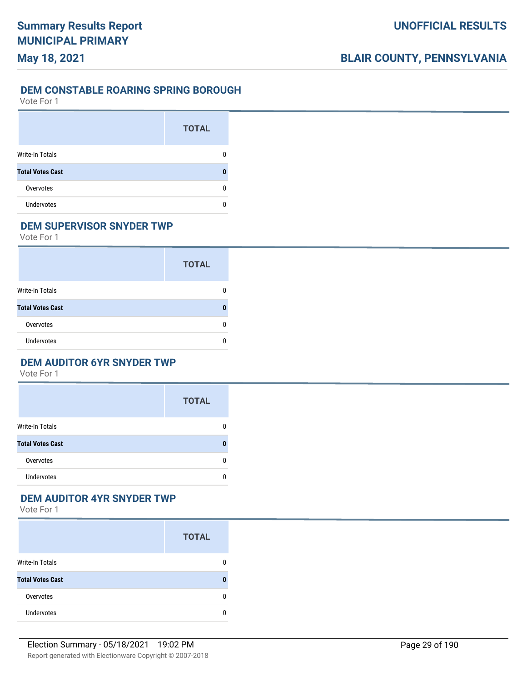# **UNOFFICIAL RESULTS**

# **BLAIR COUNTY, PENNSYLVANIA**

### **DEM CONSTABLE ROARING SPRING BOROUGH**

Vote For 1

|                         | <b>TOTAL</b> |
|-------------------------|--------------|
| Write-In Totals         |              |
| <b>Total Votes Cast</b> |              |
| Overvotes               | O            |
| <b>Undervotes</b>       |              |

## **DEM SUPERVISOR SNYDER TWP**

Vote For 1

|                         | <b>TOTAL</b> |
|-------------------------|--------------|
| <b>Write-In Totals</b>  |              |
| <b>Total Votes Cast</b> |              |
| Overvotes               |              |
| <b>Undervotes</b>       |              |

### **DEM AUDITOR 6YR SNYDER TWP**

Vote For 1

|                         | <b>TOTAL</b> |
|-------------------------|--------------|
| <b>Write-In Totals</b>  | 0            |
| <b>Total Votes Cast</b> | n            |
| Overvotes               | n            |
| <b>Undervotes</b>       | n            |

## **DEM AUDITOR 4YR SNYDER TWP**

|                         | <b>TOTAL</b> |
|-------------------------|--------------|
| Write-In Totals         | 0            |
| <b>Total Votes Cast</b> | n            |
| Overvotes               | 0            |
| <b>Undervotes</b>       | n            |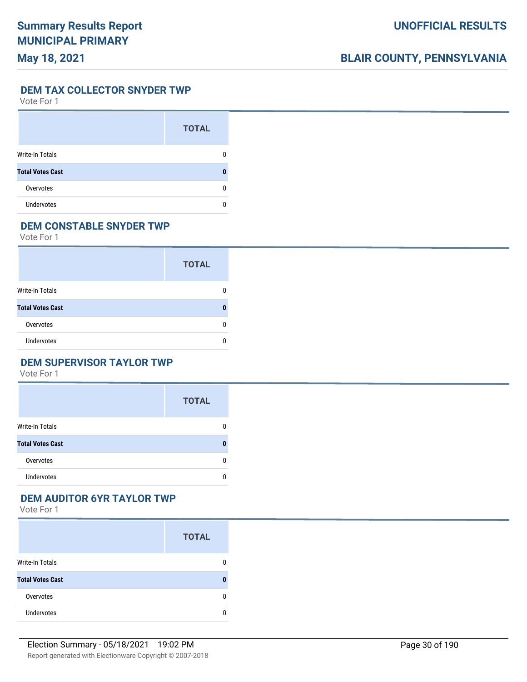# **BLAIR COUNTY, PENNSYLVANIA**

**DEM TAX COLLECTOR SNYDER TWP**

Vote For 1

|                         | <b>TOTAL</b> |
|-------------------------|--------------|
| Write-In Totals         |              |
| <b>Total Votes Cast</b> |              |
| Overvotes               |              |
| <b>Undervotes</b>       |              |

## **DEM CONSTABLE SNYDER TWP**

Vote For 1

|                         | <b>TOTAL</b> |
|-------------------------|--------------|
| Write-In Totals         |              |
| <b>Total Votes Cast</b> |              |
| Overvotes               |              |
| <b>Undervotes</b>       |              |

## **DEM SUPERVISOR TAYLOR TWP**

Vote For 1

|                         | <b>TOTAL</b> |
|-------------------------|--------------|
| <b>Write-In Totals</b>  | 0            |
| <b>Total Votes Cast</b> | 0            |
| Overvotes               | 0            |
| <b>Undervotes</b>       | 0            |

## **DEM AUDITOR 6YR TAYLOR TWP**

|                         | <b>TOTAL</b> |
|-------------------------|--------------|
| <b>Write-In Totals</b>  | 0            |
| <b>Total Votes Cast</b> | 0            |
| Overvotes               | 0            |
| <b>Undervotes</b>       | n            |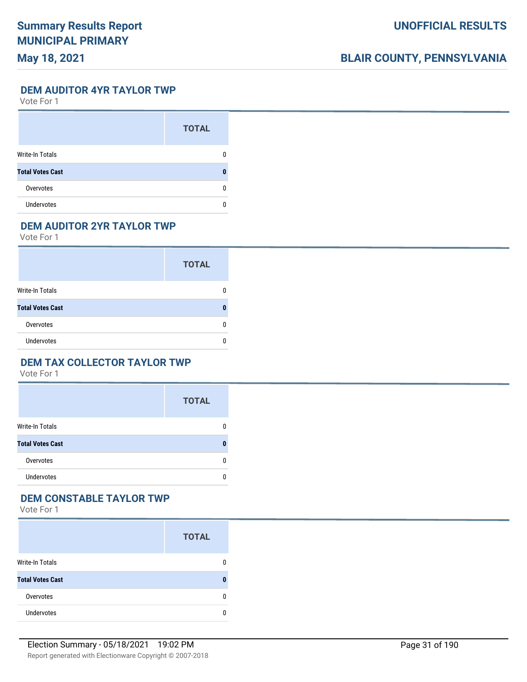# **BLAIR COUNTY, PENNSYLVANIA**

**DEM AUDITOR 4YR TAYLOR TWP**

Vote For 1

|                         | <b>TOTAL</b> |
|-------------------------|--------------|
| Write-In Totals         |              |
| <b>Total Votes Cast</b> |              |
| Overvotes               |              |
| <b>Undervotes</b>       |              |

## **DEM AUDITOR 2YR TAYLOR TWP**

Vote For 1

|                         | <b>TOTAL</b> |
|-------------------------|--------------|
| <b>Write-In Totals</b>  |              |
| <b>Total Votes Cast</b> |              |
| Overvotes               |              |
| <b>Undervotes</b>       |              |

#### **DEM TAX COLLECTOR TAYLOR TWP**

Vote For 1

|                         | <b>TOTAL</b> |
|-------------------------|--------------|
| <b>Write-In Totals</b>  | 0            |
| <b>Total Votes Cast</b> | n            |
| Overvotes               | 0            |
| <b>Undervotes</b>       | 0            |

# **DEM CONSTABLE TAYLOR TWP**

|                         | <b>TOTAL</b> |
|-------------------------|--------------|
| <b>Write-In Totals</b>  | n            |
| <b>Total Votes Cast</b> |              |
| Overvotes               |              |
| <b>Undervotes</b>       |              |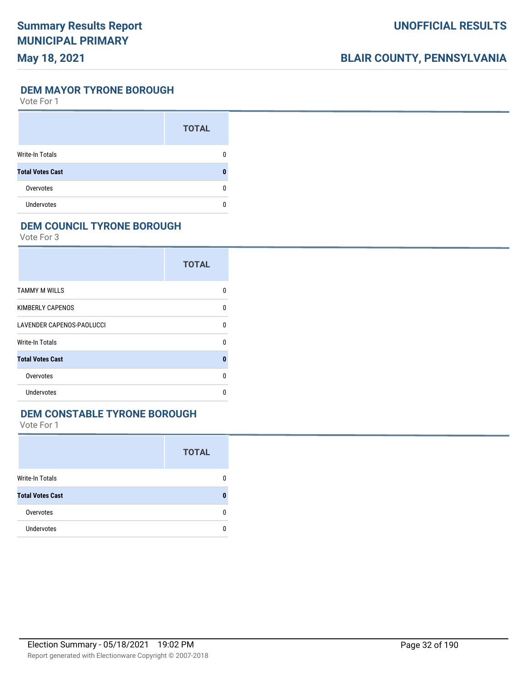# **BLAIR COUNTY, PENNSYLVANIA**

### **DEM MAYOR TYRONE BOROUGH**

Vote For 1

|                         | <b>TOTAL</b> |
|-------------------------|--------------|
| Write-In Totals         |              |
| <b>Total Votes Cast</b> |              |
| Overvotes               | O            |
| <b>Undervotes</b>       |              |

### **DEM COUNCIL TYRONE BOROUGH**

Vote For 3

|                                  | <b>TOTAL</b> |
|----------------------------------|--------------|
| <b>TAMMY M WILLS</b>             | U            |
| <b>KIMBERLY CAPENOS</b>          | $\Omega$     |
| <b>LAVENDER CAPENOS-PAOLUCCI</b> | U            |
| Write-In Totals                  | U            |
| <b>Total Votes Cast</b>          | ŋ            |
| Overvotes                        | 0            |
| Undervotes                       | U            |

### **DEM CONSTABLE TYRONE BOROUGH**

|                         | <b>TOTAL</b> |
|-------------------------|--------------|
| Write-In Totals         | 0            |
| <b>Total Votes Cast</b> | 0            |
| Overvotes               | 0            |
| Undervotes              | n            |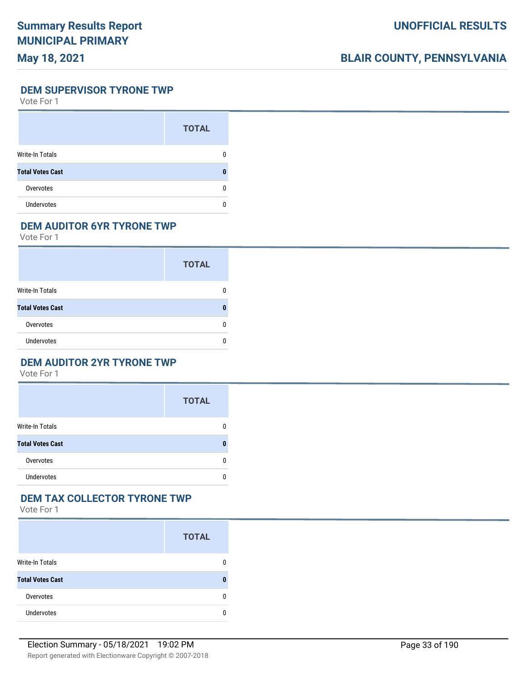# **BLAIR COUNTY, PENNSYLVANIA**

**DEM SUPERVISOR TYRONE TWP**

Vote For 1

|                         | <b>TOTAL</b> |
|-------------------------|--------------|
| Write-In Totals         |              |
| <b>Total Votes Cast</b> |              |
| Overvotes               | O            |
| <b>Undervotes</b>       |              |

## **DEM AUDITOR 6YR TYRONE TWP**

Vote For 1

|                         | <b>TOTAL</b> |
|-------------------------|--------------|
| Write-In Totals         |              |
| <b>Total Votes Cast</b> |              |
| Overvotes               |              |
| <b>Undervotes</b>       |              |

#### **DEM AUDITOR 2YR TYRONE TWP**

Vote For 1

|                         | <b>TOTAL</b> |
|-------------------------|--------------|
| <b>Write-In Totals</b>  | 0            |
| <b>Total Votes Cast</b> | n            |
| Overvotes               | 0            |
| <b>Undervotes</b>       | U            |

# **DEM TAX COLLECTOR TYRONE TWP**

|                         | <b>TOTAL</b> |
|-------------------------|--------------|
| <b>Write-In Totals</b>  |              |
| <b>Total Votes Cast</b> |              |
| Overvotes               |              |
| <b>Undervotes</b>       |              |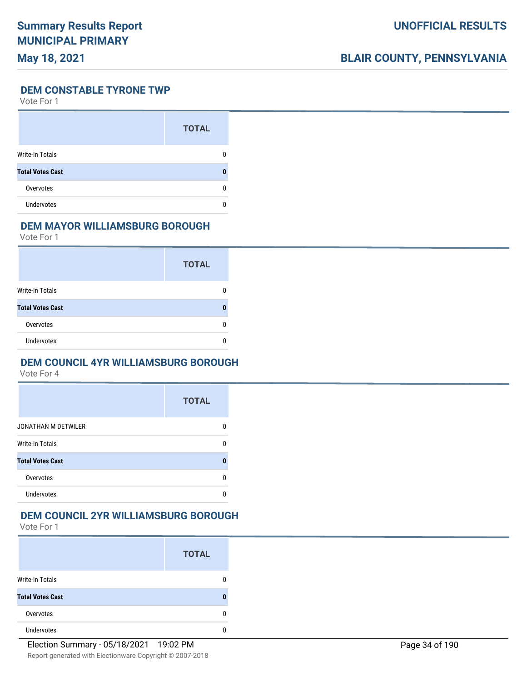# **BLAIR COUNTY, PENNSYLVANIA**

## **DEM CONSTABLE TYRONE TWP**

Vote For 1

|                         | <b>TOTAL</b> |
|-------------------------|--------------|
| Write-In Totals         |              |
| <b>Total Votes Cast</b> | 0            |
| Overvotes               |              |
| <b>Undervotes</b>       |              |

#### **DEM MAYOR WILLIAMSBURG BOROUGH**

Vote For 1

|                         | <b>TOTAL</b> |
|-------------------------|--------------|
| Write-In Totals         |              |
| <b>Total Votes Cast</b> |              |
| Overvotes               |              |
| <b>Undervotes</b>       |              |

#### **DEM COUNCIL 4YR WILLIAMSBURG BOROUGH**

Vote For 4

|                            | <b>TOTAL</b> |
|----------------------------|--------------|
| <b>JONATHAN M DETWILER</b> |              |
| <b>Write-In Totals</b>     |              |
| <b>Total Votes Cast</b>    |              |
| Overvotes                  |              |
| Undervotes                 |              |

#### **DEM COUNCIL 2YR WILLIAMSBURG BOROUGH**

|                         | <b>TOTAL</b> |
|-------------------------|--------------|
| <b>Write-In Totals</b>  |              |
| <b>Total Votes Cast</b> |              |
| Overvotes               | n            |
| <b>Undervotes</b>       |              |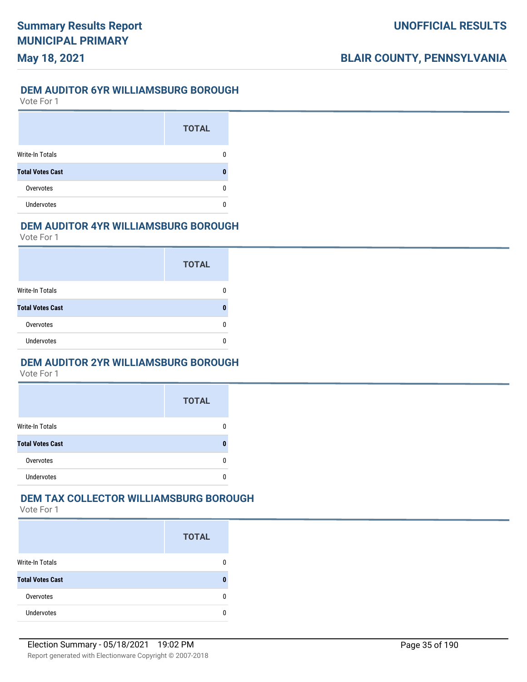## **DEM AUDITOR 6YR WILLIAMSBURG BOROUGH**

Vote For 1

**May 18, 2021**

|                         | <b>TOTAL</b> |
|-------------------------|--------------|
| <b>Write-In Totals</b>  |              |
| <b>Total Votes Cast</b> |              |
| Overvotes               |              |
| <b>Undervotes</b>       |              |

#### **DEM AUDITOR 4YR WILLIAMSBURG BOROUGH**

Vote For 1

|                         | <b>TOTAL</b> |
|-------------------------|--------------|
| Write-In Totals         |              |
| <b>Total Votes Cast</b> | Л            |
| Overvotes               | O            |
| Undervotes              |              |

#### **DEM AUDITOR 2YR WILLIAMSBURG BOROUGH**

Vote For 1

|                         | <b>TOTAL</b> |
|-------------------------|--------------|
| <b>Write-In Totals</b>  |              |
| <b>Total Votes Cast</b> |              |
| Overvotes               |              |
| <b>Undervotes</b>       |              |

## **DEM TAX COLLECTOR WILLIAMSBURG BOROUGH**

|                         | <b>TOTAL</b> |
|-------------------------|--------------|
| Write-In Totals         |              |
| <b>Total Votes Cast</b> |              |
| Overvotes               | n            |
| <b>Undervotes</b>       |              |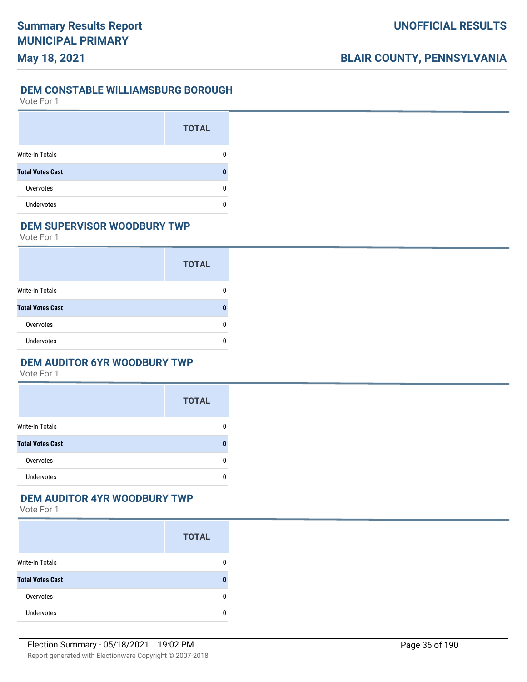## **UNOFFICIAL RESULTS**

# **BLAIR COUNTY, PENNSYLVANIA**

#### **DEM CONSTABLE WILLIAMSBURG BOROUGH**

Vote For 1

|                         | <b>TOTAL</b> |
|-------------------------|--------------|
| <b>Write-In Totals</b>  |              |
| <b>Total Votes Cast</b> |              |
| Overvotes               | O            |
| <b>Undervotes</b>       |              |

### **DEM SUPERVISOR WOODBURY TWP**

Vote For 1

|                         | <b>TOTAL</b> |
|-------------------------|--------------|
| <b>Write-In Totals</b>  |              |
| <b>Total Votes Cast</b> |              |
| Overvotes               |              |
| <b>Undervotes</b>       |              |

#### **DEM AUDITOR 6YR WOODBURY TWP**

Vote For 1

|                         | <b>TOTAL</b> |
|-------------------------|--------------|
| <b>Write-In Totals</b>  | 0            |
| <b>Total Votes Cast</b> | n            |
| Overvotes               | 0            |
| <b>Undervotes</b>       | U            |

## **DEM AUDITOR 4YR WOODBURY TWP**

|                         | <b>TOTAL</b> |
|-------------------------|--------------|
| <b>Write-In Totals</b>  | 0            |
| <b>Total Votes Cast</b> | 0            |
| Overvotes               | 0            |
| <b>Undervotes</b>       | n            |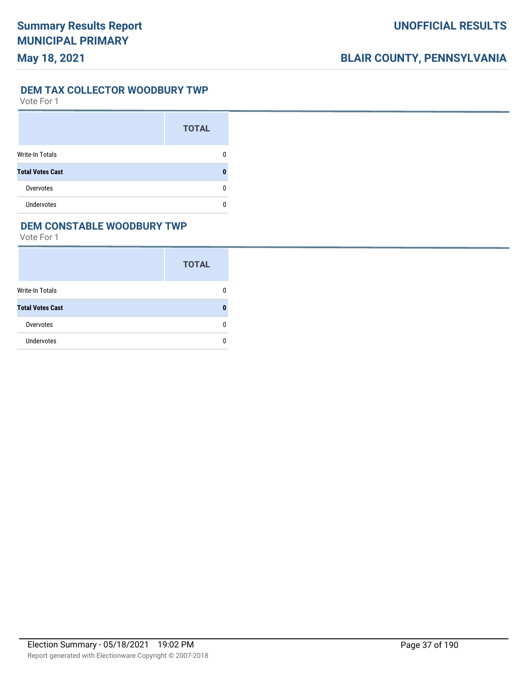#### **DEM TAX COLLECTOR WOODBURY TWP**

Vote For 1

|                         | <b>TOTAL</b> |
|-------------------------|--------------|
| Write-In Totals         |              |
| <b>Total Votes Cast</b> |              |
| Overvotes               | O            |
| <b>Undervotes</b>       |              |

#### **DEM CONSTABLE WOODBURY TWP**

|                         | <b>TOTAL</b> |
|-------------------------|--------------|
| Write-In Totals         |              |
| <b>Total Votes Cast</b> |              |
| Overvotes               | n            |
| <b>Undervotes</b>       |              |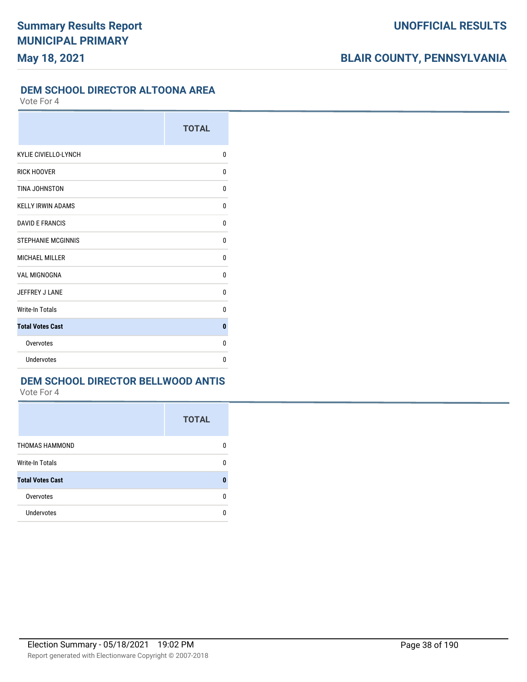#### **DEM SCHOOL DIRECTOR ALTOONA AREA**

Vote For 4

|                           | <b>TOTAL</b> |
|---------------------------|--------------|
| KYLIE CIVIELLO-LYNCH      | 0            |
| <b>RICK HOOVER</b>        | 0            |
| TINA JOHNSTON             | 0            |
| <b>KELLY IRWIN ADAMS</b>  | 0            |
| <b>DAVID E FRANCIS</b>    | 0            |
| <b>STEPHANIE MCGINNIS</b> | 0            |
| <b>MICHAEL MILLER</b>     | 0            |
| <b>VAL MIGNOGNA</b>       | 0            |
| JEFFREY J LANE            | 0            |
| <b>Write-In Totals</b>    | 0            |
| <b>Total Votes Cast</b>   | 0            |
| Overvotes                 | 0            |
| Undervotes                | 0            |

## **DEM SCHOOL DIRECTOR BELLWOOD ANTIS**

|                         | <b>TOTAL</b> |
|-------------------------|--------------|
| <b>THOMAS HAMMOND</b>   | n            |
| <b>Write-In Totals</b>  | O            |
| <b>Total Votes Cast</b> |              |
| Overvotes               | n            |
| <b>Undervotes</b>       | n            |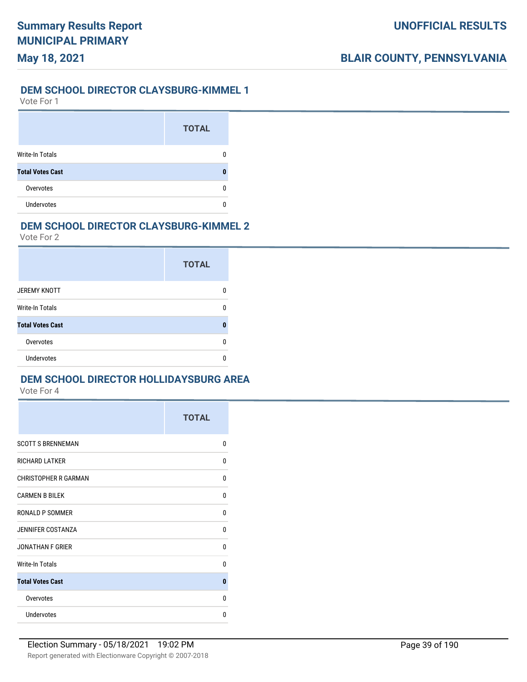## **May 18, 2021**

#### **DEM SCHOOL DIRECTOR CLAYSBURG-KIMMEL 1**

Vote For 1

|                         | <b>TOTAL</b> |
|-------------------------|--------------|
| <b>Write-In Totals</b>  |              |
| <b>Total Votes Cast</b> |              |
| Overvotes               |              |
| <b>Undervotes</b>       |              |

#### **DEM SCHOOL DIRECTOR CLAYSBURG-KIMMEL 2**

Vote For 2

|                         | <b>TOTAL</b> |
|-------------------------|--------------|
| <b>JEREMY KNOTT</b>     |              |
| Write-In Totals         | n            |
| <b>Total Votes Cast</b> | Ω            |
| Overvotes               | n            |
| <b>Undervotes</b>       |              |

## **DEM SCHOOL DIRECTOR HOLLIDAYSBURG AREA**

|                             | <b>TOTAL</b> |
|-----------------------------|--------------|
| <b>SCOTT S BRENNEMAN</b>    | $\Omega$     |
| <b>RICHARD LATKER</b>       | 0            |
| <b>CHRISTOPHER R GARMAN</b> | 0            |
| <b>CARMEN B BILEK</b>       | 0            |
| <b>RONALD P SOMMER</b>      | $\Omega$     |
| <b>JENNIFER COSTANZA</b>    | $\Omega$     |
| <b>JONATHAN F GRIER</b>     | $\mathbf{0}$ |
| <b>Write-In Totals</b>      | $\Omega$     |
| <b>Total Votes Cast</b>     | 0            |
| Overvotes                   | $\Omega$     |
| <b>Undervotes</b>           | 0            |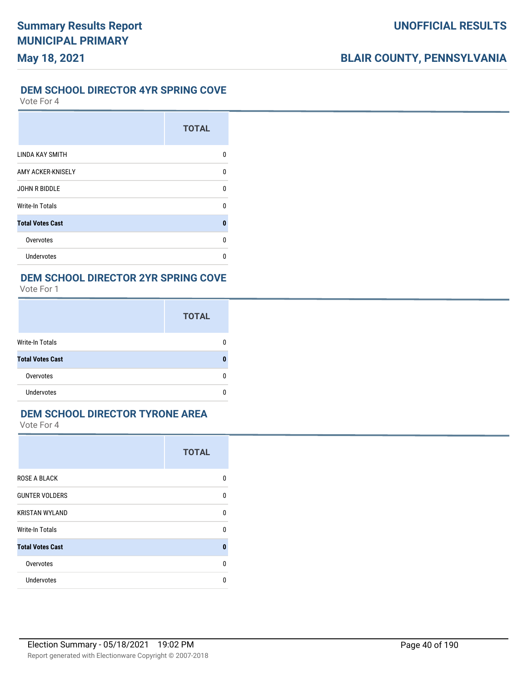#### **DEM SCHOOL DIRECTOR 4YR SPRING COVE**

Vote For 4

|                         | <b>TOTAL</b> |
|-------------------------|--------------|
| <b>LINDA KAY SMITH</b>  | U            |
| AMY ACKER-KNISELY       | 0            |
| <b>JOHN R BIDDLE</b>    | U            |
| <b>Write-In Totals</b>  | U            |
| <b>Total Votes Cast</b> | 0            |
| Overvotes               | U            |
| Undervotes              | n            |

### **DEM SCHOOL DIRECTOR 2YR SPRING COVE**

Vote For 1

|                         | <b>TOTAL</b> |
|-------------------------|--------------|
| Write-In Totals         |              |
| <b>Total Votes Cast</b> |              |
| Overvotes               |              |
| <b>Undervotes</b>       |              |

### **DEM SCHOOL DIRECTOR TYRONE AREA**

|                         | <b>TOTAL</b> |
|-------------------------|--------------|
| <b>ROSE A BLACK</b>     | <sup>0</sup> |
| <b>GUNTER VOLDERS</b>   | <sup>0</sup> |
| <b>KRISTAN WYLAND</b>   | 0            |
| <b>Write-In Totals</b>  | $\Omega$     |
| <b>Total Votes Cast</b> | $\bf{0}$     |
| Overvotes               | <sup>0</sup> |
| Undervotes              | U            |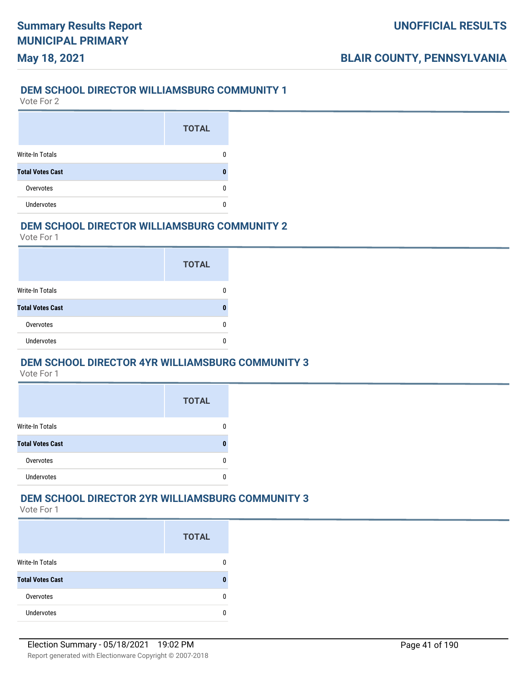## **May 18, 2021**

#### **DEM SCHOOL DIRECTOR WILLIAMSBURG COMMUNITY 1**

Vote For 2

|                         | <b>TOTAL</b> |
|-------------------------|--------------|
| Write-In Totals         |              |
| <b>Total Votes Cast</b> |              |
| Overvotes               |              |
| <b>Undervotes</b>       |              |

#### **DEM SCHOOL DIRECTOR WILLIAMSBURG COMMUNITY 2**

Vote For 1

|                         | <b>TOTAL</b> |
|-------------------------|--------------|
| Write-In Totals         |              |
| <b>Total Votes Cast</b> |              |
| Overvotes               |              |
| Undervotes              |              |

#### **DEM SCHOOL DIRECTOR 4YR WILLIAMSBURG COMMUNITY 3**

Vote For 1

|                         | <b>TOTAL</b> |
|-------------------------|--------------|
| <b>Write-In Totals</b>  |              |
| <b>Total Votes Cast</b> | O            |
| Overvotes               | O            |
| <b>Undervotes</b>       |              |

#### **DEM SCHOOL DIRECTOR 2YR WILLIAMSBURG COMMUNITY 3**

|                         | <b>TOTAL</b> |
|-------------------------|--------------|
| <b>Write-In Totals</b>  |              |
| <b>Total Votes Cast</b> |              |
| Overvotes               |              |
| <b>Undervotes</b>       |              |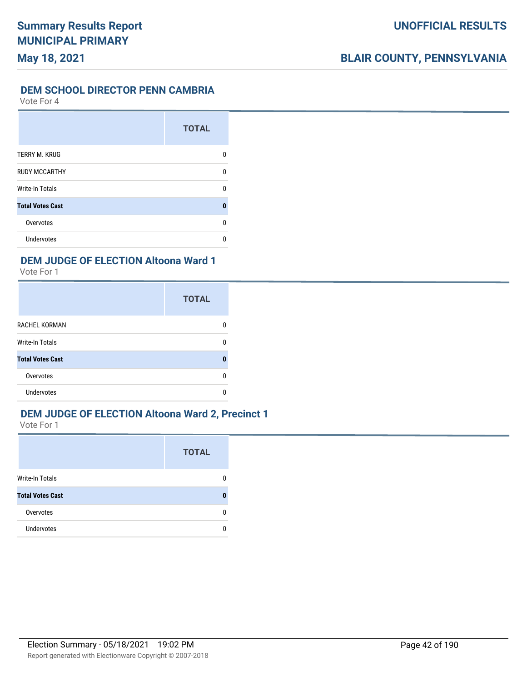#### **DEM SCHOOL DIRECTOR PENN CAMBRIA**

Vote For 4

|                         | <b>TOTAL</b> |
|-------------------------|--------------|
| TERRY M. KRUG           | 0            |
| <b>RUDY MCCARTHY</b>    | n            |
| <b>Write-In Totals</b>  | n            |
| <b>Total Votes Cast</b> | Λ            |
| Overvotes               | n            |
| <b>Undervotes</b>       |              |

#### **DEM JUDGE OF ELECTION Altoona Ward 1**

Vote For 1

|                         | <b>TOTAL</b> |
|-------------------------|--------------|
| <b>RACHEL KORMAN</b>    |              |
| <b>Write-In Totals</b>  |              |
| <b>Total Votes Cast</b> | Λ            |
| Overvotes               |              |
| Undervotes              |              |

## **DEM JUDGE OF ELECTION Altoona Ward 2, Precinct 1**

|                         | <b>TOTAL</b> |
|-------------------------|--------------|
| Write-In Totals         |              |
| <b>Total Votes Cast</b> |              |
| Overvotes               |              |
| <b>Undervotes</b>       |              |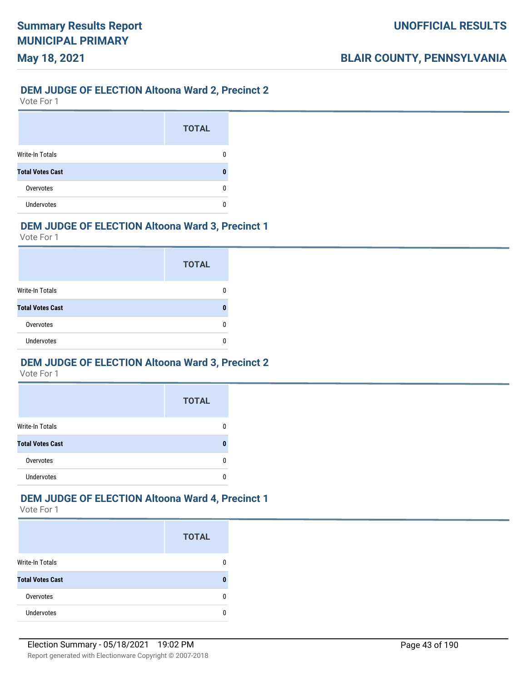## **May 18, 2021**

#### **DEM JUDGE OF ELECTION Altoona Ward 2, Precinct 2**

Vote For 1

|                         | <b>TOTAL</b> |
|-------------------------|--------------|
| <b>Write-In Totals</b>  |              |
| <b>Total Votes Cast</b> |              |
| Overvotes               |              |
| <b>Undervotes</b>       |              |

## **DEM JUDGE OF ELECTION Altoona Ward 3, Precinct 1**

Vote For 1

|                         | <b>TOTAL</b> |
|-------------------------|--------------|
| Write-In Totals         |              |
| <b>Total Votes Cast</b> |              |
| Overvotes               |              |
| <b>Undervotes</b>       |              |

## **DEM JUDGE OF ELECTION Altoona Ward 3, Precinct 2**

Vote For 1

|                         | <b>TOTAL</b> |
|-------------------------|--------------|
| <b>Write-In Totals</b>  |              |
| <b>Total Votes Cast</b> |              |
| Overvotes               |              |
| <b>Undervotes</b>       |              |

## **DEM JUDGE OF ELECTION Altoona Ward 4, Precinct 1**

|                         | <b>TOTAL</b> |
|-------------------------|--------------|
| <b>Write-In Totals</b>  |              |
| <b>Total Votes Cast</b> |              |
| Overvotes               | n            |
| <b>Undervotes</b>       |              |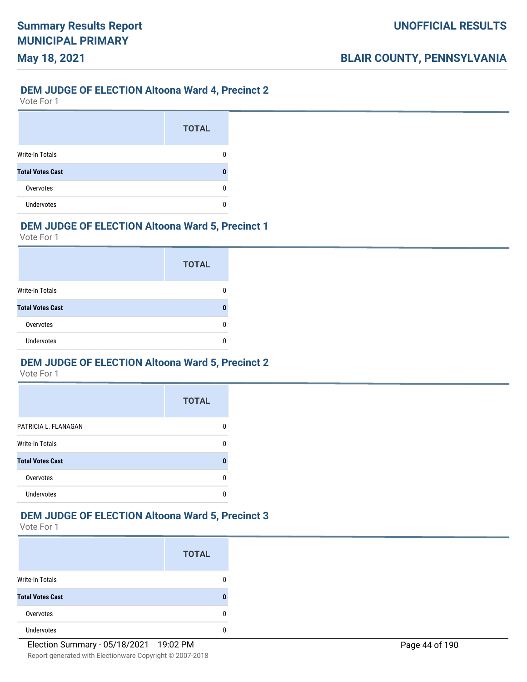## **May 18, 2021**

#### **DEM JUDGE OF ELECTION Altoona Ward 4, Precinct 2**

Vote For 1

|                         | <b>TOTAL</b> |
|-------------------------|--------------|
| <b>Write-In Totals</b>  |              |
| <b>Total Votes Cast</b> |              |
| Overvotes               |              |
| <b>Undervotes</b>       |              |

## **DEM JUDGE OF ELECTION Altoona Ward 5, Precinct 1**

Vote For 1

|                         | <b>TOTAL</b> |
|-------------------------|--------------|
| Write-In Totals         |              |
| <b>Total Votes Cast</b> |              |
| Overvotes               |              |
| <b>Undervotes</b>       |              |

## **DEM JUDGE OF ELECTION Altoona Ward 5, Precinct 2**

Vote For 1

|                         | <b>TOTAL</b> |
|-------------------------|--------------|
| PATRICIA L. FLANAGAN    |              |
| <b>Write-In Totals</b>  |              |
| <b>Total Votes Cast</b> |              |
| Overvotes               |              |
| <b>Undervotes</b>       |              |

#### **DEM JUDGE OF ELECTION Altoona Ward 5, Precinct 3**

|                         | <b>TOTAL</b> |
|-------------------------|--------------|
| <b>Write-In Totals</b>  |              |
| <b>Total Votes Cast</b> |              |
| Overvotes               |              |
| <b>Undervotes</b>       |              |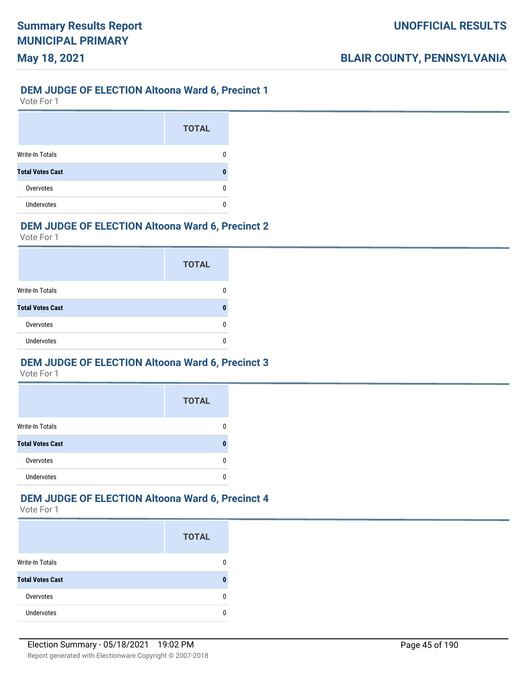## **May 18, 2021**

#### **DEM JUDGE OF ELECTION Altoona Ward 6, Precinct 1**

Vote For 1

|                         | <b>TOTAL</b> |
|-------------------------|--------------|
| <b>Write-In Totals</b>  |              |
| <b>Total Votes Cast</b> |              |
| Overvotes               |              |
| <b>Undervotes</b>       |              |

## **DEM JUDGE OF ELECTION Altoona Ward 6, Precinct 2**

Vote For 1

|                         | <b>TOTAL</b> |
|-------------------------|--------------|
| <b>Write-In Totals</b>  |              |
| <b>Total Votes Cast</b> |              |
| Overvotes               |              |
| <b>Undervotes</b>       |              |

## **DEM JUDGE OF ELECTION Altoona Ward 6, Precinct 3**

Vote For 1

|                         | <b>TOTAL</b> |
|-------------------------|--------------|
| <b>Write-In Totals</b>  |              |
| <b>Total Votes Cast</b> |              |
| Overvotes               |              |
| <b>Undervotes</b>       |              |

#### **DEM JUDGE OF ELECTION Altoona Ward 6, Precinct 4**

|                         | <b>TOTAL</b> |
|-------------------------|--------------|
| <b>Write-In Totals</b>  |              |
| <b>Total Votes Cast</b> |              |
| Overvotes               | n            |
| <b>Undervotes</b>       |              |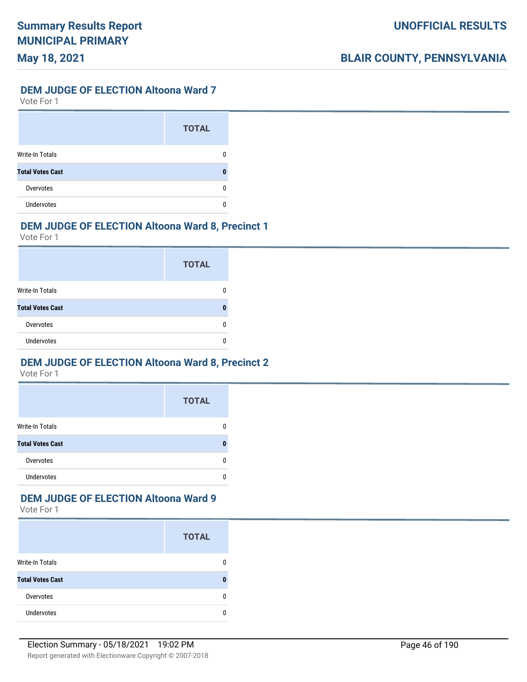#### **DEM JUDGE OF ELECTION Altoona Ward 7**

Vote For 1

|                         | <b>TOTAL</b> |
|-------------------------|--------------|
| <b>Write-In Totals</b>  |              |
| <b>Total Votes Cast</b> |              |
| Overvotes               |              |
| <b>Undervotes</b>       |              |

## **DEM JUDGE OF ELECTION Altoona Ward 8, Precinct 1**

Vote For 1

|                         | <b>TOTAL</b> |
|-------------------------|--------------|
| Write-In Totals         |              |
| <b>Total Votes Cast</b> |              |
| Overvotes               |              |
| <b>Undervotes</b>       |              |

## **DEM JUDGE OF ELECTION Altoona Ward 8, Precinct 2**

Vote For 1

|                         | <b>TOTAL</b> |
|-------------------------|--------------|
| <b>Write-In Totals</b>  |              |
| <b>Total Votes Cast</b> |              |
| Overvotes               |              |
| <b>Undervotes</b>       |              |

## **DEM JUDGE OF ELECTION Altoona Ward 9**

|                         | <b>TOTAL</b> |
|-------------------------|--------------|
| <b>Write-In Totals</b>  |              |
| <b>Total Votes Cast</b> |              |
| Overvotes               |              |
| <b>Undervotes</b>       |              |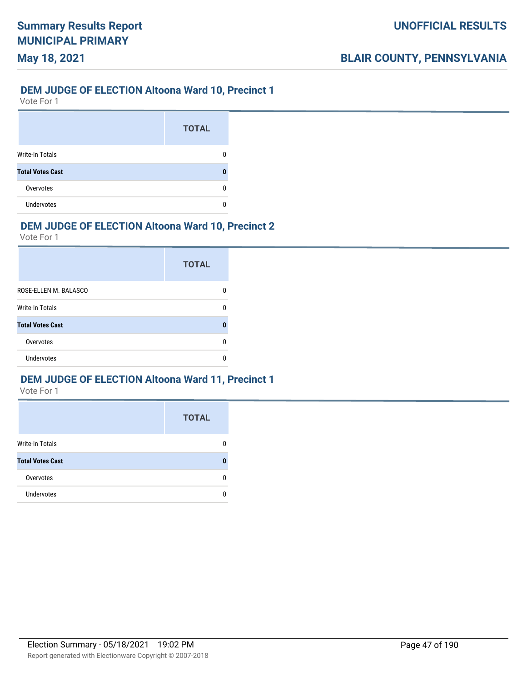## **May 18, 2021**

#### **DEM JUDGE OF ELECTION Altoona Ward 10, Precinct 1**

Vote For 1

|                         | <b>TOTAL</b> |
|-------------------------|--------------|
| <b>Write-In Totals</b>  |              |
| <b>Total Votes Cast</b> |              |
| Overvotes               |              |
| <b>Undervotes</b>       |              |

## **DEM JUDGE OF ELECTION Altoona Ward 10, Precinct 2**

Vote For 1

|                         | <b>TOTAL</b> |
|-------------------------|--------------|
| ROSE-ELLEN M. BALASCO   |              |
| Write-In Totals         | n            |
| <b>Total Votes Cast</b> | O            |
| Overvotes               |              |
| Undervotes              |              |

### **DEM JUDGE OF ELECTION Altoona Ward 11, Precinct 1**

|                         | <b>TOTAL</b> |
|-------------------------|--------------|
| <b>Write-In Totals</b>  |              |
| <b>Total Votes Cast</b> |              |
| Overvotes               |              |
| <b>Undervotes</b>       |              |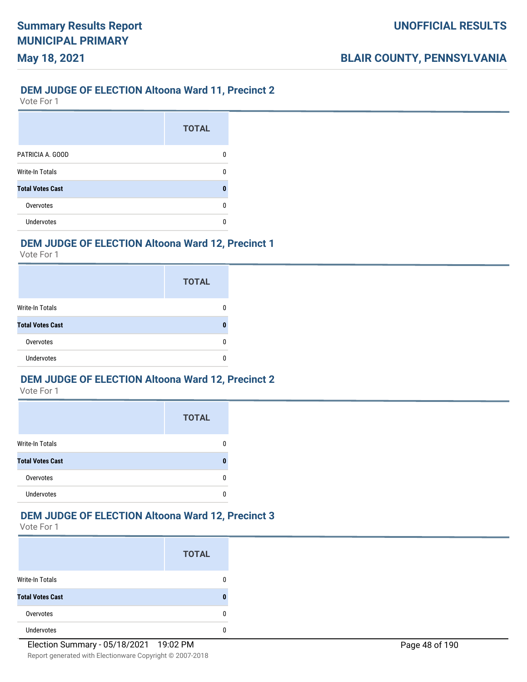## **May 18, 2021**

#### **DEM JUDGE OF ELECTION Altoona Ward 11, Precinct 2**

Vote For 1

|                         | <b>TOTAL</b> |
|-------------------------|--------------|
| PATRICIA A. GOOD        | n            |
| <b>Write-In Totals</b>  | n            |
| <b>Total Votes Cast</b> |              |
| Overvotes               | n            |
| <b>Undervotes</b>       | n            |

#### **DEM JUDGE OF ELECTION Altoona Ward 12, Precinct 1**

Vote For 1

|                         | <b>TOTAL</b> |
|-------------------------|--------------|
| <b>Write-In Totals</b>  |              |
| <b>Total Votes Cast</b> |              |
| Overvotes               |              |
| <b>Undervotes</b>       | ſ            |

### **DEM JUDGE OF ELECTION Altoona Ward 12, Precinct 2**

Vote For 1

|                         | <b>TOTAL</b> |
|-------------------------|--------------|
| <b>Write-In Totals</b>  |              |
| <b>Total Votes Cast</b> |              |
| Overvotes               |              |
| Undervotes              |              |

#### **DEM JUDGE OF ELECTION Altoona Ward 12, Precinct 3**

|                         | <b>TOTAL</b> |
|-------------------------|--------------|
| <b>Write-In Totals</b>  |              |
| <b>Total Votes Cast</b> | O            |
| Overvotes               | n            |
| <b>Undervotes</b>       |              |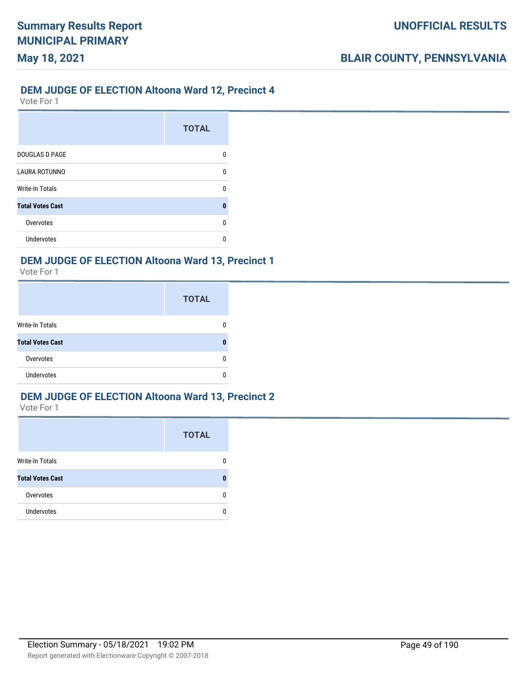#### **DEM JUDGE OF ELECTION Altoona Ward 12, Precinct 4**

Vote For 1

**May 18, 2021**

|                         | <b>TOTAL</b> |
|-------------------------|--------------|
| <b>DOUGLAS D PAGE</b>   | n            |
| <b>LAURA ROTUNNO</b>    | n            |
| <b>Write-In Totals</b>  | n            |
| <b>Total Votes Cast</b> | n            |
| Overvotes               | n            |
| Undervotes              |              |

#### **DEM JUDGE OF ELECTION Altoona Ward 13, Precinct 1**

Vote For 1

|                         | <b>TOTAL</b> |
|-------------------------|--------------|
| <b>Write-In Totals</b>  |              |
| <b>Total Votes Cast</b> |              |
| Overvotes               |              |
| <b>Undervotes</b>       |              |

#### **DEM JUDGE OF ELECTION Altoona Ward 13, Precinct 2**

|                         | <b>TOTAL</b> |
|-------------------------|--------------|
| Write-In Totals         |              |
| <b>Total Votes Cast</b> |              |
| Overvotes               | ŋ            |
| <b>Undervotes</b>       | n            |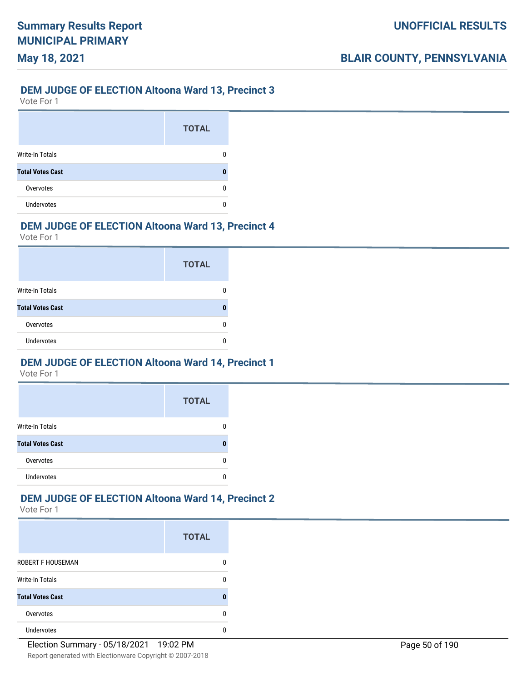## **May 18, 2021**

#### **DEM JUDGE OF ELECTION Altoona Ward 13, Precinct 3**

Vote For 1

|                         | <b>TOTAL</b> |
|-------------------------|--------------|
| <b>Write-In Totals</b>  |              |
| <b>Total Votes Cast</b> |              |
| Overvotes               |              |
| <b>Undervotes</b>       |              |

## **DEM JUDGE OF ELECTION Altoona Ward 13, Precinct 4**

Vote For 1

|                         | <b>TOTAL</b> |
|-------------------------|--------------|
| Write-In Totals         |              |
| <b>Total Votes Cast</b> |              |
| Overvotes               |              |
| <b>Undervotes</b>       |              |

## **DEM JUDGE OF ELECTION Altoona Ward 14, Precinct 1**

Vote For 1

|                         | <b>TOTAL</b> |
|-------------------------|--------------|
| <b>Write-In Totals</b>  |              |
| <b>Total Votes Cast</b> |              |
| Overvotes               |              |
| <b>Undervotes</b>       |              |

## **DEM JUDGE OF ELECTION Altoona Ward 14, Precinct 2**

|                          | <b>TOTAL</b> |
|--------------------------|--------------|
| <b>ROBERT F HOUSEMAN</b> |              |
| <b>Write-In Totals</b>   | n            |
| <b>Total Votes Cast</b>  | П            |
| Overvotes                | n            |
| <b>Undervotes</b>        |              |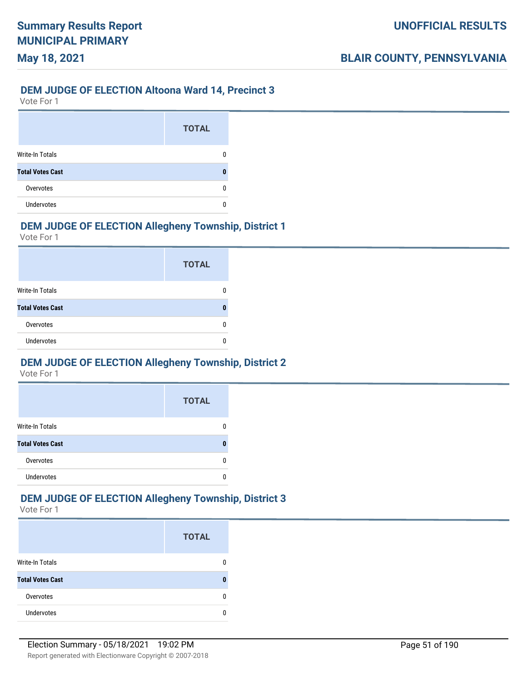# **May 18, 2021**

## **DEM JUDGE OF ELECTION Altoona Ward 14, Precinct 3**

Vote For 1

|                         | <b>TOTAL</b> |
|-------------------------|--------------|
| <b>Write-In Totals</b>  |              |
| <b>Total Votes Cast</b> |              |
| Overvotes               |              |
| <b>Undervotes</b>       |              |

## **DEM JUDGE OF ELECTION Allegheny Township, District 1**

Vote For 1

|                         | <b>TOTAL</b> |
|-------------------------|--------------|
| <b>Write-In Totals</b>  |              |
| <b>Total Votes Cast</b> |              |
| Overvotes               |              |
| <b>Undervotes</b>       |              |

## **DEM JUDGE OF ELECTION Allegheny Township, District 2**

Vote For 1

|                         | <b>TOTAL</b> |
|-------------------------|--------------|
| <b>Write-In Totals</b>  |              |
| <b>Total Votes Cast</b> |              |
| Overvotes               | O            |
| <b>Undervotes</b>       |              |

## **DEM JUDGE OF ELECTION Allegheny Township, District 3**

|                         | <b>TOTAL</b> |
|-------------------------|--------------|
| <b>Write-In Totals</b>  |              |
| <b>Total Votes Cast</b> |              |
| Overvotes               |              |
| Undervotes              |              |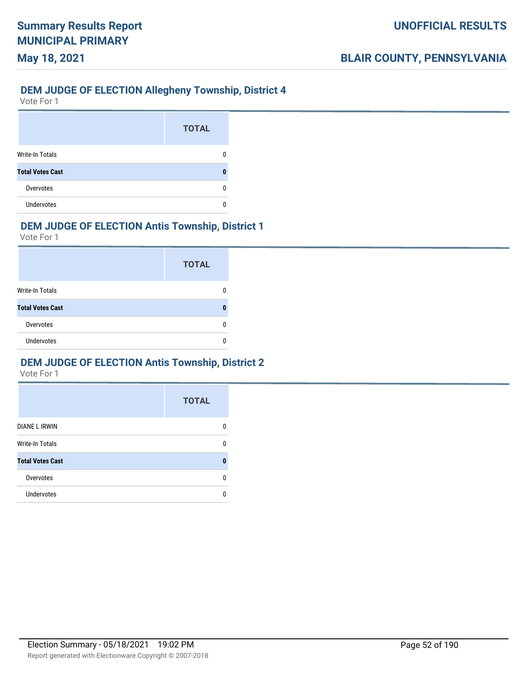#### **DEM JUDGE OF ELECTION Allegheny Township, District 4**

Vote For 1

**May 18, 2021**

|                         | <b>TOTAL</b> |
|-------------------------|--------------|
| <b>Write-In Totals</b>  |              |
| <b>Total Votes Cast</b> |              |
| Overvotes               |              |
| <b>Undervotes</b>       |              |

## **DEM JUDGE OF ELECTION Antis Township, District 1**

Vote For 1

|                         | <b>TOTAL</b> |
|-------------------------|--------------|
| <b>Write-In Totals</b>  |              |
| <b>Total Votes Cast</b> |              |
| Overvotes               |              |
| <b>Undervotes</b>       |              |

## **DEM JUDGE OF ELECTION Antis Township, District 2**

|                         | <b>TOTAL</b> |
|-------------------------|--------------|
| DIANE L IRWIN           | n            |
| <b>Write-In Totals</b>  | n            |
| <b>Total Votes Cast</b> | Λ            |
| Overvotes               | n            |
| Undervotes              | n            |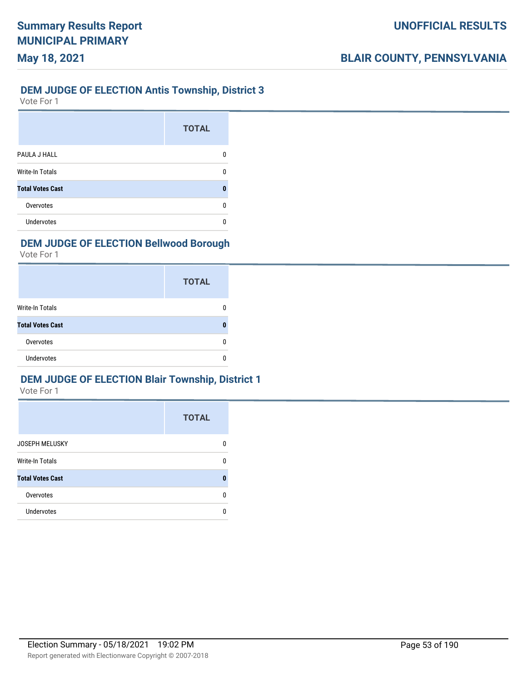#### **DEM JUDGE OF ELECTION Antis Township, District 3**

Vote For 1

**May 18, 2021**

|                         | <b>TOTAL</b> |
|-------------------------|--------------|
| PAULA J HALL            |              |
| <b>Write-In Totals</b>  |              |
| <b>Total Votes Cast</b> |              |
| Overvotes               |              |
| Undervotes              |              |

## **DEM JUDGE OF ELECTION Bellwood Borough**

Vote For 1

|                         | <b>TOTAL</b> |
|-------------------------|--------------|
| Write-In Totals         |              |
| <b>Total Votes Cast</b> |              |
| Overvotes               |              |
| <b>Undervotes</b>       |              |

### **DEM JUDGE OF ELECTION Blair Township, District 1**

|                         | <b>TOTAL</b> |
|-------------------------|--------------|
| <b>JOSEPH MELUSKY</b>   | O            |
| <b>Write-In Totals</b>  | n            |
| <b>Total Votes Cast</b> |              |
| Overvotes               | n            |
| Undervotes              |              |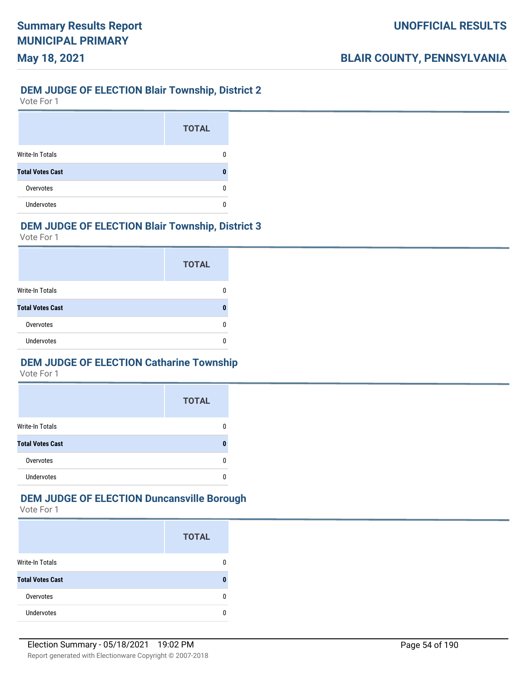## **May 18, 2021**

## **DEM JUDGE OF ELECTION Blair Township, District 2**

Vote For 1

|                         | <b>TOTAL</b> |
|-------------------------|--------------|
| <b>Write-In Totals</b>  |              |
| <b>Total Votes Cast</b> |              |
| Overvotes               |              |
| <b>Undervotes</b>       |              |

## **DEM JUDGE OF ELECTION Blair Township, District 3**

Vote For 1

|                         | <b>TOTAL</b> |
|-------------------------|--------------|
| Write-In Totals         |              |
| <b>Total Votes Cast</b> |              |
| Overvotes               |              |
| <b>Undervotes</b>       |              |

## **DEM JUDGE OF ELECTION Catharine Township**

Vote For 1

|                         | <b>TOTAL</b> |
|-------------------------|--------------|
| <b>Write-In Totals</b>  |              |
| <b>Total Votes Cast</b> |              |
| Overvotes               |              |
| <b>Undervotes</b>       |              |

## **DEM JUDGE OF ELECTION Duncansville Borough**

|                         | <b>TOTAL</b> |
|-------------------------|--------------|
| <b>Write-In Totals</b>  |              |
| <b>Total Votes Cast</b> |              |
| Overvotes               |              |
| <b>Undervotes</b>       |              |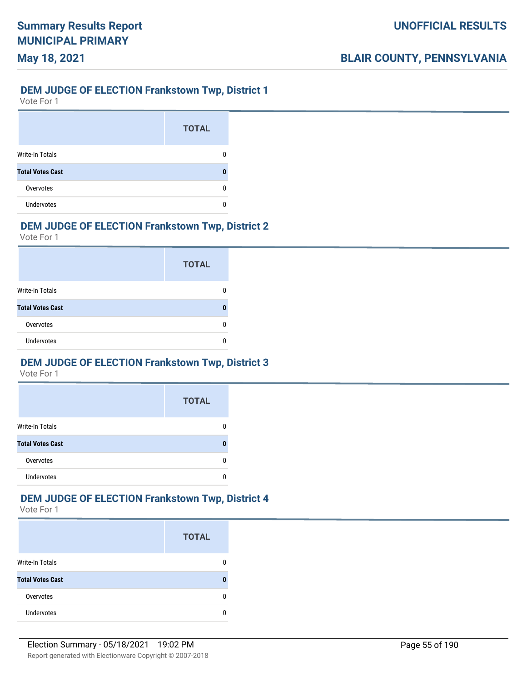## **DEM JUDGE OF ELECTION Frankstown Twp, District 1**

Vote For 1

**May 18, 2021**

|                         | <b>TOTAL</b> |
|-------------------------|--------------|
| <b>Write-In Totals</b>  |              |
| <b>Total Votes Cast</b> |              |
| Overvotes               |              |
| <b>Undervotes</b>       |              |

#### **DEM JUDGE OF ELECTION Frankstown Twp, District 2**

Vote For 1

|                         | <b>TOTAL</b> |
|-------------------------|--------------|
| Write-In Totals         |              |
| <b>Total Votes Cast</b> |              |
| Overvotes               |              |
| <b>Undervotes</b>       |              |

## **DEM JUDGE OF ELECTION Frankstown Twp, District 3**

Vote For 1

|                         | <b>TOTAL</b> |
|-------------------------|--------------|
| <b>Write-In Totals</b>  |              |
| <b>Total Votes Cast</b> |              |
| Overvotes               |              |
| <b>Undervotes</b>       |              |

## **DEM JUDGE OF ELECTION Frankstown Twp, District 4**

|                         | <b>TOTAL</b> |
|-------------------------|--------------|
| <b>Write-In Totals</b>  |              |
| <b>Total Votes Cast</b> |              |
| Overvotes               | n            |
| <b>Undervotes</b>       |              |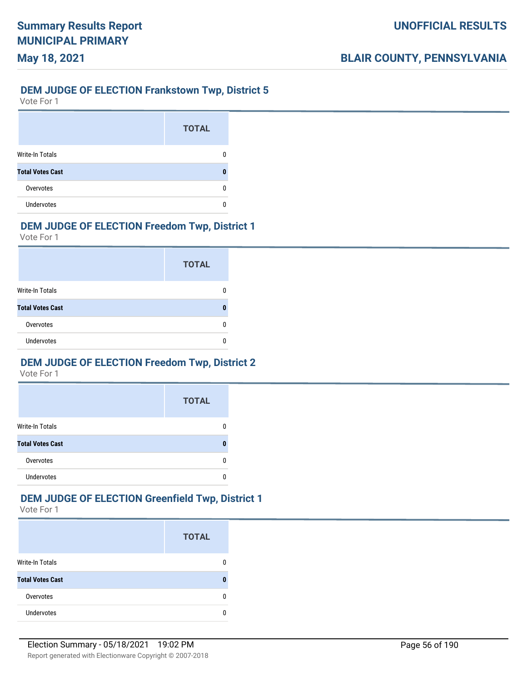## **DEM JUDGE OF ELECTION Frankstown Twp, District 5**

Vote For 1

**May 18, 2021**

|                         | <b>TOTAL</b> |
|-------------------------|--------------|
| Write-In Totals         |              |
| <b>Total Votes Cast</b> |              |
| Overvotes               |              |
| <b>Undervotes</b>       |              |

## **DEM JUDGE OF ELECTION Freedom Twp, District 1**

Vote For 1

|                         | <b>TOTAL</b> |
|-------------------------|--------------|
| Write-In Totals         |              |
| <b>Total Votes Cast</b> |              |
| Overvotes               |              |
| <b>Undervotes</b>       |              |

## **DEM JUDGE OF ELECTION Freedom Twp, District 2**

Vote For 1

|                         | <b>TOTAL</b> |
|-------------------------|--------------|
| <b>Write-In Totals</b>  |              |
| <b>Total Votes Cast</b> |              |
| Overvotes               |              |
| Undervotes              |              |

## **DEM JUDGE OF ELECTION Greenfield Twp, District 1**

|                         | <b>TOTAL</b> |
|-------------------------|--------------|
| <b>Write-In Totals</b>  |              |
| <b>Total Votes Cast</b> |              |
| Overvotes               |              |
| <b>Undervotes</b>       |              |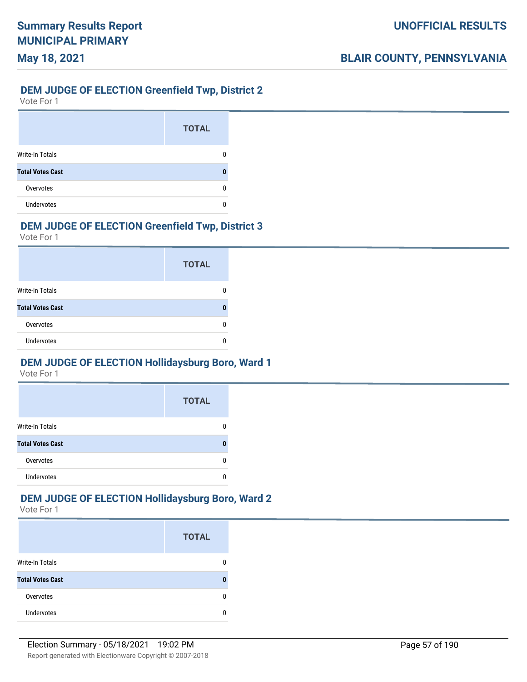#### **DEM JUDGE OF ELECTION Greenfield Twp, District 2**

Vote For 1

**May 18, 2021**

|                         | <b>TOTAL</b> |
|-------------------------|--------------|
| <b>Write-In Totals</b>  |              |
| <b>Total Votes Cast</b> |              |
| Overvotes               |              |
| <b>Undervotes</b>       |              |

## **DEM JUDGE OF ELECTION Greenfield Twp, District 3**

Vote For 1

|                         | <b>TOTAL</b> |
|-------------------------|--------------|
| Write-In Totals         |              |
| <b>Total Votes Cast</b> |              |
| Overvotes               |              |
| <b>Undervotes</b>       |              |

## **DEM JUDGE OF ELECTION Hollidaysburg Boro, Ward 1**

Vote For 1

|                         | <b>TOTAL</b> |
|-------------------------|--------------|
| <b>Write-In Totals</b>  |              |
| <b>Total Votes Cast</b> |              |
| Overvotes               |              |
| <b>Undervotes</b>       |              |

#### **DEM JUDGE OF ELECTION Hollidaysburg Boro, Ward 2**

|                         | <b>TOTAL</b> |
|-------------------------|--------------|
| <b>Write-In Totals</b>  |              |
| <b>Total Votes Cast</b> |              |
| Overvotes               | n            |
| <b>Undervotes</b>       |              |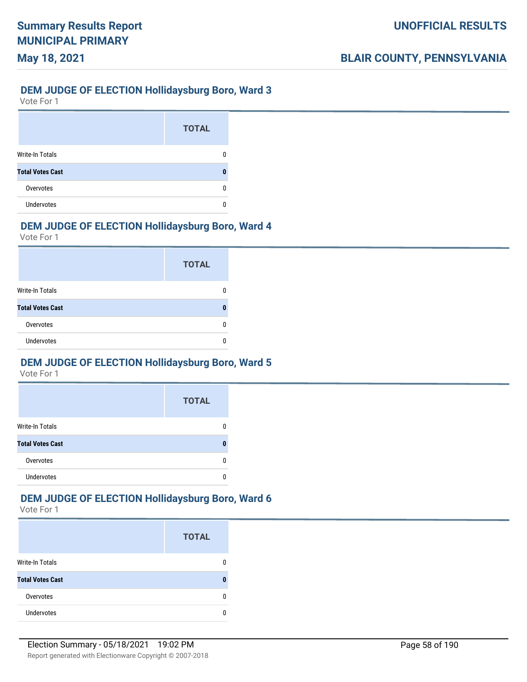# **May 18, 2021**

## **DEM JUDGE OF ELECTION Hollidaysburg Boro, Ward 3**

Vote For 1

|                         | <b>TOTAL</b> |
|-------------------------|--------------|
| <b>Write-In Totals</b>  |              |
| <b>Total Votes Cast</b> |              |
| Overvotes               |              |
| <b>Undervotes</b>       |              |

## **DEM JUDGE OF ELECTION Hollidaysburg Boro, Ward 4**

Vote For 1

|                         | <b>TOTAL</b> |
|-------------------------|--------------|
| Write-In Totals         |              |
| <b>Total Votes Cast</b> |              |
| Overvotes               |              |
| <b>Undervotes</b>       |              |

## **DEM JUDGE OF ELECTION Hollidaysburg Boro, Ward 5**

Vote For 1

|                         | <b>TOTAL</b> |
|-------------------------|--------------|
| <b>Write-In Totals</b>  |              |
| <b>Total Votes Cast</b> | п            |
| Overvotes               |              |
| Undervotes              |              |

## **DEM JUDGE OF ELECTION Hollidaysburg Boro, Ward 6**

|                         | <b>TOTAL</b> |
|-------------------------|--------------|
| <b>Write-In Totals</b>  |              |
| <b>Total Votes Cast</b> |              |
| Overvotes               |              |
| Undervotes              |              |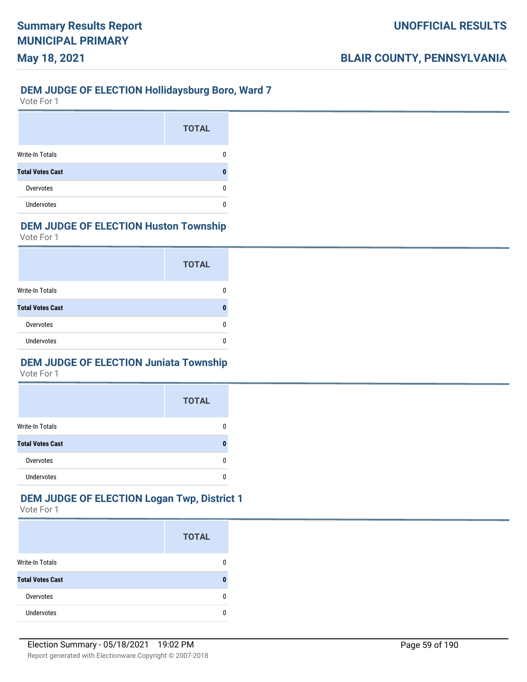## **DEM JUDGE OF ELECTION Hollidaysburg Boro, Ward 7**

Vote For 1

**May 18, 2021**

|                         | <b>TOTAL</b> |
|-------------------------|--------------|
| <b>Write-In Totals</b>  |              |
| <b>Total Votes Cast</b> |              |
| Overvotes               | O            |
| <b>Undervotes</b>       |              |

## **DEM JUDGE OF ELECTION Huston Township**

Vote For 1

|                         | <b>TOTAL</b> |
|-------------------------|--------------|
| Write-In Totals         |              |
| <b>Total Votes Cast</b> |              |
| Overvotes               |              |
| <b>Undervotes</b>       |              |

## **DEM JUDGE OF ELECTION Juniata Township**

Vote For 1

|                         | <b>TOTAL</b> |
|-------------------------|--------------|
| <b>Write-In Totals</b>  |              |
| <b>Total Votes Cast</b> |              |
| Overvotes               |              |
| <b>Undervotes</b>       |              |

## **DEM JUDGE OF ELECTION Logan Twp, District 1**

|                         | <b>TOTAL</b> |
|-------------------------|--------------|
| <b>Write-In Totals</b>  |              |
| <b>Total Votes Cast</b> |              |
| Overvotes               |              |
| <b>Undervotes</b>       |              |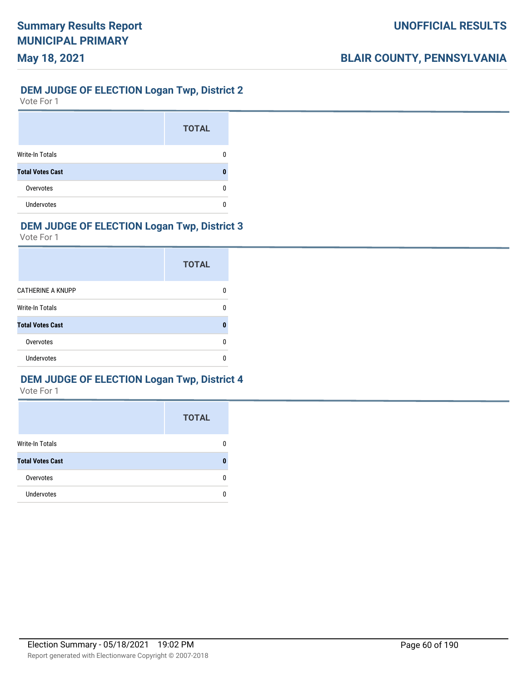#### **DEM JUDGE OF ELECTION Logan Twp, District 2**

Vote For 1

**May 18, 2021**

|                         | <b>TOTAL</b> |
|-------------------------|--------------|
| <b>Write-In Totals</b>  |              |
| <b>Total Votes Cast</b> |              |
| Overvotes               |              |
| <b>Undervotes</b>       |              |

## **DEM JUDGE OF ELECTION Logan Twp, District 3**

Vote For 1

|                          | <b>TOTAL</b> |
|--------------------------|--------------|
| <b>CATHERINE A KNUPP</b> |              |
| Write-In Totals          | n            |
| <b>Total Votes Cast</b>  |              |
| Overvotes                | n            |
| <b>Undervotes</b>        |              |

## **DEM JUDGE OF ELECTION Logan Twp, District 4**

|                         | <b>TOTAL</b> |
|-------------------------|--------------|
| Write-In Totals         |              |
| <b>Total Votes Cast</b> |              |
| Overvotes               |              |
| <b>Undervotes</b>       |              |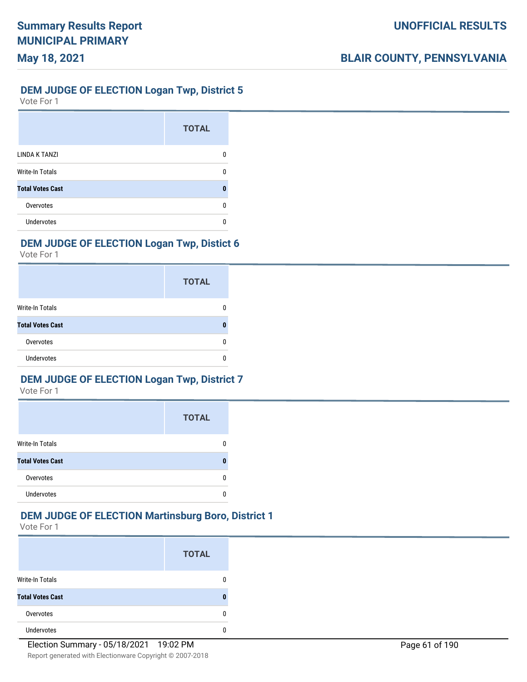## **DEM JUDGE OF ELECTION Logan Twp, District 5**

Vote For 1

**May 18, 2021**

|                         | <b>TOTAL</b> |
|-------------------------|--------------|
| LINDA K TANZI           | n            |
| <b>Write-In Totals</b>  |              |
| <b>Total Votes Cast</b> | O            |
| Overvotes               | n            |
| <b>Undervotes</b>       |              |

## **DEM JUDGE OF ELECTION Logan Twp, Distict 6**

Vote For 1

|                         | <b>TOTAL</b> |
|-------------------------|--------------|
| Write-In Totals         |              |
| <b>Total Votes Cast</b> |              |
| Overvotes               |              |
| <b>Undervotes</b>       |              |

## **DEM JUDGE OF ELECTION Logan Twp, District 7**

Vote For 1

|                         | <b>TOTAL</b> |
|-------------------------|--------------|
| Write-In Totals         |              |
| <b>Total Votes Cast</b> |              |
| Overvotes               |              |
| <b>Undervotes</b>       |              |

#### **DEM JUDGE OF ELECTION Martinsburg Boro, District 1**

|                         | <b>TOTAL</b> |
|-------------------------|--------------|
| Write-In Totals         | 0            |
| <b>Total Votes Cast</b> |              |
| Overvotes               | 0            |
| Undervotes              | 0            |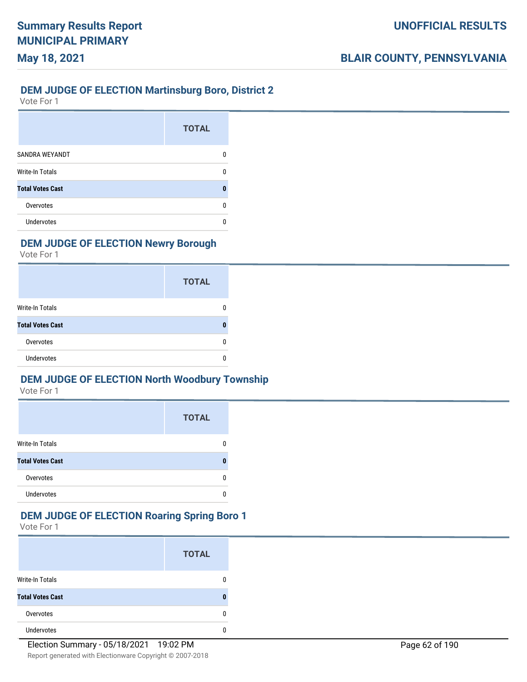## **DEM JUDGE OF ELECTION Martinsburg Boro, District 2**

Vote For 1

**May 18, 2021**

|                         | <b>TOTAL</b> |
|-------------------------|--------------|
| SANDRA WEYANDT          | 0            |
| <b>Write-In Totals</b>  | O            |
| <b>Total Votes Cast</b> | O            |
| Overvotes               | ŋ            |
| Undervotes              | n            |

## **DEM JUDGE OF ELECTION Newry Borough**

Vote For 1

|                         | <b>TOTAL</b> |
|-------------------------|--------------|
| <b>Write-In Totals</b>  |              |
| <b>Total Votes Cast</b> |              |
| Overvotes               |              |
| <b>Undervotes</b>       |              |

## **DEM JUDGE OF ELECTION North Woodbury Township**

Vote For 1

|                         | <b>TOTAL</b> |
|-------------------------|--------------|
| <b>Write-In Totals</b>  |              |
| <b>Total Votes Cast</b> |              |
| Overvotes               |              |
| <b>Undervotes</b>       |              |

## **DEM JUDGE OF ELECTION Roaring Spring Boro 1**

|                         | <b>TOTAL</b> |
|-------------------------|--------------|
| <b>Write-In Totals</b>  |              |
| <b>Total Votes Cast</b> |              |
| Overvotes               |              |
| <b>Undervotes</b>       |              |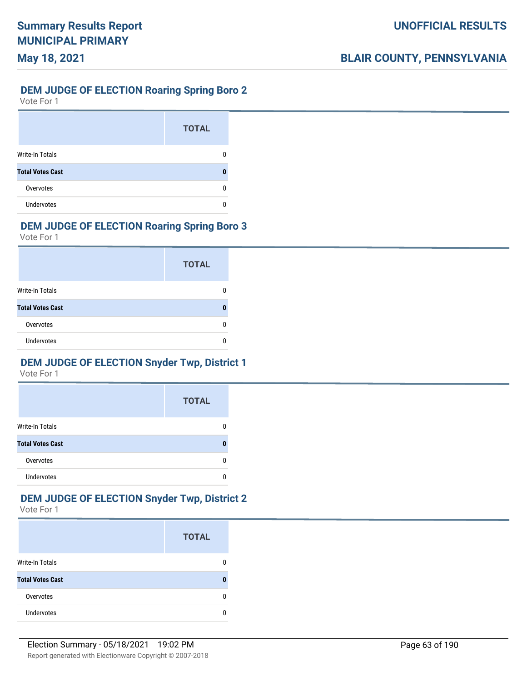#### **DEM JUDGE OF ELECTION Roaring Spring Boro 2**

Vote For 1

**May 18, 2021**

|                         | <b>TOTAL</b> |
|-------------------------|--------------|
| <b>Write-In Totals</b>  |              |
| <b>Total Votes Cast</b> |              |
| Overvotes               |              |
| <b>Undervotes</b>       |              |

## **DEM JUDGE OF ELECTION Roaring Spring Boro 3**

Vote For 1

|                         | <b>TOTAL</b> |
|-------------------------|--------------|
| Write-In Totals         |              |
| <b>Total Votes Cast</b> |              |
| Overvotes               |              |
| <b>Undervotes</b>       |              |

## **DEM JUDGE OF ELECTION Snyder Twp, District 1**

Vote For 1

|                         | <b>TOTAL</b> |
|-------------------------|--------------|
| <b>Write-In Totals</b>  |              |
| <b>Total Votes Cast</b> |              |
| Overvotes               |              |
| <b>Undervotes</b>       |              |

## **DEM JUDGE OF ELECTION Snyder Twp, District 2**

|                         | <b>TOTAL</b> |
|-------------------------|--------------|
| <b>Write-In Totals</b>  |              |
| <b>Total Votes Cast</b> |              |
| Overvotes               |              |
| <b>Undervotes</b>       |              |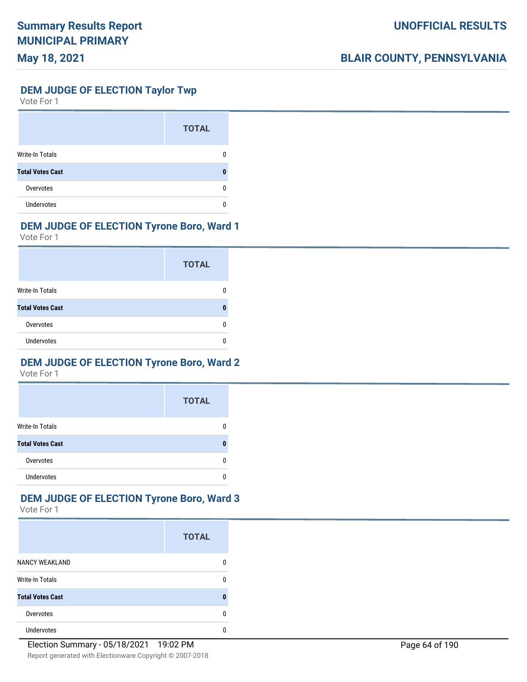## **DEM JUDGE OF ELECTION Taylor Twp**

Vote For 1

|                         | <b>TOTAL</b> |
|-------------------------|--------------|
| Write-In Totals         |              |
| <b>Total Votes Cast</b> |              |
| Overvotes               |              |
| Undervotes              |              |

## **DEM JUDGE OF ELECTION Tyrone Boro, Ward 1**

Vote For 1

|                         | <b>TOTAL</b> |
|-------------------------|--------------|
| Write-In Totals         |              |
| <b>Total Votes Cast</b> | Л            |
| Overvotes               | O            |
| <b>Undervotes</b>       |              |

## **DEM JUDGE OF ELECTION Tyrone Boro, Ward 2**

Vote For 1

|                         | <b>TOTAL</b> |
|-------------------------|--------------|
| <b>Write-In Totals</b>  |              |
| <b>Total Votes Cast</b> | П            |
| Overvotes               |              |
| Undervotes              |              |

## **DEM JUDGE OF ELECTION Tyrone Boro, Ward 3**

|                         | <b>TOTAL</b> |
|-------------------------|--------------|
| <b>NANCY WEAKLAND</b>   | O            |
| <b>Write-In Totals</b>  | n            |
| <b>Total Votes Cast</b> |              |
| Overvotes               | U            |
| <b>Undervotes</b>       | O            |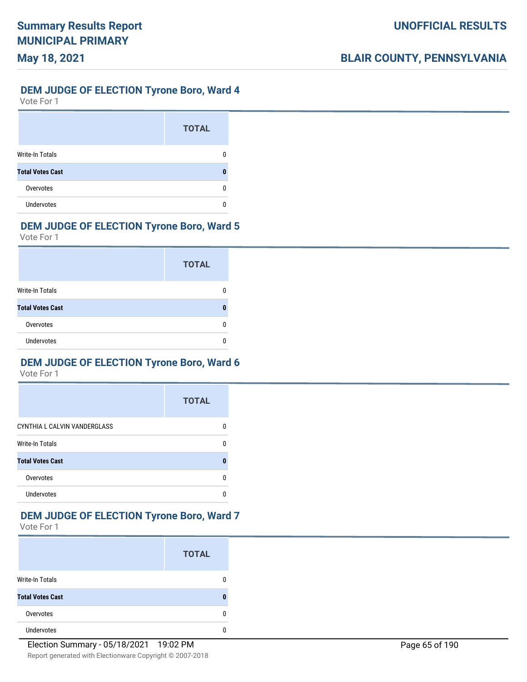#### **DEM JUDGE OF ELECTION Tyrone Boro, Ward 4**

Vote For 1

**May 18, 2021**

|                         | <b>TOTAL</b> |
|-------------------------|--------------|
| <b>Write-In Totals</b>  |              |
| <b>Total Votes Cast</b> |              |
| Overvotes               |              |
| Undervotes              |              |

## **DEM JUDGE OF ELECTION Tyrone Boro, Ward 5**

Vote For 1

|                         | <b>TOTAL</b> |
|-------------------------|--------------|
| <b>Write-In Totals</b>  |              |
| <b>Total Votes Cast</b> |              |
| Overvotes               |              |
| Undervotes              |              |

## **DEM JUDGE OF ELECTION Tyrone Boro, Ward 6**

Vote For 1

|                              | <b>TOTAL</b> |
|------------------------------|--------------|
| CYNTHIA L CALVIN VANDERGLASS |              |
| Write-In Totals              |              |
| <b>Total Votes Cast</b>      |              |
| Overvotes                    |              |
| Undervotes                   |              |

## **DEM JUDGE OF ELECTION Tyrone Boro, Ward 7**

|                         | <b>TOTAL</b> |
|-------------------------|--------------|
| <b>Write-In Totals</b>  |              |
| <b>Total Votes Cast</b> |              |
| Overvotes               |              |
| <b>Undervotes</b>       |              |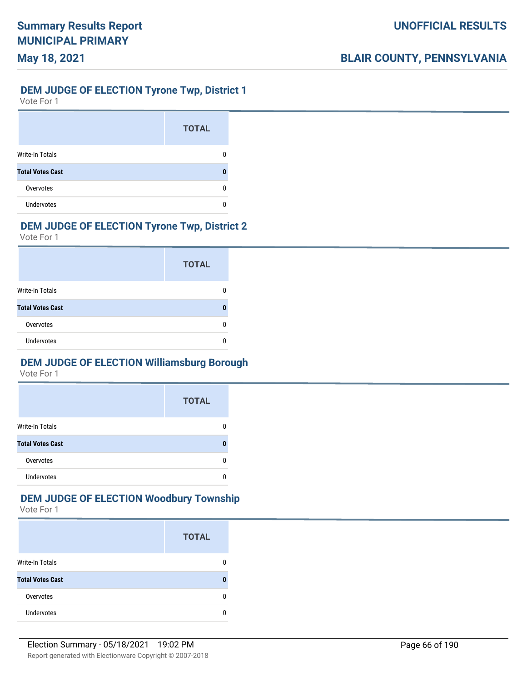### **DEM JUDGE OF ELECTION Tyrone Twp, District 1**

Vote For 1

**May 18, 2021**

|                         | <b>TOTAL</b> |
|-------------------------|--------------|
| <b>Write-In Totals</b>  |              |
| <b>Total Votes Cast</b> |              |
| Overvotes               |              |
| <b>Undervotes</b>       |              |

## **DEM JUDGE OF ELECTION Tyrone Twp, District 2**

Vote For 1

|                         | <b>TOTAL</b> |
|-------------------------|--------------|
| <b>Write-In Totals</b>  |              |
| <b>Total Votes Cast</b> |              |
| Overvotes               |              |
| <b>Undervotes</b>       |              |

## **DEM JUDGE OF ELECTION Williamsburg Borough**

Vote For 1

|                         | <b>TOTAL</b> |
|-------------------------|--------------|
| <b>Write-In Totals</b>  |              |
| <b>Total Votes Cast</b> |              |
| Overvotes               |              |
| <b>Undervotes</b>       |              |

## **DEM JUDGE OF ELECTION Woodbury Township**

|                         | <b>TOTAL</b> |
|-------------------------|--------------|
| <b>Write-In Totals</b>  |              |
| <b>Total Votes Cast</b> |              |
| Overvotes               |              |
| Undervotes              |              |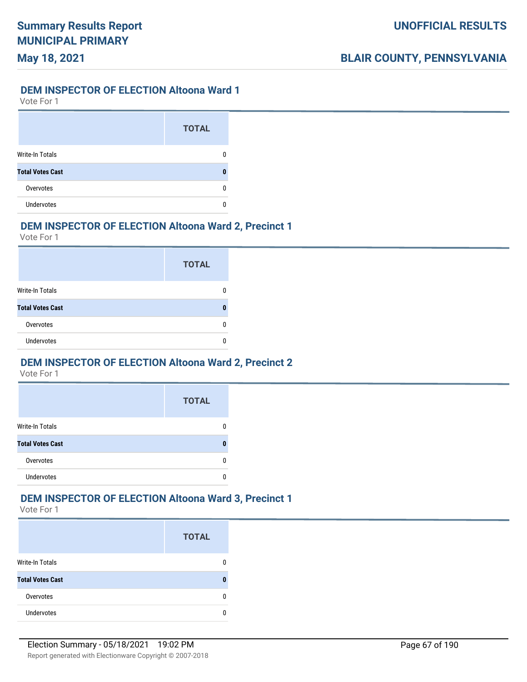#### **DEM INSPECTOR OF ELECTION Altoona Ward 1**

Vote For 1

**May 18, 2021**

|                         | <b>TOTAL</b> |
|-------------------------|--------------|
| Write-In Totals         |              |
| <b>Total Votes Cast</b> |              |
| Overvotes               |              |
| <b>Undervotes</b>       |              |

## **DEM INSPECTOR OF ELECTION Altoona Ward 2, Precinct 1**

Vote For 1

|                         | <b>TOTAL</b> |
|-------------------------|--------------|
| Write-In Totals         |              |
| <b>Total Votes Cast</b> |              |
| Overvotes               |              |
| <b>Undervotes</b>       |              |

#### **DEM INSPECTOR OF ELECTION Altoona Ward 2, Precinct 2**

Vote For 1

|                         | <b>TOTAL</b> |
|-------------------------|--------------|
| <b>Write-In Totals</b>  |              |
| <b>Total Votes Cast</b> |              |
| Overvotes               |              |
| <b>Undervotes</b>       |              |

## **DEM INSPECTOR OF ELECTION Altoona Ward 3, Precinct 1**

|                         | <b>TOTAL</b> |
|-------------------------|--------------|
| <b>Write-In Totals</b>  |              |
| <b>Total Votes Cast</b> |              |
| Overvotes               |              |
| Undervotes              |              |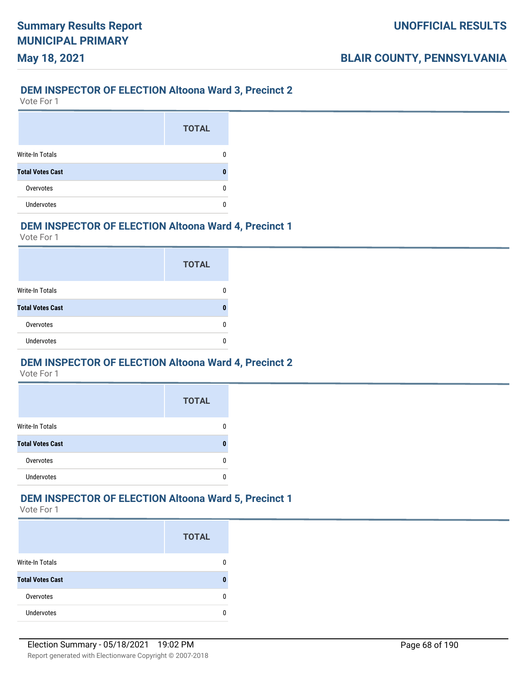## **DEM INSPECTOR OF ELECTION Altoona Ward 3, Precinct 2**

Vote For 1

**May 18, 2021**

|                         | <b>TOTAL</b> |
|-------------------------|--------------|
| Write-In Totals         |              |
| <b>Total Votes Cast</b> |              |
| Overvotes               |              |
| <b>Undervotes</b>       |              |

## **DEM INSPECTOR OF ELECTION Altoona Ward 4, Precinct 1**

Vote For 1

|                         | <b>TOTAL</b> |
|-------------------------|--------------|
| Write-In Totals         |              |
| <b>Total Votes Cast</b> |              |
| Overvotes               |              |
| <b>Undervotes</b>       |              |

#### **DEM INSPECTOR OF ELECTION Altoona Ward 4, Precinct 2**

Vote For 1

|                         | <b>TOTAL</b> |
|-------------------------|--------------|
| <b>Write-In Totals</b>  |              |
| <b>Total Votes Cast</b> |              |
| Overvotes               |              |
| <b>Undervotes</b>       |              |

## **DEM INSPECTOR OF ELECTION Altoona Ward 5, Precinct 1**

|                         | <b>TOTAL</b> |
|-------------------------|--------------|
| <b>Write-In Totals</b>  |              |
| <b>Total Votes Cast</b> |              |
| Overvotes               |              |
| Undervotes              |              |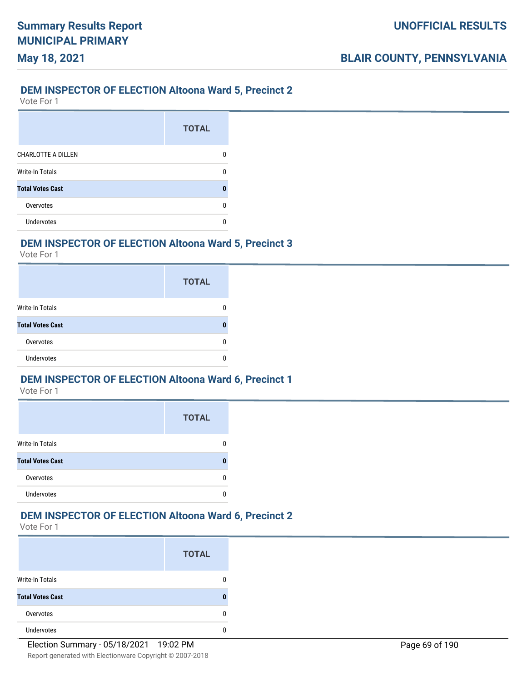## **DEM INSPECTOR OF ELECTION Altoona Ward 5, Precinct 2**

Vote For 1

**May 18, 2021**

|                           | <b>TOTAL</b> |
|---------------------------|--------------|
| <b>CHARLOTTE A DILLEN</b> | n            |
| <b>Write-In Totals</b>    |              |
| <b>Total Votes Cast</b>   | n            |
| Overvotes                 | U            |
| Undervotes                | n            |

## **DEM INSPECTOR OF ELECTION Altoona Ward 5, Precinct 3**

Vote For 1

|                         | <b>TOTAL</b> |
|-------------------------|--------------|
| <b>Write-In Totals</b>  |              |
| <b>Total Votes Cast</b> |              |
| Overvotes               |              |
| <b>Undervotes</b>       |              |

## **DEM INSPECTOR OF ELECTION Altoona Ward 6, Precinct 1**

Vote For 1

|                         | <b>TOTAL</b> |
|-------------------------|--------------|
| <b>Write-In Totals</b>  |              |
| <b>Total Votes Cast</b> |              |
| Overvotes               |              |
| <b>Undervotes</b>       |              |

## **DEM INSPECTOR OF ELECTION Altoona Ward 6, Precinct 2**

|                         | <b>TOTAL</b> |
|-------------------------|--------------|
| <b>Write-In Totals</b>  |              |
| <b>Total Votes Cast</b> | П            |
| Overvotes               | n            |
| <b>Undervotes</b>       |              |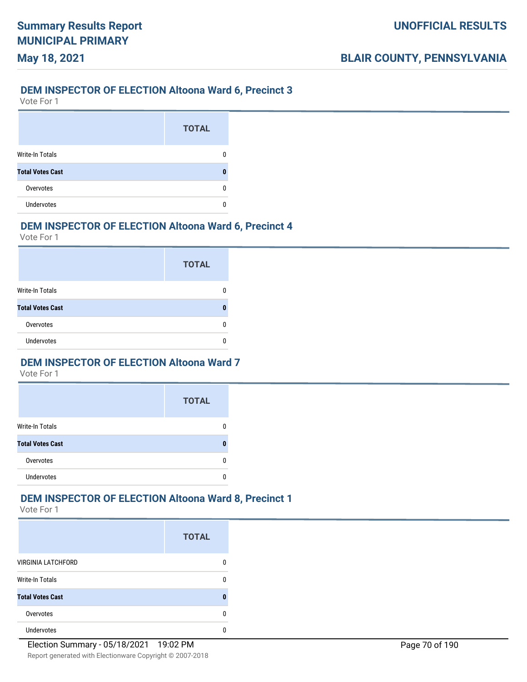#### **DEM INSPECTOR OF ELECTION Altoona Ward 6, Precinct 3**

Vote For 1

**May 18, 2021**

|                         | <b>TOTAL</b> |
|-------------------------|--------------|
| Write-In Totals         |              |
| <b>Total Votes Cast</b> |              |
| Overvotes               |              |
| <b>Undervotes</b>       |              |

## **DEM INSPECTOR OF ELECTION Altoona Ward 6, Precinct 4**

Vote For 1

|                         | <b>TOTAL</b> |
|-------------------------|--------------|
| Write-In Totals         |              |
| <b>Total Votes Cast</b> |              |
| Overvotes               |              |
| <b>Undervotes</b>       |              |

#### **DEM INSPECTOR OF ELECTION Altoona Ward 7**

Vote For 1

|                         | <b>TOTAL</b> |
|-------------------------|--------------|
| <b>Write-In Totals</b>  |              |
| <b>Total Votes Cast</b> |              |
| Overvotes               |              |
| <b>Undervotes</b>       |              |

## **DEM INSPECTOR OF ELECTION Altoona Ward 8, Precinct 1**

|                           | <b>TOTAL</b> |
|---------------------------|--------------|
| <b>VIRGINIA LATCHFORD</b> |              |
| <b>Write-In Totals</b>    | n            |
| <b>Total Votes Cast</b>   | П            |
| Overvotes                 | n            |
| <b>Undervotes</b>         |              |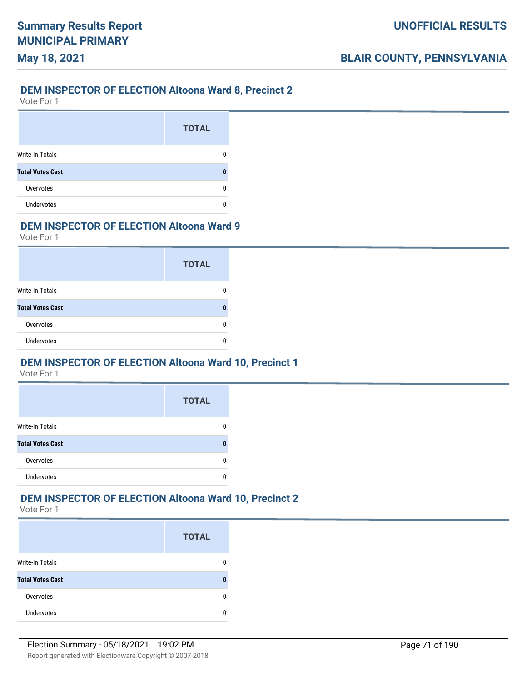## **DEM INSPECTOR OF ELECTION Altoona Ward 8, Precinct 2**

Vote For 1

**May 18, 2021**

|                         | <b>TOTAL</b> |
|-------------------------|--------------|
| <b>Write-In Totals</b>  |              |
| <b>Total Votes Cast</b> | Л            |
| Overvotes               |              |
| <b>Undervotes</b>       |              |

## **DEM INSPECTOR OF ELECTION Altoona Ward 9**

Vote For 1

|                         | <b>TOTAL</b> |
|-------------------------|--------------|
| Write-In Totals         |              |
| <b>Total Votes Cast</b> |              |
| Overvotes               |              |
| <b>Undervotes</b>       |              |

#### **DEM INSPECTOR OF ELECTION Altoona Ward 10, Precinct 1**

Vote For 1

|                         | <b>TOTAL</b> |
|-------------------------|--------------|
| <b>Write-In Totals</b>  |              |
| <b>Total Votes Cast</b> |              |
| Overvotes               |              |
| <b>Undervotes</b>       |              |

#### **DEM INSPECTOR OF ELECTION Altoona Ward 10, Precinct 2**

|                         | <b>TOTAL</b> |
|-------------------------|--------------|
| <b>Write-In Totals</b>  |              |
| <b>Total Votes Cast</b> |              |
| Overvotes               |              |
| <b>Undervotes</b>       |              |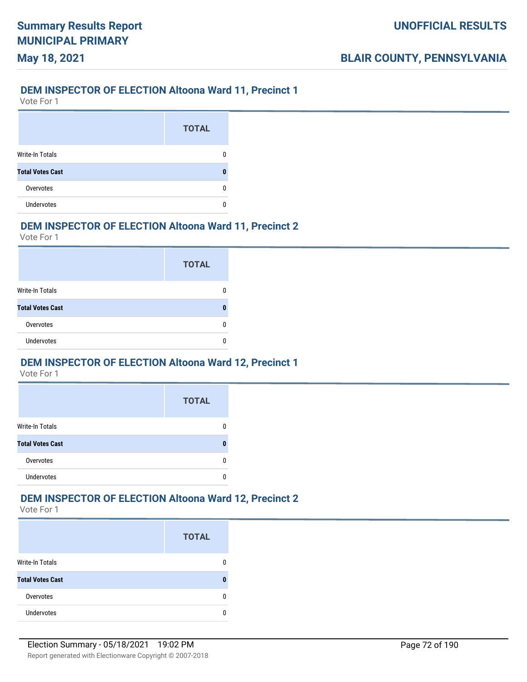## **DEM INSPECTOR OF ELECTION Altoona Ward 11, Precinct 1**

Vote For 1

**May 18, 2021**

|                         | <b>TOTAL</b> |
|-------------------------|--------------|
| Write-In Totals         |              |
| <b>Total Votes Cast</b> |              |
| Overvotes               |              |
| <b>Undervotes</b>       |              |

## **DEM INSPECTOR OF ELECTION Altoona Ward 11, Precinct 2**

Vote For 1

|                         | <b>TOTAL</b> |
|-------------------------|--------------|
| Write-In Totals         |              |
| <b>Total Votes Cast</b> |              |
| Overvotes               |              |
| Undervotes              |              |

#### **DEM INSPECTOR OF ELECTION Altoona Ward 12, Precinct 1**

Vote For 1

|                         | <b>TOTAL</b> |
|-------------------------|--------------|
| <b>Write-In Totals</b>  |              |
| <b>Total Votes Cast</b> |              |
| Overvotes               |              |
| <b>Undervotes</b>       |              |

## **DEM INSPECTOR OF ELECTION Altoona Ward 12, Precinct 2**

|                         | <b>TOTAL</b> |
|-------------------------|--------------|
| <b>Write-In Totals</b>  |              |
| <b>Total Votes Cast</b> |              |
| Overvotes               |              |
| Undervotes              |              |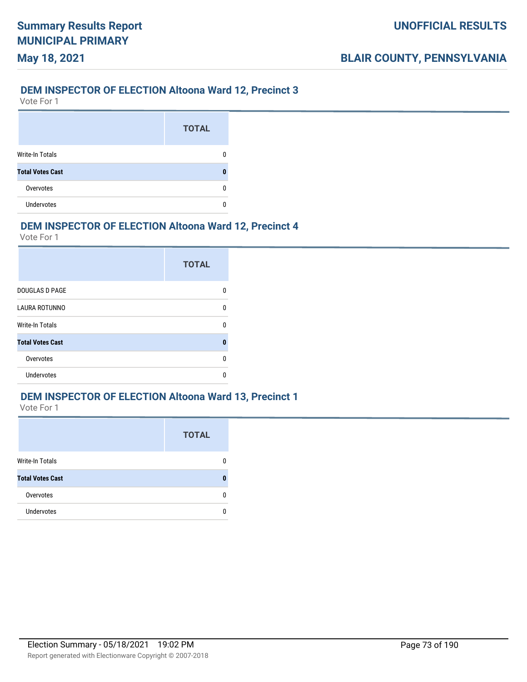#### **DEM INSPECTOR OF ELECTION Altoona Ward 12, Precinct 3**

Vote For 1

**May 18, 2021**

|                         | <b>TOTAL</b> |
|-------------------------|--------------|
| <b>Write-In Totals</b>  |              |
| <b>Total Votes Cast</b> |              |
| Overvotes               |              |
| <b>Undervotes</b>       |              |

#### **DEM INSPECTOR OF ELECTION Altoona Ward 12, Precinct 4**

Vote For 1

|                         | <b>TOTAL</b> |
|-------------------------|--------------|
| <b>DOUGLAS D PAGE</b>   | n            |
| <b>LAURA ROTUNNO</b>    | U            |
| <b>Write-In Totals</b>  | ŋ            |
| <b>Total Votes Cast</b> | 0            |
| Overvotes               | n            |
| Undervotes              | n            |

#### **DEM INSPECTOR OF ELECTION Altoona Ward 13, Precinct 1**

|                         | <b>TOTAL</b> |
|-------------------------|--------------|
| Write-In Totals         | 0            |
| <b>Total Votes Cast</b> | ŋ            |
| Overvotes               | 0            |
| <b>Undervotes</b>       | n            |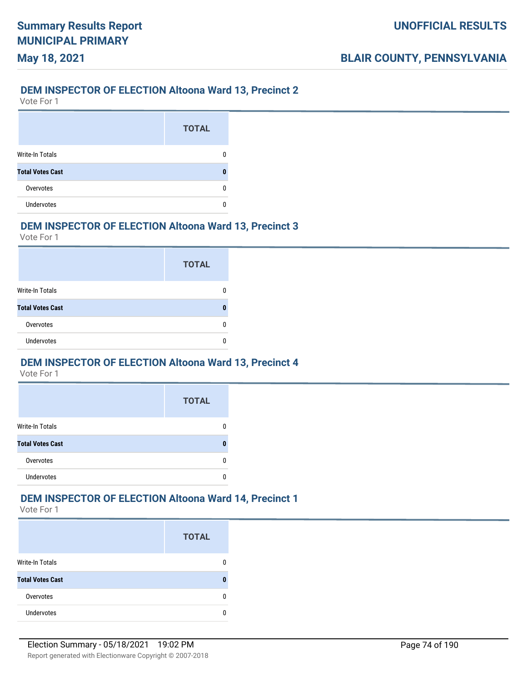#### **DEM INSPECTOR OF ELECTION Altoona Ward 13, Precinct 2**

Vote For 1

**May 18, 2021**

|                         | <b>TOTAL</b> |
|-------------------------|--------------|
| <b>Write-In Totals</b>  |              |
| <b>Total Votes Cast</b> |              |
| Overvotes               |              |
| Undervotes              |              |

#### **DEM INSPECTOR OF ELECTION Altoona Ward 13, Precinct 3**

Vote For 1

|                         | <b>TOTAL</b> |
|-------------------------|--------------|
| Write-In Totals         |              |
| <b>Total Votes Cast</b> |              |
| Overvotes               |              |
| <b>Undervotes</b>       |              |

#### **DEM INSPECTOR OF ELECTION Altoona Ward 13, Precinct 4**

Vote For 1

|                         | <b>TOTAL</b> |
|-------------------------|--------------|
| <b>Write-In Totals</b>  |              |
| <b>Total Votes Cast</b> |              |
| Overvotes               |              |
| <b>Undervotes</b>       |              |

#### **DEM INSPECTOR OF ELECTION Altoona Ward 14, Precinct 1**

|                         | <b>TOTAL</b> |
|-------------------------|--------------|
| <b>Write-In Totals</b>  |              |
| <b>Total Votes Cast</b> |              |
| Overvotes               |              |
| <b>Undervotes</b>       |              |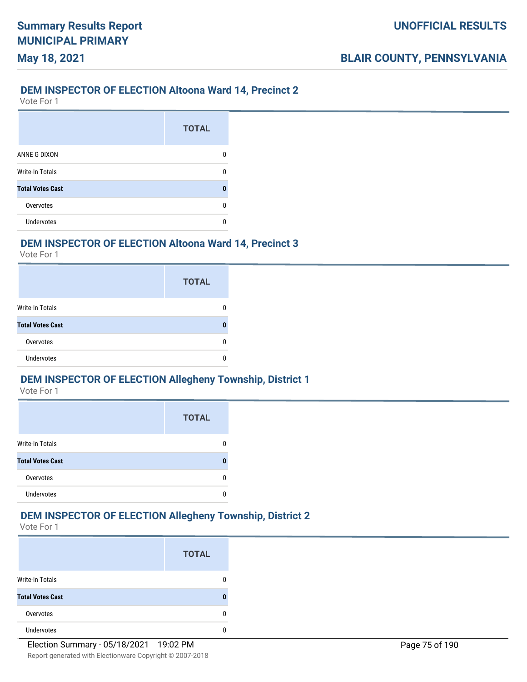#### **DEM INSPECTOR OF ELECTION Altoona Ward 14, Precinct 2**

Vote For 1

**May 18, 2021**

|                         | <b>TOTAL</b> |
|-------------------------|--------------|
| ANNE G DIXON            | n            |
| Write-In Totals         |              |
| <b>Total Votes Cast</b> | 0            |
| Overvotes               | n            |
| <b>Undervotes</b>       |              |

#### **DEM INSPECTOR OF ELECTION Altoona Ward 14, Precinct 3**

Vote For 1

|                         | <b>TOTAL</b> |
|-------------------------|--------------|
| Write-In Totals         |              |
| <b>Total Votes Cast</b> | O            |
| Overvotes               |              |
| <b>Undervotes</b>       |              |

#### **DEM INSPECTOR OF ELECTION Allegheny Township, District 1**

Vote For 1

|                         | <b>TOTAL</b> |
|-------------------------|--------------|
| <b>Write-In Totals</b>  |              |
| <b>Total Votes Cast</b> | п            |
| Overvotes               |              |
| <b>Undervotes</b>       |              |

### **DEM INSPECTOR OF ELECTION Allegheny Township, District 2**

|                         | <b>TOTAL</b> |
|-------------------------|--------------|
| <b>Write-In Totals</b>  |              |
| <b>Total Votes Cast</b> |              |
| Overvotes               |              |
| <b>Undervotes</b>       |              |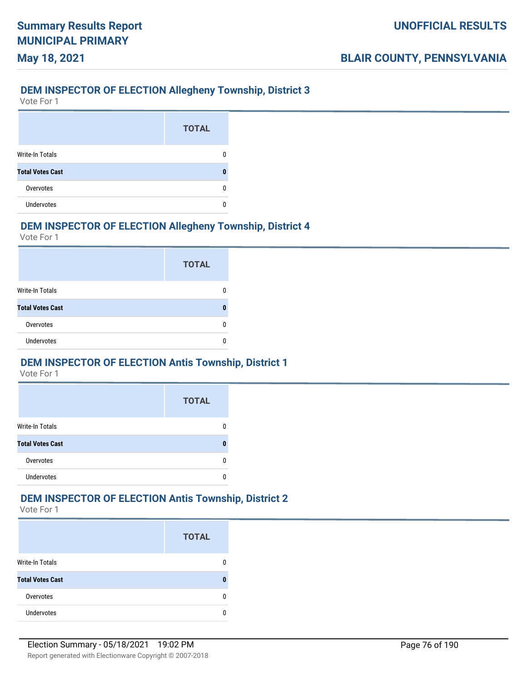#### **DEM INSPECTOR OF ELECTION Allegheny Township, District 3**

Vote For 1

**May 18, 2021**

|                         | <b>TOTAL</b> |
|-------------------------|--------------|
| Write-In Totals         |              |
| <b>Total Votes Cast</b> |              |
| Overvotes               |              |
| <b>Undervotes</b>       |              |

#### **DEM INSPECTOR OF ELECTION Allegheny Township, District 4**

Vote For 1

|                         | <b>TOTAL</b> |
|-------------------------|--------------|
| <b>Write-In Totals</b>  |              |
| <b>Total Votes Cast</b> |              |
| Overvotes               |              |
| <b>Undervotes</b>       |              |

#### **DEM INSPECTOR OF ELECTION Antis Township, District 1**

Vote For 1

|                         | <b>TOTAL</b> |
|-------------------------|--------------|
| <b>Write-In Totals</b>  |              |
| <b>Total Votes Cast</b> |              |
| Overvotes               |              |
| <b>Undervotes</b>       |              |

### **DEM INSPECTOR OF ELECTION Antis Township, District 2**

|                         | <b>TOTAL</b> |
|-------------------------|--------------|
| <b>Write-In Totals</b>  |              |
| <b>Total Votes Cast</b> |              |
| Overvotes               |              |
| Undervotes              |              |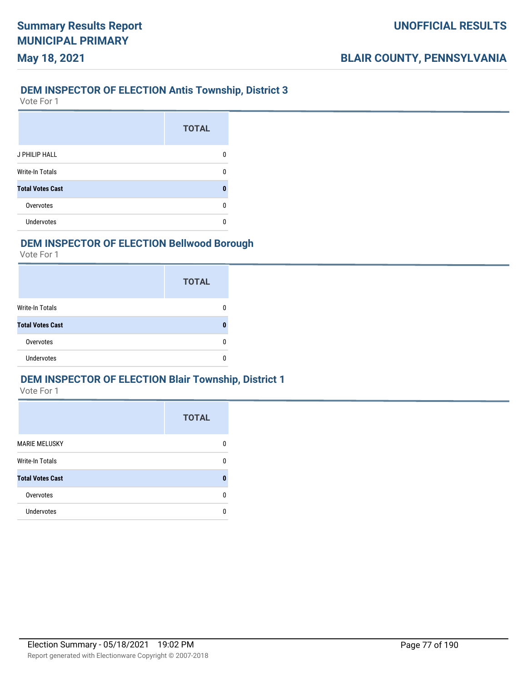#### **DEM INSPECTOR OF ELECTION Antis Township, District 3**

Vote For 1

**May 18, 2021**

|                         | <b>TOTAL</b> |
|-------------------------|--------------|
| J PHILIP HALL           | n            |
| <b>Write-In Totals</b>  |              |
| <b>Total Votes Cast</b> | O            |
| Overvotes               | n            |
| Undervotes              |              |

### **DEM INSPECTOR OF ELECTION Bellwood Borough**

Vote For 1

|                         | <b>TOTAL</b> |
|-------------------------|--------------|
| Write-In Totals         |              |
| <b>Total Votes Cast</b> |              |
| Overvotes               |              |
| <b>Undervotes</b>       |              |

#### **DEM INSPECTOR OF ELECTION Blair Township, District 1**

|                         | <b>TOTAL</b> |
|-------------------------|--------------|
| <b>MARIE MELUSKY</b>    | O            |
| <b>Write-In Totals</b>  | O            |
| <b>Total Votes Cast</b> |              |
| Overvotes               | n            |
| Undervotes              | n            |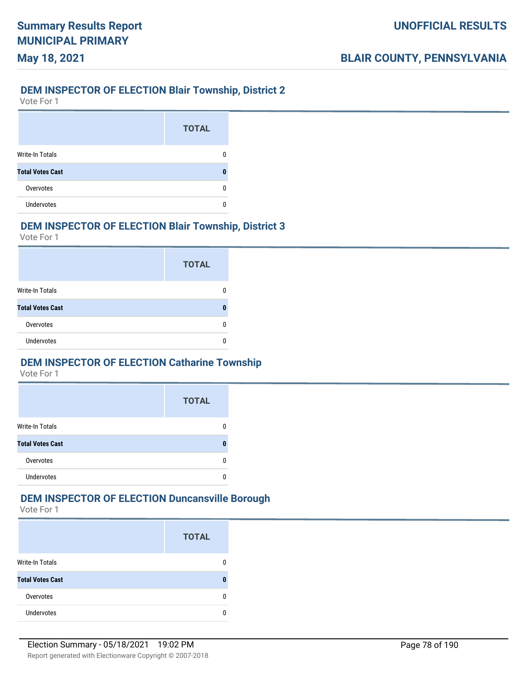#### **DEM INSPECTOR OF ELECTION Blair Township, District 2**

Vote For 1

**May 18, 2021**

|                         | <b>TOTAL</b> |
|-------------------------|--------------|
| Write-In Totals         |              |
| <b>Total Votes Cast</b> |              |
| Overvotes               |              |
| <b>Undervotes</b>       |              |

#### **DEM INSPECTOR OF ELECTION Blair Township, District 3**

Vote For 1

|                         | <b>TOTAL</b> |
|-------------------------|--------------|
| Write-In Totals         |              |
| <b>Total Votes Cast</b> |              |
| Overvotes               |              |
| <b>Undervotes</b>       |              |

#### **DEM INSPECTOR OF ELECTION Catharine Township**

Vote For 1

|                         | <b>TOTAL</b> |
|-------------------------|--------------|
| <b>Write-In Totals</b>  |              |
| <b>Total Votes Cast</b> |              |
| Overvotes               |              |
| <b>Undervotes</b>       |              |

# **DEM INSPECTOR OF ELECTION Duncansville Borough**

|                         | <b>TOTAL</b> |
|-------------------------|--------------|
| Write-In Totals         |              |
| <b>Total Votes Cast</b> |              |
| Overvotes               |              |
| <b>Undervotes</b>       |              |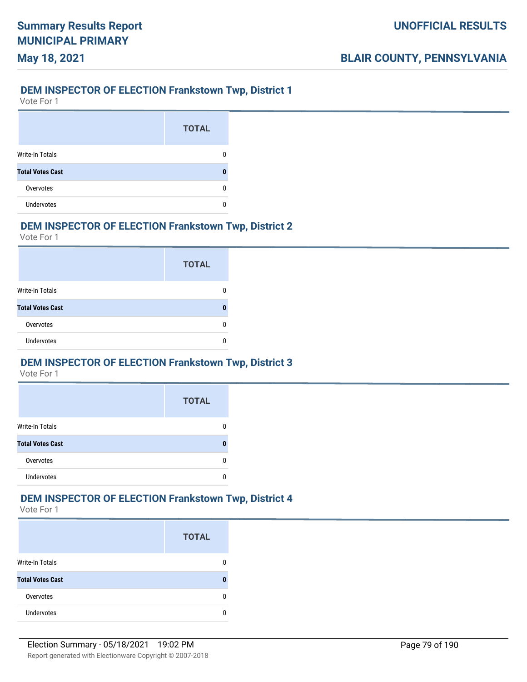#### **DEM INSPECTOR OF ELECTION Frankstown Twp, District 1**

Vote For 1

**May 18, 2021**

|                         | <b>TOTAL</b> |
|-------------------------|--------------|
| Write-In Totals         |              |
| <b>Total Votes Cast</b> |              |
| Overvotes               |              |
| <b>Undervotes</b>       |              |

#### **DEM INSPECTOR OF ELECTION Frankstown Twp, District 2**

Vote For 1

|                         | <b>TOTAL</b> |
|-------------------------|--------------|
| Write-In Totals         |              |
| <b>Total Votes Cast</b> |              |
| Overvotes               |              |
| <b>Undervotes</b>       |              |

#### **DEM INSPECTOR OF ELECTION Frankstown Twp, District 3**

Vote For 1

|                         | <b>TOTAL</b> |
|-------------------------|--------------|
| <b>Write-In Totals</b>  |              |
| <b>Total Votes Cast</b> |              |
| Overvotes               |              |
| <b>Undervotes</b>       |              |

# **DEM INSPECTOR OF ELECTION Frankstown Twp, District 4**

|                         | <b>TOTAL</b> |
|-------------------------|--------------|
| <b>Write-In Totals</b>  |              |
| <b>Total Votes Cast</b> |              |
| Overvotes               |              |
| Undervotes              |              |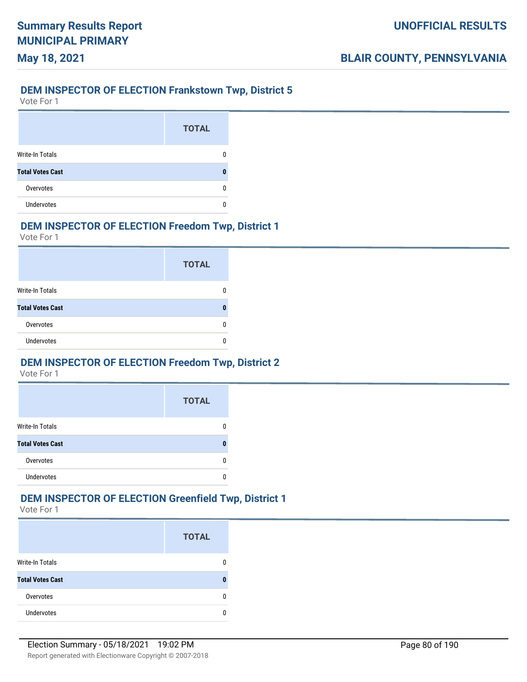#### **DEM INSPECTOR OF ELECTION Frankstown Twp, District 5**

Vote For 1

**May 18, 2021**

|                         | <b>TOTAL</b> |
|-------------------------|--------------|
| Write-In Totals         |              |
| <b>Total Votes Cast</b> |              |
| Overvotes               |              |
| <b>Undervotes</b>       |              |

#### **DEM INSPECTOR OF ELECTION Freedom Twp, District 1**

Vote For 1

|                         | <b>TOTAL</b> |
|-------------------------|--------------|
| Write-In Totals         |              |
| <b>Total Votes Cast</b> |              |
| Overvotes               |              |
| <b>Undervotes</b>       |              |

#### **DEM INSPECTOR OF ELECTION Freedom Twp, District 2**

Vote For 1

|                         | <b>TOTAL</b> |
|-------------------------|--------------|
| <b>Write-In Totals</b>  |              |
| <b>Total Votes Cast</b> | п            |
| Overvotes               |              |
| <b>Undervotes</b>       |              |

# **DEM INSPECTOR OF ELECTION Greenfield Twp, District 1**

|                         | <b>TOTAL</b> |
|-------------------------|--------------|
| <b>Write-In Totals</b>  |              |
| <b>Total Votes Cast</b> |              |
| Overvotes               | O            |
| Undervotes              |              |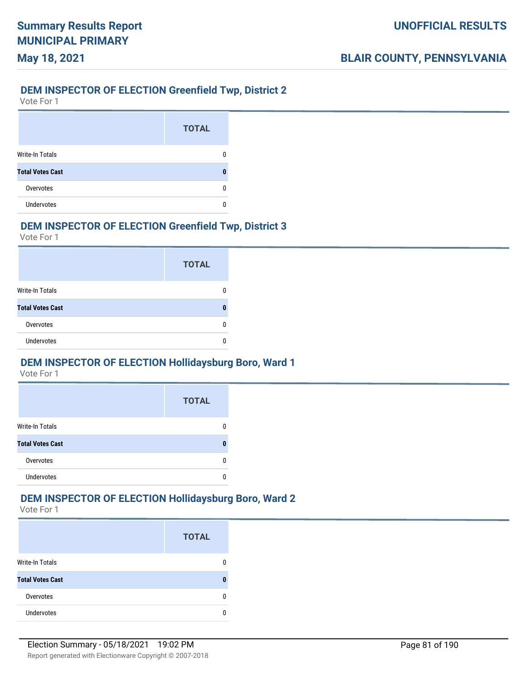#### **DEM INSPECTOR OF ELECTION Greenfield Twp, District 2**

Vote For 1

**May 18, 2021**

|                         | <b>TOTAL</b> |
|-------------------------|--------------|
| Write-In Totals         |              |
| <b>Total Votes Cast</b> |              |
| Overvotes               |              |
| <b>Undervotes</b>       |              |

#### **DEM INSPECTOR OF ELECTION Greenfield Twp, District 3**

Vote For 1

|                         | <b>TOTAL</b> |
|-------------------------|--------------|
| Write-In Totals         |              |
| <b>Total Votes Cast</b> |              |
| Overvotes               |              |
| <b>Undervotes</b>       |              |

#### **DEM INSPECTOR OF ELECTION Hollidaysburg Boro, Ward 1**

Vote For 1

|                         | <b>TOTAL</b> |
|-------------------------|--------------|
| <b>Write-In Totals</b>  |              |
| <b>Total Votes Cast</b> |              |
| Overvotes               |              |
| <b>Undervotes</b>       |              |

#### **DEM INSPECTOR OF ELECTION Hollidaysburg Boro, Ward 2**

|                         | <b>TOTAL</b> |
|-------------------------|--------------|
| Write-In Totals         |              |
| <b>Total Votes Cast</b> |              |
| Overvotes               |              |
| <b>Undervotes</b>       |              |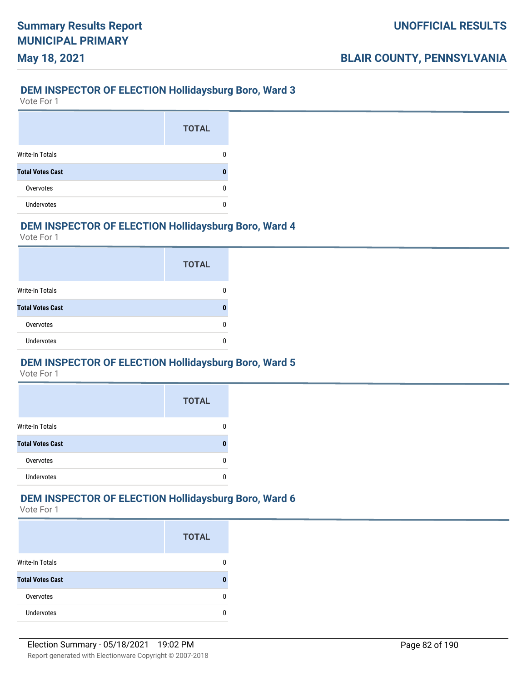#### **DEM INSPECTOR OF ELECTION Hollidaysburg Boro, Ward 3**

Vote For 1

**May 18, 2021**

|                         | <b>TOTAL</b> |
|-------------------------|--------------|
| Write-In Totals         |              |
| <b>Total Votes Cast</b> |              |
| Overvotes               |              |
| <b>Undervotes</b>       |              |

#### **DEM INSPECTOR OF ELECTION Hollidaysburg Boro, Ward 4**

Vote For 1

|                         | <b>TOTAL</b> |
|-------------------------|--------------|
| Write-In Totals         |              |
| <b>Total Votes Cast</b> |              |
| Overvotes               |              |
| <b>Undervotes</b>       |              |

#### **DEM INSPECTOR OF ELECTION Hollidaysburg Boro, Ward 5**

Vote For 1

|                         | <b>TOTAL</b> |
|-------------------------|--------------|
| <b>Write-In Totals</b>  |              |
| <b>Total Votes Cast</b> |              |
| Overvotes               |              |
| <b>Undervotes</b>       |              |

### **DEM INSPECTOR OF ELECTION Hollidaysburg Boro, Ward 6**

|                         | <b>TOTAL</b> |
|-------------------------|--------------|
| <b>Write-In Totals</b>  |              |
| <b>Total Votes Cast</b> |              |
| Overvotes               | n            |
| <b>Undervotes</b>       |              |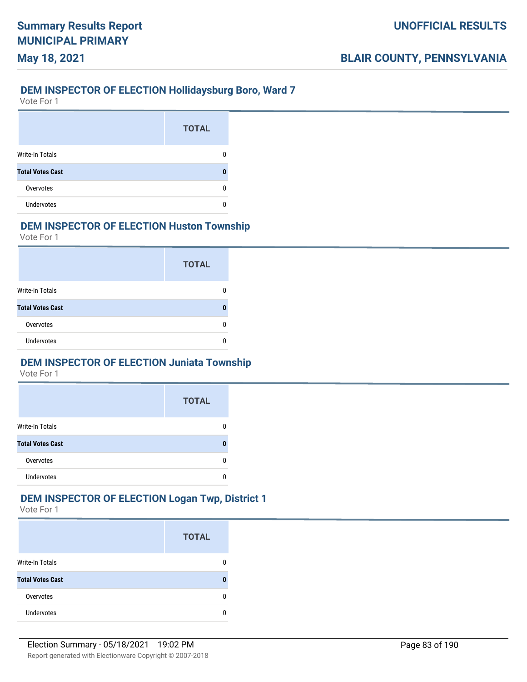#### **DEM INSPECTOR OF ELECTION Hollidaysburg Boro, Ward 7**

Vote For 1

**May 18, 2021**

|                         | <b>TOTAL</b> |
|-------------------------|--------------|
| <b>Write-In Totals</b>  |              |
| <b>Total Votes Cast</b> |              |
| Overvotes               |              |
| <b>Undervotes</b>       |              |

### **DEM INSPECTOR OF ELECTION Huston Township**

Vote For 1

|                         | <b>TOTAL</b> |
|-------------------------|--------------|
| Write-In Totals         |              |
| <b>Total Votes Cast</b> |              |
| Overvotes               |              |
| <b>Undervotes</b>       |              |

### **DEM INSPECTOR OF ELECTION Juniata Township**

Vote For 1

|                         | <b>TOTAL</b> |
|-------------------------|--------------|
| <b>Write-In Totals</b>  |              |
| <b>Total Votes Cast</b> | Л            |
| Overvotes               |              |
| <b>Undervotes</b>       |              |

# **DEM INSPECTOR OF ELECTION Logan Twp, District 1**

|                         | <b>TOTAL</b> |
|-------------------------|--------------|
| <b>Write-In Totals</b>  |              |
| <b>Total Votes Cast</b> |              |
| Overvotes               |              |
| <b>Undervotes</b>       |              |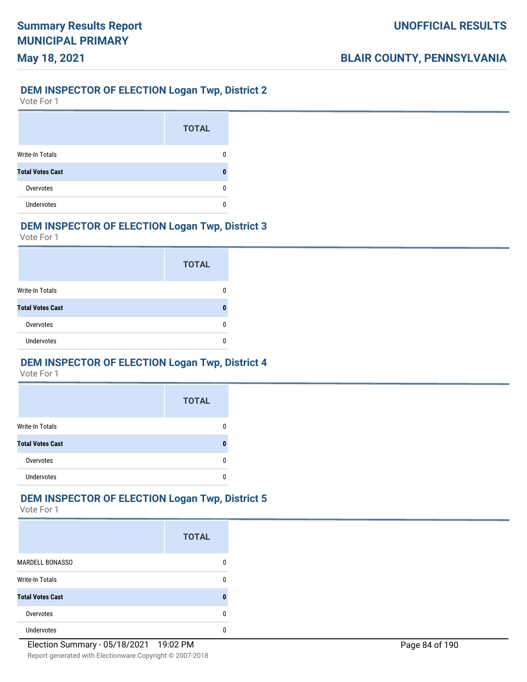# **May 18, 2021**

### **DEM INSPECTOR OF ELECTION Logan Twp, District 2**

Vote For 1

|                         | <b>TOTAL</b> |
|-------------------------|--------------|
| <b>Write-In Totals</b>  |              |
| <b>Total Votes Cast</b> |              |
| Overvotes               |              |
| <b>Undervotes</b>       |              |

### **DEM INSPECTOR OF ELECTION Logan Twp, District 3**

Vote For 1

|                         | <b>TOTAL</b> |
|-------------------------|--------------|
| Write-In Totals         |              |
| <b>Total Votes Cast</b> |              |
| Overvotes               |              |
| <b>Undervotes</b>       |              |

#### **DEM INSPECTOR OF ELECTION Logan Twp, District 4**

Vote For 1

|                         | <b>TOTAL</b> |
|-------------------------|--------------|
| <b>Write-In Totals</b>  |              |
| <b>Total Votes Cast</b> |              |
| Overvotes               |              |
| Undervotes              |              |

#### **DEM INSPECTOR OF ELECTION Logan Twp, District 5**

|                         | <b>TOTAL</b> |
|-------------------------|--------------|
| <b>MARDELL BONASSO</b>  |              |
| <b>Write-In Totals</b>  |              |
| <b>Total Votes Cast</b> |              |
| Overvotes               | n            |
| <b>Undervotes</b>       |              |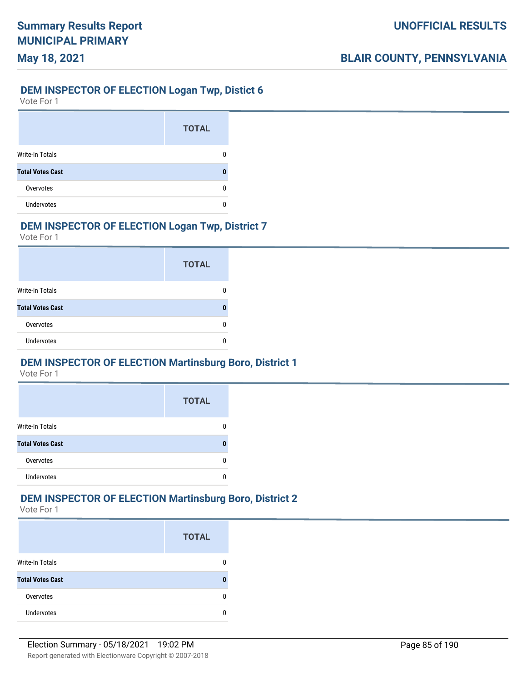### **DEM INSPECTOR OF ELECTION Logan Twp, Distict 6**

Vote For 1

**May 18, 2021**

|                         | <b>TOTAL</b> |
|-------------------------|--------------|
| <b>Write-In Totals</b>  |              |
| <b>Total Votes Cast</b> |              |
| Overvotes               |              |
| <b>Undervotes</b>       |              |

### **DEM INSPECTOR OF ELECTION Logan Twp, District 7**

Vote For 1

|                         | <b>TOTAL</b> |
|-------------------------|--------------|
| Write-In Totals         |              |
| <b>Total Votes Cast</b> |              |
| Overvotes               |              |
| <b>Undervotes</b>       |              |

#### **DEM INSPECTOR OF ELECTION Martinsburg Boro, District 1**

Vote For 1

|                         | <b>TOTAL</b> |
|-------------------------|--------------|
| <b>Write-In Totals</b>  |              |
| <b>Total Votes Cast</b> |              |
| Overvotes               |              |
| <b>Undervotes</b>       |              |

# **DEM INSPECTOR OF ELECTION Martinsburg Boro, District 2**

|                         | <b>TOTAL</b> |
|-------------------------|--------------|
| <b>Write-In Totals</b>  |              |
| <b>Total Votes Cast</b> |              |
| Overvotes               |              |
| Undervotes              |              |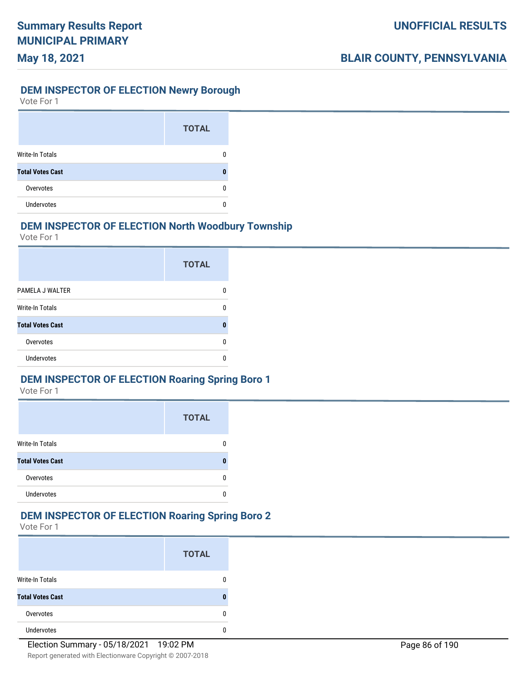# **DEM INSPECTOR OF ELECTION Newry Borough**

Vote For 1

**May 18, 2021**

|                         | <b>TOTAL</b> |
|-------------------------|--------------|
| Write-In Totals         |              |
| <b>Total Votes Cast</b> |              |
| Overvotes               |              |
| <b>Undervotes</b>       |              |

#### **DEM INSPECTOR OF ELECTION North Woodbury Township**

Vote For 1

|                         | <b>TOTAL</b> |
|-------------------------|--------------|
| PAMELA J WALTER         |              |
| Write-In Totals         | n            |
| <b>Total Votes Cast</b> |              |
| Overvotes               |              |
| Undervotes              |              |

#### **DEM INSPECTOR OF ELECTION Roaring Spring Boro 1**

Vote For 1

|                         | <b>TOTAL</b> |
|-------------------------|--------------|
| <b>Write-In Totals</b>  |              |
| <b>Total Votes Cast</b> |              |
| Overvotes               |              |
| Undervotes              |              |

#### **DEM INSPECTOR OF ELECTION Roaring Spring Boro 2**

|                         | <b>TOTAL</b> |
|-------------------------|--------------|
| Write-In Totals         | 0            |
| <b>Total Votes Cast</b> | U            |
| Overvotes               | 0            |
| Undervotes              | 0            |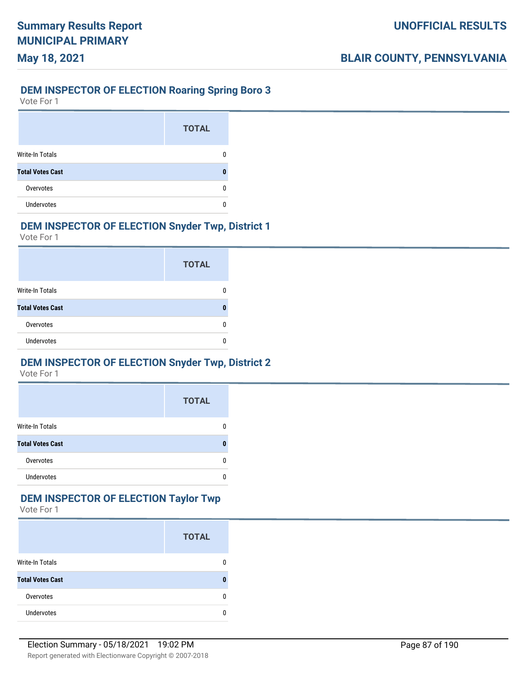# **DEM INSPECTOR OF ELECTION Roaring Spring Boro 3**

Vote For 1

**May 18, 2021**

|                         | <b>TOTAL</b> |
|-------------------------|--------------|
| Write-In Totals         |              |
| <b>Total Votes Cast</b> |              |
| Overvotes               |              |
| <b>Undervotes</b>       |              |

#### **DEM INSPECTOR OF ELECTION Snyder Twp, District 1**

Vote For 1

|                         | <b>TOTAL</b> |
|-------------------------|--------------|
| Write-In Totals         |              |
| <b>Total Votes Cast</b> |              |
| Overvotes               |              |
| Undervotes              |              |

#### **DEM INSPECTOR OF ELECTION Snyder Twp, District 2**

Vote For 1

|                         | <b>TOTAL</b> |
|-------------------------|--------------|
| <b>Write-In Totals</b>  |              |
| <b>Total Votes Cast</b> |              |
| Overvotes               |              |
| <b>Undervotes</b>       |              |

# **DEM INSPECTOR OF ELECTION Taylor Twp**

|                         | <b>TOTAL</b> |
|-------------------------|--------------|
| <b>Write-In Totals</b>  |              |
| <b>Total Votes Cast</b> |              |
| Overvotes               |              |
| <b>Undervotes</b>       |              |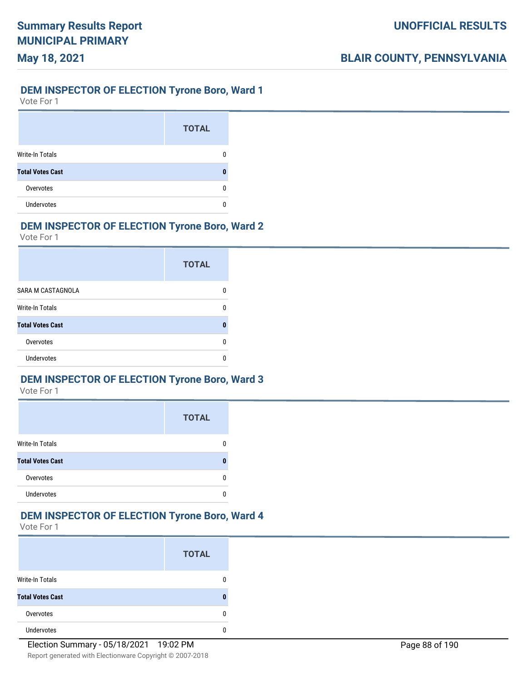# **DEM INSPECTOR OF ELECTION Tyrone Boro, Ward 1**

Vote For 1

**May 18, 2021**

|                         | <b>TOTAL</b> |
|-------------------------|--------------|
| Write-In Totals         |              |
| <b>Total Votes Cast</b> |              |
| Overvotes               |              |
| <b>Undervotes</b>       |              |

### **DEM INSPECTOR OF ELECTION Tyrone Boro, Ward 2**

Vote For 1

|                         | <b>TOTAL</b> |
|-------------------------|--------------|
| SARA M CASTAGNOLA       |              |
| Write-In Totals         | n            |
| <b>Total Votes Cast</b> | Λ            |
| Overvotes               |              |
| Undervotes              |              |

#### **DEM INSPECTOR OF ELECTION Tyrone Boro, Ward 3**

Vote For 1

|                         | <b>TOTAL</b> |
|-------------------------|--------------|
| <b>Write-In Totals</b>  |              |
| <b>Total Votes Cast</b> |              |
| Overvotes               |              |
| Undervotes              |              |

### **DEM INSPECTOR OF ELECTION Tyrone Boro, Ward 4**

|                         | <b>TOTAL</b> |
|-------------------------|--------------|
| Write-In Totals         | n            |
| <b>Total Votes Cast</b> | 0            |
| Overvotes               | U            |
| <b>Undervotes</b>       | Λ            |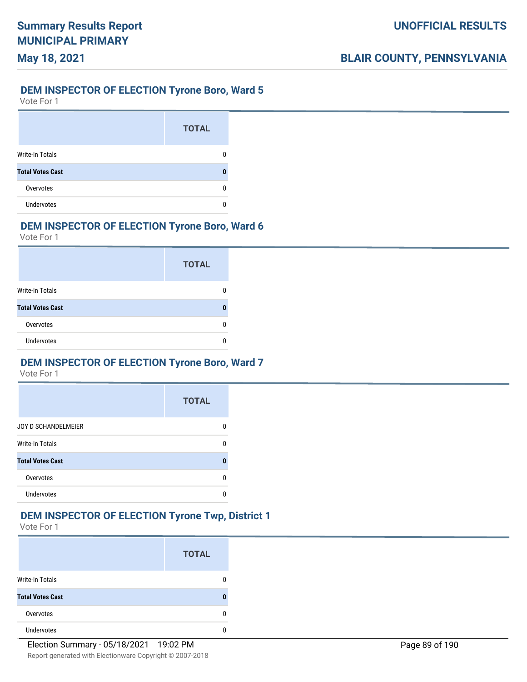# **May 18, 2021**

#### **DEM INSPECTOR OF ELECTION Tyrone Boro, Ward 5**

Vote For 1

|                         | <b>TOTAL</b> |
|-------------------------|--------------|
| <b>Write-In Totals</b>  |              |
| <b>Total Votes Cast</b> |              |
| Overvotes               |              |
| <b>Undervotes</b>       |              |

#### **DEM INSPECTOR OF ELECTION Tyrone Boro, Ward 6**

Vote For 1

|                         | <b>TOTAL</b> |
|-------------------------|--------------|
| Write-In Totals         |              |
| <b>Total Votes Cast</b> |              |
| Overvotes               |              |
| <b>Undervotes</b>       |              |

#### **DEM INSPECTOR OF ELECTION Tyrone Boro, Ward 7**

Vote For 1

|                         | <b>TOTAL</b> |
|-------------------------|--------------|
| JOY D SCHANDELMEIER     |              |
| <b>Write-In Totals</b>  |              |
| <b>Total Votes Cast</b> | Λ            |
| Overvotes               |              |
| <b>Undervotes</b>       |              |

#### **DEM INSPECTOR OF ELECTION Tyrone Twp, District 1**

|                         | <b>TOTAL</b> |
|-------------------------|--------------|
| <b>Write-In Totals</b>  |              |
| <b>Total Votes Cast</b> |              |
| Overvotes               | n            |
| <b>Undervotes</b>       |              |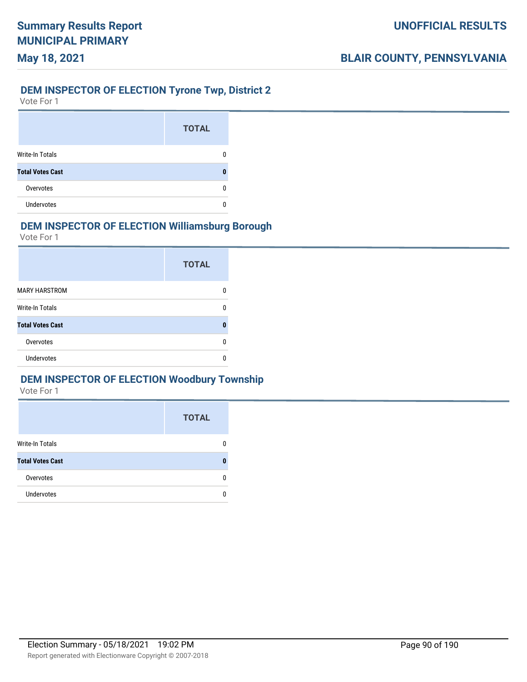#### **DEM INSPECTOR OF ELECTION Tyrone Twp, District 2**

Vote For 1

**May 18, 2021**

|                         | <b>TOTAL</b> |
|-------------------------|--------------|
| <b>Write-In Totals</b>  |              |
| <b>Total Votes Cast</b> |              |
| Overvotes               |              |
| <b>Undervotes</b>       |              |

#### **DEM INSPECTOR OF ELECTION Williamsburg Borough**

Vote For 1

|                         | <b>TOTAL</b> |
|-------------------------|--------------|
| <b>MARY HARSTROM</b>    |              |
| Write-In Totals         | n            |
| <b>Total Votes Cast</b> | Π            |
| Overvotes               |              |
| Undervotes              |              |

#### **DEM INSPECTOR OF ELECTION Woodbury Township**

|                         | <b>TOTAL</b> |
|-------------------------|--------------|
| <b>Write-In Totals</b>  |              |
| <b>Total Votes Cast</b> |              |
| Overvotes               |              |
| <b>Undervotes</b>       |              |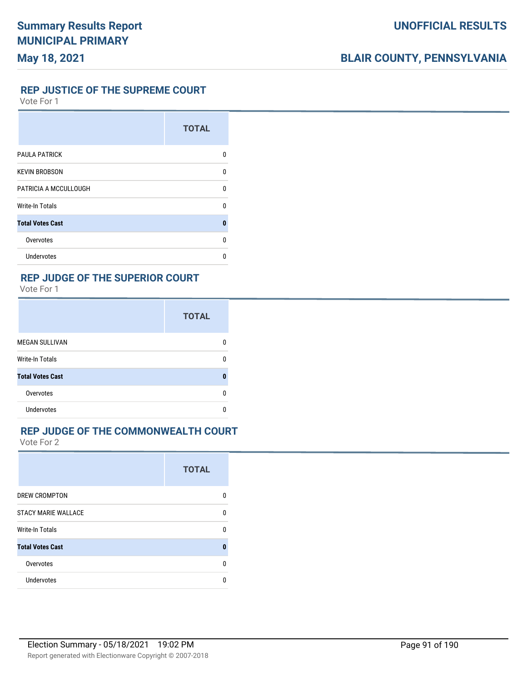#### **REP JUSTICE OF THE SUPREME COURT**

Vote For 1

|                         | <b>TOTAL</b> |
|-------------------------|--------------|
| <b>PAULA PATRICK</b>    | U            |
| <b>KEVIN BROBSON</b>    | U            |
| PATRICIA A MCCULLOUGH   | U            |
| <b>Write-In Totals</b>  | n            |
| <b>Total Votes Cast</b> | 0            |
| Overvotes               | U            |
| Undervotes              | n            |

#### **REP JUDGE OF THE SUPERIOR COURT**

Vote For 1

|                         | <b>TOTAL</b> |
|-------------------------|--------------|
| <b>MEGAN SULLIVAN</b>   | n            |
| <b>Write-In Totals</b>  | ŋ            |
| <b>Total Votes Cast</b> | 0            |
| Overvotes               | n            |
| <b>Undervotes</b>       |              |

#### **REP JUDGE OF THE COMMONWEALTH COURT**

|                            | <b>TOTAL</b> |
|----------------------------|--------------|
| DREW CROMPTON              | n            |
| <b>STACY MARIE WALLACE</b> | U            |
| Write-In Totals            | n            |
| <b>Total Votes Cast</b>    | O            |
| Overvotes                  | U            |
| Undervotes                 |              |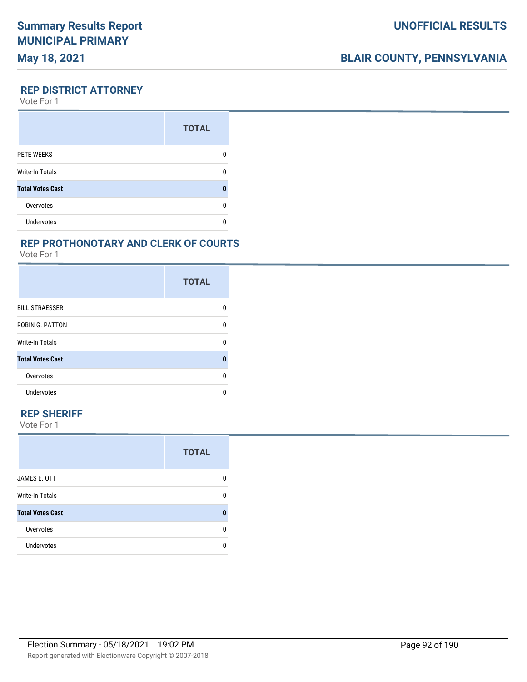# **BLAIR COUNTY, PENNSYLVANIA**

**REP DISTRICT ATTORNEY**

Vote For 1

|                         | <b>TOTAL</b> |
|-------------------------|--------------|
| PETE WEEKS              |              |
| <b>Write-In Totals</b>  |              |
| <b>Total Votes Cast</b> |              |
| Overvotes               |              |
| <b>Undervotes</b>       |              |

#### **REP PROTHONOTARY AND CLERK OF COURTS**

Vote For 1

|                         | <b>TOTAL</b> |
|-------------------------|--------------|
| <b>BILL STRAESSER</b>   | n            |
| <b>ROBIN G. PATTON</b>  | U            |
| <b>Write-In Totals</b>  | U            |
| <b>Total Votes Cast</b> | 0            |
| Overvotes               | n            |
| <b>Undervotes</b>       | n            |

#### **REP SHERIFF**

|                         | <b>TOTAL</b> |
|-------------------------|--------------|
| JAMES E. OTT            | 0            |
| Write-In Totals         | 0            |
| <b>Total Votes Cast</b> | 0            |
| Overvotes               | 0            |
| <b>Undervotes</b>       | 0            |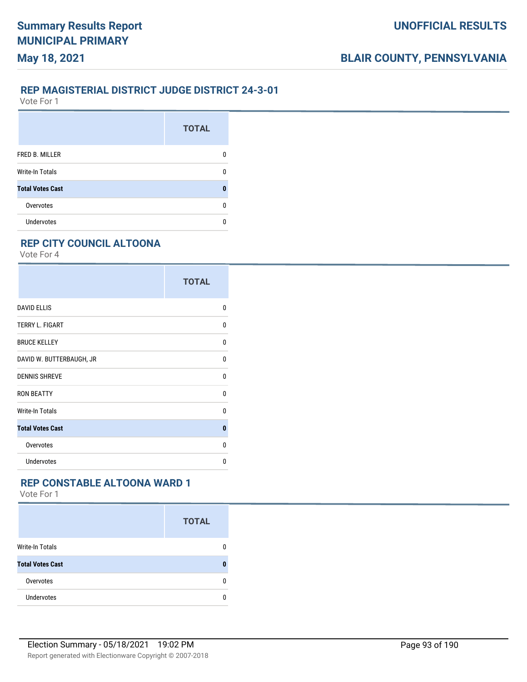#### **REP MAGISTERIAL DISTRICT JUDGE DISTRICT 24-3-01**

Vote For 1

**May 18, 2021**

|                         | <b>TOTAL</b> |
|-------------------------|--------------|
| FRED B. MILLER          |              |
| <b>Write-In Totals</b>  |              |
| <b>Total Votes Cast</b> |              |
| Overvotes               |              |
| Undervotes              |              |

### **REP CITY COUNCIL ALTOONA**

Vote For 4

|                          | <b>TOTAL</b> |
|--------------------------|--------------|
| <b>DAVID ELLIS</b>       | 0            |
| TERRY L. FIGART          | 0            |
| <b>BRUCE KELLEY</b>      | 0            |
| DAVID W. BUTTERBAUGH, JR | 0            |
| <b>DENNIS SHREVE</b>     | U            |
| <b>RON BEATTY</b>        | U            |
| <b>Write-In Totals</b>   | 0            |
| <b>Total Votes Cast</b>  | $\bf{0}$     |
| Overvotes                | $\Omega$     |
| <b>Undervotes</b>        | 0            |

### **REP CONSTABLE ALTOONA WARD 1**

|                         | <b>TOTAL</b> |
|-------------------------|--------------|
| <b>Write-In Totals</b>  | n            |
| <b>Total Votes Cast</b> |              |
| Overvotes               |              |
| <b>Undervotes</b>       |              |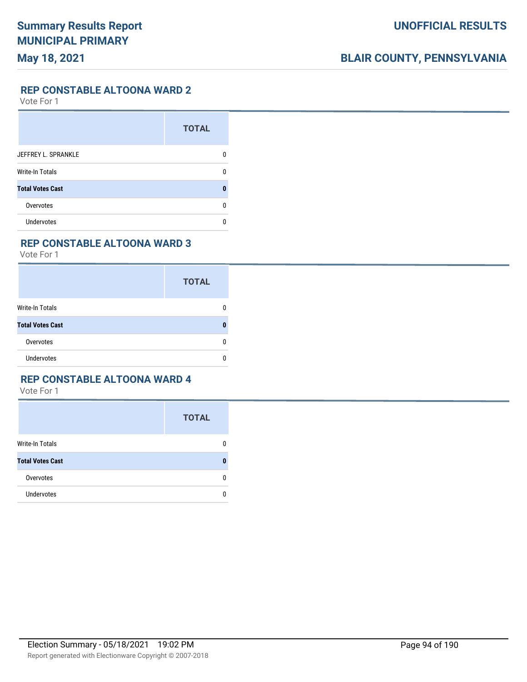**REP CONSTABLE ALTOONA WARD 2**

Vote For 1

|                         | <b>TOTAL</b> |
|-------------------------|--------------|
| JEFFREY L. SPRANKLE     |              |
| <b>Write-In Totals</b>  |              |
| <b>Total Votes Cast</b> |              |
| Overvotes               | n            |
| <b>Undervotes</b>       |              |

#### **REP CONSTABLE ALTOONA WARD 3**

Vote For 1

|                         | <b>TOTAL</b> |
|-------------------------|--------------|
| <b>Write-In Totals</b>  | 0            |
| <b>Total Votes Cast</b> | 0            |
| Overvotes               | 0            |
| <b>Undervotes</b>       | 0            |

#### **REP CONSTABLE ALTOONA WARD 4**

|                         | <b>TOTAL</b> |
|-------------------------|--------------|
| Write-In Totals         | 0            |
| <b>Total Votes Cast</b> | 0            |
| Overvotes               | 0            |
| Undervotes              | n            |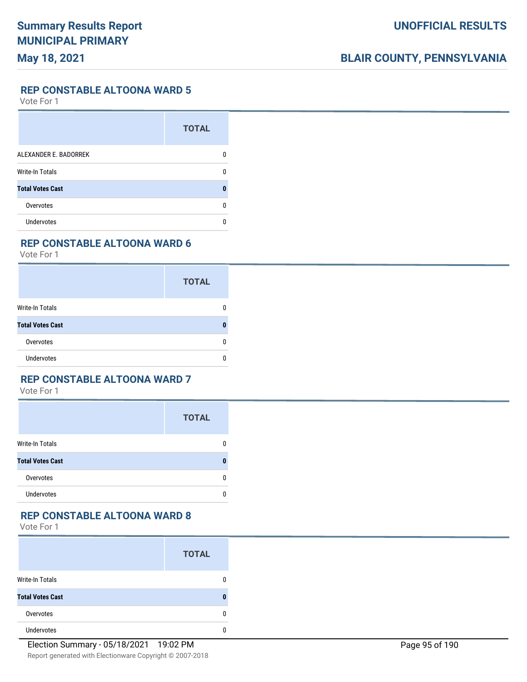**REP CONSTABLE ALTOONA WARD 5**

Vote For 1

|                         | <b>TOTAL</b> |
|-------------------------|--------------|
| ALEXANDER E. BADORREK   |              |
| <b>Write-In Totals</b>  |              |
| <b>Total Votes Cast</b> |              |
| Overvotes               | n            |
| Undervotes              |              |

#### **REP CONSTABLE ALTOONA WARD 6**

Vote For 1

|                         | <b>TOTAL</b> |
|-------------------------|--------------|
| Write-In Totals         | 0            |
| <b>Total Votes Cast</b> | ŋ            |
| Overvotes               | 0            |
| <b>Undervotes</b>       | n            |

#### **REP CONSTABLE ALTOONA WARD 7**

Vote For 1

|                         | <b>TOTAL</b> |
|-------------------------|--------------|
| <b>Write-In Totals</b>  | n            |
| <b>Total Votes Cast</b> |              |
| Overvotes               | n            |
| <b>Undervotes</b>       |              |

#### **REP CONSTABLE ALTOONA WARD 8**

|                         | <b>TOTAL</b> |
|-------------------------|--------------|
| <b>Write-In Totals</b>  |              |
| <b>Total Votes Cast</b> |              |
| Overvotes               |              |
| <b>Undervotes</b>       |              |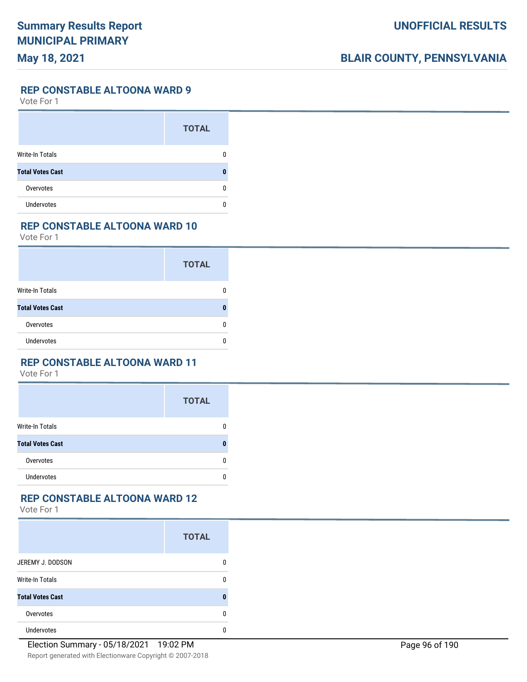**REP CONSTABLE ALTOONA WARD 9**

Vote For 1

|                         | <b>TOTAL</b> |
|-------------------------|--------------|
| <b>Write-In Totals</b>  |              |
| <b>Total Votes Cast</b> |              |
| Overvotes               |              |
| <b>Undervotes</b>       |              |

#### **REP CONSTABLE ALTOONA WARD 10**

Vote For 1

|                         | <b>TOTAL</b> |
|-------------------------|--------------|
| <b>Write-In Totals</b>  |              |
| <b>Total Votes Cast</b> |              |
| Overvotes               |              |
| <b>Undervotes</b>       |              |

#### **REP CONSTABLE ALTOONA WARD 11**

Vote For 1

|                         | <b>TOTAL</b> |
|-------------------------|--------------|
| <b>Write-In Totals</b>  | 0            |
| <b>Total Votes Cast</b> | n            |
| Overvotes               | 0            |
| <b>Undervotes</b>       | 0            |

### **REP CONSTABLE ALTOONA WARD 12**

|                         | <b>TOTAL</b> |
|-------------------------|--------------|
| JEREMY J. DODSON        | 0            |
| <b>Write-In Totals</b>  | 0            |
| <b>Total Votes Cast</b> | 0            |
| Overvotes               | 0            |
| <b>Undervotes</b>       | 0            |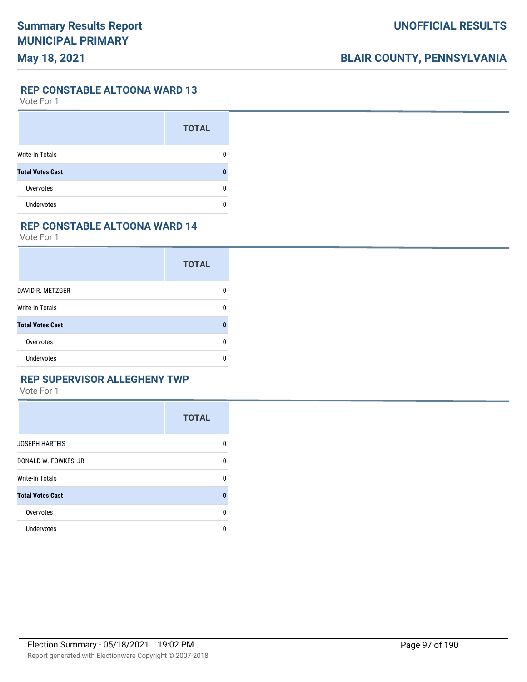#### **REP CONSTABLE ALTOONA WARD 13**

Vote For 1

|                         | <b>TOTAL</b> |
|-------------------------|--------------|
| Write-In Totals         |              |
| <b>Total Votes Cast</b> |              |
| Overvotes               | O            |
| <b>Undervotes</b>       |              |

### **REP CONSTABLE ALTOONA WARD 14**

Vote For 1

|                         | <b>TOTAL</b> |
|-------------------------|--------------|
| DAVID R. METZGER        | n            |
| Write-In Totals         | n            |
| <b>Total Votes Cast</b> | 0            |
| Overvotes               | n            |
| Undervotes              | n            |

### **REP SUPERVISOR ALLEGHENY TWP**

|                         | <b>TOTAL</b> |
|-------------------------|--------------|
| <b>JOSEPH HARTEIS</b>   | 0            |
| DONALD W. FOWKES, JR    | 0            |
| <b>Write-In Totals</b>  | 0            |
| <b>Total Votes Cast</b> | $\bf{0}$     |
| Overvotes               | $\Omega$     |
| Undervotes              | 0            |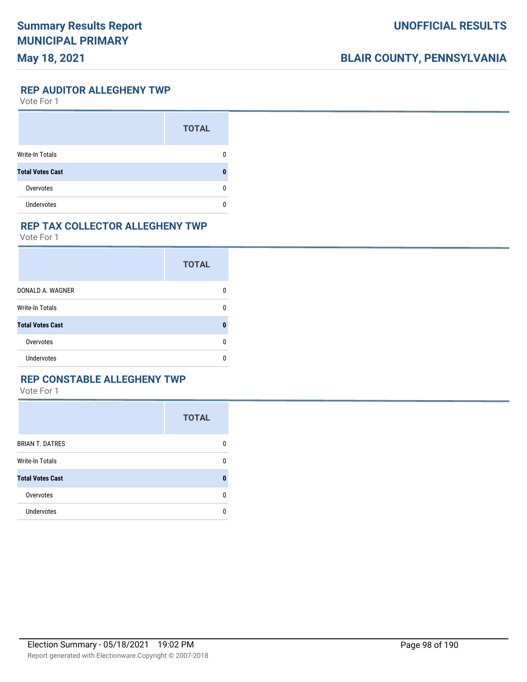# **BLAIR COUNTY, PENNSYLVANIA**

**REP AUDITOR ALLEGHENY TWP**

Vote For 1

|                         | <b>TOTAL</b> |
|-------------------------|--------------|
| Write-In Totals         |              |
| <b>Total Votes Cast</b> | П            |
| Overvotes               | O            |
| <b>Undervotes</b>       |              |

#### **REP TAX COLLECTOR ALLEGHENY TWP**

Vote For 1

|                         | <b>TOTAL</b> |
|-------------------------|--------------|
| DONALD A. WAGNER        |              |
| Write-In Totals         |              |
| <b>Total Votes Cast</b> |              |
| Overvotes               | n            |
| Undervotes              |              |

#### **REP CONSTABLE ALLEGHENY TWP**

|                         | <b>TOTAL</b> |
|-------------------------|--------------|
| <b>BRIAN T. DATRES</b>  | 0            |
| <b>Write-In Totals</b>  | 0            |
| <b>Total Votes Cast</b> | n            |
| Overvotes               | 0            |
| Undervotes              | 0            |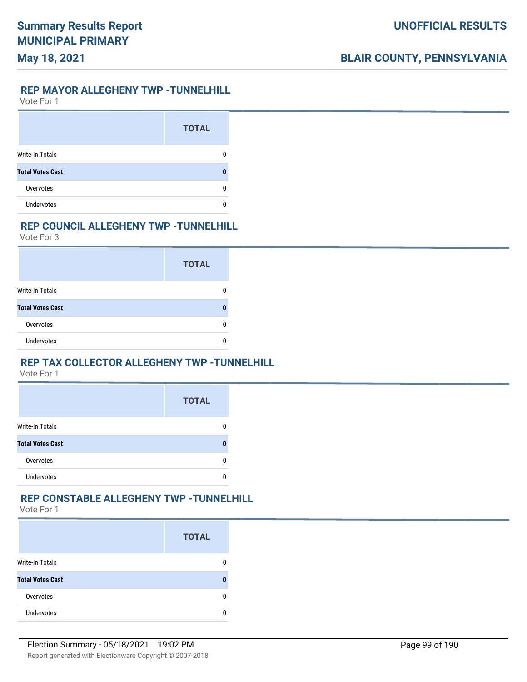#### **REP MAYOR ALLEGHENY TWP -TUNNELHILL**

Vote For 1

**May 18, 2021**

|                         | <b>TOTAL</b> |
|-------------------------|--------------|
| <b>Write-In Totals</b>  |              |
| <b>Total Votes Cast</b> |              |
| Overvotes               |              |
| <b>Undervotes</b>       |              |

#### **REP COUNCIL ALLEGHENY TWP -TUNNELHILL**

Vote For 3

|                         | <b>TOTAL</b> |
|-------------------------|--------------|
| Write-In Totals         |              |
| <b>Total Votes Cast</b> |              |
| Overvotes               |              |
| Undervotes              |              |

#### **REP TAX COLLECTOR ALLEGHENY TWP -TUNNELHILL**

Vote For 1

|                         | <b>TOTAL</b> |
|-------------------------|--------------|
| <b>Write-In Totals</b>  |              |
| <b>Total Votes Cast</b> |              |
| Overvotes               |              |
| <b>Undervotes</b>       |              |

### **REP CONSTABLE ALLEGHENY TWP -TUNNELHILL**

|                         | <b>TOTAL</b> |
|-------------------------|--------------|
| <b>Write-In Totals</b>  |              |
| <b>Total Votes Cast</b> |              |
| Overvotes               |              |
| <b>Undervotes</b>       |              |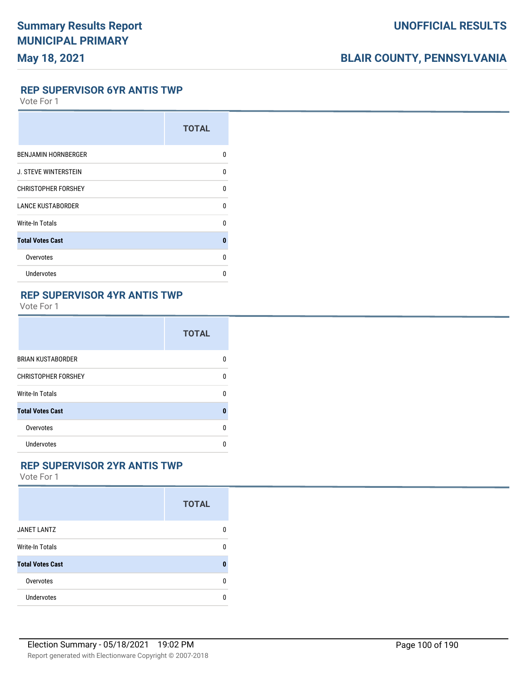# **BLAIR COUNTY, PENNSYLVANIA**

#### **REP SUPERVISOR 6YR ANTIS TWP**

Vote For 1

|                             | <b>TOTAL</b> |
|-----------------------------|--------------|
| <b>BENJAMIN HORNBERGER</b>  | U            |
| <b>J. STEVE WINTERSTEIN</b> | U            |
| <b>CHRISTOPHER FORSHEY</b>  | U            |
| <b>LANCE KUSTABORDER</b>    | U            |
| Write-In Totals             | U            |
| <b>Total Votes Cast</b>     | 0            |
| Overvotes                   | U            |
| Undervotes                  | U            |

# **REP SUPERVISOR 4YR ANTIS TWP**

Vote For 1

|                            | <b>TOTAL</b> |
|----------------------------|--------------|
| <b>BRIAN KUSTABORDER</b>   | n            |
| <b>CHRISTOPHER FORSHEY</b> | U            |
| Write-In Totals            | U            |
| <b>Total Votes Cast</b>    | 0            |
| Overvotes                  | U            |
| Undervotes                 | n            |

#### **REP SUPERVISOR 2YR ANTIS TWP**

|                         | <b>TOTAL</b> |
|-------------------------|--------------|
| <b>JANET LANTZ</b>      | 0            |
| Write-In Totals         | 0            |
| <b>Total Votes Cast</b> | 0            |
| Overvotes               | 0            |
| Undervotes              | 0            |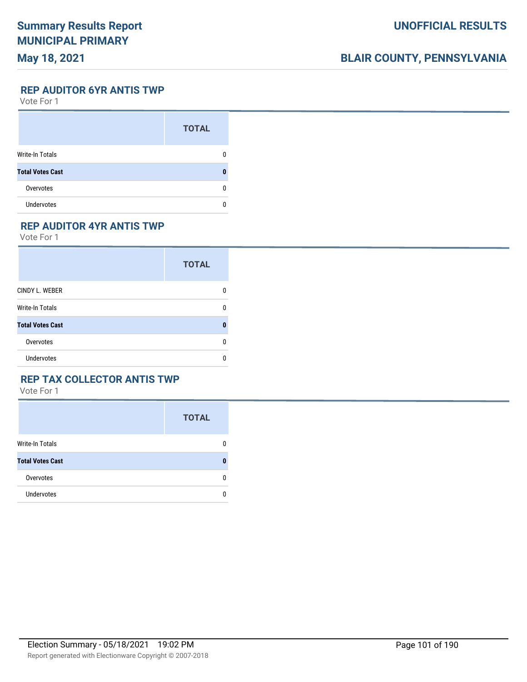# **BLAIR COUNTY, PENNSYLVANIA**

**REP AUDITOR 6YR ANTIS TWP**

Vote For 1

|                         | <b>TOTAL</b> |
|-------------------------|--------------|
| Write-In Totals         |              |
| <b>Total Votes Cast</b> |              |
| Overvotes               |              |
| <b>Undervotes</b>       |              |

### **REP AUDITOR 4YR ANTIS TWP**

Vote For 1

|                         | <b>TOTAL</b> |
|-------------------------|--------------|
| CINDY L. WEBER          | n            |
| Write-In Totals         | O            |
| <b>Total Votes Cast</b> |              |
| Overvotes               | n            |
| Undervotes              | n            |

#### **REP TAX COLLECTOR ANTIS TWP**

|                         | <b>TOTAL</b> |
|-------------------------|--------------|
| <b>Write-In Totals</b>  | 0            |
| <b>Total Votes Cast</b> | 0            |
| Overvotes               | 0            |
| Undervotes              | 0            |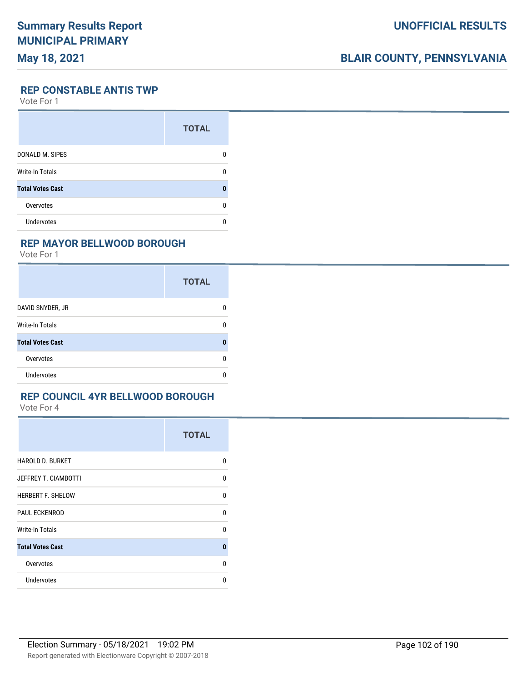# **BLAIR COUNTY, PENNSYLVANIA**

**REP CONSTABLE ANTIS TWP**

Vote For 1

|                         | <b>TOTAL</b> |
|-------------------------|--------------|
| DONALD M. SIPES         | O            |
| <b>Write-In Totals</b>  | n            |
| <b>Total Votes Cast</b> | ٥            |
| Overvotes               | n            |
| <b>Undervotes</b>       |              |

#### **REP MAYOR BELLWOOD BOROUGH**

Vote For 1

|                         | <b>TOTAL</b> |
|-------------------------|--------------|
| DAVID SNYDER, JR        | 0            |
| Write-In Totals         | 0            |
| <b>Total Votes Cast</b> | $\bf{0}$     |
| Overvotes               | 0            |
| Undervotes              | 0            |

#### **REP COUNCIL 4YR BELLWOOD BOROUGH**

|                             | <b>TOTAL</b> |
|-----------------------------|--------------|
| <b>HAROLD D. BURKET</b>     | 0            |
| <b>JEFFREY T. CIAMBOTTI</b> | 0            |
| <b>HERBERT F. SHELOW</b>    | 0            |
| <b>PAUL ECKENROD</b>        | 0            |
| Write-In Totals             | 0            |
| <b>Total Votes Cast</b>     | $\bf{0}$     |
| Overvotes                   | 0            |
| <b>Undervotes</b>           | 0            |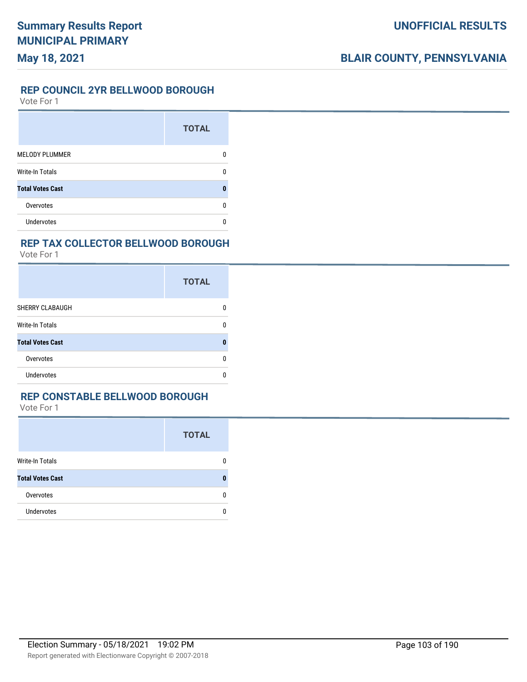#### **REP COUNCIL 2YR BELLWOOD BOROUGH**

Vote For 1

|                         | <b>TOTAL</b> |
|-------------------------|--------------|
| <b>MELODY PLUMMER</b>   |              |
| <b>Write-In Totals</b>  |              |
| <b>Total Votes Cast</b> |              |
| Overvotes               |              |
| Undervotes              |              |

#### **REP TAX COLLECTOR BELLWOOD BOROUGH**

Vote For 1

|                         | <b>TOTAL</b> |
|-------------------------|--------------|
| SHERRY CLABAUGH         | n            |
| <b>Write-In Totals</b>  | n            |
| <b>Total Votes Cast</b> | Λ            |
| Overvotes               | n            |
| Undervotes              | n            |

#### **REP CONSTABLE BELLWOOD BOROUGH**

|                         | <b>TOTAL</b> |
|-------------------------|--------------|
| Write-In Totals         | 0            |
| <b>Total Votes Cast</b> | 0            |
| Overvotes               | 0            |
| <b>Undervotes</b>       | n            |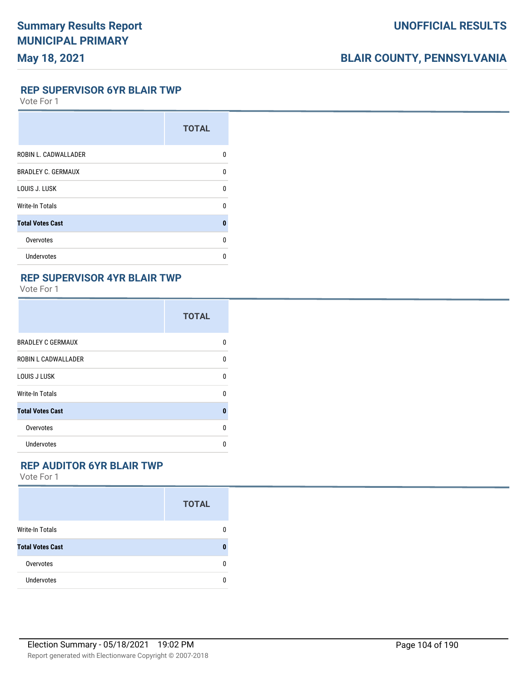# **BLAIR COUNTY, PENNSYLVANIA**

#### **REP SUPERVISOR 6YR BLAIR TWP**

Vote For 1

|                           | <b>TOTAL</b> |
|---------------------------|--------------|
| ROBIN L. CADWALLADER      | U            |
| <b>BRADLEY C. GERMAUX</b> | U            |
| LOUIS J. LUSK             | U            |
| Write-In Totals           | U            |
| <b>Total Votes Cast</b>   | 0            |
| Overvotes                 | n            |
| <b>Undervotes</b>         | n            |

#### **REP SUPERVISOR 4YR BLAIR TWP**

Vote For 1

|                            | <b>TOTAL</b> |
|----------------------------|--------------|
| <b>BRADLEY C GERMAUX</b>   | U            |
| <b>ROBIN L CADWALLADER</b> | n            |
| LOUIS J LUSK               | U            |
| <b>Write-In Totals</b>     | U            |
| <b>Total Votes Cast</b>    | ŋ            |
| Overvotes                  | U            |
| Undervotes                 | n            |

### **REP AUDITOR 6YR BLAIR TWP**

|                         | <b>TOTAL</b> |
|-------------------------|--------------|
| Write-In Totals         | 0            |
| <b>Total Votes Cast</b> | 0            |
| Overvotes               | 0            |
| Undervotes              | n            |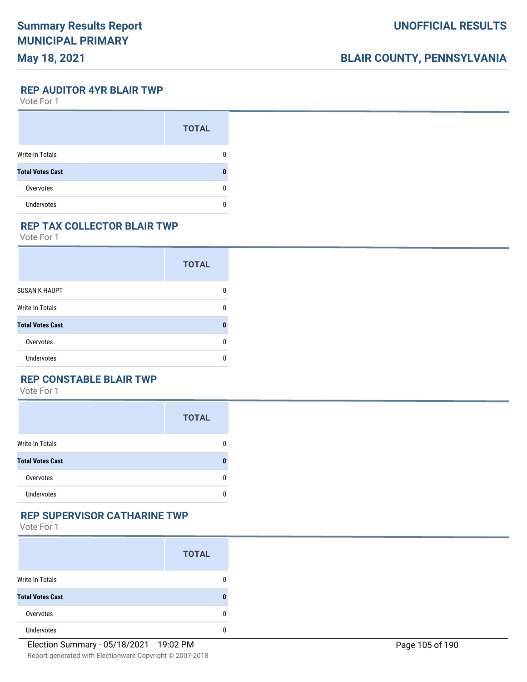# **BLAIR COUNTY, PENNSYLVANIA**

**REP AUDITOR 4YR BLAIR TWP**

Vote For 1

|                         | <b>TOTAL</b> |
|-------------------------|--------------|
| Write-In Totals         |              |
| <b>Total Votes Cast</b> |              |
| Overvotes               | O            |
| <b>Undervotes</b>       |              |

#### **REP TAX COLLECTOR BLAIR TWP**

Vote For 1

|                         | <b>TOTAL</b> |
|-------------------------|--------------|
| <b>SUSAN K HAUPT</b>    | n            |
| <b>Write-In Totals</b>  | n            |
| <b>Total Votes Cast</b> | Λ            |
| Overvotes               | U            |
| Undervotes              | ŋ            |

#### **REP CONSTABLE BLAIR TWP**

Vote For 1

|                         | <b>TOTAL</b> |
|-------------------------|--------------|
| <b>Write-In Totals</b>  | n            |
| <b>Total Votes Cast</b> |              |
| Overvotes               |              |
| <b>Undervotes</b>       |              |

#### **REP SUPERVISOR CATHARINE TWP**

|                         | <b>TOTAL</b> |
|-------------------------|--------------|
| <b>Write-In Totals</b>  | 0            |
| <b>Total Votes Cast</b> | 0            |
| Overvotes               | 0            |
| <b>Undervotes</b>       | n            |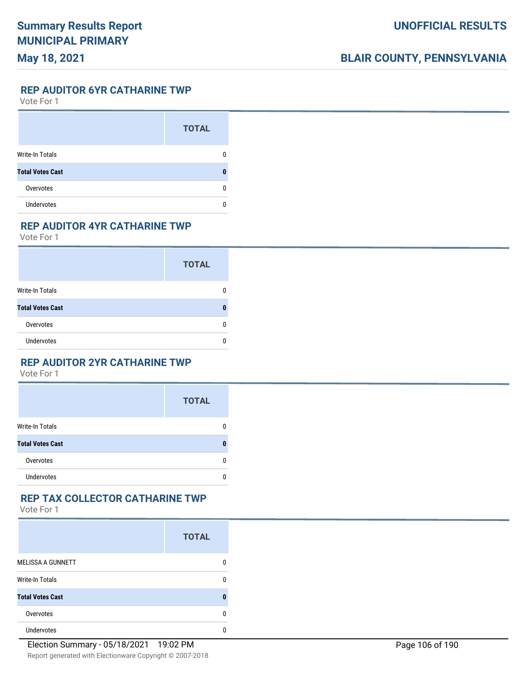**REP AUDITOR 6YR CATHARINE TWP**

Vote For 1

|                         | <b>TOTAL</b> |
|-------------------------|--------------|
| Write-In Totals         |              |
| <b>Total Votes Cast</b> |              |
| Overvotes               |              |
| <b>Undervotes</b>       |              |

#### **REP AUDITOR 4YR CATHARINE TWP**

Vote For 1

|                         | <b>TOTAL</b> |
|-------------------------|--------------|
| <b>Write-In Totals</b>  |              |
| <b>Total Votes Cast</b> |              |
| Overvotes               |              |
| <b>Undervotes</b>       |              |

#### **REP AUDITOR 2YR CATHARINE TWP**

Vote For 1

|                         | <b>TOTAL</b> |
|-------------------------|--------------|
| <b>Write-In Totals</b>  | 0            |
| <b>Total Votes Cast</b> | n            |
| Overvotes               | 0            |
| <b>Undervotes</b>       | U            |

#### **REP TAX COLLECTOR CATHARINE TWP**

|                          | <b>TOTAL</b> |
|--------------------------|--------------|
| <b>MELISSA A GUNNETT</b> | 0            |
| <b>Write-In Totals</b>   | 0            |
| <b>Total Votes Cast</b>  | 0            |
| Overvotes                | n            |
| <b>Undervotes</b>        | n            |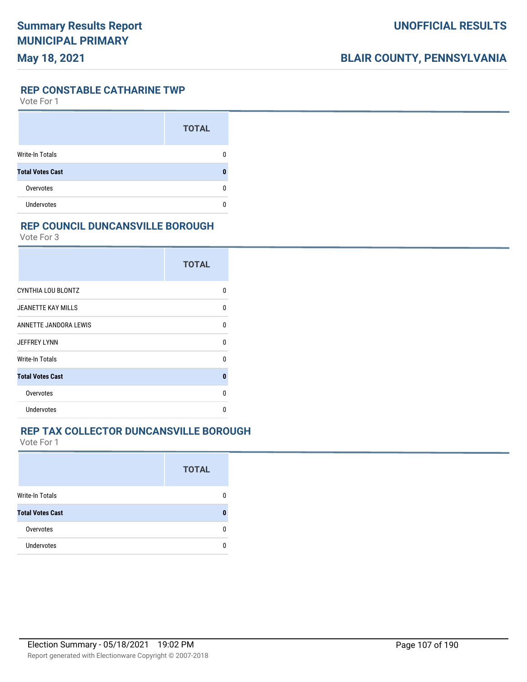#### **REP CONSTABLE CATHARINE TWP**

Vote For 1

|                         | <b>TOTAL</b> |
|-------------------------|--------------|
| <b>Write-In Totals</b>  |              |
| <b>Total Votes Cast</b> | O            |
| Overvotes               | n            |
| <b>Undervotes</b>       |              |

#### **REP COUNCIL DUNCANSVILLE BOROUGH**

Vote For 3

|                           | <b>TOTAL</b> |
|---------------------------|--------------|
| CYNTHIA LOU BLONTZ        | n            |
| <b>JEANETTE KAY MILLS</b> | U            |
| ANNETTE JANDORA LEWIS     | U            |
| <b>JEFFREY LYNN</b>       | U            |
| Write-In Totals           | U            |
| <b>Total Votes Cast</b>   | $\mathbf{0}$ |
| Overvotes                 | U            |
| <b>Undervotes</b>         | n            |

#### **REP TAX COLLECTOR DUNCANSVILLE BOROUGH**

|                         | <b>TOTAL</b> |
|-------------------------|--------------|
| Write-In Totals         |              |
| <b>Total Votes Cast</b> |              |
| Overvotes               |              |
| <b>Undervotes</b>       |              |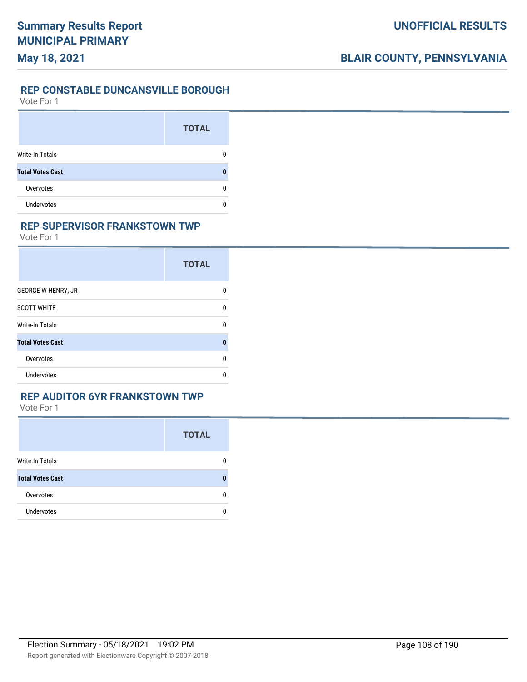#### **UNOFFICIAL RESULTS**

# **BLAIR COUNTY, PENNSYLVANIA**

#### **REP CONSTABLE DUNCANSVILLE BOROUGH**

Vote For 1

|                         | <b>TOTAL</b> |
|-------------------------|--------------|
| Write-In Totals         |              |
| <b>Total Votes Cast</b> |              |
| Overvotes               |              |
| <b>Undervotes</b>       |              |

#### **REP SUPERVISOR FRANKSTOWN TWP**

Vote For 1

|                           | <b>TOTAL</b> |
|---------------------------|--------------|
| <b>GEORGE W HENRY, JR</b> |              |
| <b>SCOTT WHITE</b>        | n            |
| <b>Write-In Totals</b>    | n            |
| <b>Total Votes Cast</b>   | Ω            |
| Overvotes                 | n            |
| Undervotes                |              |

#### **REP AUDITOR 6YR FRANKSTOWN TWP**

|                         | <b>TOTAL</b> |
|-------------------------|--------------|
| <b>Write-In Totals</b>  |              |
| <b>Total Votes Cast</b> | Ω            |
| Overvotes               | n            |
| <b>Undervotes</b>       | n            |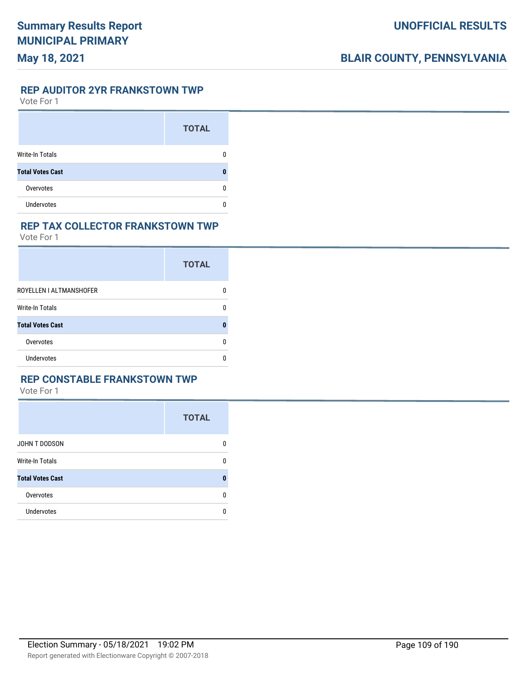#### **REP AUDITOR 2YR FRANKSTOWN TWP**

Vote For 1

|                         | <b>TOTAL</b> |
|-------------------------|--------------|
| <b>Write-In Totals</b>  |              |
| <b>Total Votes Cast</b> |              |
| Overvotes               |              |
| <b>Undervotes</b>       |              |

#### **REP TAX COLLECTOR FRANKSTOWN TWP**

Vote For 1

|                         | <b>TOTAL</b> |
|-------------------------|--------------|
| ROYELLEN I ALTMANSHOFER |              |
| Write-In Totals         |              |
| <b>Total Votes Cast</b> |              |
| Overvotes               |              |
| Undervotes              |              |

### **REP CONSTABLE FRANKSTOWN TWP**

|                         | <b>TOTAL</b> |
|-------------------------|--------------|
| JOHN T DODSON           | 0            |
| <b>Write-In Totals</b>  | 0            |
| <b>Total Votes Cast</b> | n            |
| Overvotes               | 0            |
| Undervotes              | 0            |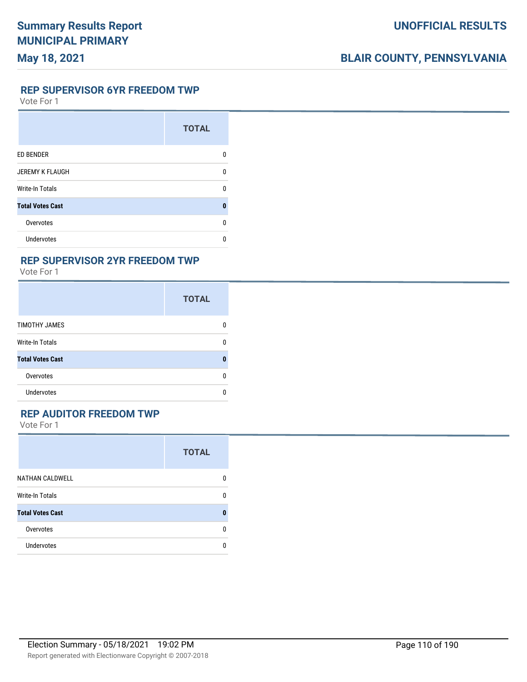**REP SUPERVISOR 6YR FREEDOM TWP**

Vote For 1

|                         | <b>TOTAL</b> |
|-------------------------|--------------|
| <b>ED BENDER</b>        | n            |
| <b>JEREMY K FLAUGH</b>  | ŋ            |
| <b>Write-In Totals</b>  | n            |
| <b>Total Votes Cast</b> | $\mathbf{0}$ |
| Overvotes               | U            |
| <b>Undervotes</b>       | n            |

#### **REP SUPERVISOR 2YR FREEDOM TWP**

Vote For 1

|                         | <b>TOTAL</b> |
|-------------------------|--------------|
| TIMOTHY JAMES           | n            |
| <b>Write-In Totals</b>  | n            |
| <b>Total Votes Cast</b> | Ω            |
| Overvotes               | n            |
| <b>Undervotes</b>       | n            |

### **REP AUDITOR FREEDOM TWP**

|                         | <b>TOTAL</b> |
|-------------------------|--------------|
| <b>NATHAN CALDWELL</b>  | 0            |
| <b>Write-In Totals</b>  | 0            |
| <b>Total Votes Cast</b> | 0            |
| Overvotes               | 0            |
| <b>Undervotes</b>       | 0            |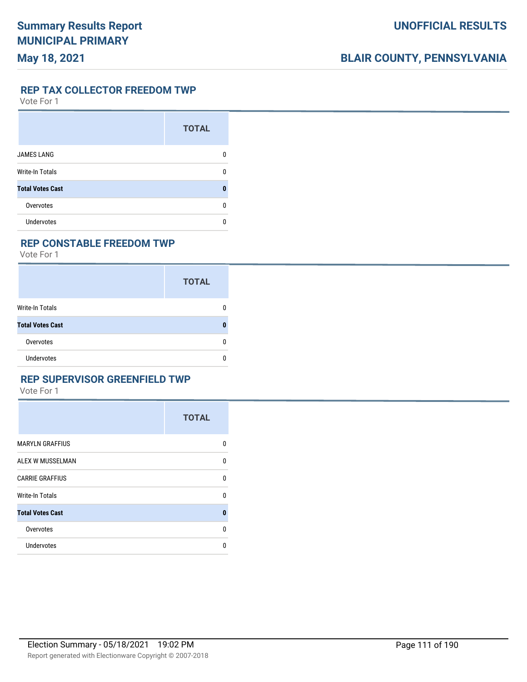**REP TAX COLLECTOR FREEDOM TWP**

Vote For 1

|                         | <b>TOTAL</b> |
|-------------------------|--------------|
| <b>JAMES LANG</b>       |              |
| <b>Write-In Totals</b>  | n            |
| <b>Total Votes Cast</b> | Ω            |
| Overvotes               | n            |
| <b>Undervotes</b>       |              |

#### **REP CONSTABLE FREEDOM TWP**

Vote For 1

|                         | <b>TOTAL</b> |
|-------------------------|--------------|
| Write-In Totals         | 0            |
| <b>Total Votes Cast</b> | 0            |
| Overvotes               | 0            |
| Undervotes              | n            |

### **REP SUPERVISOR GREENFIELD TWP**

|                         | <b>TOTAL</b> |
|-------------------------|--------------|
| <b>MARYLN GRAFFIUS</b>  | 0            |
| ALEX W MUSSELMAN        | 0            |
| <b>CARRIE GRAFFIUS</b>  | $\Omega$     |
| <b>Write-In Totals</b>  | $\Omega$     |
| <b>Total Votes Cast</b> | 0            |
| Overvotes               | $\Omega$     |
| Undervotes              | 0            |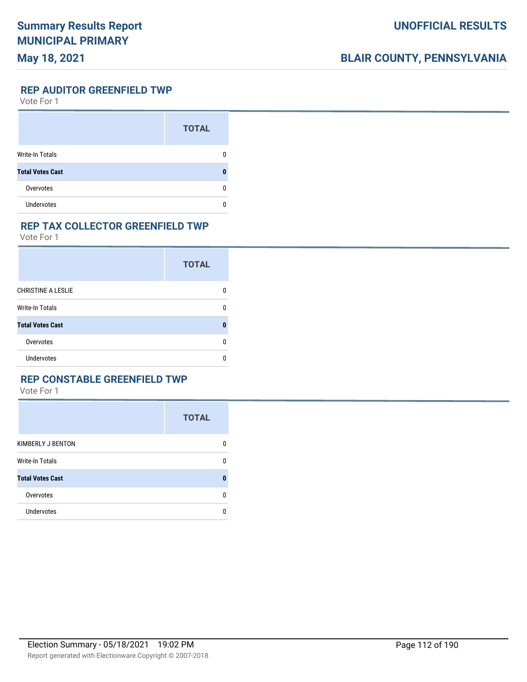## **May 18, 2021**

## **BLAIR COUNTY, PENNSYLVANIA**

#### **REP AUDITOR GREENFIELD TWP**

Vote For 1

|                         | <b>TOTAL</b> |
|-------------------------|--------------|
| <b>Write-In Totals</b>  |              |
| <b>Total Votes Cast</b> |              |
| Overvotes               | O            |
| <b>Undervotes</b>       |              |

#### **REP TAX COLLECTOR GREENFIELD TWP**

Vote For 1

|                           | <b>TOTAL</b> |
|---------------------------|--------------|
| <b>CHRISTINE A LESLIE</b> | n            |
| Write-In Totals           | n            |
| <b>Total Votes Cast</b>   | ŋ            |
| Overvotes                 | n            |
| Undervotes                | n            |

### **REP CONSTABLE GREENFIELD TWP**

|                         | <b>TOTAL</b> |
|-------------------------|--------------|
| KIMBERLY J BENTON       | 0            |
| <b>Write-In Totals</b>  | 0            |
| <b>Total Votes Cast</b> | 0            |
| Overvotes               | 0            |
| Undervotes              | 0            |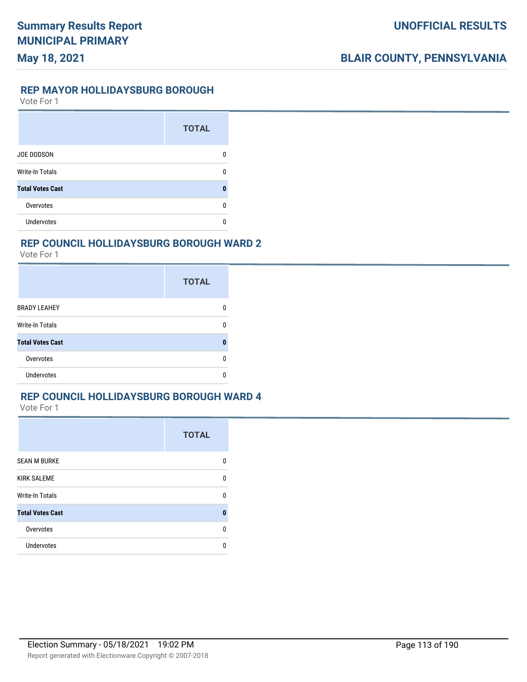**REP MAYOR HOLLIDAYSBURG BOROUGH**

Vote For 1

|                         | <b>TOTAL</b> |
|-------------------------|--------------|
| <b>JOE DODSON</b>       |              |
| <b>Write-In Totals</b>  | n            |
| <b>Total Votes Cast</b> | O            |
| Overvotes               | n            |
| <b>Undervotes</b>       |              |

#### **REP COUNCIL HOLLIDAYSBURG BOROUGH WARD 2**

Vote For 1

|                         | <b>TOTAL</b> |
|-------------------------|--------------|
| <b>BRADY LEAHEY</b>     |              |
| <b>Write-In Totals</b>  |              |
| <b>Total Votes Cast</b> |              |
| Overvotes               |              |
| <b>Undervotes</b>       |              |

### **REP COUNCIL HOLLIDAYSBURG BOROUGH WARD 4**

|                         | <b>TOTAL</b> |
|-------------------------|--------------|
| <b>SEAN M BURKE</b>     | n            |
| <b>KIRK SALEME</b>      | <sup>0</sup> |
| Write-In Totals         | 0            |
| <b>Total Votes Cast</b> | 0            |
| Overvotes               | U            |
| <b>Undervotes</b>       | U            |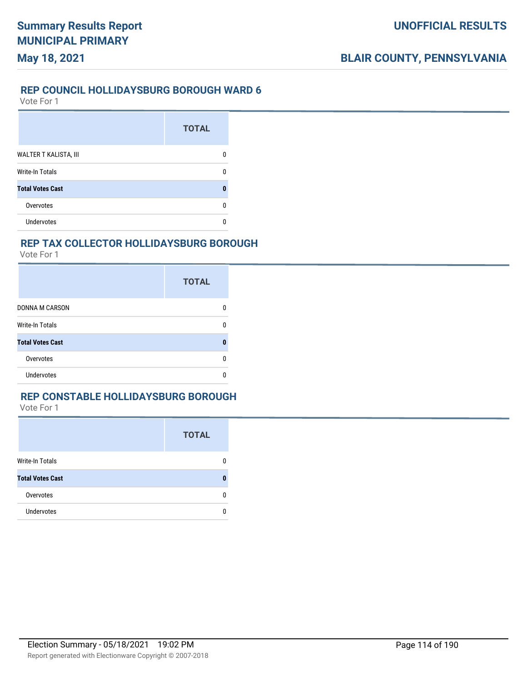## **REP COUNCIL HOLLIDAYSBURG BOROUGH WARD 6**

Vote For 1

**May 18, 2021**

|                         | <b>TOTAL</b> |
|-------------------------|--------------|
| WALTER T KALISTA, III   |              |
| <b>Write-In Totals</b>  |              |
| <b>Total Votes Cast</b> |              |
| Overvotes               |              |
| Undervotes              |              |

#### **REP TAX COLLECTOR HOLLIDAYSBURG BOROUGH**

Vote For 1

|                         | <b>TOTAL</b> |
|-------------------------|--------------|
| <b>DONNA M CARSON</b>   |              |
| <b>Write-In Totals</b>  |              |
| <b>Total Votes Cast</b> |              |
| Overvotes               |              |
| Undervotes              |              |

#### **REP CONSTABLE HOLLIDAYSBURG BOROUGH**

|                         | <b>TOTAL</b> |
|-------------------------|--------------|
| Write-In Totals         | 0            |
| <b>Total Votes Cast</b> | n            |
| Overvotes               | 0            |
| <b>Undervotes</b>       | 0            |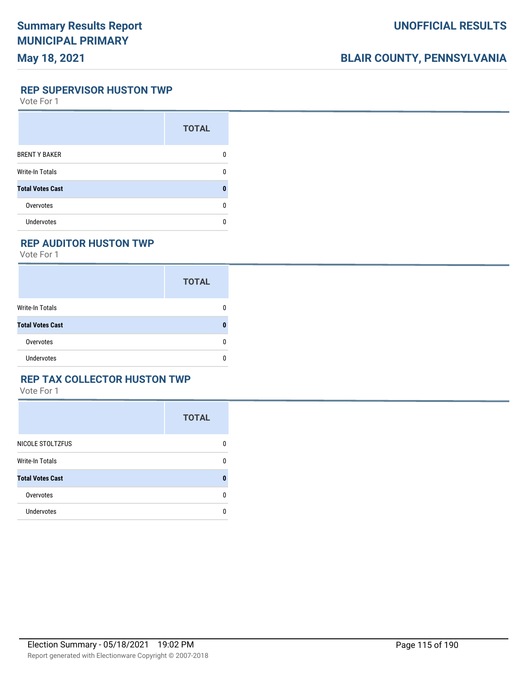## **May 18, 2021**

## **BLAIR COUNTY, PENNSYLVANIA**

**REP SUPERVISOR HUSTON TWP**

Vote For 1

|                         | <b>TOTAL</b> |
|-------------------------|--------------|
| <b>BRENT Y BAKER</b>    |              |
| <b>Write-In Totals</b>  | n            |
| <b>Total Votes Cast</b> |              |
| Overvotes               | n            |
| Undervotes              |              |

### **REP AUDITOR HUSTON TWP**

Vote For 1

|                         | <b>TOTAL</b> |
|-------------------------|--------------|
| <b>Write-In Totals</b>  | 0            |
| <b>Total Votes Cast</b> | 0            |
| Overvotes               | 0            |
| <b>Undervotes</b>       | 0            |

### **REP TAX COLLECTOR HUSTON TWP**

|                         | <b>TOTAL</b> |
|-------------------------|--------------|
| NICOLE STOLTZFUS        | 0            |
| <b>Write-In Totals</b>  | 0            |
| <b>Total Votes Cast</b> | n            |
| Overvotes               | 0            |
| Undervotes              | 0            |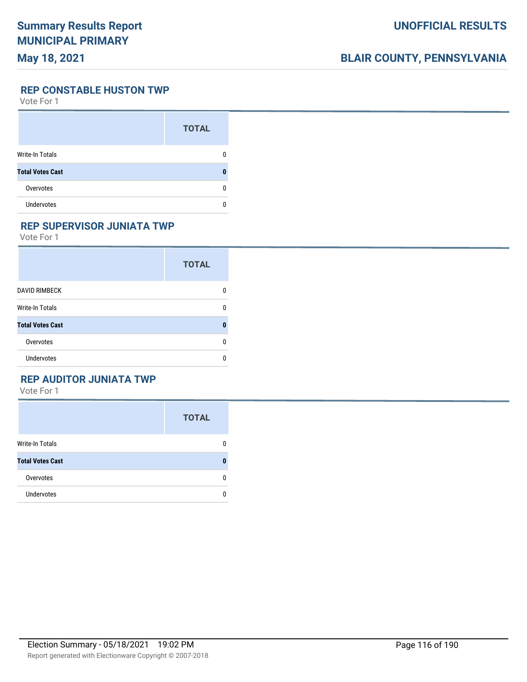## **May 18, 2021**

## **BLAIR COUNTY, PENNSYLVANIA**

**REP CONSTABLE HUSTON TWP**

Vote For 1

|                         | <b>TOTAL</b> |
|-------------------------|--------------|
| <b>Write-In Totals</b>  |              |
| <b>Total Votes Cast</b> |              |
| Overvotes               |              |
| <b>Undervotes</b>       |              |

### **REP SUPERVISOR JUNIATA TWP**

Vote For 1

|                         | <b>TOTAL</b> |
|-------------------------|--------------|
| <b>DAVID RIMBECK</b>    | n            |
| <b>Write-In Totals</b>  | n            |
| <b>Total Votes Cast</b> | Ω            |
| Overvotes               | 0            |
| Undervotes              | O            |

### **REP AUDITOR JUNIATA TWP**

|                         | <b>TOTAL</b> |
|-------------------------|--------------|
| Write-In Totals         | 0            |
| <b>Total Votes Cast</b> | 0            |
| Overvotes               | 0            |
| <b>Undervotes</b>       | n            |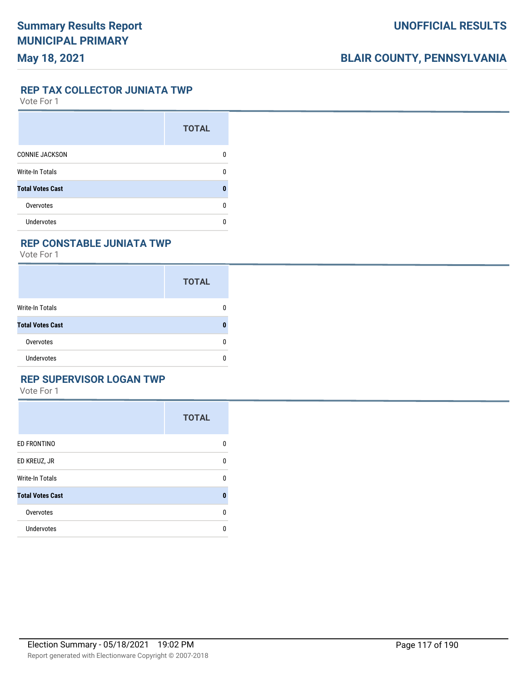**REP TAX COLLECTOR JUNIATA TWP**

Vote For 1

|                         | <b>TOTAL</b> |
|-------------------------|--------------|
| <b>CONNIE JACKSON</b>   | n            |
| <b>Write-In Totals</b>  | n            |
| <b>Total Votes Cast</b> |              |
| Overvotes               | n            |
| <b>Undervotes</b>       |              |

### **REP CONSTABLE JUNIATA TWP**

Vote For 1

|                         | <b>TOTAL</b> |
|-------------------------|--------------|
| <b>Write-In Totals</b>  | n            |
| <b>Total Votes Cast</b> |              |
| Overvotes               | n            |
| <b>Undervotes</b>       | n            |

## **REP SUPERVISOR LOGAN TWP**

|                         | <b>TOTAL</b> |
|-------------------------|--------------|
| ED FRONTINO             | 0            |
| ED KREUZ, JR            | 0            |
| <b>Write-In Totals</b>  | 0            |
| <b>Total Votes Cast</b> | $\bf{0}$     |
| Overvotes               | $\Omega$     |
| Undervotes              | 0            |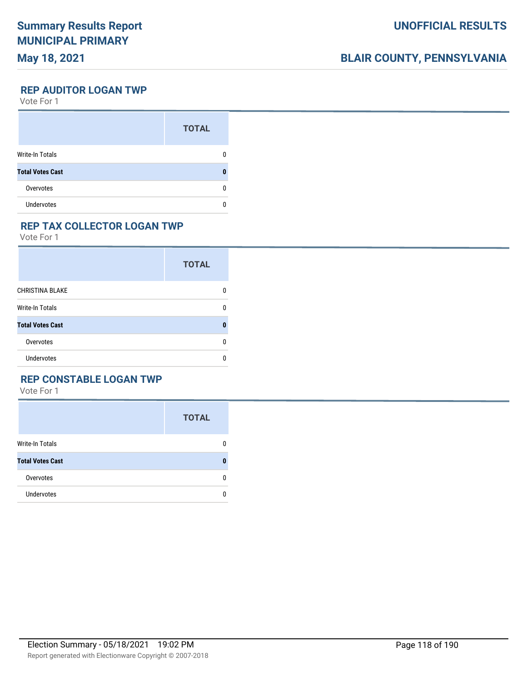### **May 18, 2021**

## **BLAIR COUNTY, PENNSYLVANIA**

**REP AUDITOR LOGAN TWP**

Vote For 1

|                         | <b>TOTAL</b> |
|-------------------------|--------------|
| Write-In Totals         |              |
| <b>Total Votes Cast</b> |              |
| Overvotes               | O            |
| <b>Undervotes</b>       |              |

#### **REP TAX COLLECTOR LOGAN TWP**

Vote For 1

|                         | <b>TOTAL</b> |
|-------------------------|--------------|
| <b>CHRISTINA BLAKE</b>  | n            |
| <b>Write-In Totals</b>  | n            |
| <b>Total Votes Cast</b> | Λ            |
| Overvotes               | U            |
| Undervotes              | n            |

### **REP CONSTABLE LOGAN TWP**

|                         | <b>TOTAL</b> |
|-------------------------|--------------|
| Write-In Totals         | 0            |
| <b>Total Votes Cast</b> | 0            |
| Overvotes               | 0            |
| Undervotes              | 0            |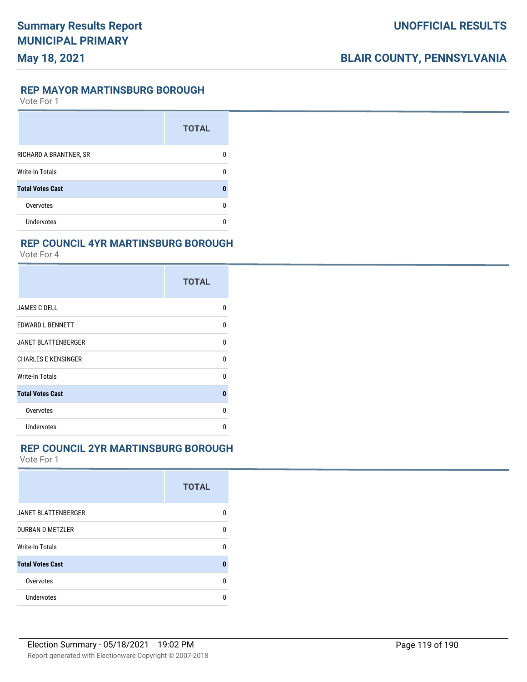#### **REP MAYOR MARTINSBURG BOROUGH**

Vote For 1

|                         | <b>TOTAL</b> |
|-------------------------|--------------|
| RICHARD A BRANTNER, SR  |              |
| <b>Write-In Totals</b>  |              |
| <b>Total Votes Cast</b> |              |
| Overvotes               |              |
| Undervotes              |              |

### **REP COUNCIL 4YR MARTINSBURG BOROUGH**

Vote For 4

|                            | <b>TOTAL</b> |
|----------------------------|--------------|
| <b>JAMES C DELL</b>        | U            |
| EDWARD L BENNETT           | U            |
| <b>JANET BLATTENBERGER</b> | U            |
| <b>CHARLES E KENSINGER</b> | U            |
| Write-In Totals            | U            |
| <b>Total Votes Cast</b>    | $\bf{0}$     |
| Overvotes                  | n            |
| <b>Undervotes</b>          | n            |

#### **REP COUNCIL 2YR MARTINSBURG BOROUGH**

|                            | <b>TOTAL</b> |
|----------------------------|--------------|
| <b>JANET BLATTENBERGER</b> | n            |
| <b>DURBAN D METZLER</b>    | n            |
| <b>Write-In Totals</b>     | n            |
| <b>Total Votes Cast</b>    | O            |
| Overvotes                  | n            |
| Undervotes                 |              |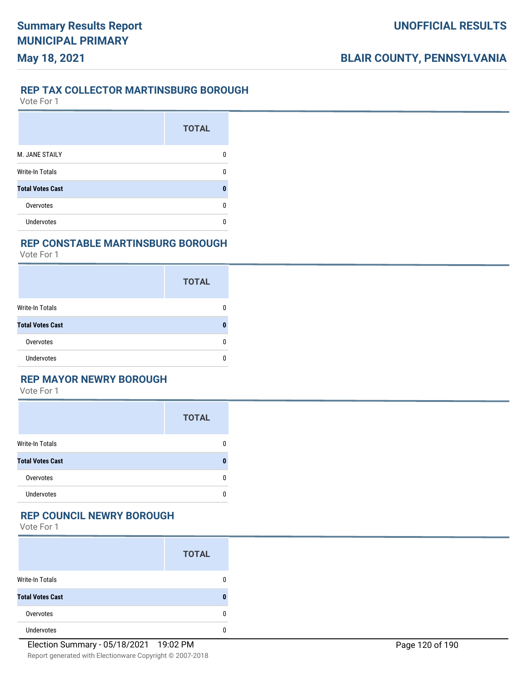#### **REP TAX COLLECTOR MARTINSBURG BOROUGH**

Vote For 1

**May 18, 2021**

|                         | <b>TOTAL</b> |
|-------------------------|--------------|
| M. JANE STAILY          |              |
| <b>Write-In Totals</b>  |              |
| <b>Total Votes Cast</b> |              |
| Overvotes               |              |
| <b>Undervotes</b>       |              |

### **REP CONSTABLE MARTINSBURG BOROUGH**

Vote For 1

|                         | <b>TOTAL</b> |
|-------------------------|--------------|
| Write-In Totals         | n            |
| <b>Total Votes Cast</b> |              |
| Overvotes               | O            |
| <b>Undervotes</b>       |              |

### **REP MAYOR NEWRY BOROUGH**

Vote For 1

|                         | <b>TOTAL</b> |
|-------------------------|--------------|
| <b>Write-In Totals</b>  | 0            |
| <b>Total Votes Cast</b> | n            |
| Overvotes               | 0            |
| <b>Undervotes</b>       | 0            |

#### **REP COUNCIL NEWRY BOROUGH**

|                         | <b>TOTAL</b> |
|-------------------------|--------------|
| <b>Write-In Totals</b>  |              |
| <b>Total Votes Cast</b> |              |
| Overvotes               |              |
| <b>Undervotes</b>       |              |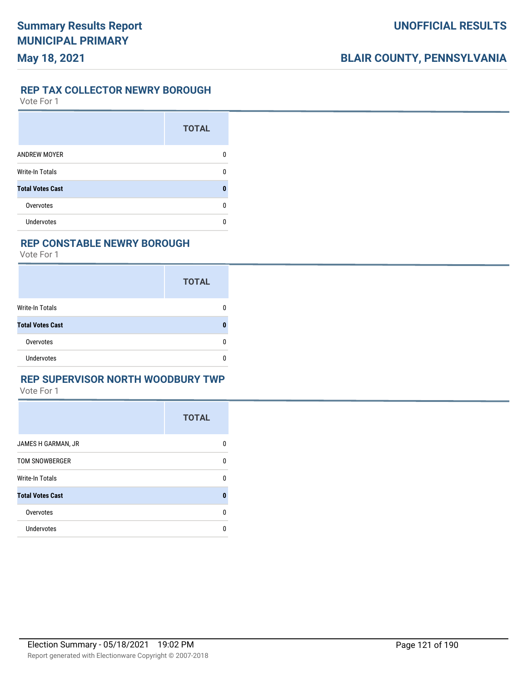#### **REP TAX COLLECTOR NEWRY BOROUGH**

Vote For 1

|                         | <b>TOTAL</b> |
|-------------------------|--------------|
| <b>ANDREW MOYER</b>     | 0            |
| <b>Write-In Totals</b>  | n            |
| <b>Total Votes Cast</b> | O            |
| Overvotes               | ŋ            |
| Undervotes              |              |

#### **REP CONSTABLE NEWRY BOROUGH**

Vote For 1

|                         | <b>TOTAL</b> |
|-------------------------|--------------|
| <b>Write-In Totals</b>  |              |
| <b>Total Votes Cast</b> |              |
| Overvotes               | n            |
| <b>Undervotes</b>       |              |

#### **REP SUPERVISOR NORTH WOODBURY TWP**

|                         | <b>TOTAL</b> |
|-------------------------|--------------|
| JAMES H GARMAN, JR      | 0            |
| <b>TOM SNOWBERGER</b>   | 0            |
| <b>Write-In Totals</b>  | 0            |
| <b>Total Votes Cast</b> | $\bf{0}$     |
| Overvotes               | $\Omega$     |
| <b>Undervotes</b>       | 0            |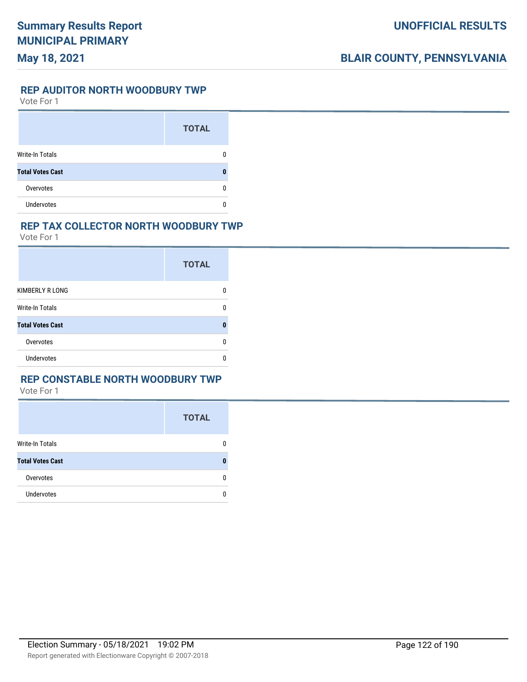#### **REP AUDITOR NORTH WOODBURY TWP**

Vote For 1

|                         | <b>TOTAL</b> |
|-------------------------|--------------|
| Write-In Totals         |              |
| <b>Total Votes Cast</b> |              |
| Overvotes               |              |
| Undervotes              |              |

#### **REP TAX COLLECTOR NORTH WOODBURY TWP**

Vote For 1

|                         | <b>TOTAL</b> |
|-------------------------|--------------|
| KIMBERLY R LONG         | O            |
| Write-In Totals         | ŋ            |
| <b>Total Votes Cast</b> | П            |
| Overvotes               | n            |
| <b>Undervotes</b>       | n            |

### **REP CONSTABLE NORTH WOODBURY TWP**

|                         | <b>TOTAL</b> |
|-------------------------|--------------|
| Write-In Totals         | n            |
| <b>Total Votes Cast</b> |              |
| Overvotes               | n            |
| <b>Undervotes</b>       |              |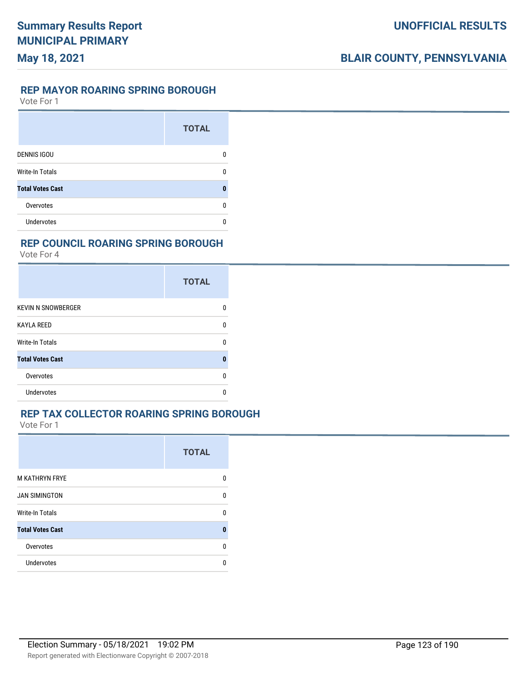#### **REP MAYOR ROARING SPRING BOROUGH**

Vote For 1

|                         | <b>TOTAL</b> |
|-------------------------|--------------|
| <b>DENNIS IGOU</b>      | 0            |
| <b>Write-In Totals</b>  | n            |
| <b>Total Votes Cast</b> | 0            |
| Overvotes               | ŋ            |
| Undervotes              | n            |

#### **REP COUNCIL ROARING SPRING BOROUGH**

Vote For 4

|                           | <b>TOTAL</b> |
|---------------------------|--------------|
| <b>KEVIN N SNOWBERGER</b> |              |
| <b>KAYLA REED</b>         |              |
| Write-In Totals           | n            |
| <b>Total Votes Cast</b>   | Ω            |
| Overvotes                 | п            |
| <b>Undervotes</b>         |              |

### **REP TAX COLLECTOR ROARING SPRING BOROUGH**

|                         | <b>TOTAL</b> |
|-------------------------|--------------|
| <b>M KATHRYN FRYE</b>   | 0            |
| <b>JAN SIMINGTON</b>    | 0            |
| Write-In Totals         | U            |
| <b>Total Votes Cast</b> | 0            |
| Overvotes               | 0            |
| <b>Undervotes</b>       | n            |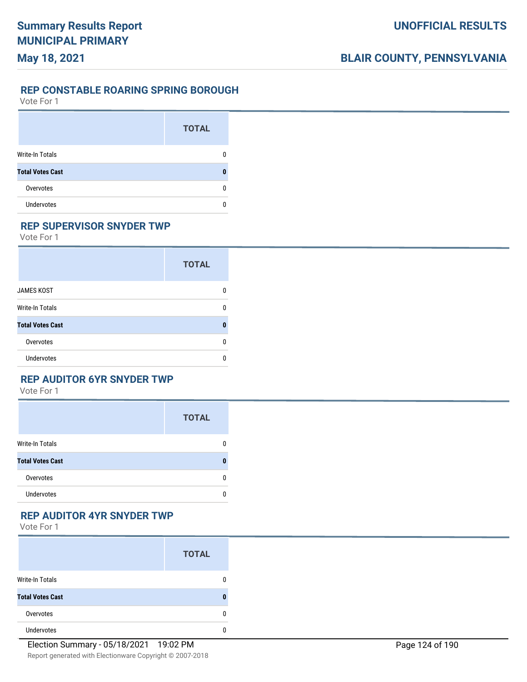### **UNOFFICIAL RESULTS**

## **BLAIR COUNTY, PENNSYLVANIA**

#### **REP CONSTABLE ROARING SPRING BOROUGH**

Vote For 1

|                         | <b>TOTAL</b> |
|-------------------------|--------------|
| Write-In Totals         |              |
| <b>Total Votes Cast</b> |              |
| Overvotes               |              |
| <b>Undervotes</b>       |              |

### **REP SUPERVISOR SNYDER TWP**

Vote For 1

|                         | <b>TOTAL</b> |
|-------------------------|--------------|
| <b>JAMES KOST</b>       | 0            |
| <b>Write-In Totals</b>  | n            |
| <b>Total Votes Cast</b> | Ω            |
| Overvotes               | 0            |
| <b>Undervotes</b>       | n            |

### **REP AUDITOR 6YR SNYDER TWP**

Vote For 1

|                         | <b>TOTAL</b> |
|-------------------------|--------------|
| <b>Write-In Totals</b>  | 0            |
| <b>Total Votes Cast</b> | n            |
| Overvotes               | 0            |
| <b>Undervotes</b>       | 0            |

#### **REP AUDITOR 4YR SNYDER TWP**

|                         | <b>TOTAL</b> |
|-------------------------|--------------|
| <b>Write-In Totals</b>  |              |
| <b>Total Votes Cast</b> |              |
| Overvotes               |              |
| <b>Undervotes</b>       |              |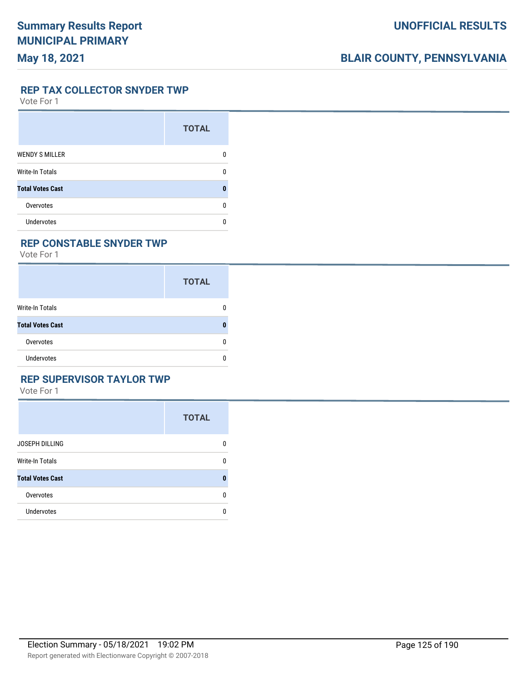**REP TAX COLLECTOR SNYDER TWP**

Vote For 1

|                         | <b>TOTAL</b> |
|-------------------------|--------------|
| <b>WENDY S MILLER</b>   |              |
| <b>Write-In Totals</b>  | n            |
| <b>Total Votes Cast</b> | Ω            |
| Overvotes               | n            |
| <b>Undervotes</b>       |              |

#### **REP CONSTABLE SNYDER TWP**

Vote For 1

|                         | <b>TOTAL</b> |
|-------------------------|--------------|
| <b>Write-In Totals</b>  | n            |
| <b>Total Votes Cast</b> |              |
| Overvotes               | n            |
| <b>Undervotes</b>       | n            |

### **REP SUPERVISOR TAYLOR TWP**

|                         | <b>TOTAL</b> |
|-------------------------|--------------|
| JOSEPH DILLING          | 0            |
| <b>Write-In Totals</b>  | 0            |
| <b>Total Votes Cast</b> | 0            |
| Overvotes               | 0            |
| Undervotes              | 0            |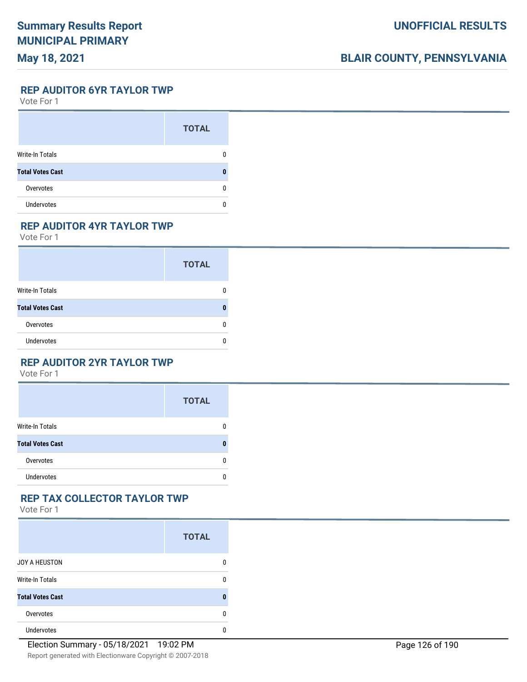### **May 18, 2021**

## **BLAIR COUNTY, PENNSYLVANIA**

**REP AUDITOR 6YR TAYLOR TWP**

Vote For 1

|                         | <b>TOTAL</b> |
|-------------------------|--------------|
| Write-In Totals         |              |
| <b>Total Votes Cast</b> |              |
| Overvotes               |              |
| <b>Undervotes</b>       |              |

### **REP AUDITOR 4YR TAYLOR TWP**

Vote For 1

|                         | <b>TOTAL</b> |
|-------------------------|--------------|
| <b>Write-In Totals</b>  |              |
| <b>Total Votes Cast</b> |              |
| Overvotes               |              |
| <b>Undervotes</b>       |              |

#### **REP AUDITOR 2YR TAYLOR TWP**

Vote For 1

|                         | <b>TOTAL</b> |
|-------------------------|--------------|
| <b>Write-In Totals</b>  | 0            |
| <b>Total Votes Cast</b> | n            |
| Overvotes               | 0            |
| <b>Undervotes</b>       | 0            |

### **REP TAX COLLECTOR TAYLOR TWP**

|                         | <b>TOTAL</b> |
|-------------------------|--------------|
| JOY A HEUSTON           | 0            |
| <b>Write-In Totals</b>  | 0            |
| <b>Total Votes Cast</b> | 0            |
| Overvotes               | 0            |
| <b>Undervotes</b>       | 0            |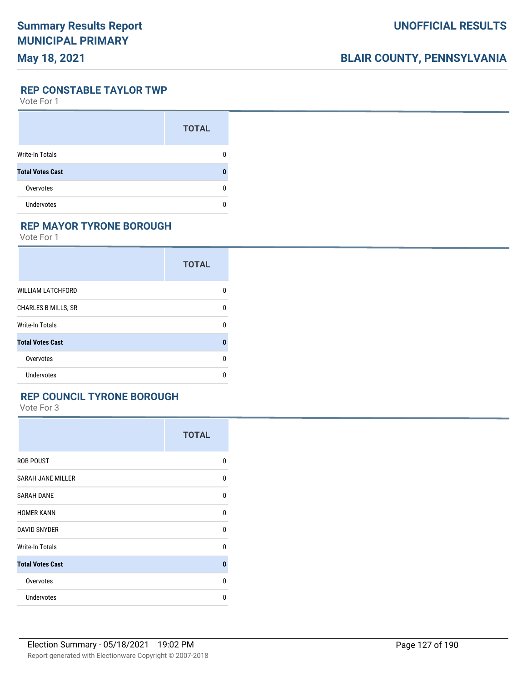## **May 18, 2021**

## **BLAIR COUNTY, PENNSYLVANIA**

**REP CONSTABLE TAYLOR TWP**

Vote For 1

|                         | <b>TOTAL</b> |
|-------------------------|--------------|
| Write-In Totals         |              |
| <b>Total Votes Cast</b> |              |
| Overvotes               |              |
| <b>Undervotes</b>       |              |

### **REP MAYOR TYRONE BOROUGH**

Vote For 1

|                            | <b>TOTAL</b> |
|----------------------------|--------------|
| <b>WILLIAM LATCHFORD</b>   | 0            |
| <b>CHARLES B MILLS, SR</b> | 0            |
| Write-In Totals            | 0            |
| <b>Total Votes Cast</b>    | 0            |
| Overvotes                  | n            |
| <b>Undervotes</b>          | n            |

#### **REP COUNCIL TYRONE BOROUGH**

|                          | <b>TOTAL</b> |
|--------------------------|--------------|
| <b>ROB POUST</b>         | 0            |
| <b>SARAH JANE MILLER</b> | 0            |
| <b>SARAH DANE</b>        | 0            |
| <b>HOMER KANN</b>        | 0            |
| <b>DAVID SNYDER</b>      | $\mathbf{0}$ |
| Write-In Totals          | 0            |
| <b>Total Votes Cast</b>  | $\bf{0}$     |
| Overvotes                | $\mathbf{0}$ |
| <b>Undervotes</b>        | 0            |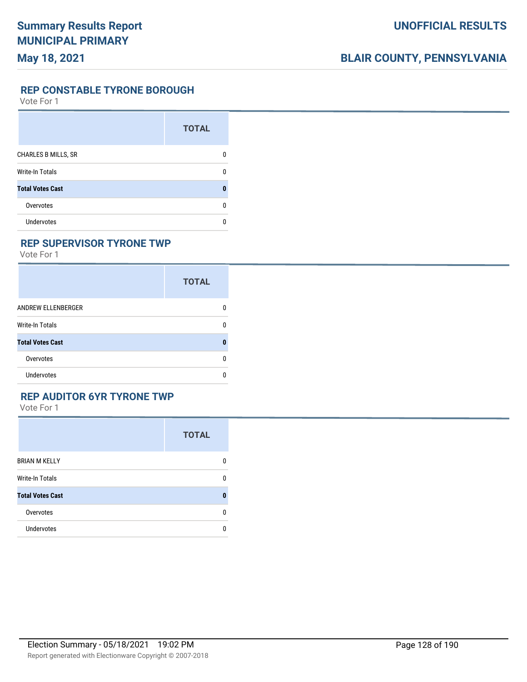**REP CONSTABLE TYRONE BOROUGH**

Vote For 1

|                            | <b>TOTAL</b> |
|----------------------------|--------------|
| <b>CHARLES B MILLS, SR</b> |              |
| <b>Write-In Totals</b>     |              |
| <b>Total Votes Cast</b>    |              |
| Overvotes                  | n            |
| Undervotes                 |              |

#### **REP SUPERVISOR TYRONE TWP**

Vote For 1

|                         | <b>TOTAL</b> |
|-------------------------|--------------|
| ANDREW ELLENBERGER      | 0            |
| Write-In Totals         | 0            |
| <b>Total Votes Cast</b> | 0            |
| Overvotes               | 0            |
| Undervotes              | U            |

#### **REP AUDITOR 6YR TYRONE TWP**

|                         | <b>TOTAL</b> |
|-------------------------|--------------|
| <b>BRIAN M KELLY</b>    | 0            |
| Write-In Totals         | 0            |
| <b>Total Votes Cast</b> | 0            |
| Overvotes               | 0            |
| <b>Undervotes</b>       | 0            |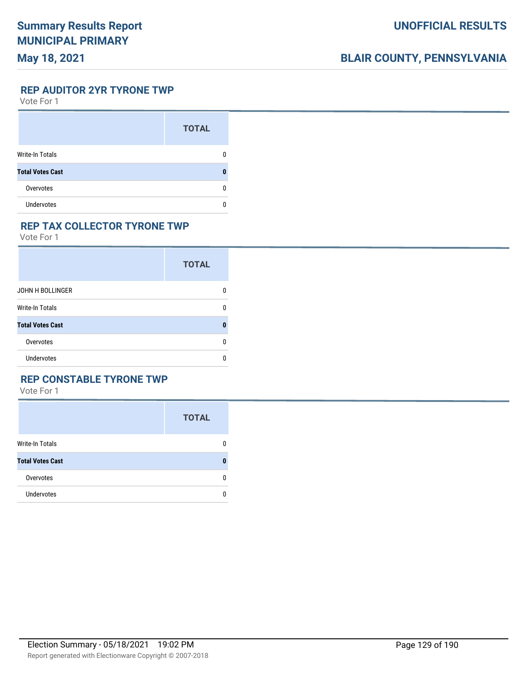### **May 18, 2021**

## **BLAIR COUNTY, PENNSYLVANIA**

**REP AUDITOR 2YR TYRONE TWP**

Vote For 1

|                         | <b>TOTAL</b> |
|-------------------------|--------------|
| Write-In Totals         |              |
| <b>Total Votes Cast</b> |              |
| Overvotes               | O            |
| <b>Undervotes</b>       |              |

#### **REP TAX COLLECTOR TYRONE TWP**

Vote For 1

|                         | <b>TOTAL</b> |
|-------------------------|--------------|
| JOHN H BOLLINGER        | n            |
| Write-In Totals         | O            |
| <b>Total Votes Cast</b> |              |
| Overvotes               | n            |
| Undervotes              | n            |

### **REP CONSTABLE TYRONE TWP**

|                         | <b>TOTAL</b> |
|-------------------------|--------------|
| <b>Write-In Totals</b>  | 0            |
| <b>Total Votes Cast</b> | 0            |
| Overvotes               | 0            |
| <b>Undervotes</b>       | 0            |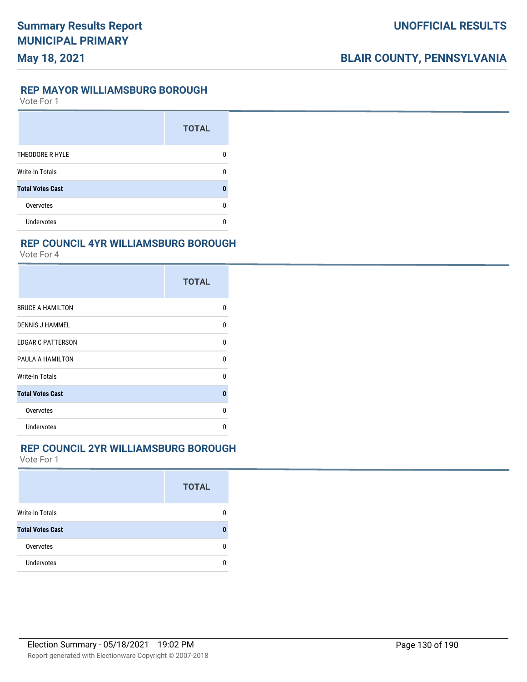#### **REP MAYOR WILLIAMSBURG BOROUGH**

Vote For 1

|                         | <b>TOTAL</b> |
|-------------------------|--------------|
| THEODORE R HYLE         |              |
| <b>Write-In Totals</b>  |              |
| <b>Total Votes Cast</b> |              |
| Overvotes               |              |
| <b>Undervotes</b>       |              |

### **REP COUNCIL 4YR WILLIAMSBURG BOROUGH**

Vote For 4

|                          | <b>TOTAL</b> |
|--------------------------|--------------|
| <b>BRUCE A HAMILTON</b>  | U            |
| <b>DENNIS J HAMMEL</b>   | 0            |
| <b>EDGAR C PATTERSON</b> | 0            |
| PAULA A HAMILTON         | 0            |
| Write-In Totals          | U            |
| <b>Total Votes Cast</b>  | $\bf{0}$     |
| Overvotes                | U            |
| Undervotes               | n            |

#### **REP COUNCIL 2YR WILLIAMSBURG BOROUGH**

|                         | <b>TOTAL</b> |
|-------------------------|--------------|
| <b>Write-In Totals</b>  |              |
| <b>Total Votes Cast</b> |              |
| Overvotes               | n            |
| <b>Undervotes</b>       |              |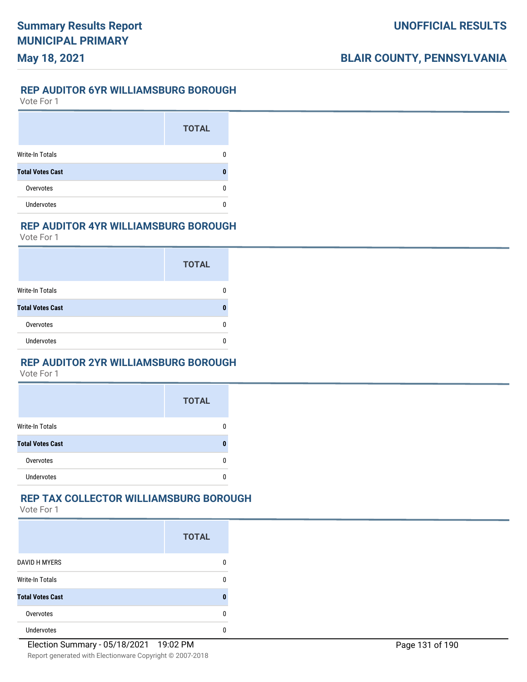#### **REP AUDITOR 6YR WILLIAMSBURG BOROUGH**

Vote For 1

|                         | <b>TOTAL</b> |
|-------------------------|--------------|
| <b>Write-In Totals</b>  |              |
| <b>Total Votes Cast</b> |              |
| Overvotes               |              |
| <b>Undervotes</b>       |              |

#### **REP AUDITOR 4YR WILLIAMSBURG BOROUGH**

Vote For 1

|                         | <b>TOTAL</b> |
|-------------------------|--------------|
| Write-In Totals         |              |
| <b>Total Votes Cast</b> | Л            |
| Overvotes               | O            |
| Undervotes              |              |

#### **REP AUDITOR 2YR WILLIAMSBURG BOROUGH**

Vote For 1

|                         | <b>TOTAL</b> |
|-------------------------|--------------|
| <b>Write-In Totals</b>  |              |
| <b>Total Votes Cast</b> |              |
| Overvotes               |              |
| <b>Undervotes</b>       |              |

### **REP TAX COLLECTOR WILLIAMSBURG BOROUGH**

|                         | <b>TOTAL</b> |
|-------------------------|--------------|
| <b>DAVID H MYERS</b>    | 0            |
| <b>Write-In Totals</b>  | n            |
| <b>Total Votes Cast</b> |              |
| Overvotes               | n            |
| <b>Undervotes</b>       | O            |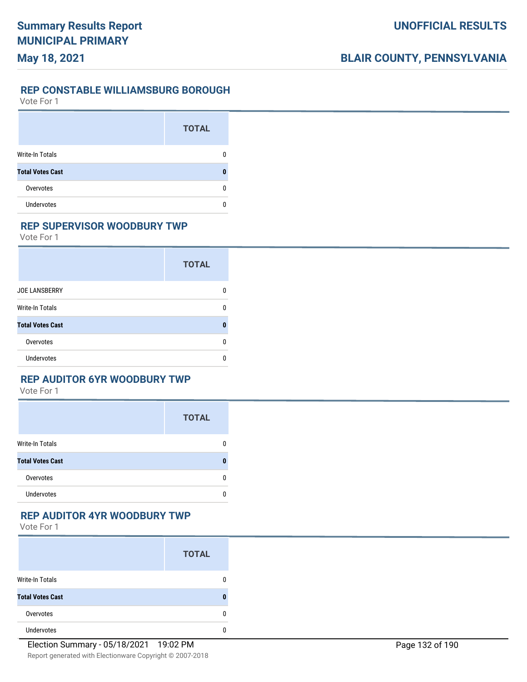### **UNOFFICIAL RESULTS**

## **BLAIR COUNTY, PENNSYLVANIA**

### **REP CONSTABLE WILLIAMSBURG BOROUGH**

Vote For 1

|                         | <b>TOTAL</b> |
|-------------------------|--------------|
| Write-In Totals         |              |
| <b>Total Votes Cast</b> |              |
| Overvotes               | O            |
| <b>Undervotes</b>       |              |

#### **REP SUPERVISOR WOODBURY TWP**

Vote For 1

|                         | <b>TOTAL</b> |
|-------------------------|--------------|
| <b>JOE LANSBERRY</b>    | n            |
| Write-In Totals         | O            |
| <b>Total Votes Cast</b> | n            |
| Overvotes               | 0            |
| Undervotes              | O            |

### **REP AUDITOR 6YR WOODBURY TWP**

Vote For 1

|                         | <b>TOTAL</b> |
|-------------------------|--------------|
| <b>Write-In Totals</b>  | 0            |
| <b>Total Votes Cast</b> | ŋ            |
| Overvotes               | 0            |
| <b>Undervotes</b>       | 0            |

#### **REP AUDITOR 4YR WOODBURY TWP**

|                         | <b>TOTAL</b> |
|-------------------------|--------------|
| <b>Write-In Totals</b>  |              |
| <b>Total Votes Cast</b> | Л            |
| Overvotes               |              |
| <b>Undervotes</b>       |              |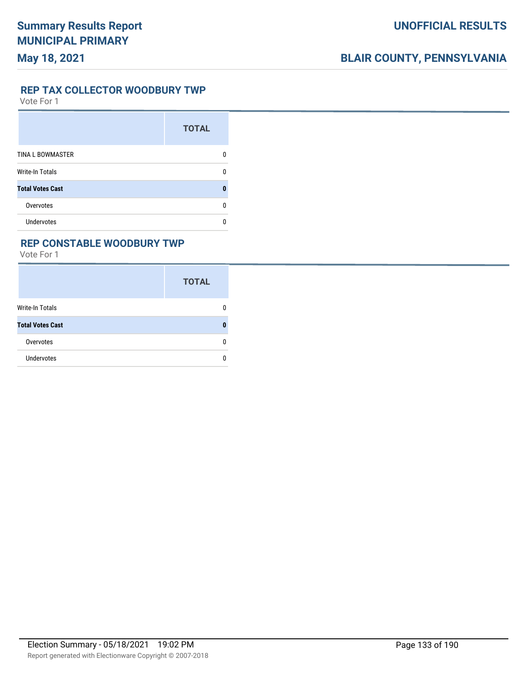#### **REP TAX COLLECTOR WOODBURY TWP**

Vote For 1

|                         | <b>TOTAL</b> |
|-------------------------|--------------|
| <b>TINA L BOWMASTER</b> | O            |
| <b>Write-In Totals</b>  | ŋ            |
| <b>Total Votes Cast</b> | П            |
| Overvotes               | ŋ            |
| <b>Undervotes</b>       |              |

### **REP CONSTABLE WOODBURY TWP**

|                         | <b>TOTAL</b> |
|-------------------------|--------------|
| Write-In Totals         | 0            |
| <b>Total Votes Cast</b> | n            |
| Overvotes               | 0            |
| <b>Undervotes</b>       | n            |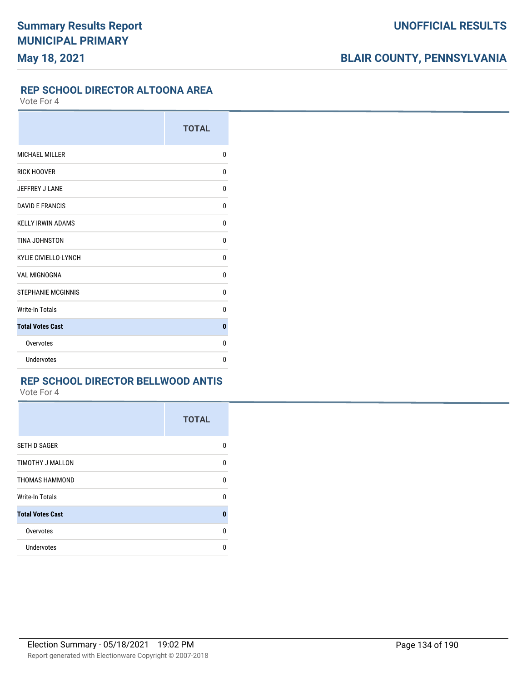#### **REP SCHOOL DIRECTOR ALTOONA AREA**

Vote For 4

|                             | <b>TOTAL</b> |
|-----------------------------|--------------|
| <b>MICHAEL MILLER</b>       | 0            |
| <b>RICK HOOVER</b>          | 0            |
| JEFFREY J LANE              | 0            |
| <b>DAVID E FRANCIS</b>      | 0            |
| <b>KELLY IRWIN ADAMS</b>    | 0            |
| TINA JOHNSTON               | 0            |
| <b>KYLIE CIVIELLO-LYNCH</b> | 0            |
| <b>VAL MIGNOGNA</b>         | 0            |
| <b>STEPHANIE MCGINNIS</b>   | 0            |
| <b>Write-In Totals</b>      | 0            |
| <b>Total Votes Cast</b>     | $\bf{0}$     |
| Overvotes                   | 0            |
| <b>Undervotes</b>           | 0            |

### **REP SCHOOL DIRECTOR BELLWOOD ANTIS**

|                         | <b>TOTAL</b> |
|-------------------------|--------------|
| <b>SETH D SAGER</b>     | 0            |
| TIMOTHY J MALLON        | U            |
| THOMAS HAMMOND          | 0            |
| <b>Write-In Totals</b>  | $\Omega$     |
| <b>Total Votes Cast</b> | $\mathbf{0}$ |
| Overvotes               | U            |
| <b>Undervotes</b>       | U            |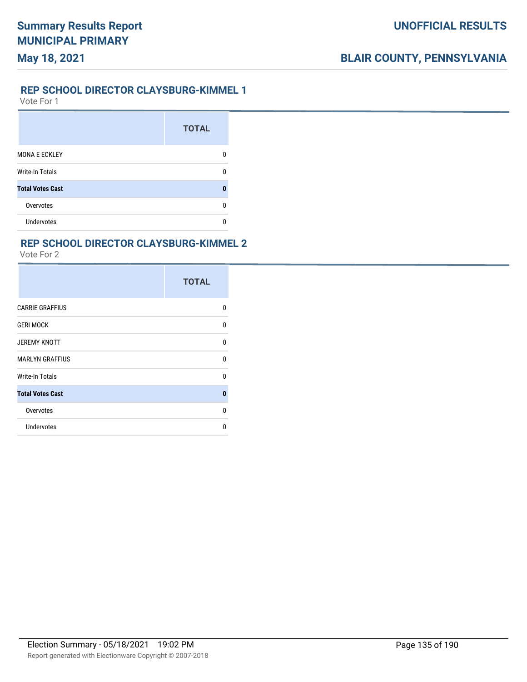#### **REP SCHOOL DIRECTOR CLAYSBURG-KIMMEL 1**

Vote For 1

**May 18, 2021**

|                         | <b>TOTAL</b> |
|-------------------------|--------------|
| <b>MONA E ECKLEY</b>    |              |
| <b>Write-In Totals</b>  |              |
| <b>Total Votes Cast</b> |              |
| Overvotes               | n            |
| <b>Undervotes</b>       |              |

### **REP SCHOOL DIRECTOR CLAYSBURG-KIMMEL 2**

|                         | <b>TOTAL</b> |
|-------------------------|--------------|
| <b>CARRIE GRAFFIUS</b>  | 0            |
| <b>GERI MOCK</b>        | 0            |
| <b>JEREMY KNOTT</b>     | U            |
| <b>MARLYN GRAFFIUS</b>  | <sup>0</sup> |
| Write-In Totals         | <sup>0</sup> |
| <b>Total Votes Cast</b> | $\bf{0}$     |
| Overvotes               | $\Omega$     |
| Undervotes              | n            |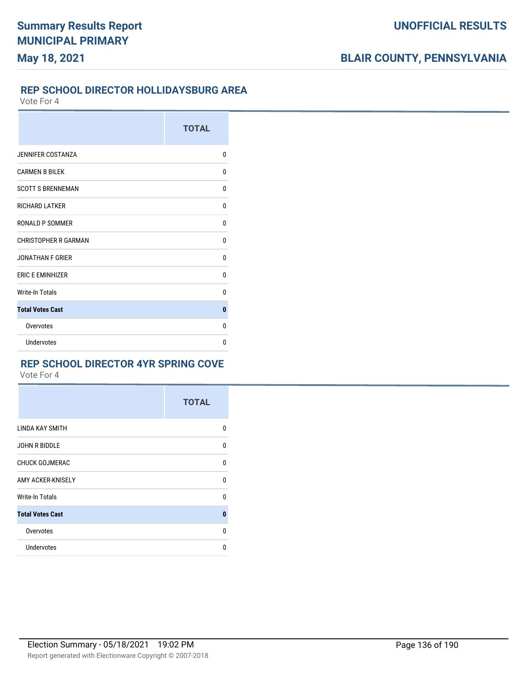#### **REP SCHOOL DIRECTOR HOLLIDAYSBURG AREA**

Vote For 4

|                             | <b>TOTAL</b> |
|-----------------------------|--------------|
| <b>JENNIFER COSTANZA</b>    | $\Omega$     |
| <b>CARMEN B BILEK</b>       | $\mathbf{0}$ |
| <b>SCOTT S BRENNEMAN</b>    | 0            |
| <b>RICHARD LATKER</b>       | 0            |
| RONALD P SOMMER             | 0            |
| <b>CHRISTOPHER R GARMAN</b> | 0            |
| <b>JONATHAN F GRIER</b>     | $\Omega$     |
| <b>ERIC E EMINHIZER</b>     | 0            |
| <b>Write-In Totals</b>      | $\Omega$     |
| <b>Total Votes Cast</b>     | $\bf{0}$     |
| Overvotes                   | 0            |
| Undervotes                  | 0            |

### **REP SCHOOL DIRECTOR 4YR SPRING COVE**

|                         | <b>TOTAL</b> |
|-------------------------|--------------|
| LINDA KAY SMITH         | 0            |
| <b>JOHN R BIDDLE</b>    | 0            |
| <b>CHUCK GOJMERAC</b>   | 0            |
| AMY ACKER-KNISELY       | $\mathbf{0}$ |
| <b>Write-In Totals</b>  | 0            |
| <b>Total Votes Cast</b> | $\bf{0}$     |
| Overvotes               | $\Omega$     |
| Undervotes              | 0            |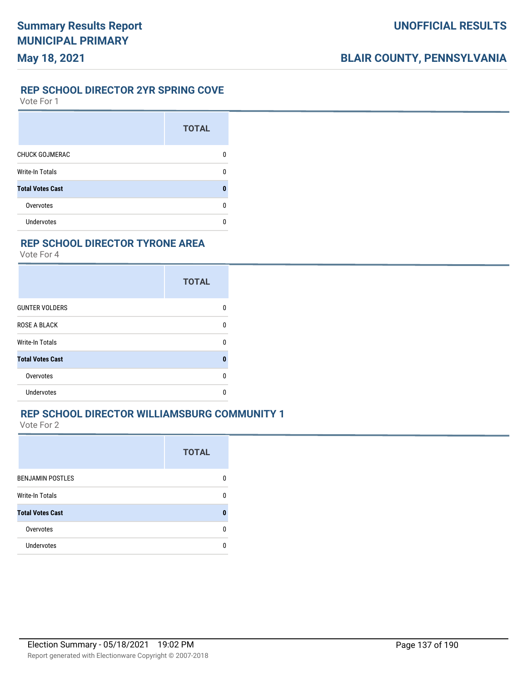### **REP SCHOOL DIRECTOR 2YR SPRING COVE**

Vote For 1

|                         | <b>TOTAL</b> |
|-------------------------|--------------|
| <b>CHUCK GOJMERAC</b>   | O            |
| <b>Write-In Totals</b>  | n            |
| <b>Total Votes Cast</b> | O            |
| Overvotes               | n            |
| <b>Undervotes</b>       |              |

### **REP SCHOOL DIRECTOR TYRONE AREA**

Vote For 4

|                         | <b>TOTAL</b> |
|-------------------------|--------------|
| <b>GUNTER VOLDERS</b>   | n            |
| <b>ROSE A BLACK</b>     | U            |
| Write-In Totals         | U            |
| <b>Total Votes Cast</b> | O            |
| Overvotes               | U            |
| Undervotes              |              |

### **REP SCHOOL DIRECTOR WILLIAMSBURG COMMUNITY 1**

|                         | <b>TOTAL</b> |
|-------------------------|--------------|
| <b>BENJAMIN POSTLES</b> |              |
| Write-In Totals         | n            |
| <b>Total Votes Cast</b> |              |
| Overvotes               | n            |
| Undervotes              |              |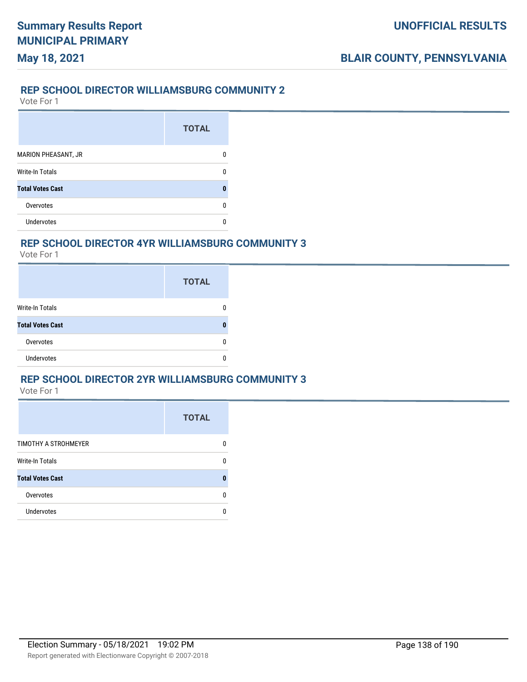## **May 18, 2021**

#### **REP SCHOOL DIRECTOR WILLIAMSBURG COMMUNITY 2**

Vote For 1

|                            | <b>TOTAL</b> |
|----------------------------|--------------|
| <b>MARION PHEASANT, JR</b> |              |
| <b>Write-In Totals</b>     | n            |
| <b>Total Votes Cast</b>    |              |
| Overvotes                  |              |
| Undervotes                 |              |

#### **REP SCHOOL DIRECTOR 4YR WILLIAMSBURG COMMUNITY 3**

Vote For 1

|                         | <b>TOTAL</b> |
|-------------------------|--------------|
| Write-In Totals         |              |
| <b>Total Votes Cast</b> |              |
| Overvotes               | n            |
| <b>Undervotes</b>       |              |

### **REP SCHOOL DIRECTOR 2YR WILLIAMSBURG COMMUNITY 3**

|                         | <b>TOTAL</b> |
|-------------------------|--------------|
| TIMOTHY A STROHMEYER    |              |
| <b>Write-In Totals</b>  |              |
| <b>Total Votes Cast</b> |              |
| Overvotes               |              |
| Undervotes              |              |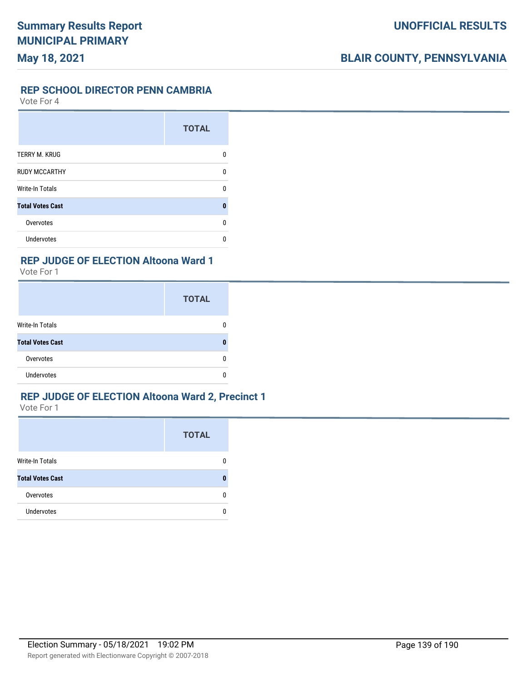#### **REP SCHOOL DIRECTOR PENN CAMBRIA**

Vote For 4

|                         | <b>TOTAL</b> |
|-------------------------|--------------|
| TERRY M. KRUG           | n            |
| <b>RUDY MCCARTHY</b>    | n            |
| <b>Write-In Totals</b>  | n            |
| <b>Total Votes Cast</b> | Π            |
| Overvotes               | n            |
| <b>Undervotes</b>       |              |

#### **REP JUDGE OF ELECTION Altoona Ward 1**

Vote For 1

|                         | <b>TOTAL</b> |
|-------------------------|--------------|
| <b>Write-In Totals</b>  |              |
| <b>Total Votes Cast</b> |              |
| Overvotes               |              |
| <b>Undervotes</b>       |              |

#### **REP JUDGE OF ELECTION Altoona Ward 2, Precinct 1**

|                         | <b>TOTAL</b> |
|-------------------------|--------------|
| <b>Write-In Totals</b>  |              |
| <b>Total Votes Cast</b> |              |
| Overvotes               | n            |
| <b>Undervotes</b>       |              |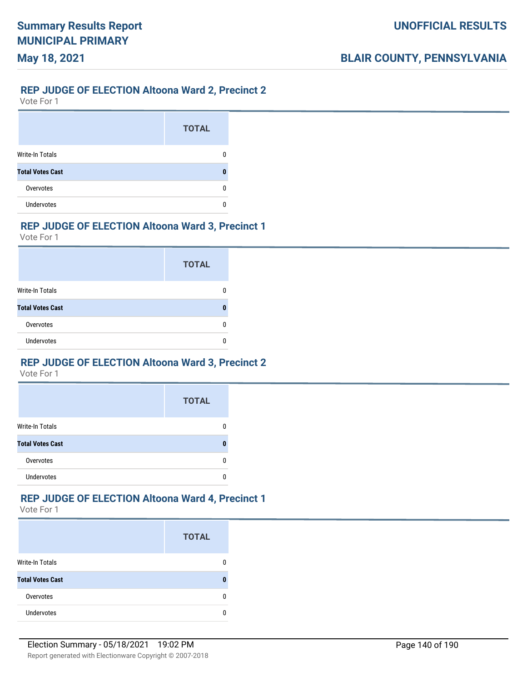## **May 18, 2021**

#### **REP JUDGE OF ELECTION Altoona Ward 2, Precinct 2**

Vote For 1

|                         | <b>TOTAL</b> |
|-------------------------|--------------|
| <b>Write-In Totals</b>  |              |
| <b>Total Votes Cast</b> |              |
| Overvotes               |              |
| <b>Undervotes</b>       |              |

### **REP JUDGE OF ELECTION Altoona Ward 3, Precinct 1**

Vote For 1

|                         | <b>TOTAL</b> |
|-------------------------|--------------|
| Write-In Totals         |              |
| <b>Total Votes Cast</b> |              |
| Overvotes               |              |
| <b>Undervotes</b>       |              |

### **REP JUDGE OF ELECTION Altoona Ward 3, Precinct 2**

Vote For 1

|                         | <b>TOTAL</b> |
|-------------------------|--------------|
| <b>Write-In Totals</b>  |              |
| <b>Total Votes Cast</b> |              |
| Overvotes               |              |
| <b>Undervotes</b>       |              |

### **REP JUDGE OF ELECTION Altoona Ward 4, Precinct 1**

|                         | <b>TOTAL</b> |
|-------------------------|--------------|
| <b>Write-In Totals</b>  |              |
| <b>Total Votes Cast</b> |              |
| Overvotes               |              |
| <b>Undervotes</b>       |              |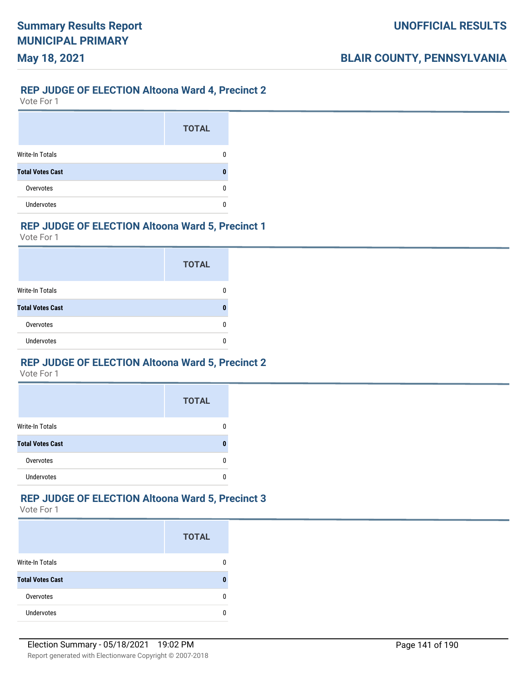## **May 18, 2021**

#### **REP JUDGE OF ELECTION Altoona Ward 4, Precinct 2**

Vote For 1

|                         | <b>TOTAL</b> |
|-------------------------|--------------|
| <b>Write-In Totals</b>  |              |
| <b>Total Votes Cast</b> |              |
| Overvotes               |              |
| <b>Undervotes</b>       |              |

### **REP JUDGE OF ELECTION Altoona Ward 5, Precinct 1**

Vote For 1

|                         | <b>TOTAL</b> |
|-------------------------|--------------|
| Write-In Totals         |              |
| <b>Total Votes Cast</b> |              |
| Overvotes               |              |
| <b>Undervotes</b>       |              |

### **REP JUDGE OF ELECTION Altoona Ward 5, Precinct 2**

Vote For 1

|                         | <b>TOTAL</b> |
|-------------------------|--------------|
| <b>Write-In Totals</b>  |              |
| <b>Total Votes Cast</b> |              |
| Overvotes               |              |
| <b>Undervotes</b>       |              |

### **REP JUDGE OF ELECTION Altoona Ward 5, Precinct 3**

|                         | <b>TOTAL</b> |
|-------------------------|--------------|
| <b>Write-In Totals</b>  |              |
| <b>Total Votes Cast</b> |              |
| Overvotes               |              |
| <b>Undervotes</b>       |              |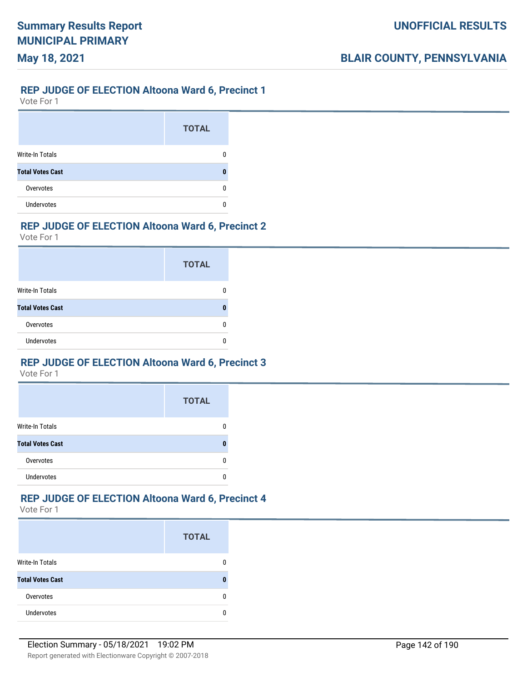## **May 18, 2021**

#### **REP JUDGE OF ELECTION Altoona Ward 6, Precinct 1**

Vote For 1

|                         | <b>TOTAL</b> |
|-------------------------|--------------|
| <b>Write-In Totals</b>  |              |
| <b>Total Votes Cast</b> |              |
| Overvotes               |              |
| <b>Undervotes</b>       |              |

### **REP JUDGE OF ELECTION Altoona Ward 6, Precinct 2**

Vote For 1

|                         | <b>TOTAL</b> |
|-------------------------|--------------|
| Write-In Totals         |              |
| <b>Total Votes Cast</b> |              |
| Overvotes               |              |
| <b>Undervotes</b>       |              |

### **REP JUDGE OF ELECTION Altoona Ward 6, Precinct 3**

Vote For 1

|                         | <b>TOTAL</b> |
|-------------------------|--------------|
| <b>Write-In Totals</b>  |              |
| <b>Total Votes Cast</b> |              |
| Overvotes               |              |
| <b>Undervotes</b>       |              |

## **REP JUDGE OF ELECTION Altoona Ward 6, Precinct 4**

|                         | <b>TOTAL</b> |
|-------------------------|--------------|
| <b>Write-In Totals</b>  |              |
| <b>Total Votes Cast</b> |              |
| Overvotes               |              |
| <b>Undervotes</b>       |              |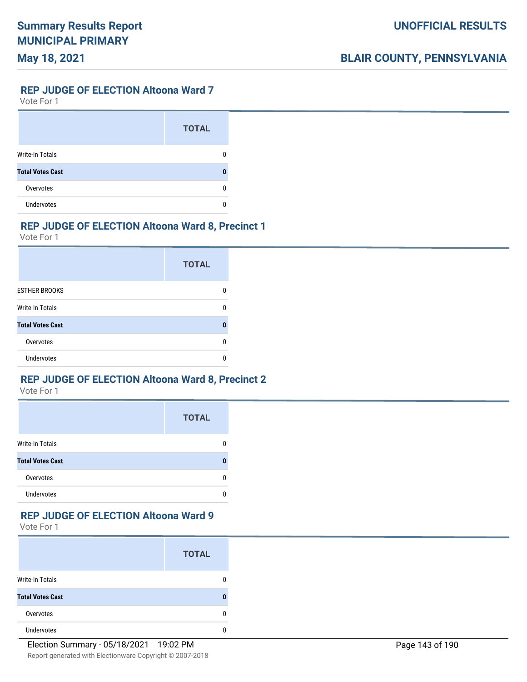#### **REP JUDGE OF ELECTION Altoona Ward 7**

Vote For 1

|                         | <b>TOTAL</b> |
|-------------------------|--------------|
| Write-In Totals         |              |
| <b>Total Votes Cast</b> |              |
| Overvotes               |              |
| <b>Undervotes</b>       |              |

### **REP JUDGE OF ELECTION Altoona Ward 8, Precinct 1**

Vote For 1

|                         | <b>TOTAL</b> |
|-------------------------|--------------|
| <b>ESTHER BROOKS</b>    |              |
| Write-In Totals         | U            |
| <b>Total Votes Cast</b> | n            |
| Overvotes               | n            |
| Undervotes              | n            |

### **REP JUDGE OF ELECTION Altoona Ward 8, Precinct 2**

Vote For 1

|                         | <b>TOTAL</b> |
|-------------------------|--------------|
| <b>Write-In Totals</b>  |              |
| <b>Total Votes Cast</b> | O            |
| Overvotes               | n            |
| <b>Undervotes</b>       |              |

#### **REP JUDGE OF ELECTION Altoona Ward 9**

|                         | <b>TOTAL</b> |
|-------------------------|--------------|
| <b>Write-In Totals</b>  |              |
| <b>Total Votes Cast</b> |              |
| Overvotes               |              |
| Undervotes              |              |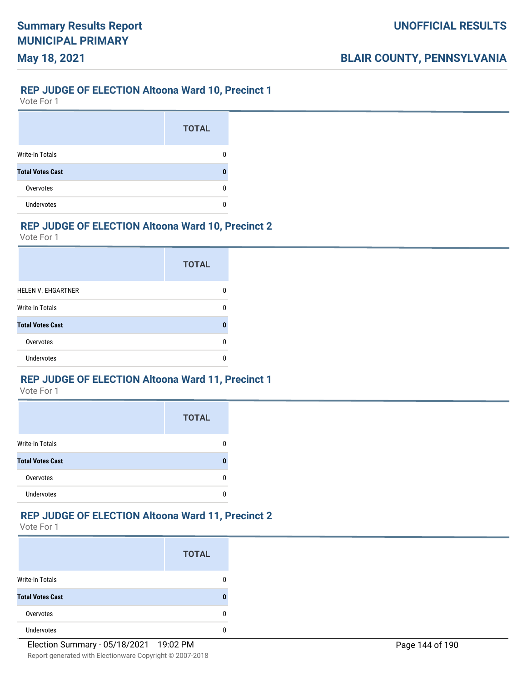# **REP JUDGE OF ELECTION Altoona Ward 10, Precinct 1**

Vote For 1

**May 18, 2021**

|                         | <b>TOTAL</b> |
|-------------------------|--------------|
| <b>Write-In Totals</b>  |              |
| <b>Total Votes Cast</b> |              |
| Overvotes               |              |
| <b>Undervotes</b>       |              |

### **REP JUDGE OF ELECTION Altoona Ward 10, Precinct 2**

Vote For 1

|                           | <b>TOTAL</b> |
|---------------------------|--------------|
| <b>HELEN V. EHGARTNER</b> |              |
| Write-In Totals           | n            |
| <b>Total Votes Cast</b>   |              |
| Overvotes                 |              |
| <b>Undervotes</b>         |              |

### **REP JUDGE OF ELECTION Altoona Ward 11, Precinct 1**

Vote For 1

|                         | <b>TOTAL</b> |
|-------------------------|--------------|
| <b>Write-In Totals</b>  |              |
| <b>Total Votes Cast</b> | 0            |
| Overvotes               | O            |
| Undervotes              |              |

### **REP JUDGE OF ELECTION Altoona Ward 11, Precinct 2**

|                         | <b>TOTAL</b> |
|-------------------------|--------------|
| Write-In Totals         | 0            |
| <b>Total Votes Cast</b> | 0            |
| Overvotes               | 0            |
| Undervotes              | 0            |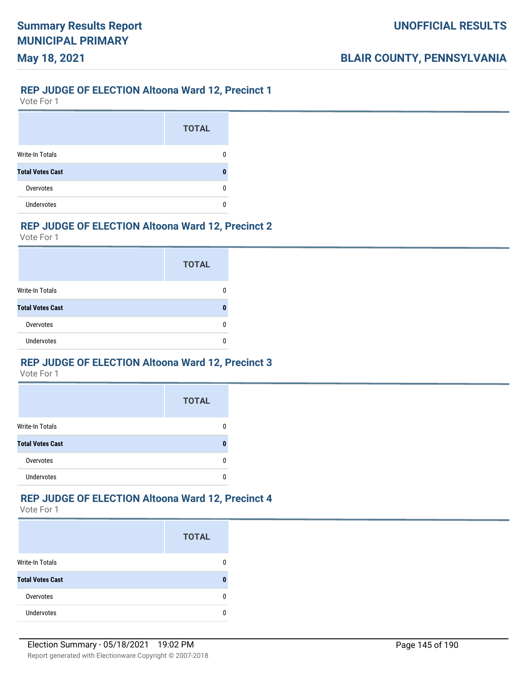### **May 18, 2021**

#### **REP JUDGE OF ELECTION Altoona Ward 12, Precinct 1**

Vote For 1

|                         | <b>TOTAL</b> |
|-------------------------|--------------|
| <b>Write-In Totals</b>  |              |
| <b>Total Votes Cast</b> |              |
| Overvotes               |              |
| <b>Undervotes</b>       |              |

### **REP JUDGE OF ELECTION Altoona Ward 12, Precinct 2**

Vote For 1

|                         | <b>TOTAL</b> |
|-------------------------|--------------|
| Write-In Totals         |              |
| <b>Total Votes Cast</b> |              |
| Overvotes               |              |
| <b>Undervotes</b>       |              |

### **REP JUDGE OF ELECTION Altoona Ward 12, Precinct 3**

Vote For 1

|                         | <b>TOTAL</b> |
|-------------------------|--------------|
| <b>Write-In Totals</b>  |              |
| <b>Total Votes Cast</b> |              |
| Overvotes               |              |
| Undervotes              |              |

### **REP JUDGE OF ELECTION Altoona Ward 12, Precinct 4**

|                         | <b>TOTAL</b> |
|-------------------------|--------------|
| <b>Write-In Totals</b>  |              |
| <b>Total Votes Cast</b> |              |
| Overvotes               |              |
| Undervotes              |              |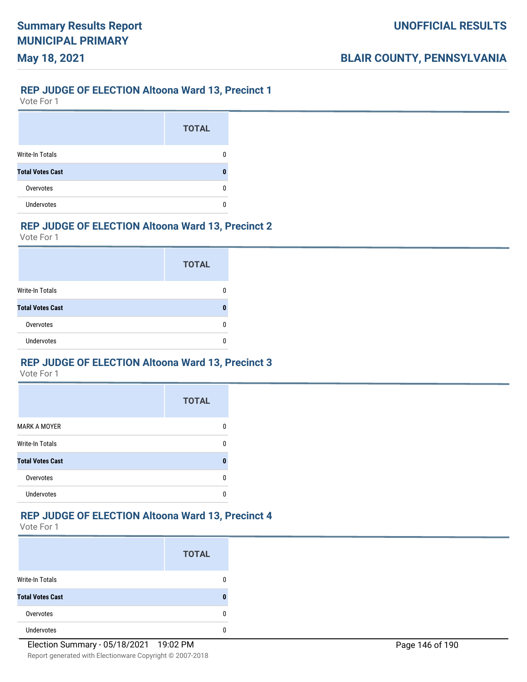### **May 18, 2021**

#### **REP JUDGE OF ELECTION Altoona Ward 13, Precinct 1**

Vote For 1

|                         | <b>TOTAL</b> |
|-------------------------|--------------|
| <b>Write-In Totals</b>  |              |
| <b>Total Votes Cast</b> |              |
| Overvotes               |              |
| <b>Undervotes</b>       |              |

### **REP JUDGE OF ELECTION Altoona Ward 13, Precinct 2**

Vote For 1

|                         | <b>TOTAL</b> |
|-------------------------|--------------|
| Write-In Totals         |              |
| <b>Total Votes Cast</b> |              |
| Overvotes               |              |
| <b>Undervotes</b>       |              |

### **REP JUDGE OF ELECTION Altoona Ward 13, Precinct 3**

Vote For 1

|                         | <b>TOTAL</b> |
|-------------------------|--------------|
| <b>MARK A MOYER</b>     |              |
| <b>Write-In Totals</b>  | O            |
| <b>Total Votes Cast</b> | Π            |
| Overvotes               | O            |
| <b>Undervotes</b>       |              |

#### **REP JUDGE OF ELECTION Altoona Ward 13, Precinct 4**

|                         | <b>TOTAL</b> |
|-------------------------|--------------|
| <b>Write-In Totals</b>  |              |
| <b>Total Votes Cast</b> |              |
| Overvotes               |              |
| <b>Undervotes</b>       |              |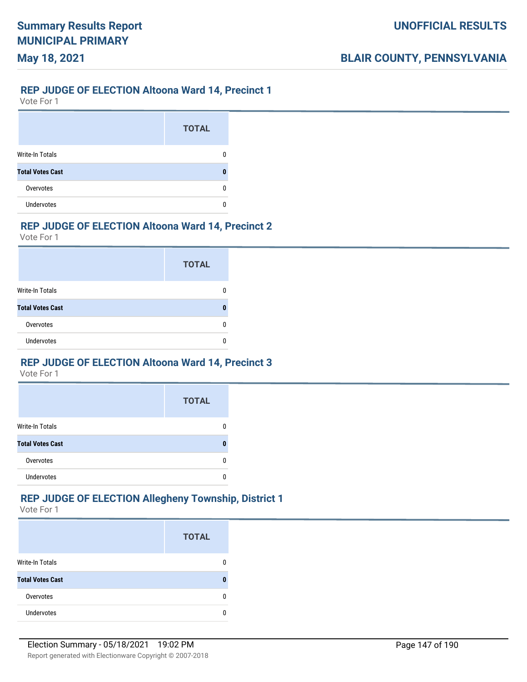## **May 18, 2021**

#### **REP JUDGE OF ELECTION Altoona Ward 14, Precinct 1**

Vote For 1

|                         | <b>TOTAL</b> |
|-------------------------|--------------|
| <b>Write-In Totals</b>  |              |
| <b>Total Votes Cast</b> |              |
| Overvotes               |              |
| <b>Undervotes</b>       |              |

### **REP JUDGE OF ELECTION Altoona Ward 14, Precinct 2**

Vote For 1

|                         | <b>TOTAL</b> |
|-------------------------|--------------|
| Write-In Totals         |              |
| <b>Total Votes Cast</b> |              |
| Overvotes               |              |
| <b>Undervotes</b>       |              |

### **REP JUDGE OF ELECTION Altoona Ward 14, Precinct 3**

Vote For 1

|                         | <b>TOTAL</b> |
|-------------------------|--------------|
| <b>Write-In Totals</b>  |              |
| <b>Total Votes Cast</b> |              |
| Overvotes               |              |
| <b>Undervotes</b>       |              |

### **REP JUDGE OF ELECTION Allegheny Township, District 1**

|                         | <b>TOTAL</b> |
|-------------------------|--------------|
| Write-In Totals         |              |
| <b>Total Votes Cast</b> |              |
| Overvotes               |              |
| <b>Undervotes</b>       |              |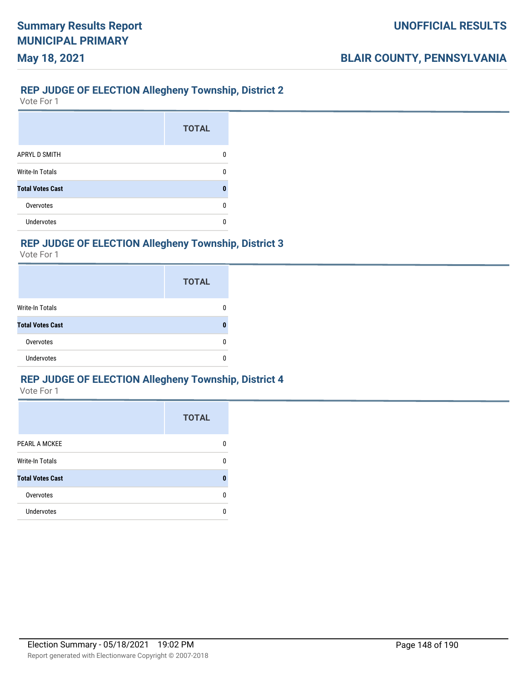#### **REP JUDGE OF ELECTION Allegheny Township, District 2**

Vote For 1

**May 18, 2021**

|                         | <b>TOTAL</b> |
|-------------------------|--------------|
| <b>APRYL D SMITH</b>    | O            |
| <b>Write-In Totals</b>  |              |
| <b>Total Votes Cast</b> |              |
| Overvotes               | n            |
| Undervotes              |              |

### **REP JUDGE OF ELECTION Allegheny Township, District 3**

Vote For 1

|                         | <b>TOTAL</b> |
|-------------------------|--------------|
| <b>Write-In Totals</b>  |              |
| <b>Total Votes Cast</b> | 0            |
| Overvotes               | n            |
| <b>Undervotes</b>       |              |

### **REP JUDGE OF ELECTION Allegheny Township, District 4**

|                         | <b>TOTAL</b> |
|-------------------------|--------------|
| PEARL A MCKEE           | O            |
| <b>Write-In Totals</b>  | O            |
| <b>Total Votes Cast</b> |              |
| Overvotes               | n            |
| Undervotes              | n            |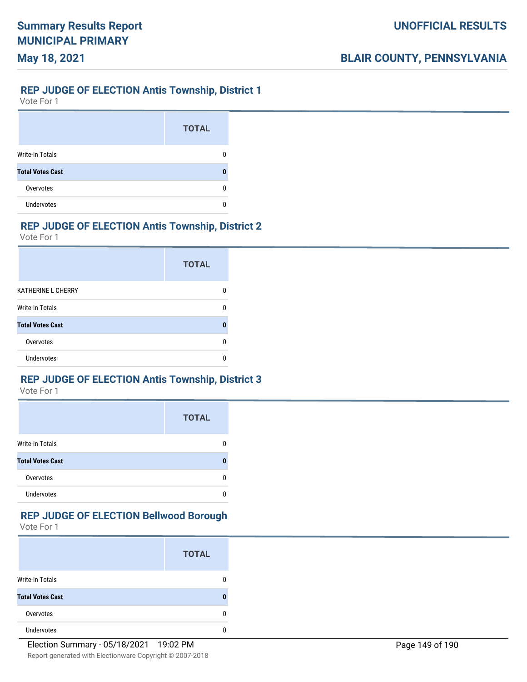#### **REP JUDGE OF ELECTION Antis Township, District 1**

Vote For 1

**May 18, 2021**

|                         | <b>TOTAL</b> |
|-------------------------|--------------|
| <b>Write-In Totals</b>  |              |
| <b>Total Votes Cast</b> |              |
| Overvotes               |              |
| <b>Undervotes</b>       |              |

### **REP JUDGE OF ELECTION Antis Township, District 2**

Vote For 1

|                           | <b>TOTAL</b> |
|---------------------------|--------------|
| <b>KATHERINE L CHERRY</b> | n            |
| Write-In Totals           | n            |
| <b>Total Votes Cast</b>   |              |
| Overvotes                 |              |
| Undervotes                |              |

### **REP JUDGE OF ELECTION Antis Township, District 3**

Vote For 1

|                         | <b>TOTAL</b> |
|-------------------------|--------------|
| <b>Write-In Totals</b>  |              |
| <b>Total Votes Cast</b> |              |
| Overvotes               |              |
| <b>Undervotes</b>       |              |

#### **REP JUDGE OF ELECTION Bellwood Borough**

|                         | <b>TOTAL</b> |
|-------------------------|--------------|
| <b>Write-In Totals</b>  | 0            |
| <b>Total Votes Cast</b> | 0            |
| Overvotes               | 0            |
| <b>Undervotes</b>       | n            |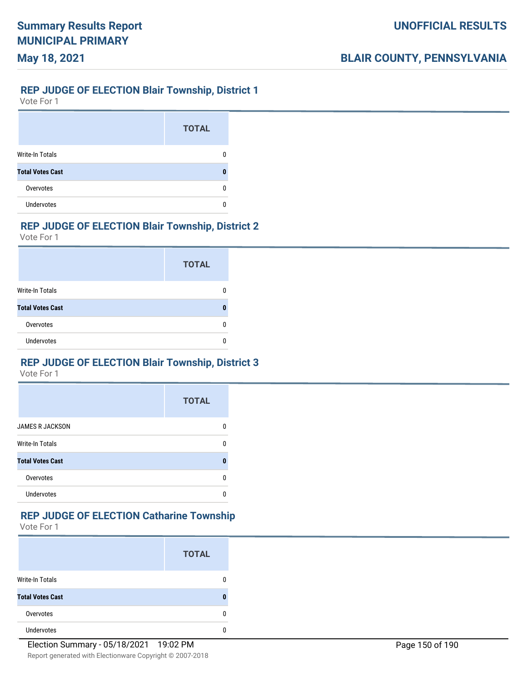### **REP JUDGE OF ELECTION Blair Township, District 1**

Vote For 1

**May 18, 2021**

|                         | <b>TOTAL</b> |
|-------------------------|--------------|
| <b>Write-In Totals</b>  |              |
| <b>Total Votes Cast</b> |              |
| Overvotes               |              |
| <b>Undervotes</b>       |              |

### **REP JUDGE OF ELECTION Blair Township, District 2**

Vote For 1

|                         | <b>TOTAL</b> |
|-------------------------|--------------|
| Write-In Totals         |              |
| <b>Total Votes Cast</b> |              |
| Overvotes               |              |
| <b>Undervotes</b>       |              |

### **REP JUDGE OF ELECTION Blair Township, District 3**

Vote For 1

|                         | <b>TOTAL</b> |
|-------------------------|--------------|
| <b>JAMES R JACKSON</b>  |              |
| Write-In Totals         |              |
| <b>Total Votes Cast</b> |              |
| Overvotes               | n            |
| <b>Undervotes</b>       |              |

#### **REP JUDGE OF ELECTION Catharine Township**

|                         | <b>TOTAL</b> |
|-------------------------|--------------|
| Write-In Totals         | 0            |
| <b>Total Votes Cast</b> | n            |
| Overvotes               | 0            |
| <b>Undervotes</b>       | 0            |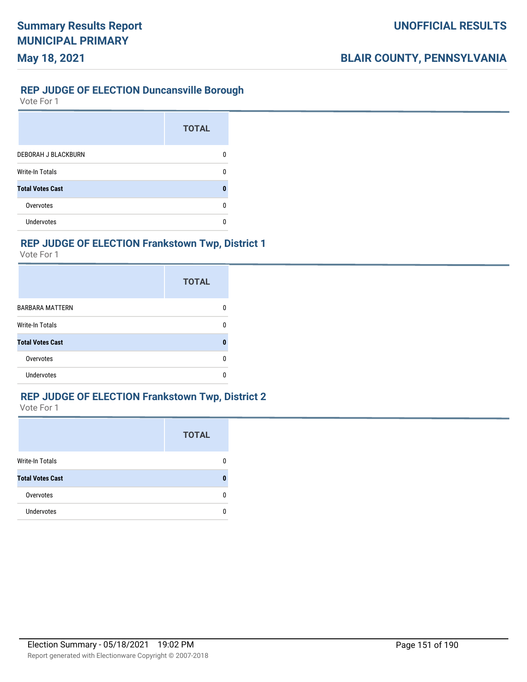#### **REP JUDGE OF ELECTION Duncansville Borough**

Vote For 1

**May 18, 2021**

|                            | <b>TOTAL</b> |
|----------------------------|--------------|
| <b>DEBORAH J BLACKBURN</b> |              |
| Write-In Totals            |              |
| <b>Total Votes Cast</b>    |              |
| Overvotes                  |              |
| Undervotes                 |              |

### **REP JUDGE OF ELECTION Frankstown Twp, District 1**

Vote For 1

|                         | <b>TOTAL</b> |
|-------------------------|--------------|
| <b>BARBARA MATTERN</b>  | 0            |
| <b>Write-In Totals</b>  | 0            |
| <b>Total Votes Cast</b> | 0            |
| Overvotes               | 0            |
| <b>Undervotes</b>       | n            |

## **REP JUDGE OF ELECTION Frankstown Twp, District 2**

|                         | <b>TOTAL</b> |
|-------------------------|--------------|
| Write-In Totals         |              |
| <b>Total Votes Cast</b> |              |
| Overvotes               |              |
| <b>Undervotes</b>       |              |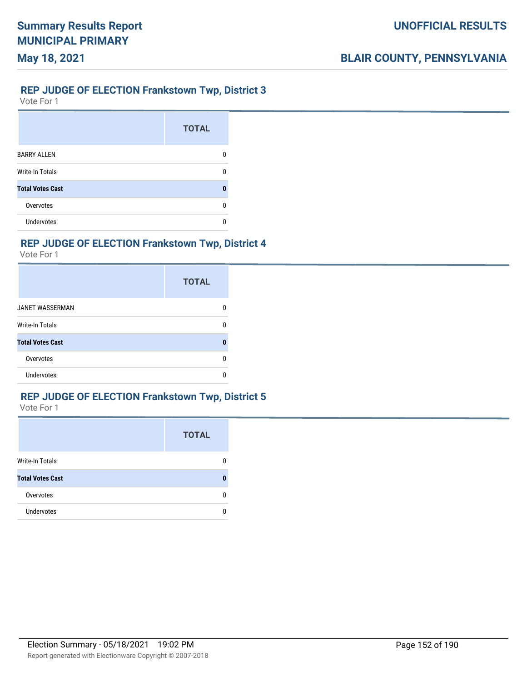#### **REP JUDGE OF ELECTION Frankstown Twp, District 3**

Vote For 1

**May 18, 2021**

|                         | <b>TOTAL</b> |
|-------------------------|--------------|
| <b>BARRY ALLEN</b>      | n            |
| <b>Write-In Totals</b>  | n            |
| <b>Total Votes Cast</b> | п            |
| Overvotes               | U            |
| <b>Undervotes</b>       | ŋ            |

### **REP JUDGE OF ELECTION Frankstown Twp, District 4**

Vote For 1

|                         | <b>TOTAL</b> |
|-------------------------|--------------|
| <b>JANET WASSERMAN</b>  | n            |
| <b>Write-In Totals</b>  | 0            |
| <b>Total Votes Cast</b> | 0            |
| Overvotes               | n            |
| Undervotes              | ſ            |

### **REP JUDGE OF ELECTION Frankstown Twp, District 5**

|                         | <b>TOTAL</b> |
|-------------------------|--------------|
| Write-In Totals         |              |
| <b>Total Votes Cast</b> |              |
| Overvotes               |              |
| <b>Undervotes</b>       |              |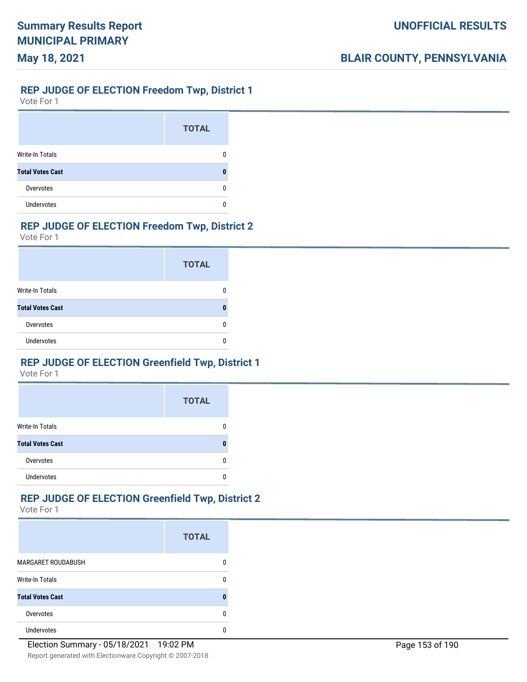#### **REP JUDGE OF ELECTION Freedom Twp, District 1**

Vote For 1

**May 18, 2021**

|                         | <b>TOTAL</b> |
|-------------------------|--------------|
| <b>Write-In Totals</b>  |              |
| <b>Total Votes Cast</b> |              |
| Overvotes               |              |
| <b>Undervotes</b>       |              |

### **REP JUDGE OF ELECTION Freedom Twp, District 2**

Vote For 1

|                         | <b>TOTAL</b> |
|-------------------------|--------------|
| Write-In Totals         |              |
| <b>Total Votes Cast</b> |              |
| Overvotes               |              |
| <b>Undervotes</b>       |              |

### **REP JUDGE OF ELECTION Greenfield Twp, District 1**

Vote For 1

|                         | <b>TOTAL</b> |
|-------------------------|--------------|
| <b>Write-In Totals</b>  |              |
| <b>Total Votes Cast</b> |              |
| Overvotes               |              |
| <b>Undervotes</b>       |              |

### **REP JUDGE OF ELECTION Greenfield Twp, District 2**

|                           | <b>TOTAL</b> |
|---------------------------|--------------|
| <b>MARGARET ROUDABUSH</b> | 0            |
| <b>Write-In Totals</b>    | 0            |
| <b>Total Votes Cast</b>   | 0            |
| Overvotes                 | 0            |
| <b>Undervotes</b>         | 0            |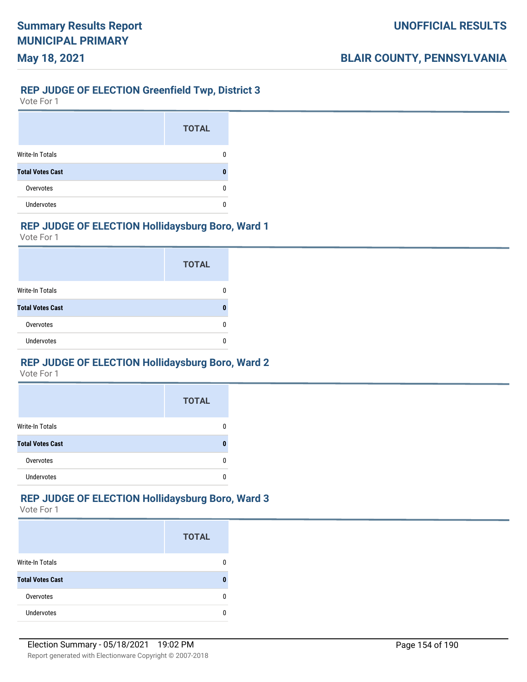### **REP JUDGE OF ELECTION Greenfield Twp, District 3**

Vote For 1

**May 18, 2021**

|                         | <b>TOTAL</b> |
|-------------------------|--------------|
| <b>Write-In Totals</b>  |              |
| <b>Total Votes Cast</b> |              |
| Overvotes               |              |
| <b>Undervotes</b>       |              |

### **REP JUDGE OF ELECTION Hollidaysburg Boro, Ward 1**

Vote For 1

|                         | <b>TOTAL</b> |
|-------------------------|--------------|
| <b>Write-In Totals</b>  |              |
| <b>Total Votes Cast</b> |              |
| Overvotes               |              |
| <b>Undervotes</b>       |              |

### **REP JUDGE OF ELECTION Hollidaysburg Boro, Ward 2**

Vote For 1

|                         | <b>TOTAL</b> |
|-------------------------|--------------|
| <b>Write-In Totals</b>  |              |
| <b>Total Votes Cast</b> |              |
| Overvotes               |              |
| Undervotes              |              |

### **REP JUDGE OF ELECTION Hollidaysburg Boro, Ward 3**

|                         | <b>TOTAL</b> |
|-------------------------|--------------|
| <b>Write-In Totals</b>  |              |
| <b>Total Votes Cast</b> |              |
| Overvotes               |              |
| <b>Undervotes</b>       |              |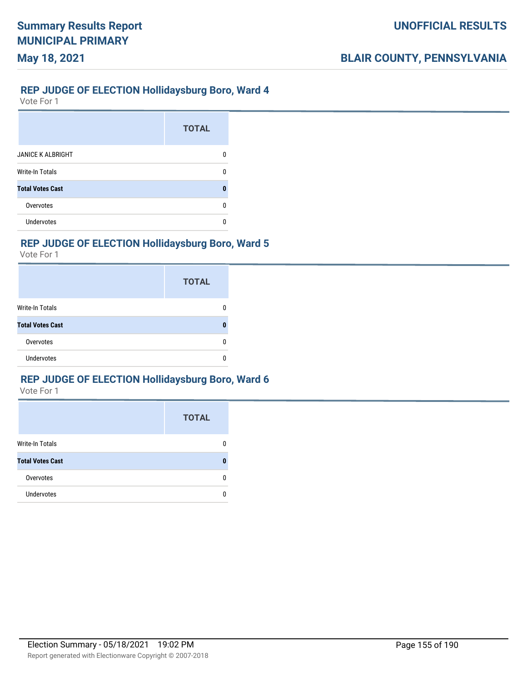#### **REP JUDGE OF ELECTION Hollidaysburg Boro, Ward 4**

Vote For 1

**May 18, 2021**

|                          | <b>TOTAL</b> |
|--------------------------|--------------|
| <b>JANICE K ALBRIGHT</b> |              |
| <b>Write-In Totals</b>   |              |
| <b>Total Votes Cast</b>  |              |
| Overvotes                | n            |
| <b>Undervotes</b>        |              |

### **REP JUDGE OF ELECTION Hollidaysburg Boro, Ward 5**

Vote For 1

|                         | <b>TOTAL</b> |
|-------------------------|--------------|
| Write-In Totals         |              |
| <b>Total Votes Cast</b> | 0            |
| Overvotes               | Ω            |
| <b>Undervotes</b>       |              |

#### **REP JUDGE OF ELECTION Hollidaysburg Boro, Ward 6**

|                         | <b>TOTAL</b> |
|-------------------------|--------------|
| <b>Write-In Totals</b>  |              |
| <b>Total Votes Cast</b> |              |
| Overvotes               |              |
| <b>Undervotes</b>       |              |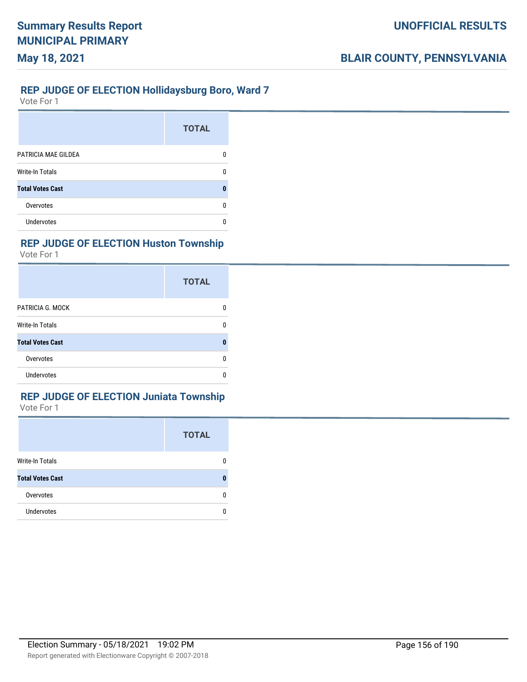#### **REP JUDGE OF ELECTION Hollidaysburg Boro, Ward 7**

Vote For 1

**May 18, 2021**

|                         | <b>TOTAL</b> |
|-------------------------|--------------|
| PATRICIA MAE GILDEA     |              |
| <b>Write-In Totals</b>  |              |
| <b>Total Votes Cast</b> |              |
| Overvotes               |              |
| Undervotes              |              |

### **REP JUDGE OF ELECTION Huston Township**

Vote For 1

|                         | <b>TOTAL</b> |
|-------------------------|--------------|
| PATRICIA G. MOCK        |              |
| <b>Write-In Totals</b>  |              |
| <b>Total Votes Cast</b> |              |
| Overvotes               |              |
| <b>Undervotes</b>       |              |

### **REP JUDGE OF ELECTION Juniata Township**

|                         | <b>TOTAL</b> |
|-------------------------|--------------|
| <b>Write-In Totals</b>  | 0            |
| <b>Total Votes Cast</b> | n            |
| Overvotes               | 0            |
| <b>Undervotes</b>       | n            |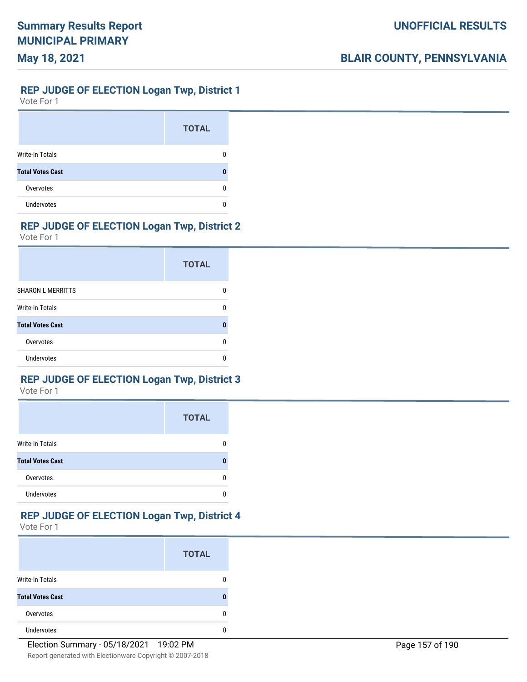#### **REP JUDGE OF ELECTION Logan Twp, District 1**

Vote For 1

**May 18, 2021**

|                         | <b>TOTAL</b> |
|-------------------------|--------------|
| <b>Write-In Totals</b>  |              |
| <b>Total Votes Cast</b> |              |
| Overvotes               |              |
| Undervotes              |              |

### **REP JUDGE OF ELECTION Logan Twp, District 2**

Vote For 1

|                          | <b>TOTAL</b> |
|--------------------------|--------------|
| <b>SHARON L MERRITTS</b> |              |
| Write-In Totals          | n            |
| <b>Total Votes Cast</b>  | Ω            |
| Overvotes                | n            |
| Undervotes               |              |

### **REP JUDGE OF ELECTION Logan Twp, District 3**

Vote For 1

|                         | <b>TOTAL</b> |
|-------------------------|--------------|
| <b>Write-In Totals</b>  |              |
| <b>Total Votes Cast</b> |              |
| Overvotes               |              |
| <b>Undervotes</b>       |              |

#### **REP JUDGE OF ELECTION Logan Twp, District 4**

|                         | <b>TOTAL</b> |
|-------------------------|--------------|
| <b>Write-In Totals</b>  |              |
| <b>Total Votes Cast</b> |              |
| Overvotes               |              |
| Undervotes              |              |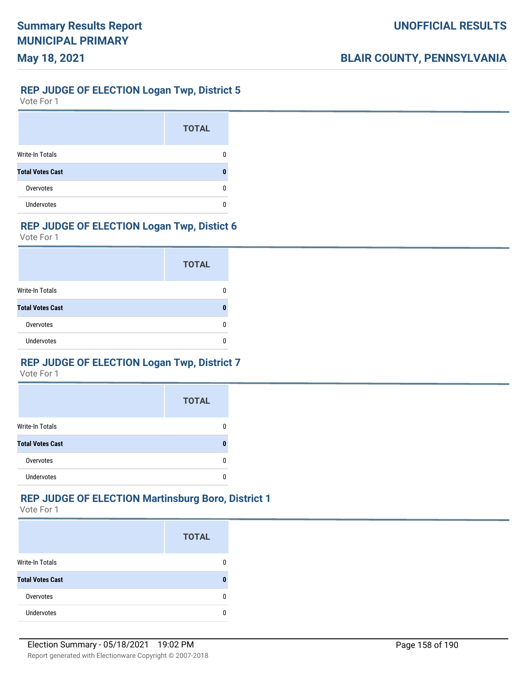#### **REP JUDGE OF ELECTION Logan Twp, District 5**

Vote For 1

**May 18, 2021**

|                         | <b>TOTAL</b> |
|-------------------------|--------------|
| <b>Write-In Totals</b>  |              |
| <b>Total Votes Cast</b> |              |
| Overvotes               |              |
| <b>Undervotes</b>       |              |

### **REP JUDGE OF ELECTION Logan Twp, Distict 6**

Vote For 1

|                         | <b>TOTAL</b> |
|-------------------------|--------------|
| Write-In Totals         |              |
| <b>Total Votes Cast</b> |              |
| Overvotes               |              |
| Undervotes              |              |

### **REP JUDGE OF ELECTION Logan Twp, District 7**

Vote For 1

|                         | <b>TOTAL</b> |
|-------------------------|--------------|
| <b>Write-In Totals</b>  |              |
| <b>Total Votes Cast</b> |              |
| Overvotes               | n            |
| <b>Undervotes</b>       |              |

### **REP JUDGE OF ELECTION Martinsburg Boro, District 1**

|                         | <b>TOTAL</b> |
|-------------------------|--------------|
| <b>Write-In Totals</b>  |              |
| <b>Total Votes Cast</b> |              |
| Overvotes               |              |
| <b>Undervotes</b>       |              |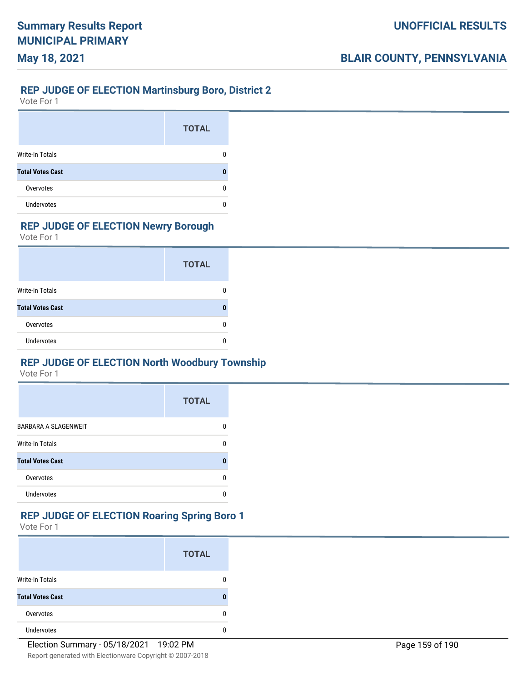#### **REP JUDGE OF ELECTION Martinsburg Boro, District 2**

Vote For 1

**May 18, 2021**

|                         | <b>TOTAL</b> |
|-------------------------|--------------|
| <b>Write-In Totals</b>  |              |
| <b>Total Votes Cast</b> |              |
| Overvotes               | O            |
| Undervotes              |              |

### **REP JUDGE OF ELECTION Newry Borough**

Vote For 1

|                         | <b>TOTAL</b> |
|-------------------------|--------------|
| <b>Write-In Totals</b>  |              |
| <b>Total Votes Cast</b> |              |
| Overvotes               |              |
| Undervotes              |              |

### **REP JUDGE OF ELECTION North Woodbury Township**

Vote For 1

|                             | <b>TOTAL</b> |
|-----------------------------|--------------|
| <b>BARBARA A SLAGENWEIT</b> | n            |
| Write-In Totals             | n            |
| <b>Total Votes Cast</b>     | П            |
| Overvotes                   | n            |
| <b>Undervotes</b>           |              |

#### **REP JUDGE OF ELECTION Roaring Spring Boro 1**

|                         | <b>TOTAL</b> |
|-------------------------|--------------|
| <b>Write-In Totals</b>  | 0            |
| <b>Total Votes Cast</b> | 0            |
| Overvotes               | 0            |
| <b>Undervotes</b>       | 0            |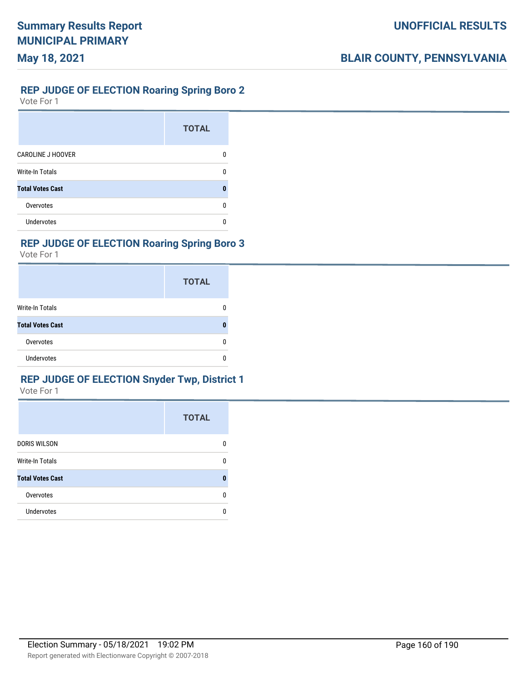#### **REP JUDGE OF ELECTION Roaring Spring Boro 2**

Vote For 1

**May 18, 2021**

|                          | <b>TOTAL</b> |
|--------------------------|--------------|
| <b>CAROLINE J HOOVER</b> |              |
| <b>Write-In Totals</b>   | n            |
| <b>Total Votes Cast</b>  | O            |
| Overvotes                |              |
| Undervotes               |              |

### **REP JUDGE OF ELECTION Roaring Spring Boro 3**

Vote For 1

|                         | <b>TOTAL</b> |
|-------------------------|--------------|
| Write-In Totals         |              |
| <b>Total Votes Cast</b> |              |
| Overvotes               |              |
| <b>Undervotes</b>       |              |

### **REP JUDGE OF ELECTION Snyder Twp, District 1**

|                         | <b>TOTAL</b> |
|-------------------------|--------------|
| <b>DORIS WILSON</b>     |              |
| <b>Write-In Totals</b>  |              |
| <b>Total Votes Cast</b> |              |
| Overvotes               |              |
| <b>Undervotes</b>       |              |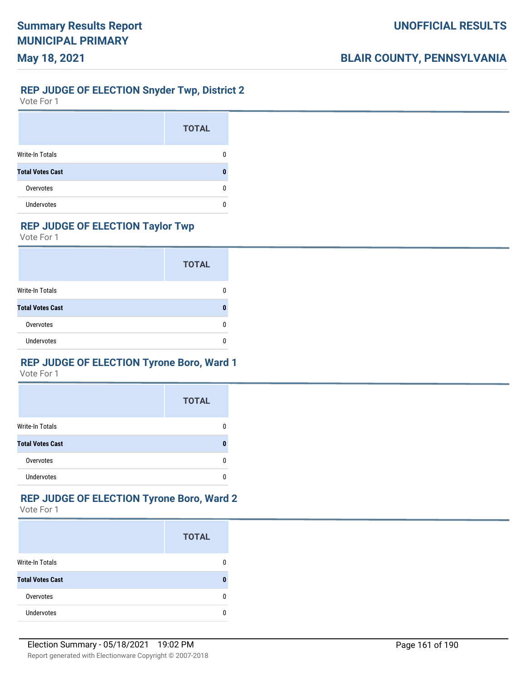#### **REP JUDGE OF ELECTION Snyder Twp, District 2**

Vote For 1

**May 18, 2021**

|                         | <b>TOTAL</b> |
|-------------------------|--------------|
| <b>Write-In Totals</b>  |              |
| <b>Total Votes Cast</b> |              |
| Overvotes               | n            |
| <b>Undervotes</b>       |              |

### **REP JUDGE OF ELECTION Taylor Twp**

Vote For 1

|                         | <b>TOTAL</b> |
|-------------------------|--------------|
| Write-In Totals         |              |
| <b>Total Votes Cast</b> |              |
| Overvotes               |              |
| <b>Undervotes</b>       |              |

### **REP JUDGE OF ELECTION Tyrone Boro, Ward 1**

Vote For 1

|                         | <b>TOTAL</b> |
|-------------------------|--------------|
| <b>Write-In Totals</b>  |              |
| <b>Total Votes Cast</b> |              |
| Overvotes               | n            |
| <b>Undervotes</b>       |              |

# **REP JUDGE OF ELECTION Tyrone Boro, Ward 2**

|                         | <b>TOTAL</b> |
|-------------------------|--------------|
| <b>Write-In Totals</b>  |              |
| <b>Total Votes Cast</b> |              |
| Overvotes               |              |
| <b>Undervotes</b>       |              |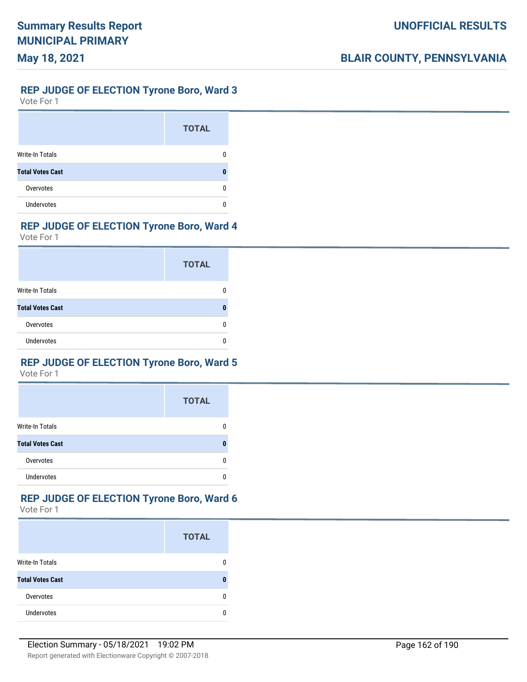### **REP JUDGE OF ELECTION Tyrone Boro, Ward 3**

Vote For 1

**May 18, 2021**

|                         | <b>TOTAL</b> |
|-------------------------|--------------|
| <b>Write-In Totals</b>  |              |
| <b>Total Votes Cast</b> |              |
| Overvotes               | O            |
| Undervotes              |              |

### **REP JUDGE OF ELECTION Tyrone Boro, Ward 4**

Vote For 1

|                         | <b>TOTAL</b> |
|-------------------------|--------------|
| Write-In Totals         |              |
| <b>Total Votes Cast</b> |              |
| Overvotes               | O            |
| <b>Undervotes</b>       |              |

### **REP JUDGE OF ELECTION Tyrone Boro, Ward 5**

Vote For 1

|                         | <b>TOTAL</b> |
|-------------------------|--------------|
| <b>Write-In Totals</b>  |              |
| <b>Total Votes Cast</b> |              |
| Overvotes               |              |
| <b>Undervotes</b>       |              |

# **REP JUDGE OF ELECTION Tyrone Boro, Ward 6**

|                         | <b>TOTAL</b> |
|-------------------------|--------------|
| <b>Write-In Totals</b>  |              |
| <b>Total Votes Cast</b> |              |
| Overvotes               |              |
| <b>Undervotes</b>       |              |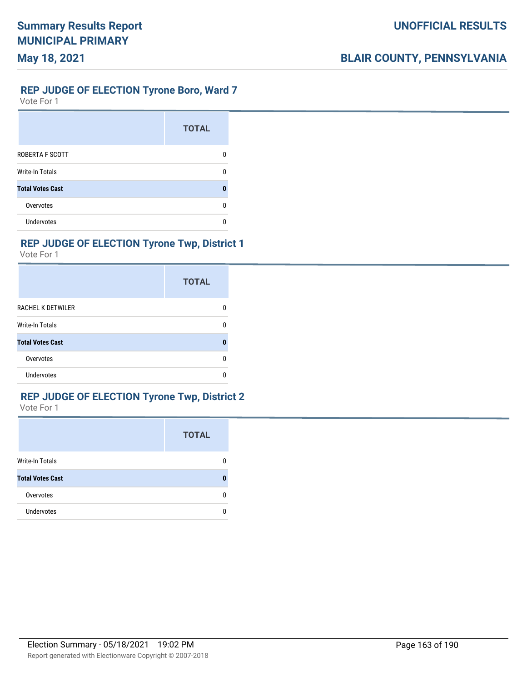#### **REP JUDGE OF ELECTION Tyrone Boro, Ward 7**

Vote For 1

**May 18, 2021**

|                         | <b>TOTAL</b> |
|-------------------------|--------------|
| <b>ROBERTA F SCOTT</b>  |              |
| <b>Write-In Totals</b>  | n            |
| <b>Total Votes Cast</b> | n            |
| Overvotes               |              |
| <b>Undervotes</b>       |              |

### **REP JUDGE OF ELECTION Tyrone Twp, District 1**

Vote For 1

|                          | <b>TOTAL</b> |
|--------------------------|--------------|
| <b>RACHEL K DETWILER</b> |              |
| <b>Write-In Totals</b>   |              |
| <b>Total Votes Cast</b>  |              |
| Overvotes                |              |
| Undervotes               |              |

#### **REP JUDGE OF ELECTION Tyrone Twp, District 2**

|                         | <b>TOTAL</b> |
|-------------------------|--------------|
| Write-In Totals         |              |
| <b>Total Votes Cast</b> |              |
| Overvotes               | n            |
| <b>Undervotes</b>       |              |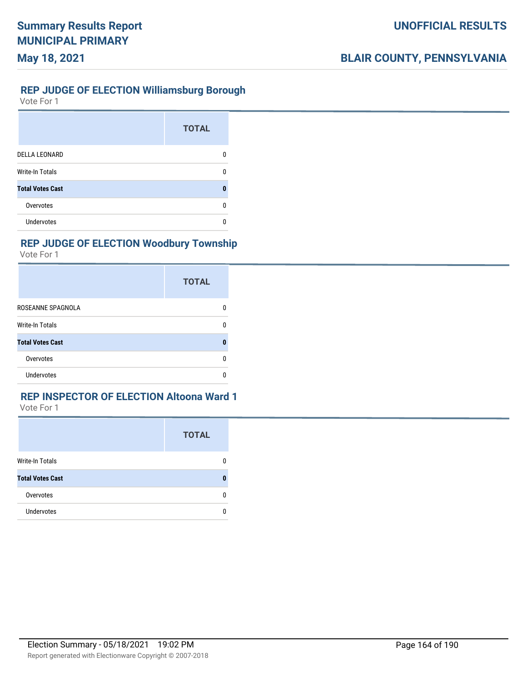### **REP JUDGE OF ELECTION Williamsburg Borough**

Vote For 1

|                         | <b>TOTAL</b> |
|-------------------------|--------------|
| <b>DELLA LEONARD</b>    |              |
| <b>Write-In Totals</b>  |              |
| <b>Total Votes Cast</b> |              |
| Overvotes               |              |
| <b>Undervotes</b>       |              |

### **REP JUDGE OF ELECTION Woodbury Township**

Vote For 1

|                         | <b>TOTAL</b> |
|-------------------------|--------------|
| ROSEANNE SPAGNOLA       | O            |
| <b>Write-In Totals</b>  | n            |
| <b>Total Votes Cast</b> | П            |
| Overvotes               | n            |
| Undervotes              |              |

### **REP INSPECTOR OF ELECTION Altoona Ward 1**

|                         | <b>TOTAL</b> |
|-------------------------|--------------|
| Write-In Totals         | 0            |
| <b>Total Votes Cast</b> | n            |
| Overvotes               | 0            |
| <b>Undervotes</b>       | 0            |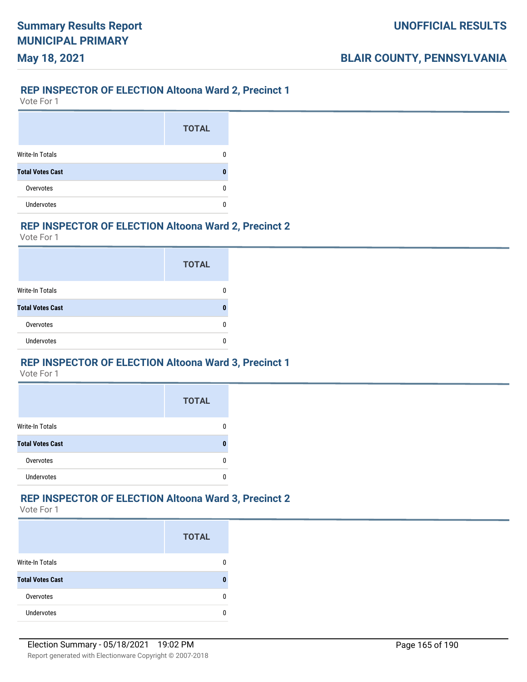### **REP INSPECTOR OF ELECTION Altoona Ward 2, Precinct 1**

Vote For 1

**May 18, 2021**

|                         | <b>TOTAL</b> |
|-------------------------|--------------|
| Write-In Totals         |              |
| <b>Total Votes Cast</b> |              |
| Overvotes               |              |
| <b>Undervotes</b>       |              |

### **REP INSPECTOR OF ELECTION Altoona Ward 2, Precinct 2**

Vote For 1

|                         | <b>TOTAL</b> |
|-------------------------|--------------|
| Write-In Totals         |              |
| <b>Total Votes Cast</b> |              |
| Overvotes               |              |
| <b>Undervotes</b>       |              |

#### **REP INSPECTOR OF ELECTION Altoona Ward 3, Precinct 1**

Vote For 1

|                         | <b>TOTAL</b> |
|-------------------------|--------------|
| <b>Write-In Totals</b>  |              |
| <b>Total Votes Cast</b> |              |
| Overvotes               |              |
| <b>Undervotes</b>       |              |

### **REP INSPECTOR OF ELECTION Altoona Ward 3, Precinct 2**

|                         | <b>TOTAL</b> |
|-------------------------|--------------|
| <b>Write-In Totals</b>  |              |
| <b>Total Votes Cast</b> |              |
| Overvotes               |              |
| Undervotes              |              |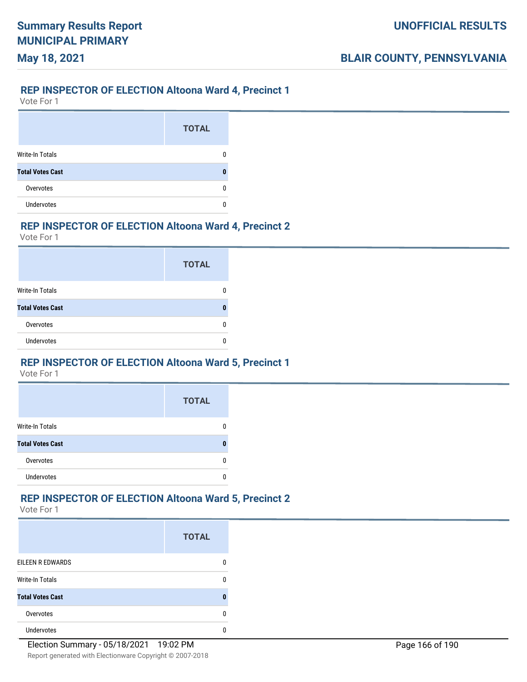### **REP INSPECTOR OF ELECTION Altoona Ward 4, Precinct 1**

Vote For 1

**May 18, 2021**

|                         | <b>TOTAL</b> |
|-------------------------|--------------|
| Write-In Totals         |              |
| <b>Total Votes Cast</b> |              |
| Overvotes               |              |
| <b>Undervotes</b>       |              |

#### **REP INSPECTOR OF ELECTION Altoona Ward 4, Precinct 2**

Vote For 1

|                         | <b>TOTAL</b> |
|-------------------------|--------------|
| Write-In Totals         |              |
| <b>Total Votes Cast</b> |              |
| Overvotes               |              |
| <b>Undervotes</b>       |              |

#### **REP INSPECTOR OF ELECTION Altoona Ward 5, Precinct 1**

Vote For 1

|                         | <b>TOTAL</b> |
|-------------------------|--------------|
| <b>Write-In Totals</b>  |              |
| <b>Total Votes Cast</b> | п            |
| Overvotes               |              |
| <b>Undervotes</b>       |              |

### **REP INSPECTOR OF ELECTION Altoona Ward 5, Precinct 2**

|                         | <b>TOTAL</b> |
|-------------------------|--------------|
| EILEEN R EDWARDS        |              |
| <b>Write-In Totals</b>  | n            |
| <b>Total Votes Cast</b> |              |
| Overvotes               | n            |
| <b>Undervotes</b>       |              |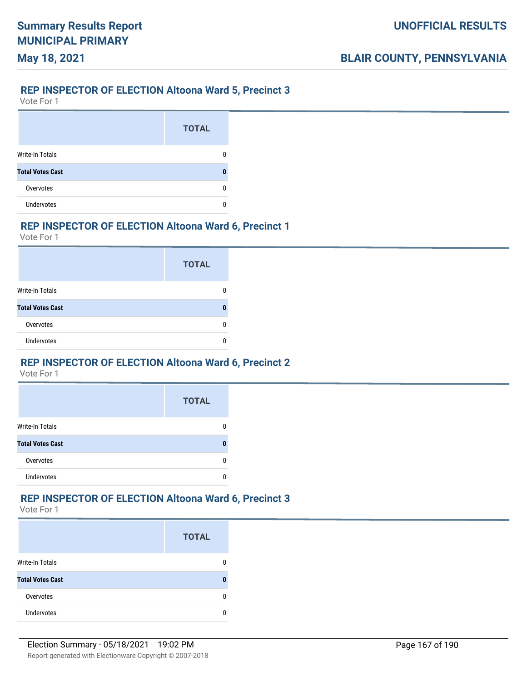# **May 18, 2021**

### **REP INSPECTOR OF ELECTION Altoona Ward 5, Precinct 3**

Vote For 1

|                         | <b>TOTAL</b> |
|-------------------------|--------------|
| Write-In Totals         |              |
| <b>Total Votes Cast</b> |              |
| Overvotes               |              |
| <b>Undervotes</b>       |              |

### **REP INSPECTOR OF ELECTION Altoona Ward 6, Precinct 1**

Vote For 1

|                         | <b>TOTAL</b> |
|-------------------------|--------------|
| Write-In Totals         |              |
| <b>Total Votes Cast</b> |              |
| Overvotes               |              |
| <b>Undervotes</b>       |              |

#### **REP INSPECTOR OF ELECTION Altoona Ward 6, Precinct 2**

Vote For 1

|                         | <b>TOTAL</b> |
|-------------------------|--------------|
| <b>Write-In Totals</b>  |              |
| <b>Total Votes Cast</b> |              |
| Overvotes               |              |
| <b>Undervotes</b>       |              |

#### **REP INSPECTOR OF ELECTION Altoona Ward 6, Precinct 3**

|                         | <b>TOTAL</b> |
|-------------------------|--------------|
| <b>Write-In Totals</b>  |              |
| <b>Total Votes Cast</b> |              |
| Overvotes               |              |
| <b>Undervotes</b>       |              |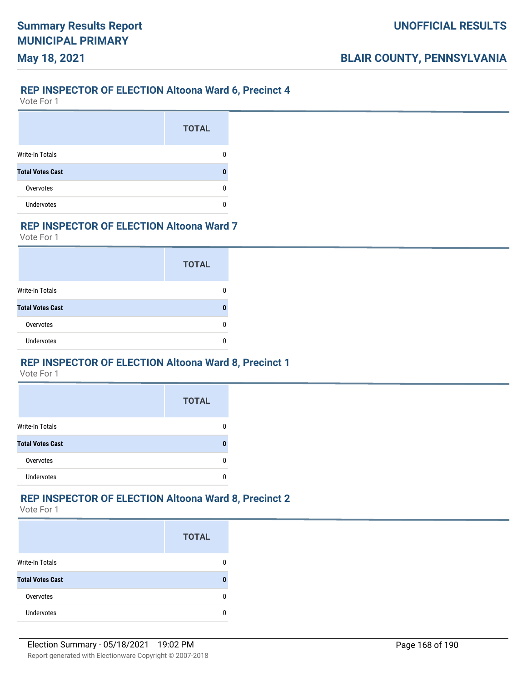#### **REP INSPECTOR OF ELECTION Altoona Ward 6, Precinct 4**

Vote For 1

**May 18, 2021**

|                         | <b>TOTAL</b> |
|-------------------------|--------------|
| <b>Write-In Totals</b>  |              |
| <b>Total Votes Cast</b> |              |
| Overvotes               |              |
| Undervotes              |              |

### **REP INSPECTOR OF ELECTION Altoona Ward 7**

Vote For 1

|                         | <b>TOTAL</b> |
|-------------------------|--------------|
| Write-In Totals         |              |
| <b>Total Votes Cast</b> |              |
| Overvotes               |              |
| <b>Undervotes</b>       |              |

#### **REP INSPECTOR OF ELECTION Altoona Ward 8, Precinct 1**

Vote For 1

|                         | <b>TOTAL</b> |
|-------------------------|--------------|
| <b>Write-In Totals</b>  |              |
| <b>Total Votes Cast</b> |              |
| Overvotes               |              |
| <b>Undervotes</b>       |              |

### **REP INSPECTOR OF ELECTION Altoona Ward 8, Precinct 2**

|                         | <b>TOTAL</b> |
|-------------------------|--------------|
| <b>Write-In Totals</b>  |              |
| <b>Total Votes Cast</b> |              |
| Overvotes               |              |
| Undervotes              |              |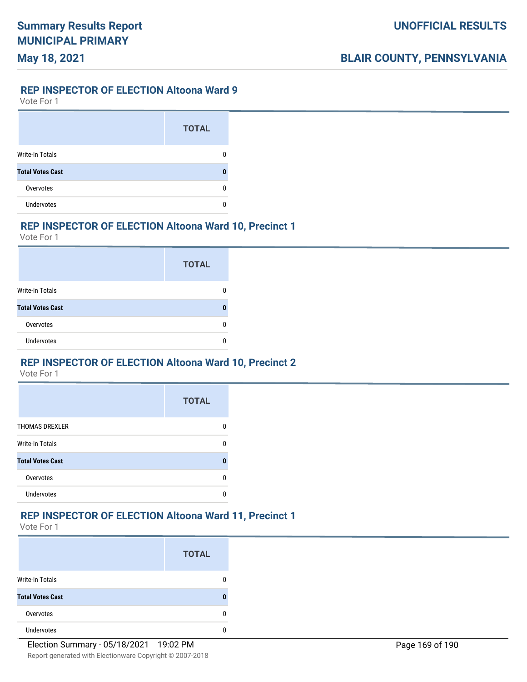#### **REP INSPECTOR OF ELECTION Altoona Ward 9**

Vote For 1

**May 18, 2021**

|                         | <b>TOTAL</b> |
|-------------------------|--------------|
| Write-In Totals         |              |
| <b>Total Votes Cast</b> |              |
| Overvotes               |              |
| <b>Undervotes</b>       |              |

### **REP INSPECTOR OF ELECTION Altoona Ward 10, Precinct 1**

Vote For 1

|                         | <b>TOTAL</b> |
|-------------------------|--------------|
| Write-In Totals         |              |
| <b>Total Votes Cast</b> |              |
| Overvotes               |              |
| Undervotes              |              |

#### **REP INSPECTOR OF ELECTION Altoona Ward 10, Precinct 2**

Vote For 1

|                         | <b>TOTAL</b> |
|-------------------------|--------------|
| <b>THOMAS DREXLER</b>   |              |
| Write-In Totals         |              |
| <b>Total Votes Cast</b> |              |
| Overvotes               |              |
| <b>Undervotes</b>       |              |

#### **REP INSPECTOR OF ELECTION Altoona Ward 11, Precinct 1**

|                         | <b>TOTAL</b> |
|-------------------------|--------------|
| <b>Write-In Totals</b>  | 0            |
| <b>Total Votes Cast</b> | 0            |
| Overvotes               | 0            |
| <b>Undervotes</b>       | Λ            |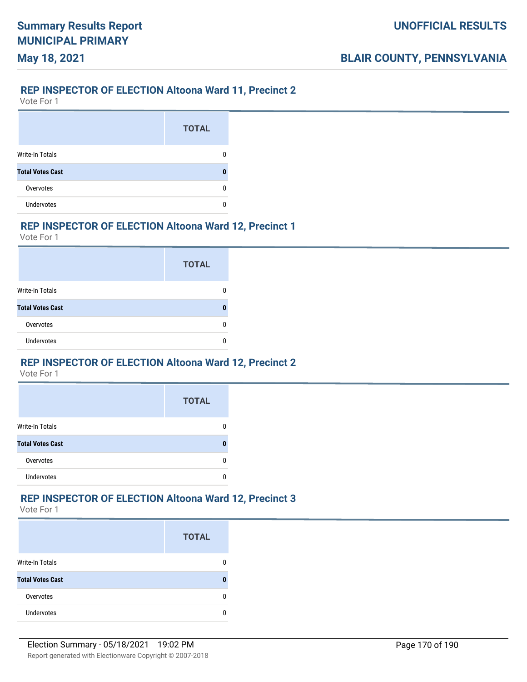### **REP INSPECTOR OF ELECTION Altoona Ward 11, Precinct 2**

Vote For 1

**May 18, 2021**

|                         | <b>TOTAL</b> |
|-------------------------|--------------|
| Write-In Totals         |              |
| <b>Total Votes Cast</b> |              |
| Overvotes               |              |
| <b>Undervotes</b>       |              |

#### **REP INSPECTOR OF ELECTION Altoona Ward 12, Precinct 1**

Vote For 1

|                         | <b>TOTAL</b> |
|-------------------------|--------------|
| Write-In Totals         |              |
| <b>Total Votes Cast</b> | п            |
| Overvotes               |              |
| <b>Undervotes</b>       |              |

#### **REP INSPECTOR OF ELECTION Altoona Ward 12, Precinct 2**

Vote For 1

|                         | <b>TOTAL</b> |
|-------------------------|--------------|
| <b>Write-In Totals</b>  |              |
| <b>Total Votes Cast</b> |              |
| Overvotes               |              |
| <b>Undervotes</b>       |              |

#### **REP INSPECTOR OF ELECTION Altoona Ward 12, Precinct 3**

|                         | <b>TOTAL</b> |
|-------------------------|--------------|
| <b>Write-In Totals</b>  |              |
| <b>Total Votes Cast</b> |              |
| Overvotes               |              |
| <b>Undervotes</b>       |              |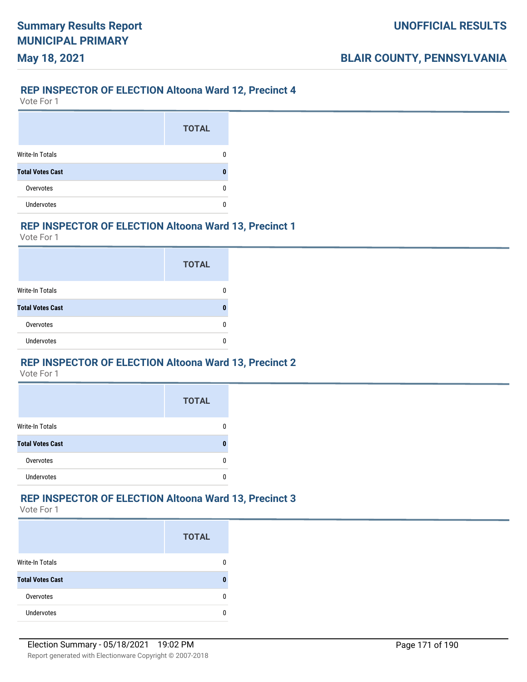### **REP INSPECTOR OF ELECTION Altoona Ward 12, Precinct 4**

Vote For 1

**May 18, 2021**

|                         | <b>TOTAL</b> |
|-------------------------|--------------|
| Write-In Totals         |              |
| <b>Total Votes Cast</b> |              |
| Overvotes               |              |
| <b>Undervotes</b>       |              |

### **REP INSPECTOR OF ELECTION Altoona Ward 13, Precinct 1**

Vote For 1

|                         | <b>TOTAL</b> |
|-------------------------|--------------|
| Write-In Totals         |              |
| <b>Total Votes Cast</b> |              |
| Overvotes               |              |
| <b>Undervotes</b>       |              |

#### **REP INSPECTOR OF ELECTION Altoona Ward 13, Precinct 2**

Vote For 1

|                         | <b>TOTAL</b> |
|-------------------------|--------------|
| <b>Write-In Totals</b>  |              |
| <b>Total Votes Cast</b> |              |
| Overvotes               |              |
| <b>Undervotes</b>       |              |

### **REP INSPECTOR OF ELECTION Altoona Ward 13, Precinct 3**

|                         | <b>TOTAL</b> |
|-------------------------|--------------|
| <b>Write-In Totals</b>  |              |
| <b>Total Votes Cast</b> |              |
| Overvotes               |              |
| Undervotes              |              |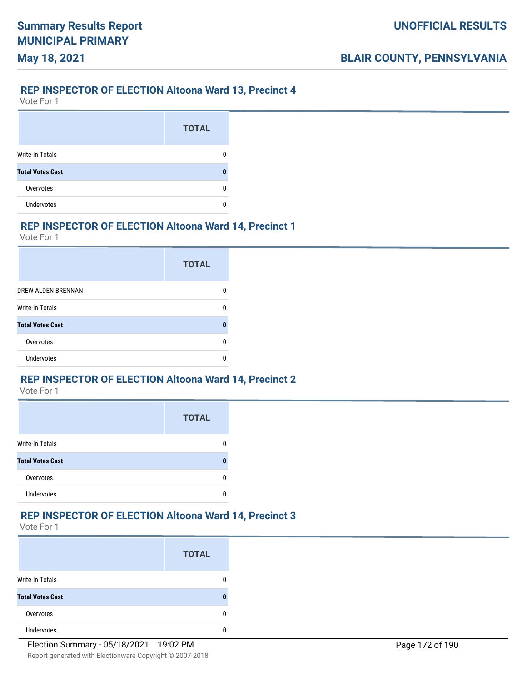#### **REP INSPECTOR OF ELECTION Altoona Ward 13, Precinct 4**

Vote For 1

**May 18, 2021**

|                         | <b>TOTAL</b> |
|-------------------------|--------------|
| Write-In Totals         |              |
| <b>Total Votes Cast</b> |              |
| Overvotes               |              |
| <b>Undervotes</b>       |              |

#### **REP INSPECTOR OF ELECTION Altoona Ward 14, Precinct 1**

Vote For 1

|                         | <b>TOTAL</b> |
|-------------------------|--------------|
| DREW ALDEN BRENNAN      |              |
| Write-In Totals         | U            |
| <b>Total Votes Cast</b> | O            |
| Overvotes               | n            |
| Undervotes              |              |

### **REP INSPECTOR OF ELECTION Altoona Ward 14, Precinct 2**

Vote For 1

|                         | <b>TOTAL</b> |
|-------------------------|--------------|
| <b>Write-In Totals</b>  |              |
| <b>Total Votes Cast</b> |              |
| Overvotes               |              |
| <b>Undervotes</b>       |              |

### **REP INSPECTOR OF ELECTION Altoona Ward 14, Precinct 3**

|                         | <b>TOTAL</b> |
|-------------------------|--------------|
| <b>Write-In Totals</b>  |              |
| <b>Total Votes Cast</b> | n            |
| Overvotes               | n            |
| <b>Undervotes</b>       |              |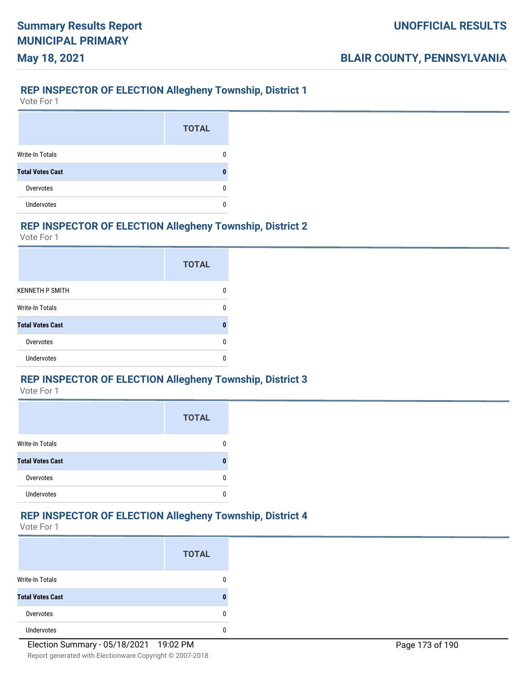### **REP INSPECTOR OF ELECTION Allegheny Township, District 1**

Vote For 1

**May 18, 2021**

|                         | <b>TOTAL</b> |
|-------------------------|--------------|
| <b>Write-In Totals</b>  |              |
| <b>Total Votes Cast</b> | Л            |
| Overvotes               | O            |
| <b>Undervotes</b>       |              |

#### **REP INSPECTOR OF ELECTION Allegheny Township, District 2**

Vote For 1

|                         | <b>TOTAL</b> |
|-------------------------|--------------|
| <b>KENNETH P SMITH</b>  |              |
| <b>Write-In Totals</b>  | ŋ            |
| <b>Total Votes Cast</b> |              |
| Overvotes               |              |
| Undervotes              |              |

### **REP INSPECTOR OF ELECTION Allegheny Township, District 3**

Vote For 1

|                         | <b>TOTAL</b> |
|-------------------------|--------------|
| <b>Write-In Totals</b>  |              |
| <b>Total Votes Cast</b> |              |
| Overvotes               |              |
| <b>Undervotes</b>       |              |

### **REP INSPECTOR OF ELECTION Allegheny Township, District 4**

|                         | <b>TOTAL</b> |
|-------------------------|--------------|
| <b>Write-In Totals</b>  |              |
| <b>Total Votes Cast</b> | Л            |
| Overvotes               | Ω            |
| <b>Undervotes</b>       |              |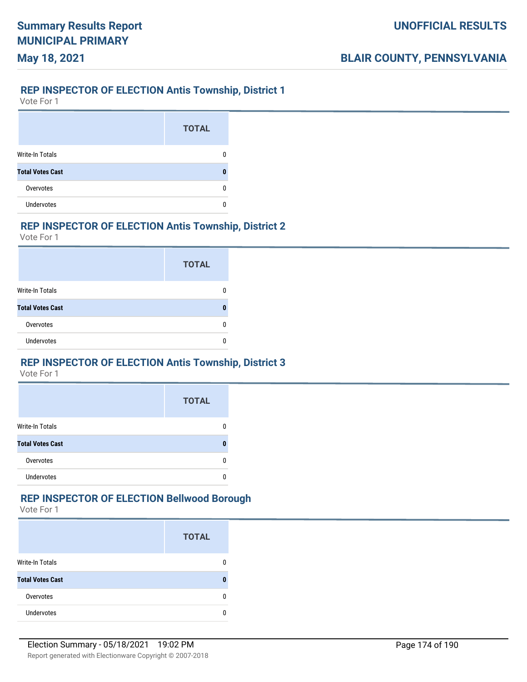#### **REP INSPECTOR OF ELECTION Antis Township, District 1**

Vote For 1

**May 18, 2021**

|                         | <b>TOTAL</b> |
|-------------------------|--------------|
| <b>Write-In Totals</b>  |              |
| <b>Total Votes Cast</b> |              |
| Overvotes               |              |
| <b>Undervotes</b>       |              |

### **REP INSPECTOR OF ELECTION Antis Township, District 2**

Vote For 1

|                         | <b>TOTAL</b> |
|-------------------------|--------------|
| Write-In Totals         |              |
| <b>Total Votes Cast</b> |              |
| Overvotes               |              |
| <b>Undervotes</b>       |              |

### **REP INSPECTOR OF ELECTION Antis Township, District 3**

Vote For 1

|                         | <b>TOTAL</b> |
|-------------------------|--------------|
| <b>Write-In Totals</b>  |              |
| <b>Total Votes Cast</b> |              |
| Overvotes               |              |
| <b>Undervotes</b>       |              |

### **REP INSPECTOR OF ELECTION Bellwood Borough**

|                         | <b>TOTAL</b> |
|-------------------------|--------------|
| <b>Write-In Totals</b>  |              |
| <b>Total Votes Cast</b> |              |
| Overvotes               |              |
| <b>Undervotes</b>       |              |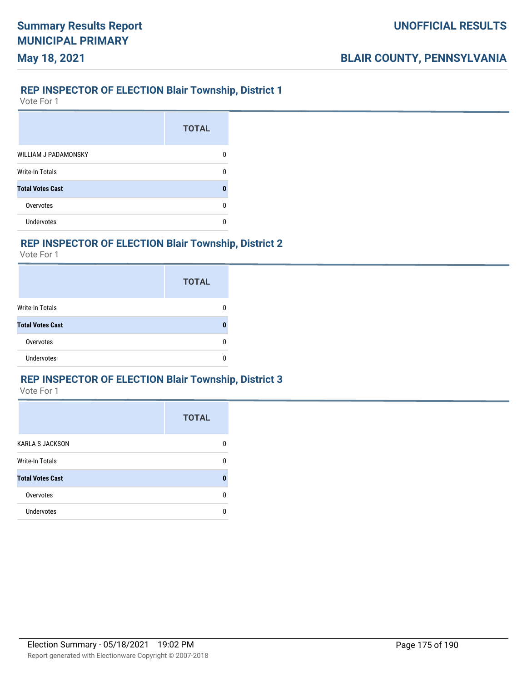#### **REP INSPECTOR OF ELECTION Blair Township, District 1**

Vote For 1

**May 18, 2021**

|                             | <b>TOTAL</b> |
|-----------------------------|--------------|
| <b>WILLIAM J PADAMONSKY</b> |              |
| Write-In Totals             | n            |
| <b>Total Votes Cast</b>     |              |
| Overvotes                   |              |
| Undervotes                  |              |

### **REP INSPECTOR OF ELECTION Blair Township, District 2**

Vote For 1

|                         | <b>TOTAL</b> |
|-------------------------|--------------|
| <b>Write-In Totals</b>  | Ω            |
| <b>Total Votes Cast</b> | 0            |
| Overvotes               | 0            |
| <b>Undervotes</b>       |              |

### **REP INSPECTOR OF ELECTION Blair Township, District 3**

|                         | <b>TOTAL</b> |
|-------------------------|--------------|
| <b>KARLA S JACKSON</b>  | O            |
| <b>Write-In Totals</b>  | O            |
| <b>Total Votes Cast</b> |              |
| Overvotes               | n            |
| Undervotes              | n            |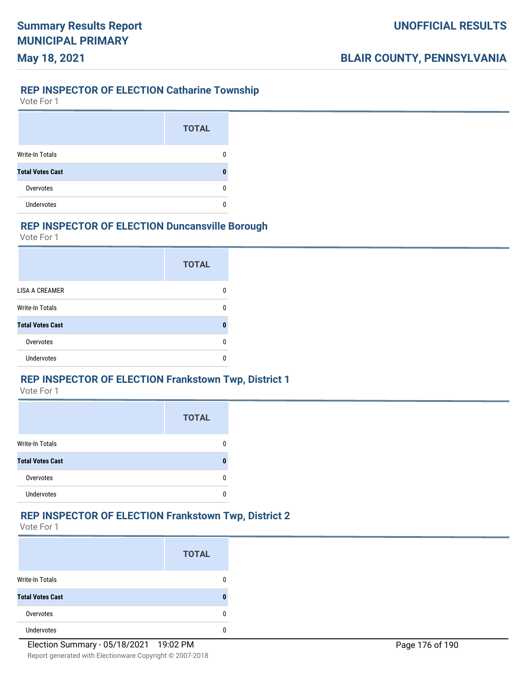### **REP INSPECTOR OF ELECTION Catharine Township**

Vote For 1

**May 18, 2021**

|                         | <b>TOTAL</b> |
|-------------------------|--------------|
| <b>Write-In Totals</b>  |              |
| <b>Total Votes Cast</b> |              |
| Overvotes               |              |
| <b>Undervotes</b>       |              |

### **REP INSPECTOR OF ELECTION Duncansville Borough**

Vote For 1

|                         | <b>TOTAL</b> |
|-------------------------|--------------|
| <b>LISA A CREAMER</b>   |              |
| <b>Write-In Totals</b>  | n            |
| <b>Total Votes Cast</b> |              |
| Overvotes               |              |
| Undervotes              |              |

### **REP INSPECTOR OF ELECTION Frankstown Twp, District 1**

Vote For 1

|                         | <b>TOTAL</b> |
|-------------------------|--------------|
| <b>Write-In Totals</b>  |              |
| <b>Total Votes Cast</b> |              |
| Overvotes               |              |
| <b>Undervotes</b>       |              |

#### **REP INSPECTOR OF ELECTION Frankstown Twp, District 2**

|                         | <b>TOTAL</b> |
|-------------------------|--------------|
| <b>Write-In Totals</b>  | 0            |
| <b>Total Votes Cast</b> | 0            |
| Overvotes               | 0            |
| <b>Undervotes</b>       |              |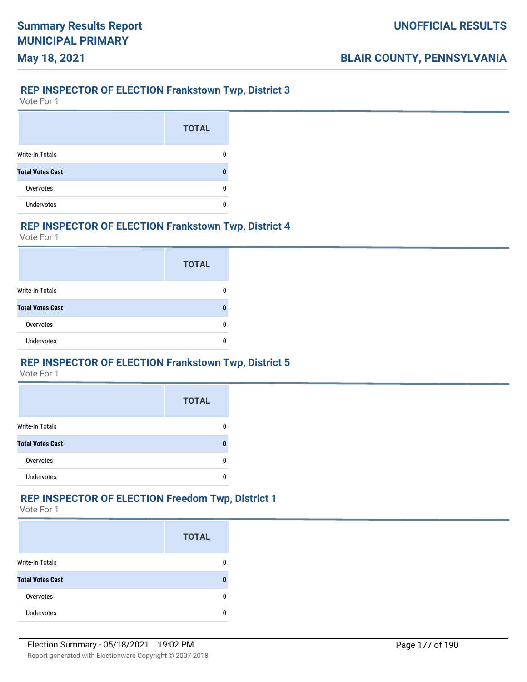#### **REP INSPECTOR OF ELECTION Frankstown Twp, District 3**

Vote For 1

**May 18, 2021**

|                         | <b>TOTAL</b> |
|-------------------------|--------------|
| <b>Write-In Totals</b>  |              |
| <b>Total Votes Cast</b> |              |
| Overvotes               |              |
| <b>Undervotes</b>       |              |

### **REP INSPECTOR OF ELECTION Frankstown Twp, District 4**

Vote For 1

|                         | <b>TOTAL</b> |
|-------------------------|--------------|
| Write-In Totals         |              |
| <b>Total Votes Cast</b> |              |
| Overvotes               |              |
| <b>Undervotes</b>       |              |

### **REP INSPECTOR OF ELECTION Frankstown Twp, District 5**

Vote For 1

|                         | <b>TOTAL</b> |
|-------------------------|--------------|
| <b>Write-In Totals</b>  |              |
| <b>Total Votes Cast</b> |              |
| Overvotes               |              |
| <b>Undervotes</b>       |              |

### **REP INSPECTOR OF ELECTION Freedom Twp, District 1**

|                         | <b>TOTAL</b> |
|-------------------------|--------------|
| <b>Write-In Totals</b>  |              |
| <b>Total Votes Cast</b> |              |
| Overvotes               |              |
| <b>Undervotes</b>       |              |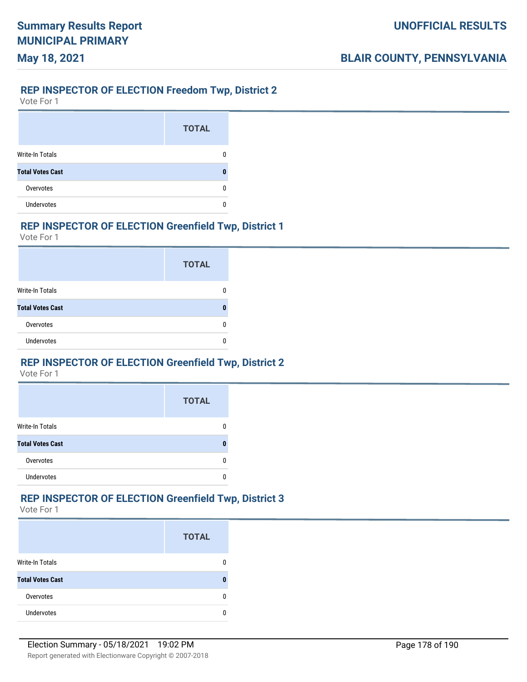### **REP INSPECTOR OF ELECTION Freedom Twp, District 2**

Vote For 1

**May 18, 2021**

|                         | <b>TOTAL</b> |
|-------------------------|--------------|
| <b>Write-In Totals</b>  |              |
| <b>Total Votes Cast</b> |              |
| Overvotes               |              |
| <b>Undervotes</b>       |              |

### **REP INSPECTOR OF ELECTION Greenfield Twp, District 1**

Vote For 1

|                         | <b>TOTAL</b> |
|-------------------------|--------------|
| Write-In Totals         |              |
| <b>Total Votes Cast</b> |              |
| Overvotes               |              |
| <b>Undervotes</b>       |              |

### **REP INSPECTOR OF ELECTION Greenfield Twp, District 2**

Vote For 1

|                         | <b>TOTAL</b> |
|-------------------------|--------------|
| <b>Write-In Totals</b>  |              |
| <b>Total Votes Cast</b> |              |
| Overvotes               |              |
| <b>Undervotes</b>       |              |

### **REP INSPECTOR OF ELECTION Greenfield Twp, District 3**

|                         | <b>TOTAL</b> |
|-------------------------|--------------|
| <b>Write-In Totals</b>  |              |
| <b>Total Votes Cast</b> |              |
| Overvotes               |              |
| <b>Undervotes</b>       |              |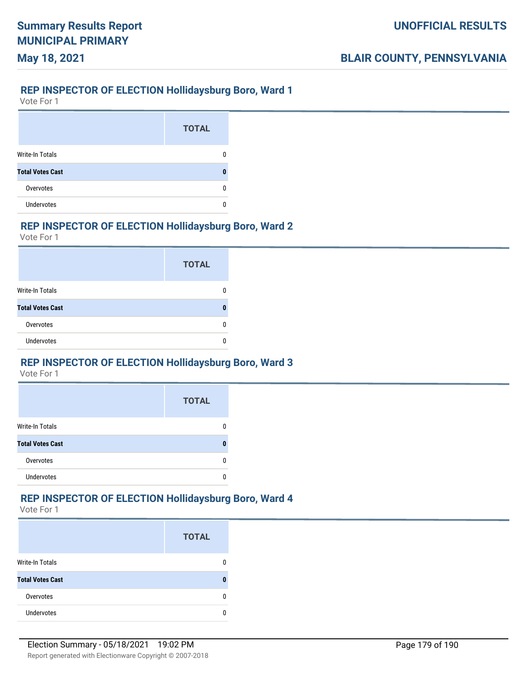### **REP INSPECTOR OF ELECTION Hollidaysburg Boro, Ward 1**

Vote For 1

**May 18, 2021**

|                         | <b>TOTAL</b> |
|-------------------------|--------------|
| Write-In Totals         |              |
| <b>Total Votes Cast</b> |              |
| Overvotes               |              |
| <b>Undervotes</b>       |              |

### **REP INSPECTOR OF ELECTION Hollidaysburg Boro, Ward 2**

Vote For 1

|                         | <b>TOTAL</b> |
|-------------------------|--------------|
| Write-In Totals         |              |
| <b>Total Votes Cast</b> | 0            |
| Overvotes               | n            |
| <b>Undervotes</b>       |              |

### **REP INSPECTOR OF ELECTION Hollidaysburg Boro, Ward 3**

Vote For 1

|                         | <b>TOTAL</b> |
|-------------------------|--------------|
| <b>Write-In Totals</b>  |              |
| <b>Total Votes Cast</b> |              |
| Overvotes               |              |
| <b>Undervotes</b>       |              |

### **REP INSPECTOR OF ELECTION Hollidaysburg Boro, Ward 4**

|                         | <b>TOTAL</b> |
|-------------------------|--------------|
| Write-In Totals         |              |
| <b>Total Votes Cast</b> |              |
| Overvotes               |              |
| <b>Undervotes</b>       |              |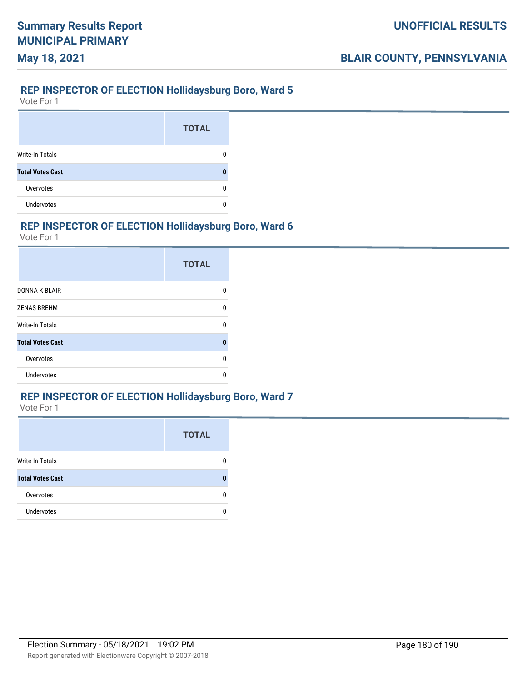### **REP INSPECTOR OF ELECTION Hollidaysburg Boro, Ward 5**

Vote For 1

**May 18, 2021**

|                         | <b>TOTAL</b> |
|-------------------------|--------------|
| Write-In Totals         |              |
| <b>Total Votes Cast</b> |              |
| Overvotes               |              |
| <b>Undervotes</b>       |              |

#### **REP INSPECTOR OF ELECTION Hollidaysburg Boro, Ward 6**

Vote For 1

|                         | <b>TOTAL</b> |
|-------------------------|--------------|
| <b>DONNA K BLAIR</b>    | n            |
| <b>ZENAS BREHM</b>      | U            |
| <b>Write-In Totals</b>  | ŋ            |
| <b>Total Votes Cast</b> | 0            |
| Overvotes               | n            |
| Undervotes              | n            |

#### **REP INSPECTOR OF ELECTION Hollidaysburg Boro, Ward 7**

|                         | <b>TOTAL</b> |
|-------------------------|--------------|
| Write-In Totals         |              |
| <b>Total Votes Cast</b> |              |
| Overvotes               | n            |
| <b>Undervotes</b>       | n            |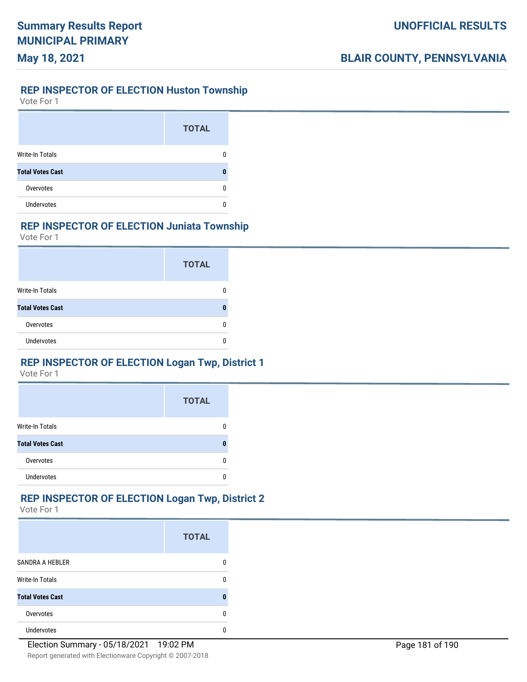#### **REP INSPECTOR OF ELECTION Huston Township**

Vote For 1

**May 18, 2021**

|                         | <b>TOTAL</b> |
|-------------------------|--------------|
| <b>Write-In Totals</b>  |              |
| <b>Total Votes Cast</b> |              |
| Overvotes               |              |
| <b>Undervotes</b>       |              |

### **REP INSPECTOR OF ELECTION Juniata Township**

Vote For 1

|                         | <b>TOTAL</b> |
|-------------------------|--------------|
| Write-In Totals         |              |
| <b>Total Votes Cast</b> |              |
| Overvotes               |              |
| <b>Undervotes</b>       |              |

## **REP INSPECTOR OF ELECTION Logan Twp, District 1**

Vote For 1

|                         | <b>TOTAL</b> |
|-------------------------|--------------|
| <b>Write-In Totals</b>  |              |
| <b>Total Votes Cast</b> |              |
| Overvotes               |              |
| Undervotes              |              |

# **REP INSPECTOR OF ELECTION Logan Twp, District 2**

|                         | <b>TOTAL</b> |
|-------------------------|--------------|
| <b>SANDRA A HEBLER</b>  |              |
| <b>Write-In Totals</b>  |              |
| <b>Total Votes Cast</b> |              |
| Overvotes               |              |
| <b>Undervotes</b>       |              |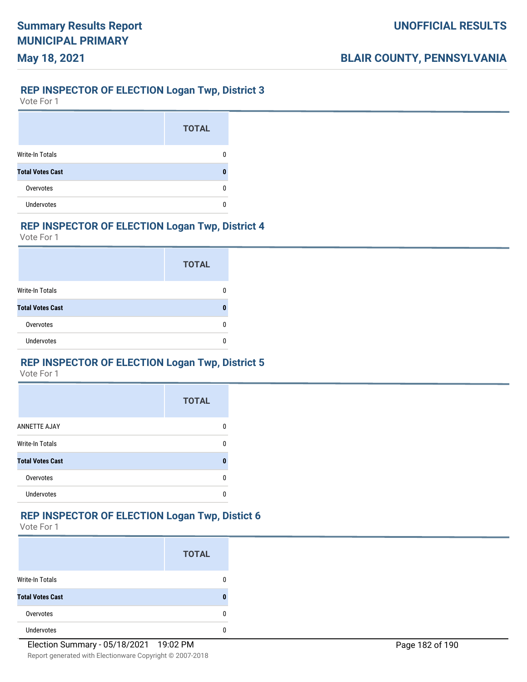# **REP INSPECTOR OF ELECTION Logan Twp, District 3**

Vote For 1

**May 18, 2021**

|                         | <b>TOTAL</b> |
|-------------------------|--------------|
| Write-In Totals         |              |
| <b>Total Votes Cast</b> |              |
| Overvotes               |              |
| <b>Undervotes</b>       |              |

## **REP INSPECTOR OF ELECTION Logan Twp, District 4**

Vote For 1

|                         | <b>TOTAL</b> |
|-------------------------|--------------|
| Write-In Totals         |              |
| <b>Total Votes Cast</b> |              |
| Overvotes               |              |
| <b>Undervotes</b>       |              |

## **REP INSPECTOR OF ELECTION Logan Twp, District 5**

Vote For 1

|                         | <b>TOTAL</b> |
|-------------------------|--------------|
| <b>ANNETTE AJAY</b>     |              |
| <b>Write-In Totals</b>  | n            |
| <b>Total Votes Cast</b> | Ω            |
| Overvotes               | n            |
| <b>Undervotes</b>       |              |

#### **REP INSPECTOR OF ELECTION Logan Twp, Distict 6**

|                         | <b>TOTAL</b> |
|-------------------------|--------------|
| <b>Write-In Totals</b>  |              |
| <b>Total Votes Cast</b> |              |
| Overvotes               |              |
| <b>Undervotes</b>       |              |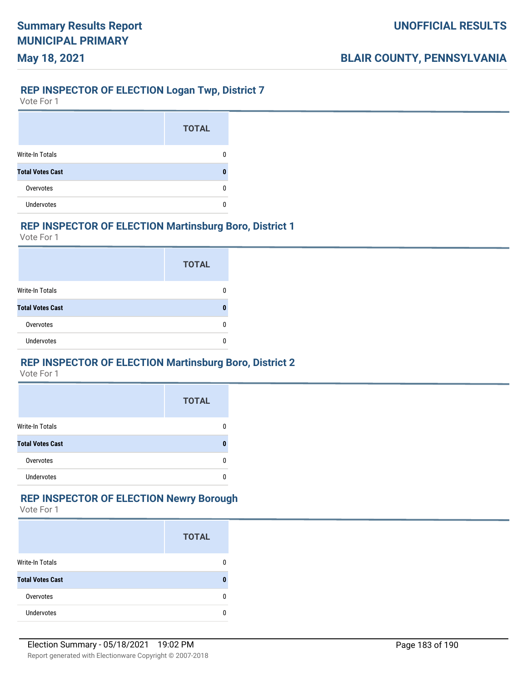# **May 18, 2021**

## **REP INSPECTOR OF ELECTION Logan Twp, District 7**

Vote For 1

|                         | <b>TOTAL</b> |
|-------------------------|--------------|
| <b>Write-In Totals</b>  |              |
| <b>Total Votes Cast</b> |              |
| Overvotes               |              |
| <b>Undervotes</b>       |              |

## **REP INSPECTOR OF ELECTION Martinsburg Boro, District 1**

Vote For 1

|                         | <b>TOTAL</b> |
|-------------------------|--------------|
| Write-In Totals         |              |
| <b>Total Votes Cast</b> |              |
| Overvotes               |              |
| <b>Undervotes</b>       |              |

## **REP INSPECTOR OF ELECTION Martinsburg Boro, District 2**

Vote For 1

|                         | <b>TOTAL</b> |
|-------------------------|--------------|
| <b>Write-In Totals</b>  |              |
| <b>Total Votes Cast</b> |              |
| Overvotes               |              |
| <b>Undervotes</b>       |              |

# **REP INSPECTOR OF ELECTION Newry Borough**

|                         | <b>TOTAL</b> |
|-------------------------|--------------|
| <b>Write-In Totals</b>  |              |
| <b>Total Votes Cast</b> |              |
| Overvotes               |              |
| <b>Undervotes</b>       |              |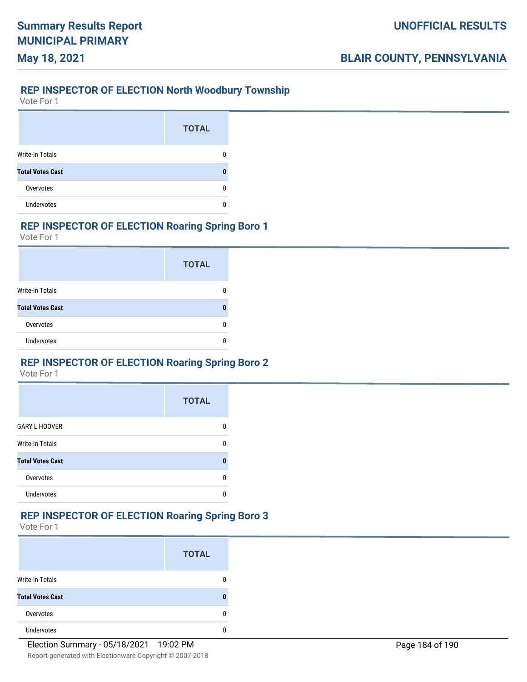### **REP INSPECTOR OF ELECTION North Woodbury Township**

Vote For 1

**May 18, 2021**

|                         | <b>TOTAL</b> |
|-------------------------|--------------|
| Write-In Totals         |              |
| <b>Total Votes Cast</b> |              |
| Overvotes               |              |
| <b>Undervotes</b>       |              |

## **REP INSPECTOR OF ELECTION Roaring Spring Boro 1**

Vote For 1

|                         | <b>TOTAL</b> |
|-------------------------|--------------|
| Write-In Totals         |              |
| <b>Total Votes Cast</b> |              |
| Overvotes               |              |
| <b>Undervotes</b>       |              |

## **REP INSPECTOR OF ELECTION Roaring Spring Boro 2**

Vote For 1

|                         | <b>TOTAL</b> |
|-------------------------|--------------|
| <b>GARY L HOOVER</b>    |              |
| <b>Write-In Totals</b>  | n            |
| <b>Total Votes Cast</b> |              |
| Overvotes               | п            |
| <b>Undervotes</b>       |              |

#### **REP INSPECTOR OF ELECTION Roaring Spring Boro 3**

|                         | <b>TOTAL</b> |
|-------------------------|--------------|
| Write-In Totals         |              |
| <b>Total Votes Cast</b> |              |
| Overvotes               |              |
| <b>Undervotes</b>       |              |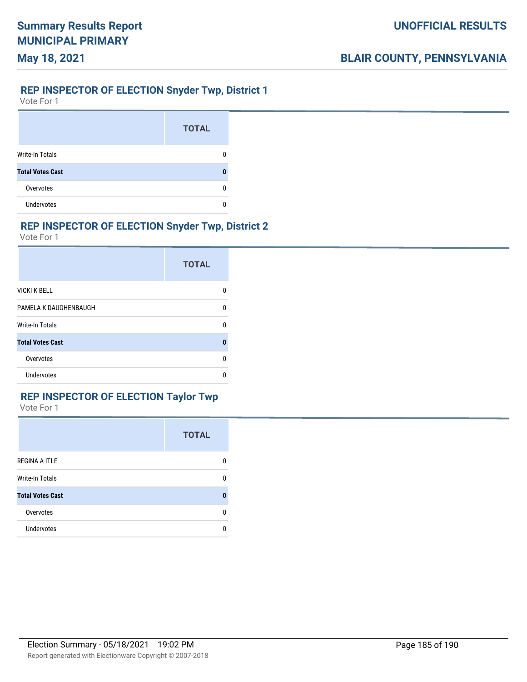## **REP INSPECTOR OF ELECTION Snyder Twp, District 1**

Vote For 1

**May 18, 2021**

|                         | <b>TOTAL</b> |
|-------------------------|--------------|
| Write-In Totals         |              |
| <b>Total Votes Cast</b> |              |
| Overvotes               |              |
| <b>Undervotes</b>       |              |

### **REP INSPECTOR OF ELECTION Snyder Twp, District 2**

Vote For 1

|                         | <b>TOTAL</b> |
|-------------------------|--------------|
| <b>VICKI K BELL</b>     | 0            |
| PAMELA K DAUGHENBAUGH   | 0            |
| <b>Write-In Totals</b>  | U            |
| <b>Total Votes Cast</b> | 0            |
| Overvotes               | 0            |
| Undervotes              | n            |

## **REP INSPECTOR OF ELECTION Taylor Twp**

|                         | <b>TOTAL</b> |
|-------------------------|--------------|
| <b>REGINA A ITLE</b>    | 0            |
| <b>Write-In Totals</b>  | 0            |
| <b>Total Votes Cast</b> | 0            |
| Overvotes               | 0            |
| <b>Undervotes</b>       | 0            |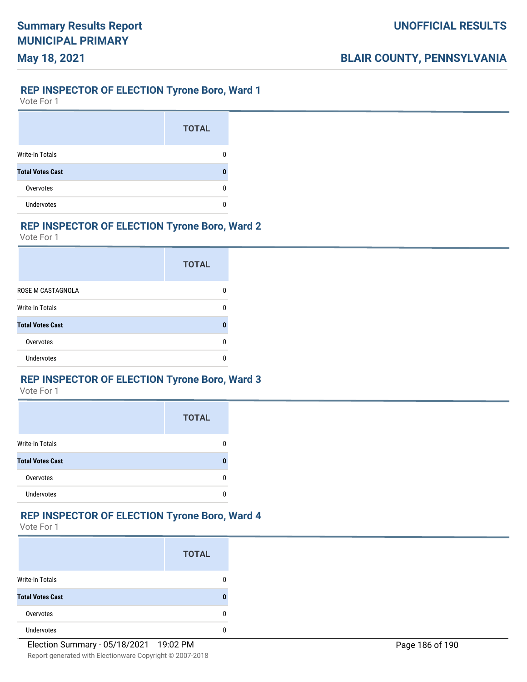# **May 18, 2021**

#### **REP INSPECTOR OF ELECTION Tyrone Boro, Ward 1**

Vote For 1

|                         | <b>TOTAL</b> |
|-------------------------|--------------|
| <b>Write-In Totals</b>  |              |
| <b>Total Votes Cast</b> |              |
| Overvotes               |              |
| <b>Undervotes</b>       |              |

## **REP INSPECTOR OF ELECTION Tyrone Boro, Ward 2**

Vote For 1

|                         | <b>TOTAL</b> |
|-------------------------|--------------|
| ROSE M CASTAGNOLA       |              |
| Write-In Totals         | n            |
| <b>Total Votes Cast</b> | Π            |
| Overvotes               |              |
| Undervotes              |              |

## **REP INSPECTOR OF ELECTION Tyrone Boro, Ward 3**

Vote For 1

|                         | <b>TOTAL</b> |
|-------------------------|--------------|
| <b>Write-In Totals</b>  |              |
| <b>Total Votes Cast</b> | Л            |
| Overvotes               |              |
| Undervotes              |              |

## **REP INSPECTOR OF ELECTION Tyrone Boro, Ward 4**

|                         | <b>TOTAL</b> |
|-------------------------|--------------|
| <b>Write-In Totals</b>  |              |
| <b>Total Votes Cast</b> | 0            |
| Overvotes               | Ω            |
| <b>Undervotes</b>       |              |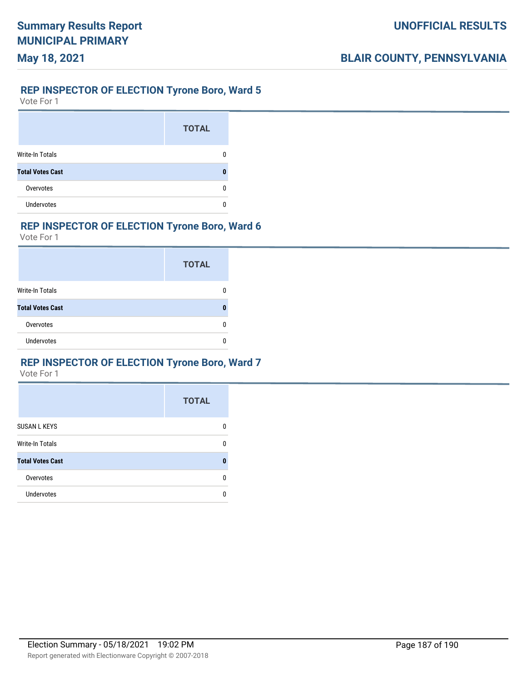# **May 18, 2021**

### **REP INSPECTOR OF ELECTION Tyrone Boro, Ward 5**

Vote For 1

|                         | <b>TOTAL</b> |
|-------------------------|--------------|
| <b>Write-In Totals</b>  |              |
| <b>Total Votes Cast</b> |              |
| Overvotes               |              |
| <b>Undervotes</b>       |              |

## **REP INSPECTOR OF ELECTION Tyrone Boro, Ward 6**

Vote For 1

|                         | <b>TOTAL</b> |
|-------------------------|--------------|
| <b>Write-In Totals</b>  |              |
| <b>Total Votes Cast</b> |              |
| Overvotes               |              |
| <b>Undervotes</b>       |              |

## **REP INSPECTOR OF ELECTION Tyrone Boro, Ward 7**

|                         | <b>TOTAL</b> |
|-------------------------|--------------|
| <b>SUSAN L KEYS</b>     | n            |
| <b>Write-In Totals</b>  | n            |
| <b>Total Votes Cast</b> |              |
| Overvotes               | n            |
| <b>Undervotes</b>       | O            |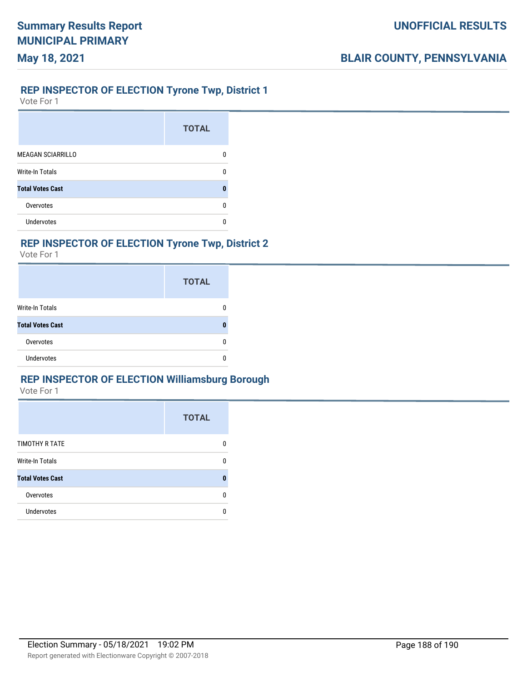#### **REP INSPECTOR OF ELECTION Tyrone Twp, District 1**

Vote For 1

**May 18, 2021**

|                          | <b>TOTAL</b> |
|--------------------------|--------------|
| <b>MEAGAN SCIARRILLO</b> | O            |
| <b>Write-In Totals</b>   | n            |
| <b>Total Votes Cast</b>  | n            |
| Overvotes                | n            |
| Undervotes               | n            |

## **REP INSPECTOR OF ELECTION Tyrone Twp, District 2**

Vote For 1

|                         | <b>TOTAL</b> |  |
|-------------------------|--------------|--|
| <b>Write-In Totals</b>  | 0            |  |
| <b>Total Votes Cast</b> | 0            |  |
| Overvotes               | 0            |  |
| Undervotes              | Ω            |  |

## **REP INSPECTOR OF ELECTION Williamsburg Borough**

|                         | <b>TOTAL</b> |
|-------------------------|--------------|
| TIMOTHY R TATE          | 0            |
| <b>Write-In Totals</b>  | 0            |
| <b>Total Votes Cast</b> |              |
| Overvotes               | n            |
| <b>Undervotes</b>       |              |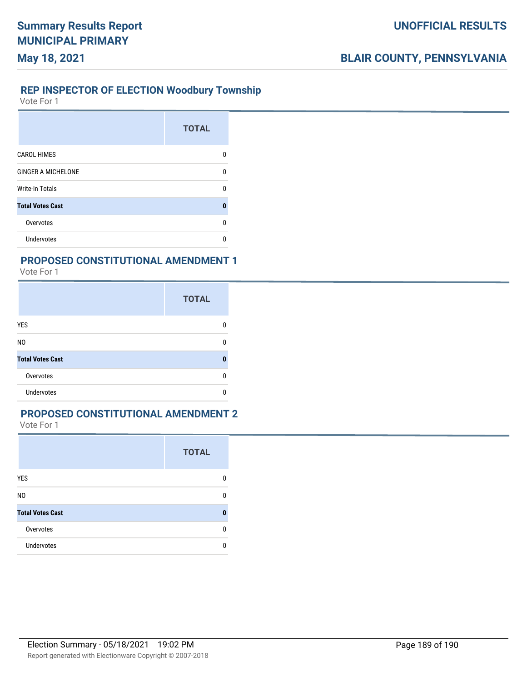#### **REP INSPECTOR OF ELECTION Woodbury Township**

Vote For 1

**May 18, 2021**

|                           | <b>TOTAL</b> |
|---------------------------|--------------|
| <b>CAROL HIMES</b>        | 0            |
| <b>GINGER A MICHELONE</b> | n            |
| Write-In Totals           | n            |
| <b>Total Votes Cast</b>   | n            |
| Overvotes                 | n            |
| Undervotes                |              |

#### **PROPOSED CONSTITUTIONAL AMENDMENT 1**

Vote For 1

|                         | <b>TOTAL</b> |
|-------------------------|--------------|
| YES                     |              |
| N <sub>0</sub>          |              |
| <b>Total Votes Cast</b> | п            |
| Overvotes               |              |
| <b>Undervotes</b>       |              |

## **PROPOSED CONSTITUTIONAL AMENDMENT 2**

|                         | <b>TOTAL</b> |
|-------------------------|--------------|
| YES                     |              |
| N <sub>0</sub>          | n            |
| <b>Total Votes Cast</b> | Ω            |
| Overvotes               |              |
| <b>Undervotes</b>       |              |